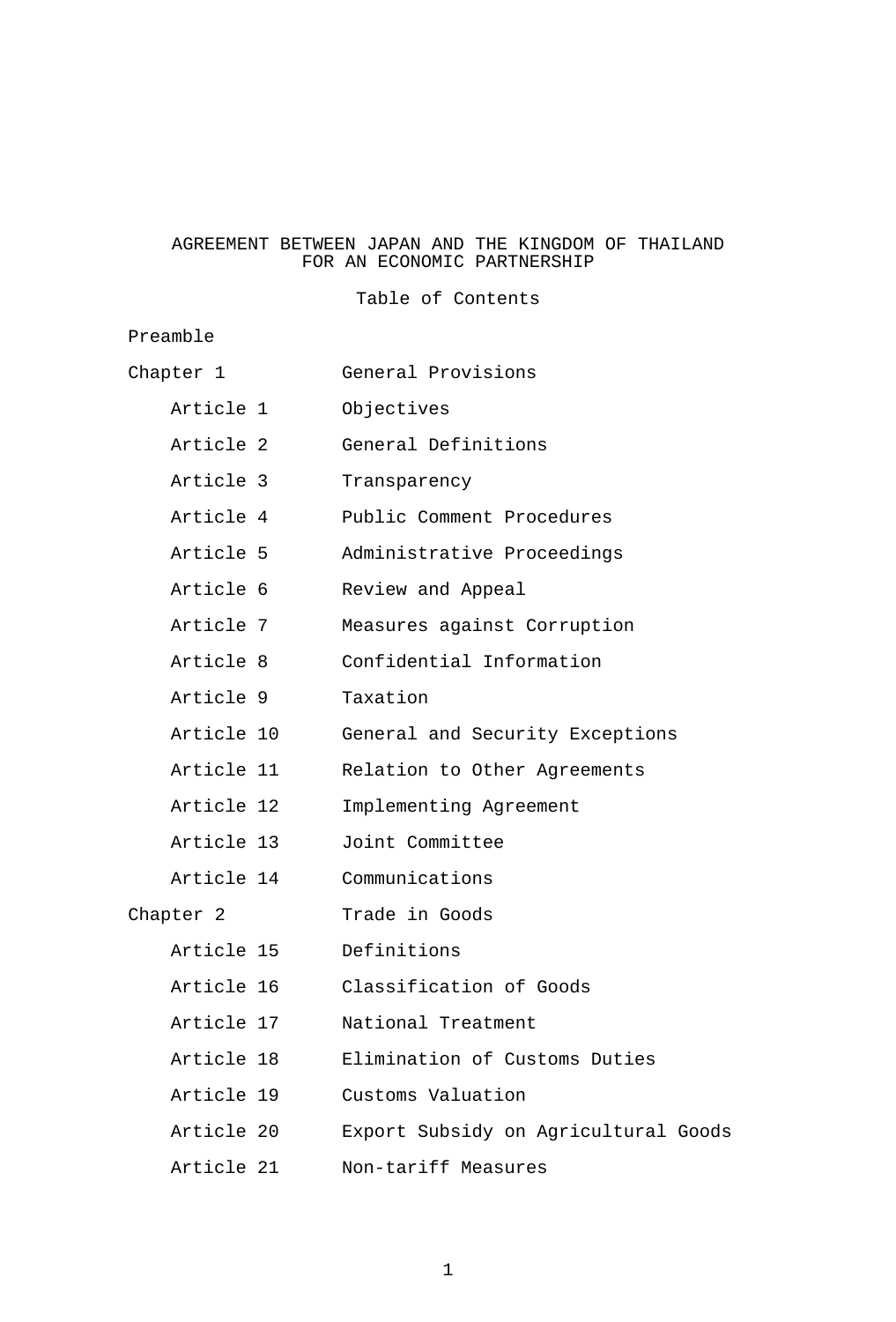## AGREEMENT BETWEEN JAPAN AND THE KINGDOM OF THAILAND FOR AN ECONOMIC PARTNERSHIP

Table of Contents

# Preamble

| Chapter 1  | General Provisions                   |
|------------|--------------------------------------|
| Article 1  | Objectives                           |
| Article 2  | General Definitions                  |
| Article 3  | Transparency                         |
| Article 4  | Public Comment Procedures            |
| Article 5  | Administrative Proceedings           |
| Article 6  | Review and Appeal                    |
| Article 7  | Measures against Corruption          |
| Article 8  | Confidential Information             |
| Article 9  | Taxation                             |
| Article 10 | General and Security Exceptions      |
| Article 11 | Relation to Other Agreements         |
| Article 12 | Implementing Agreement               |
| Article 13 | Joint Committee                      |
| Article 14 | Communications                       |
| Chapter 2  | Trade in Goods                       |
| Article 15 | Definitions                          |
| Article 16 | Classification of Goods              |
| Article 17 | National Treatment                   |
| Article 18 | Elimination of Customs Duties        |
| Article 19 | Customs Valuation                    |
| Article 20 | Export Subsidy on Agricultural Goods |
| Article 21 | Non-tariff Measures                  |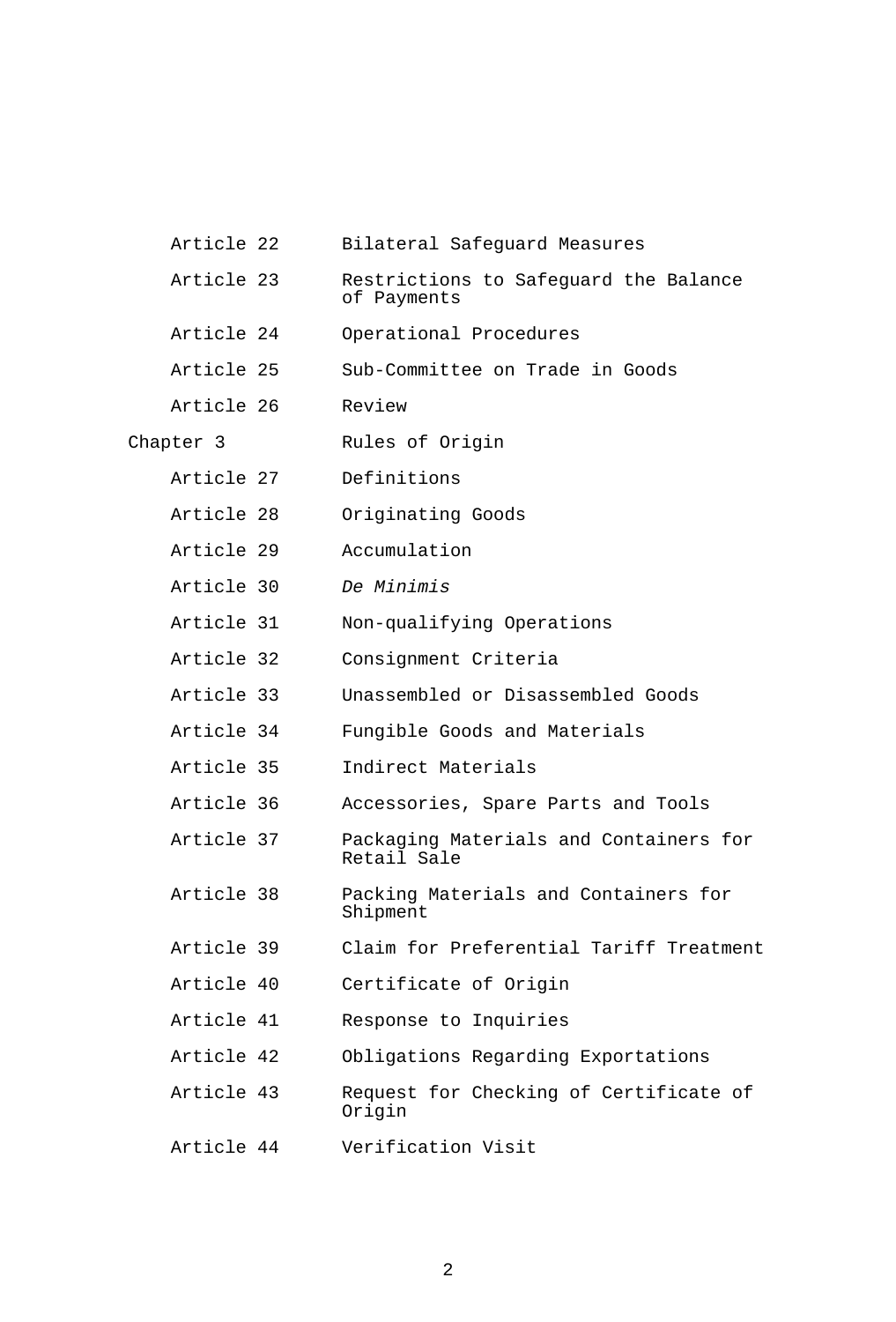| Article 22 | Bilateral Safeguard Measures                          |
|------------|-------------------------------------------------------|
| Article 23 | Restrictions to Safeguard the Balance<br>of Payments  |
| Article 24 | Operational Procedures                                |
| Article 25 | Sub-Committee on Trade in Goods                       |
| Article 26 | Review                                                |
| Chapter 3  | Rules of Origin                                       |
| Article 27 | Definitions                                           |
| Article 28 | Originating Goods                                     |
| Article 29 | Accumulation                                          |
| Article 30 | De Minimis                                            |
| Article 31 | Non-qualifying Operations                             |
| Article 32 | Consignment Criteria                                  |
| Article 33 | Unassembled or Disassembled Goods                     |
| Article 34 | Fungible Goods and Materials                          |
| Article 35 | Indirect Materials                                    |
| Article 36 | Accessories, Spare Parts and Tools                    |
| Article 37 | Packaging Materials and Containers for<br>Retail Sale |
| Article 38 | Packing Materials and Containers for<br>Shipment      |
| Article 39 | Claim for Preferential Tariff Treatment               |
| Article 40 | Certificate of Origin                                 |
| Article 41 | Response to Inquiries                                 |
| Article 42 | Obligations Regarding Exportations                    |
| Article 43 | Request for Checking of Certificate of<br>Origin      |
| Article 44 | Verification Visit                                    |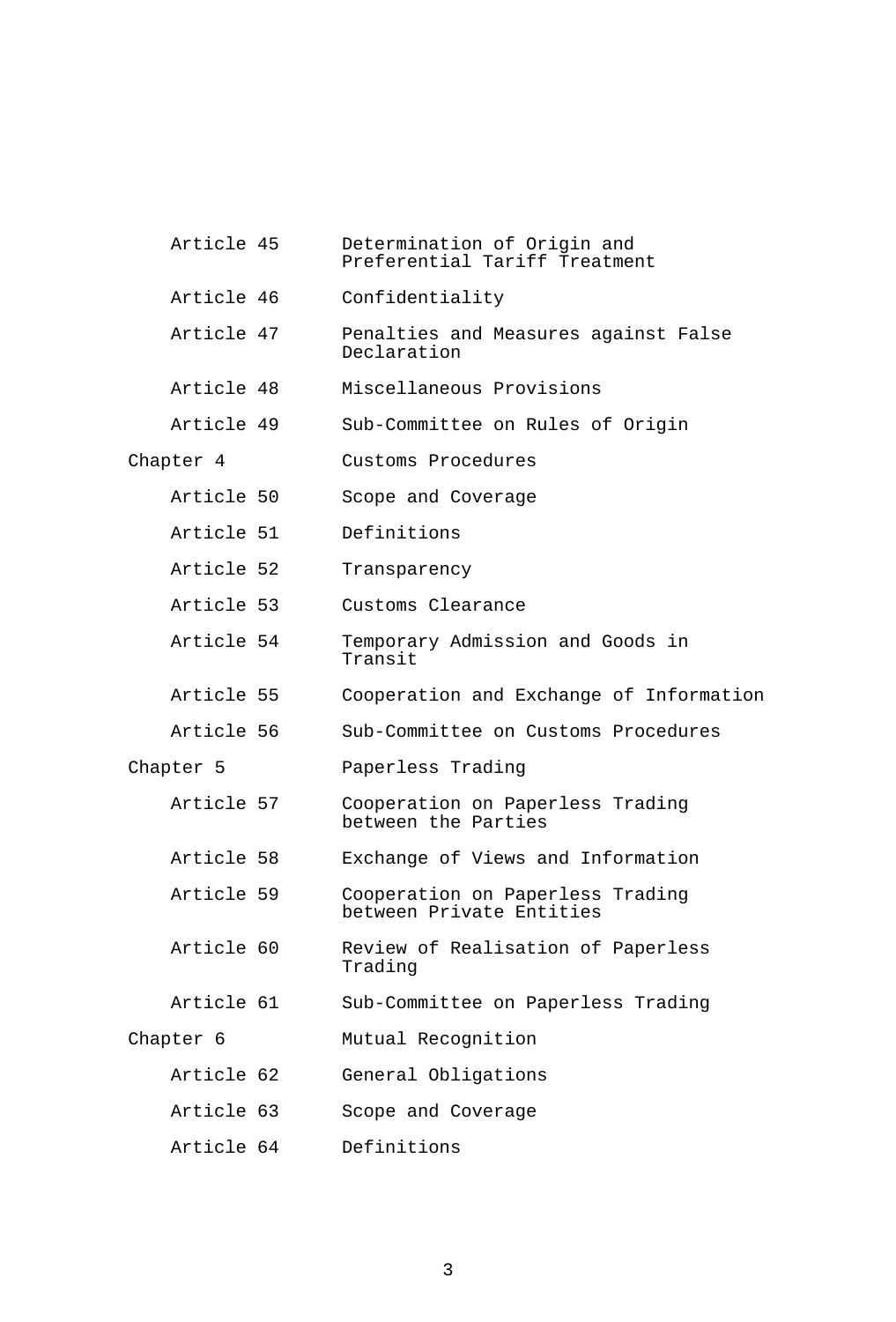| Article 45 | Determination of Origin and<br>Preferential Tariff Treatment |
|------------|--------------------------------------------------------------|
| Article 46 | Confidentiality                                              |
| Article 47 | Penalties and Measures against False<br>Declaration          |
| Article 48 | Miscellaneous Provisions                                     |
| Article 49 | Sub-Committee on Rules of Origin                             |
| Chapter 4  | Customs Procedures                                           |
| Article 50 | Scope and Coverage                                           |
| Article 51 | Definitions                                                  |
| Article 52 | Transparency                                                 |
| Article 53 | Customs Clearance                                            |
| Article 54 | Temporary Admission and Goods in<br>Transit                  |
| Article 55 | Cooperation and Exchange of Information                      |
| Article 56 | Sub-Committee on Customs Procedures                          |
| Chapter 5  | Paperless Trading                                            |
| Article 57 | Cooperation on Paperless Trading<br>between the Parties      |
| Article 58 | Exchange of Views and Information                            |
| Article 59 | Cooperation on Paperless Trading<br>between Private Entities |
| Article 60 | Review of Realisation of Paperless<br>Trading                |
| Article 61 | Sub-Committee on Paperless Trading                           |
| Chapter 6  | Mutual Recognition                                           |
| Article 62 | General Obligations                                          |
| Article 63 | Scope and Coverage                                           |
| Article 64 | Definitions                                                  |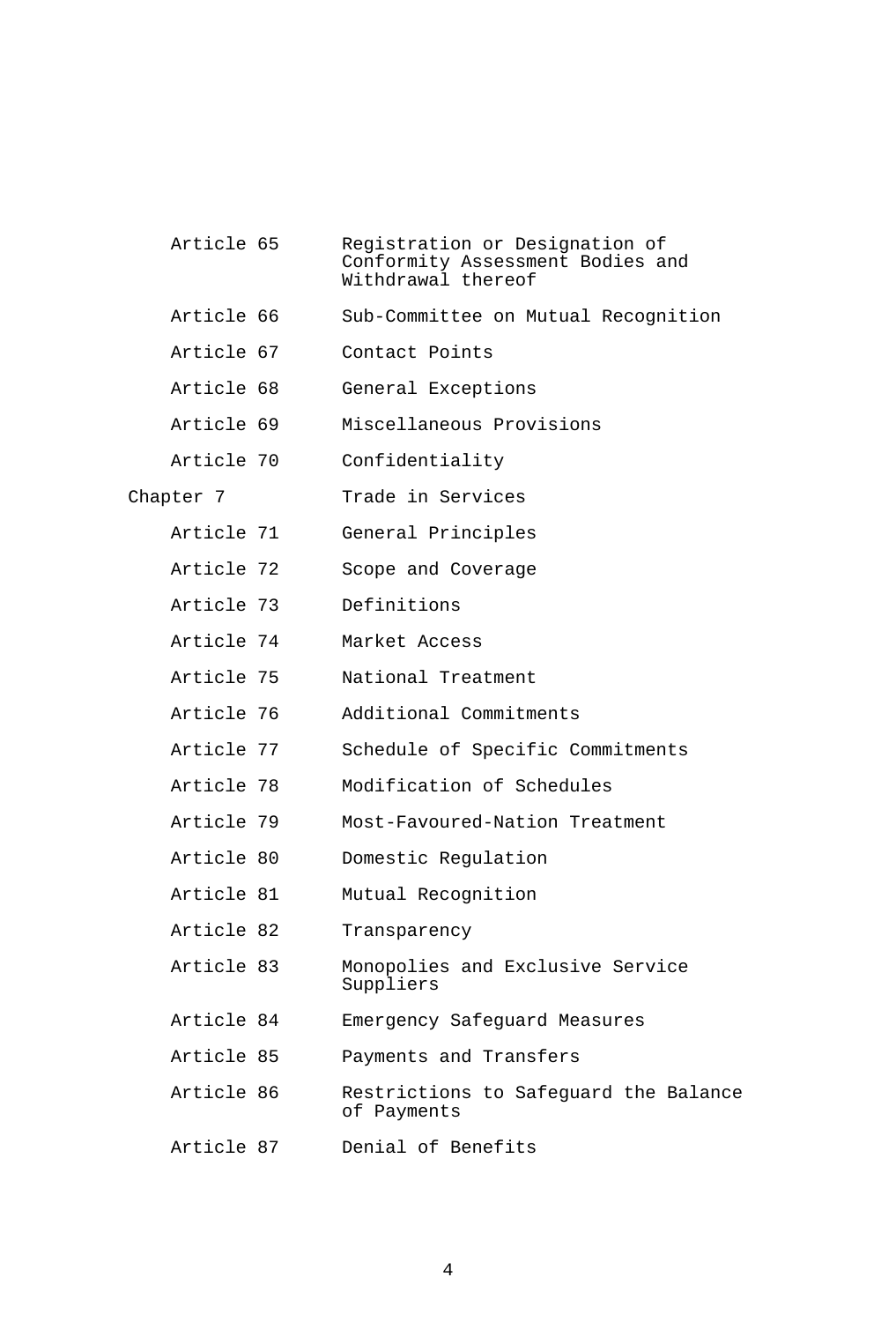| Article 65 | Registration or Designation of<br>Conformity Assessment Bodies and<br>Withdrawal thereof |
|------------|------------------------------------------------------------------------------------------|
| Article 66 | Sub-Committee on Mutual Recognition                                                      |
| Article 67 | Contact Points                                                                           |
| Article 68 | General Exceptions                                                                       |
| Article 69 | Miscellaneous Provisions                                                                 |
| Article 70 | Confidentiality                                                                          |
| Chapter 7  | Trade in Services                                                                        |
| Article 71 | General Principles                                                                       |
| Article 72 | Scope and Coverage                                                                       |
| Article 73 | Definitions                                                                              |
| Article 74 | Market Access                                                                            |
| Article 75 | National Treatment                                                                       |
| Article 76 | Additional Commitments                                                                   |
| Article 77 | Schedule of Specific Commitments                                                         |
| Article 78 | Modification of Schedules                                                                |
| Article 79 | Most-Favoured-Nation Treatment                                                           |
| Article 80 | Domestic Regulation                                                                      |
| Article 81 | Mutual Recognition                                                                       |
| Article 82 | Transparency                                                                             |
| Article 83 | Monopolies and Exclusive Service<br>Suppliers                                            |
| Article 84 | Emergency Safeguard Measures                                                             |
| Article 85 | Payments and Transfers                                                                   |
| Article 86 | Restrictions to Safeguard the Balance<br>of Payments                                     |
| Article 87 | Denial of Benefits                                                                       |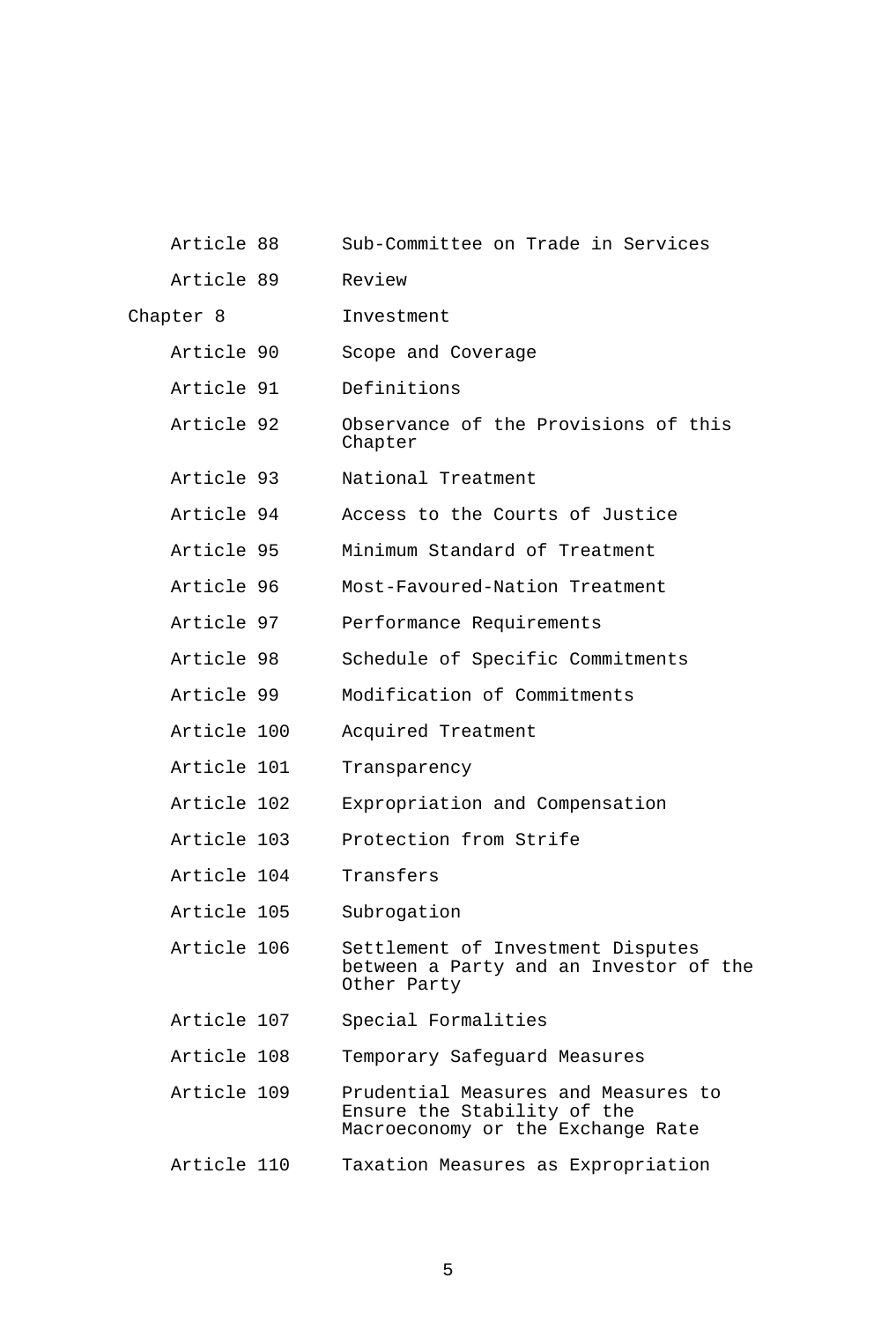| Article 88  | Sub-Committee on Trade in Services                                                                      |
|-------------|---------------------------------------------------------------------------------------------------------|
| Article 89  | Review                                                                                                  |
| Chapter 8   | Investment                                                                                              |
| Article 90  | Scope and Coverage                                                                                      |
| Article 91  | Definitions                                                                                             |
| Article 92  | Observance of the Provisions of this<br>Chapter                                                         |
| Article 93  | National Treatment                                                                                      |
| Article 94  | Access to the Courts of Justice                                                                         |
| Article 95  | Minimum Standard of Treatment                                                                           |
| Article 96  | Most-Favoured-Nation Treatment                                                                          |
| Article 97  | Performance Requirements                                                                                |
| Article 98  | Schedule of Specific Commitments                                                                        |
| Article 99  | Modification of Commitments                                                                             |
| Article 100 | Acquired Treatment                                                                                      |
| Article 101 | Transparency                                                                                            |
| Article 102 | Expropriation and Compensation                                                                          |
| Article 103 | Protection from Strife                                                                                  |
| Article 104 | Transfers                                                                                               |
| Article 105 | Subrogation                                                                                             |
| Article 106 | Settlement of Investment Disputes<br>between a Party and an Investor of the<br>Other Party              |
| Article 107 | Special Formalities                                                                                     |
| Article 108 | Temporary Safeguard Measures                                                                            |
| Article 109 | Prudential Measures and Measures to<br>Ensure the Stability of the<br>Macroeconomy or the Exchange Rate |
| Article 110 | Taxation Measures as Expropriation                                                                      |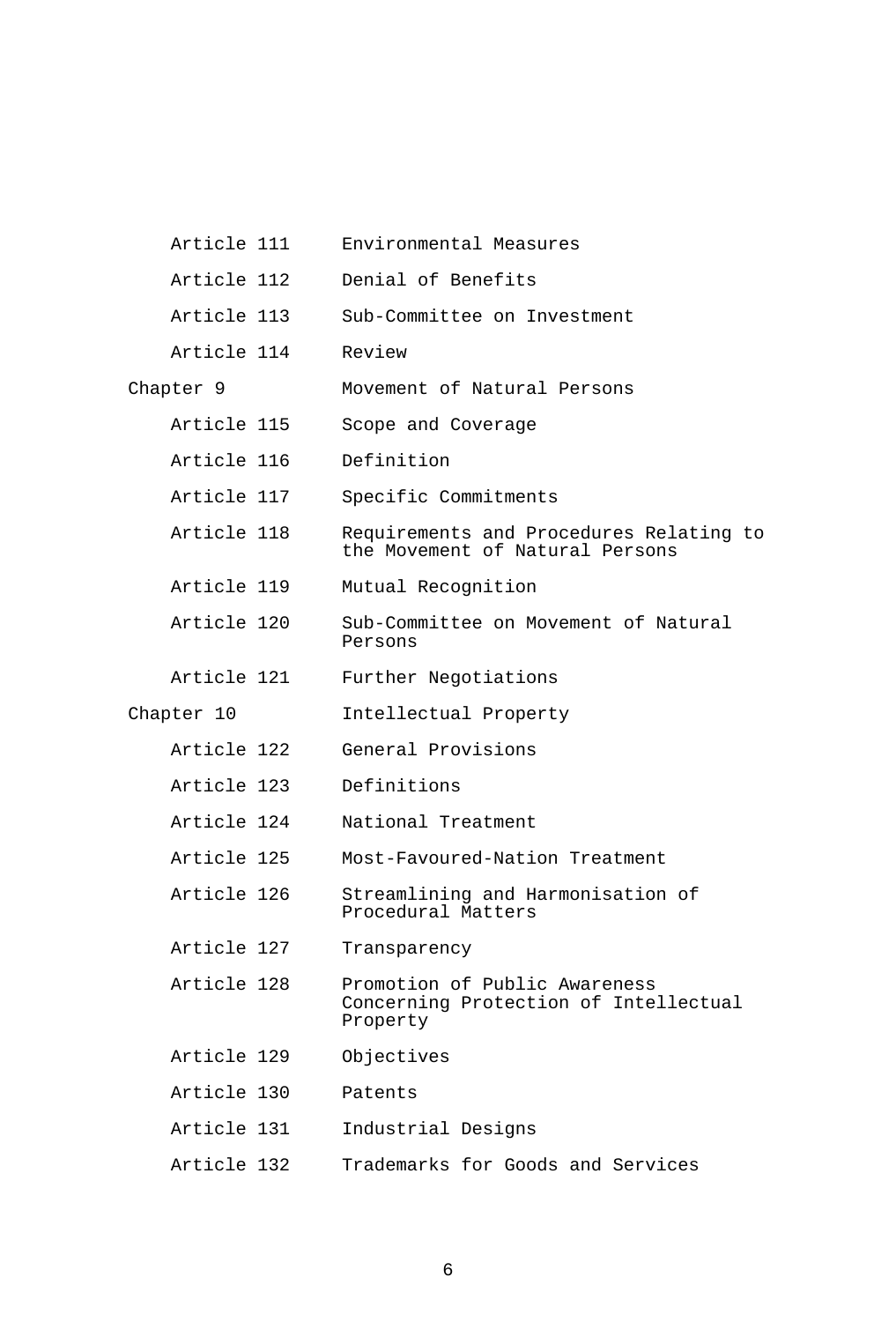| Article 111 | Environmental Measures                                                             |
|-------------|------------------------------------------------------------------------------------|
| Article 112 | Denial of Benefits                                                                 |
| Article 113 | Sub-Committee on Investment                                                        |
| Article 114 | Review                                                                             |
| Chapter 9   | Movement of Natural Persons                                                        |
| Article 115 | Scope and Coverage                                                                 |
| Article 116 | Definition                                                                         |
| Article 117 | Specific Commitments                                                               |
| Article 118 | Requirements and Procedures Relating to<br>the Movement of Natural Persons         |
| Article 119 | Mutual Recognition                                                                 |
| Article 120 | Sub-Committee on Movement of Natural<br>Persons                                    |
| Article 121 | Further Negotiations                                                               |
| Chapter 10  | Intellectual Property                                                              |
| Article 122 | General Provisions                                                                 |
| Article 123 | Definitions                                                                        |
| Article 124 | National Treatment                                                                 |
| Article 125 | Most-Favoured-Nation Treatment                                                     |
| Article 126 | Streamlining and Harmonisation of<br>Procedural Matters                            |
| Article 127 | Transparency                                                                       |
| Article 128 | Promotion of Public Awareness<br>Concerning Protection of Intellectual<br>Property |
| Article 129 | Objectives                                                                         |
| Article 130 | Patents                                                                            |
| Article 131 | Industrial Designs                                                                 |
| Article 132 | Trademarks for Goods and Services                                                  |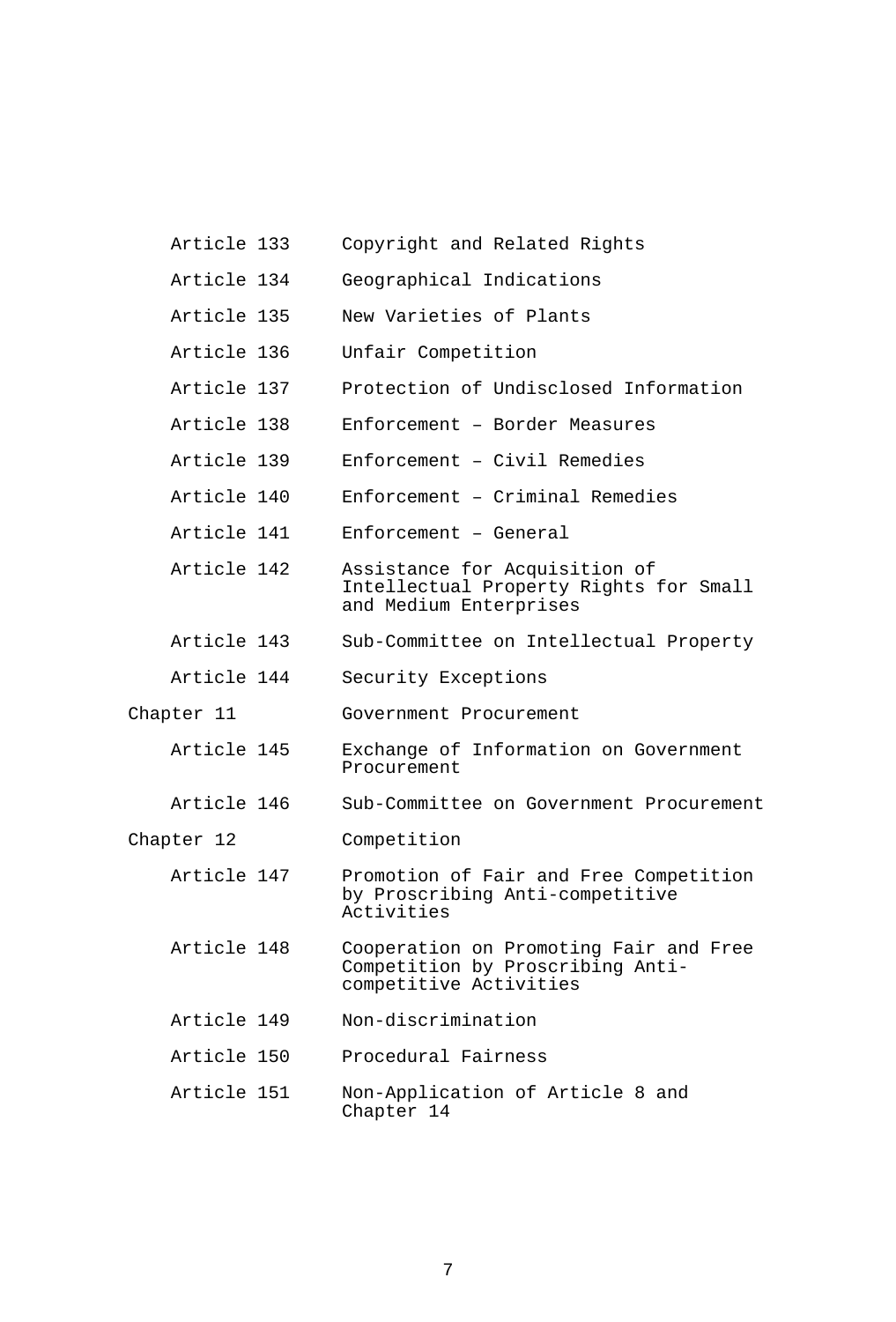- Article 133 Copyright and Related Rights
- Article 134 Geographical Indications
- Article 135 New Varieties of Plants
- Article 136 Unfair Competition
- Article 137 Protection of Undisclosed Information
- Article 138 Enforcement Border Measures
- Article 139 Enforcement Civil Remedies
- Article 140 Enforcement Criminal Remedies
- Article 141 Enforcement General
- Article 142 Assistance for Acquisition of Intellectual Property Rights for Small and Medium Enterprises
- Article 143 Sub-Committee on Intellectual Property
- Article 144 Security Exceptions
- Chapter 11 Government Procurement
	- Article 145 Exchange of Information on Government Procurement
	- Article 146 Sub-Committee on Government Procurement
- Chapter 12 Competition
	- Article 147 Promotion of Fair and Free Competition by Proscribing Anti-competitive Activities
	- Article 148 Cooperation on Promoting Fair and Free Competition by Proscribing Anticompetitive Activities
	- Article 149 Non-discrimination
	- Article 150 Procedural Fairness
	- Article 151 Non-Application of Article 8 and Chapter 14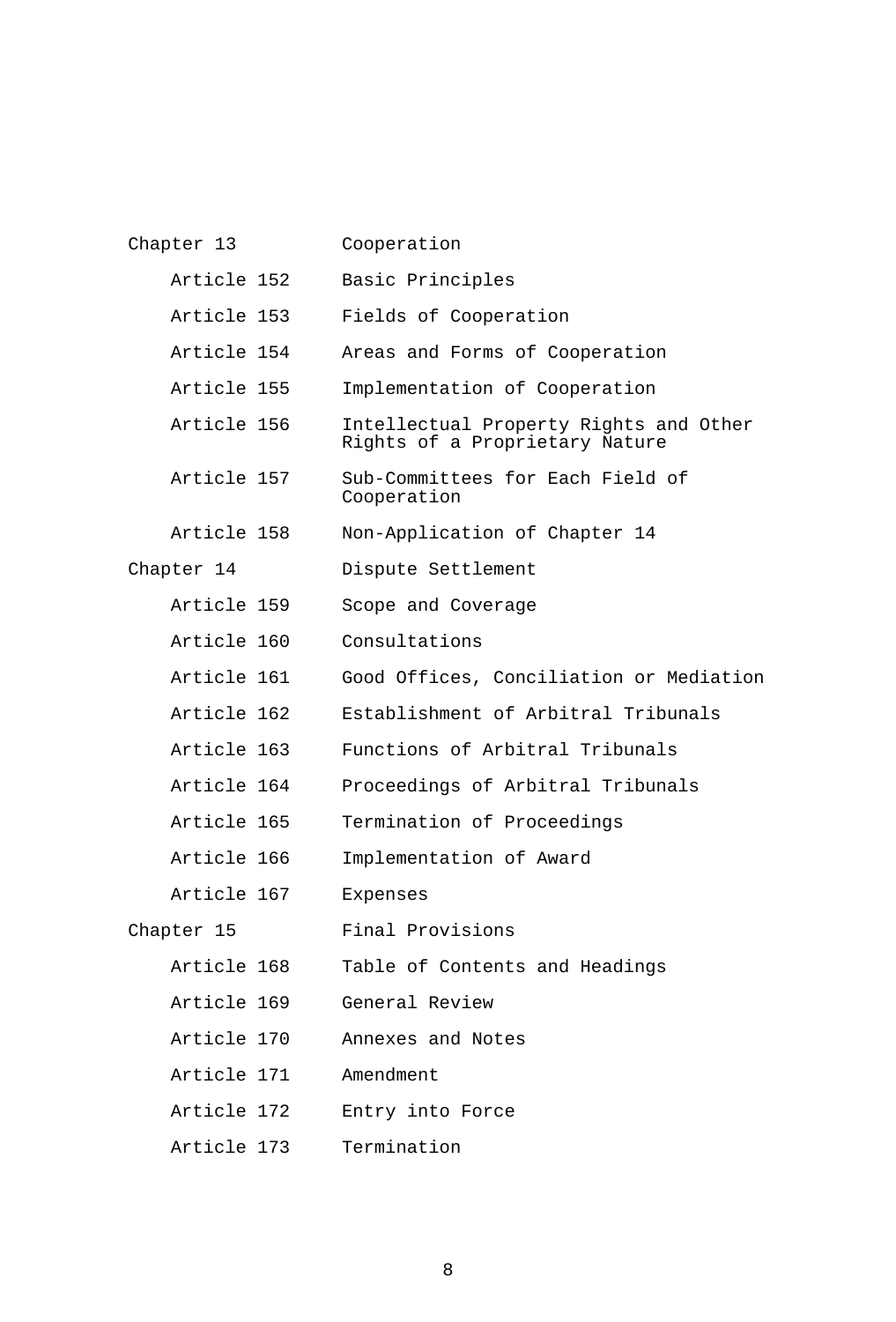| Chapter 13  | Cooperation                                                              |
|-------------|--------------------------------------------------------------------------|
| Article 152 | Basic Principles                                                         |
| Article 153 | Fields of Cooperation                                                    |
| Article 154 | Areas and Forms of Cooperation                                           |
| Article 155 | Implementation of Cooperation                                            |
| Article 156 | Intellectual Property Rights and Other<br>Rights of a Proprietary Nature |
| Article 157 | Sub-Committees for Each Field of<br>Cooperation                          |
| Article 158 | Non-Application of Chapter 14                                            |
| Chapter 14  | Dispute Settlement                                                       |
| Article 159 | Scope and Coverage                                                       |
| Article 160 | Consultations                                                            |
| Article 161 | Good Offices, Conciliation or Mediation                                  |
| Article 162 | Establishment of Arbitral Tribunals                                      |
| Article 163 | Functions of Arbitral Tribunals                                          |
| Article 164 | Proceedings of Arbitral Tribunals                                        |
| Article 165 | Termination of Proceedings                                               |
| Article 166 | Implementation of Award                                                  |
| Article 167 | Expenses                                                                 |
| Chapter 15  | Final Provisions                                                         |
| Article 168 | Table of Contents and Headings                                           |
| Article 169 | General Review                                                           |
| Article 170 | Annexes and Notes                                                        |
| Article 171 | Amendment                                                                |
| Article 172 | Entry into Force                                                         |
| Article 173 | Termination                                                              |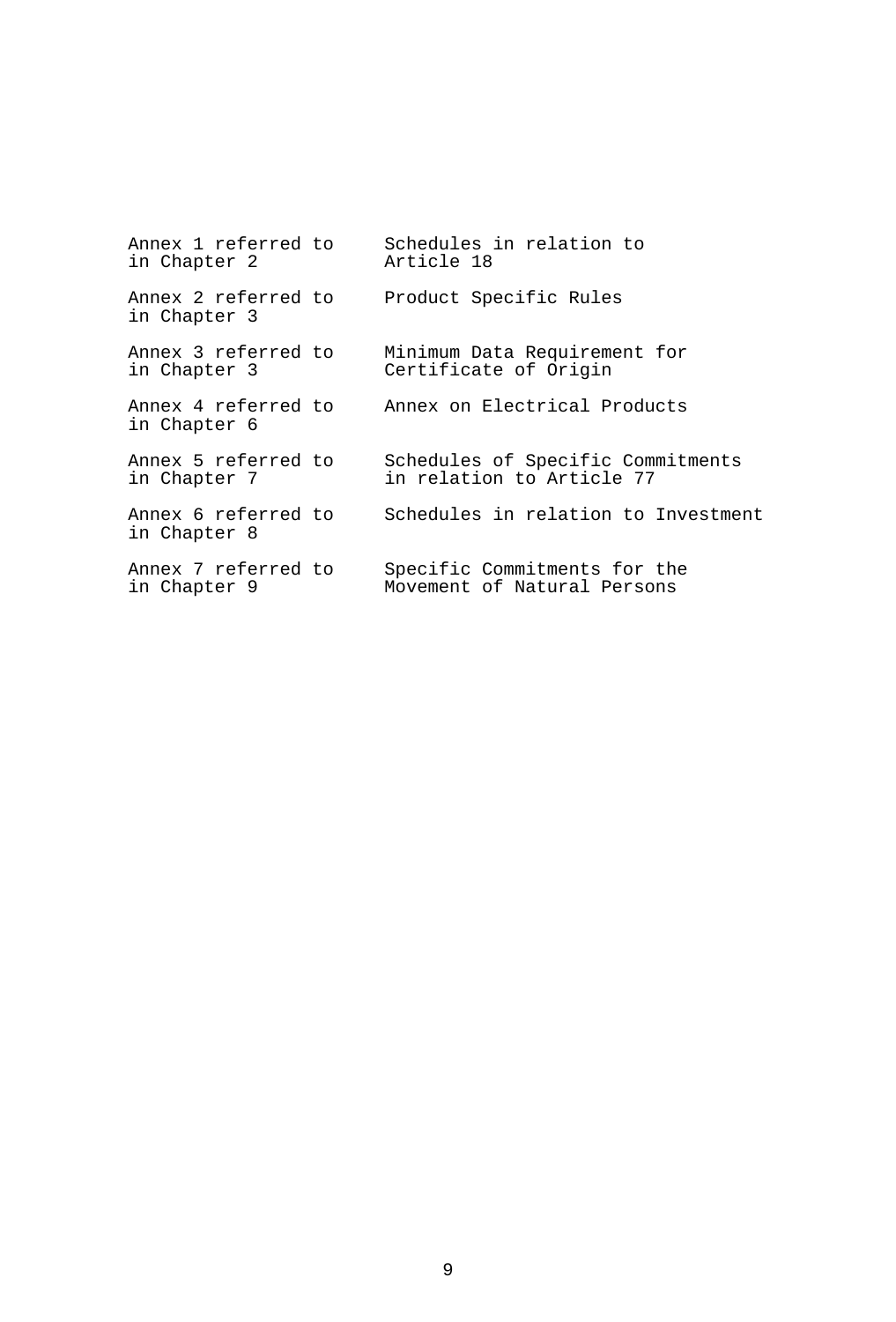| Annex 1 referred to                 | Schedules in relation to            |
|-------------------------------------|-------------------------------------|
| in Chapter 2                        | Article 18                          |
| Annex 2 referred to<br>in Chapter 3 | Product Specific Rules              |
| Annex 3 referred to                 | Minimum Data Requirement for        |
| in Chapter 3                        | Certificate of Origin               |
| Annex 4 referred to<br>in Chapter 6 | Annex on Electrical Products        |
| Annex 5 referred to                 | Schedules of Specific Commitments   |
| in Chapter 7                        | in relation to Article 77           |
| Annex 6 referred to<br>in Chapter 8 | Schedules in relation to Investment |
| Annex 7 referred to                 | Specific Commitments for the        |
| in Chapter 9                        | Movement of Natural Persons         |
|                                     |                                     |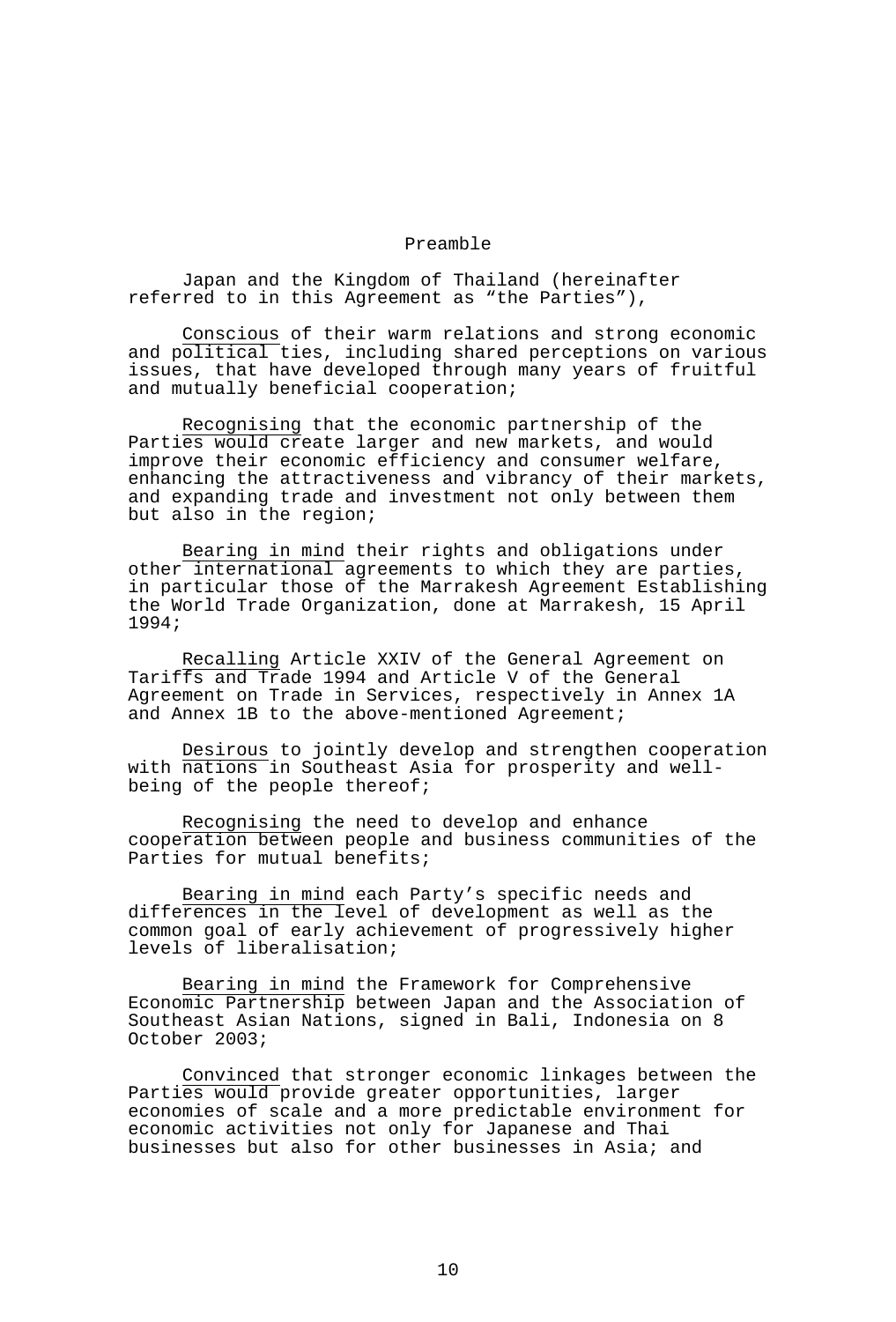### Preamble

 Japan and the Kingdom of Thailand (hereinafter referred to in this Agreement as "the Parties"),

Conscious of their warm relations and strong economic and political ties, including shared perceptions on various issues, that have developed through many years of fruitful and mutually beneficial cooperation;

Recognising that the economic partnership of the Parties would create larger and new markets, and would improve their economic efficiency and consumer welfare, enhancing the attractiveness and vibrancy of their markets, and expanding trade and investment not only between them but also in the region;

Bearing in mind their rights and obligations under other international agreements to which they are parties, in particular those of the Marrakesh Agreement Establishing the World Trade Organization, done at Marrakesh, 15 April 1994;

Recalling Article XXIV of the General Agreement on Tariffs and Trade 1994 and Article V of the General Agreement on Trade in Services, respectively in Annex 1A and Annex 1B to the above-mentioned Agreement;

Desirous to jointly develop and strengthen cooperation with nations in Southeast Asia for prosperity and wellbeing of the people thereof;

Recognising the need to develop and enhance cooperation between people and business communities of the Parties for mutual benefits;

Bearing in mind each Party's specific needs and differences in the level of development as well as the common goal of early achievement of progressively higher levels of liberalisation;

Bearing in mind the Framework for Comprehensive Economic Partnership between Japan and the Association of Southeast Asian Nations, signed in Bali, Indonesia on 8 October 2003;

Convinced that stronger economic linkages between the Parties would provide greater opportunities, larger economies of scale and a more predictable environment for economic activities not only for Japanese and Thai businesses but also for other businesses in Asia; and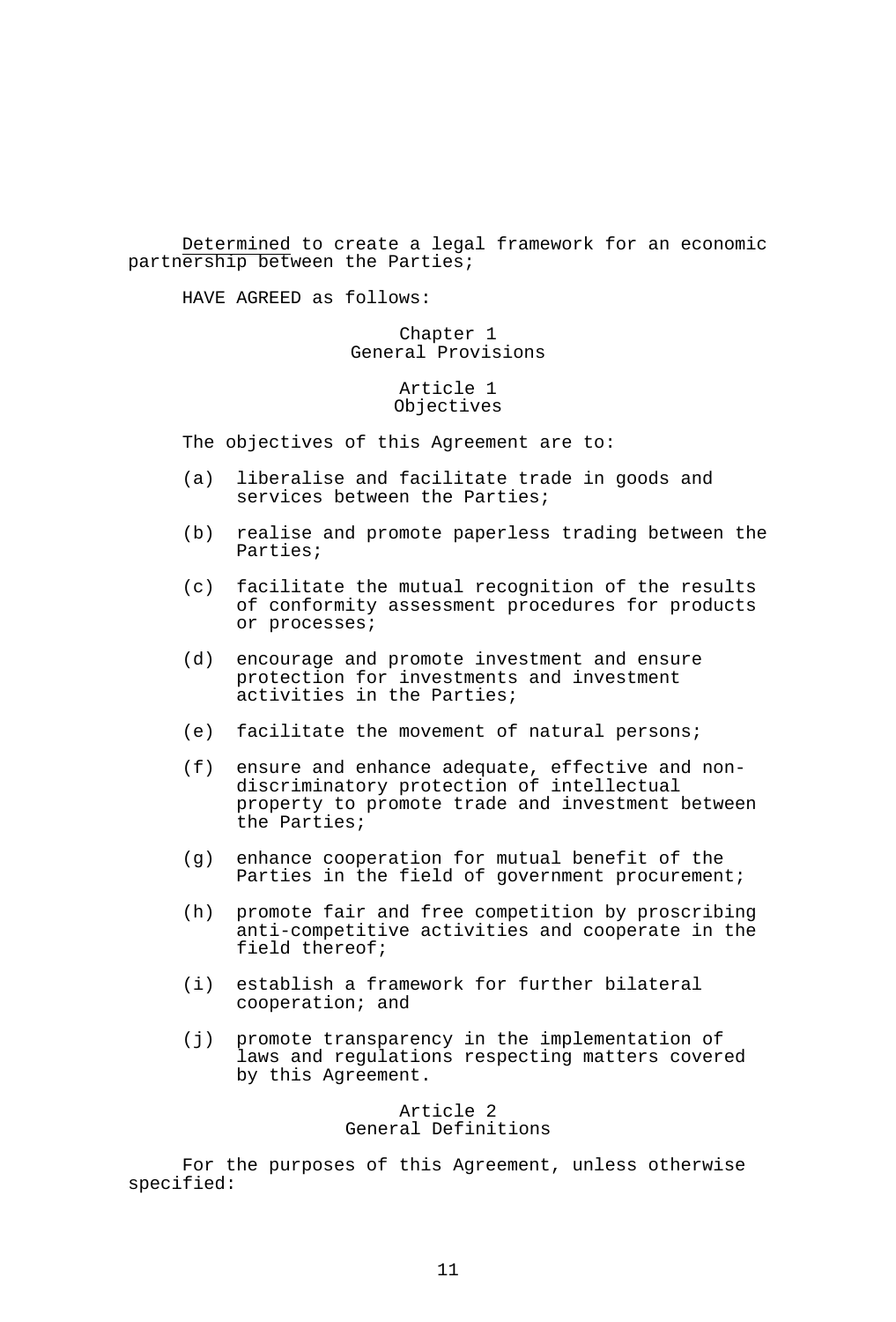Determined to create a legal framework for an economic partnership between the Parties;

HAVE AGREED as follows:

## Chapter 1 General Provisions

# Article 1 Objectives

The objectives of this Agreement are to:

- (a) liberalise and facilitate trade in goods and services between the Parties;
- (b) realise and promote paperless trading between the Parties;
- (c) facilitate the mutual recognition of the results of conformity assessment procedures for products or processes;
- (d) encourage and promote investment and ensure protection for investments and investment activities in the Parties;
- (e) facilitate the movement of natural persons;
- (f) ensure and enhance adequate, effective and nondiscriminatory protection of intellectual property to promote trade and investment between the Parties;
- (g) enhance cooperation for mutual benefit of the Parties in the field of government procurement;
- (h) promote fair and free competition by proscribing anti-competitive activities and cooperate in the field thereof;
- (i) establish a framework for further bilateral cooperation; and
- (j) promote transparency in the implementation of laws and regulations respecting matters covered by this Agreement.

## Article 2 General Definitions

 For the purposes of this Agreement, unless otherwise specified: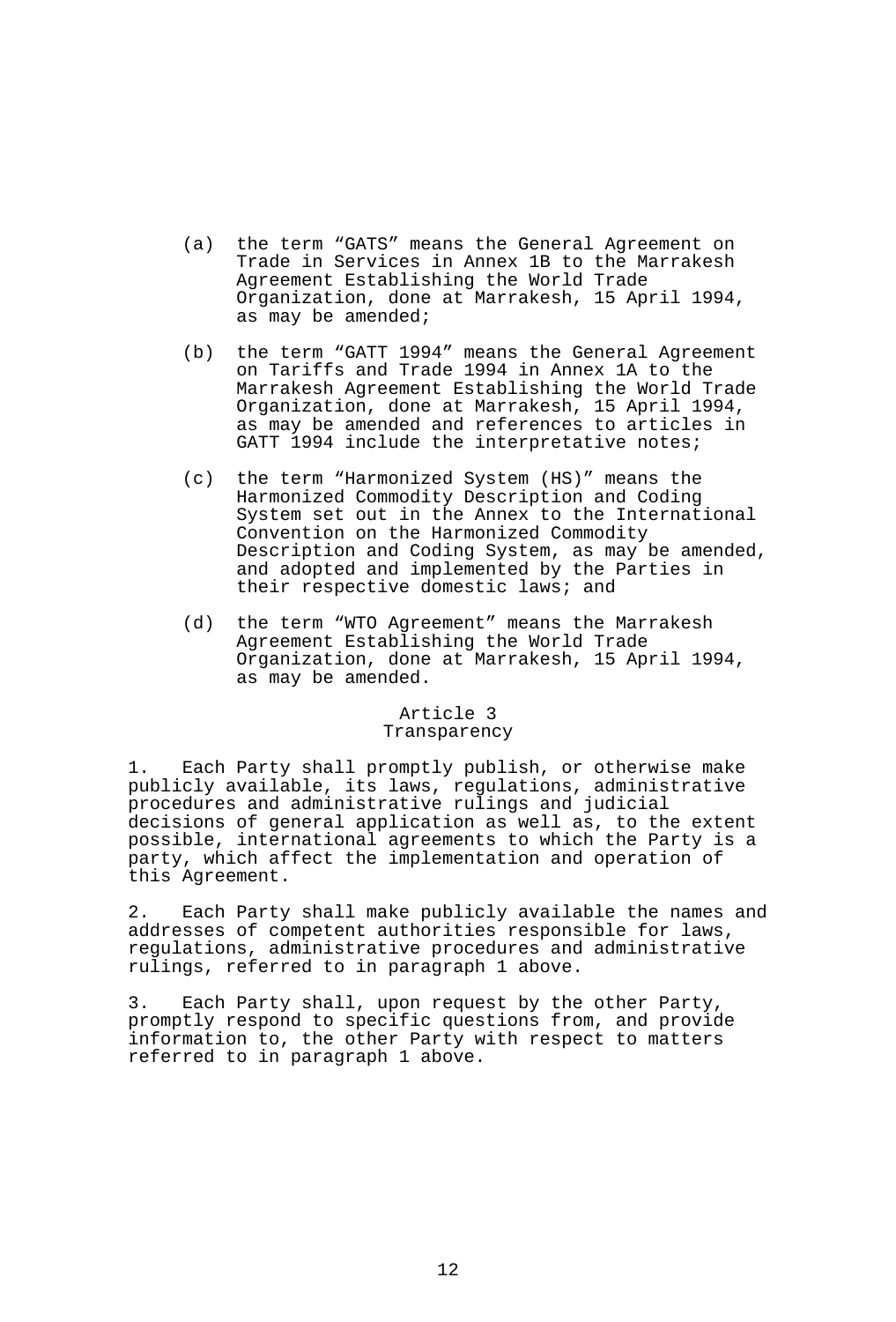- (a) the term "GATS" means the General Agreement on Trade in Services in Annex 1B to the Marrakesh Agreement Establishing the World Trade Organization, done at Marrakesh, 15 April 1994, as may be amended;
- (b) the term "GATT 1994" means the General Agreement on Tariffs and Trade 1994 in Annex 1A to the Marrakesh Agreement Establishing the World Trade Organization, done at Marrakesh, 15 April 1994, as may be amended and references to articles in GATT 1994 include the interpretative notes;
- (c) the term "Harmonized System (HS)" means the Harmonized Commodity Description and Coding System set out in the Annex to the International Convention on the Harmonized Commodity Description and Coding System, as may be amended, and adopted and implemented by the Parties in their respective domestic laws; and
- (d) the term "WTO Agreement" means the Marrakesh Agreement Establishing the World Trade Organization, done at Marrakesh, 15 April 1994, as may be amended.

### Article 3 Transparency

1. Each Party shall promptly publish, or otherwise make publicly available, its laws, regulations, administrative procedures and administrative rulings and judicial decisions of general application as well as, to the extent possible, international agreements to which the Party is a party, which affect the implementation and operation of this Agreement.

2. Each Party shall make publicly available the names and addresses of competent authorities responsible for laws, regulations, administrative procedures and administrative rulings, referred to in paragraph 1 above.

3. Each Party shall, upon request by the other Party, promptly respond to specific questions from, and provide information to, the other Party with respect to matters referred to in paragraph 1 above.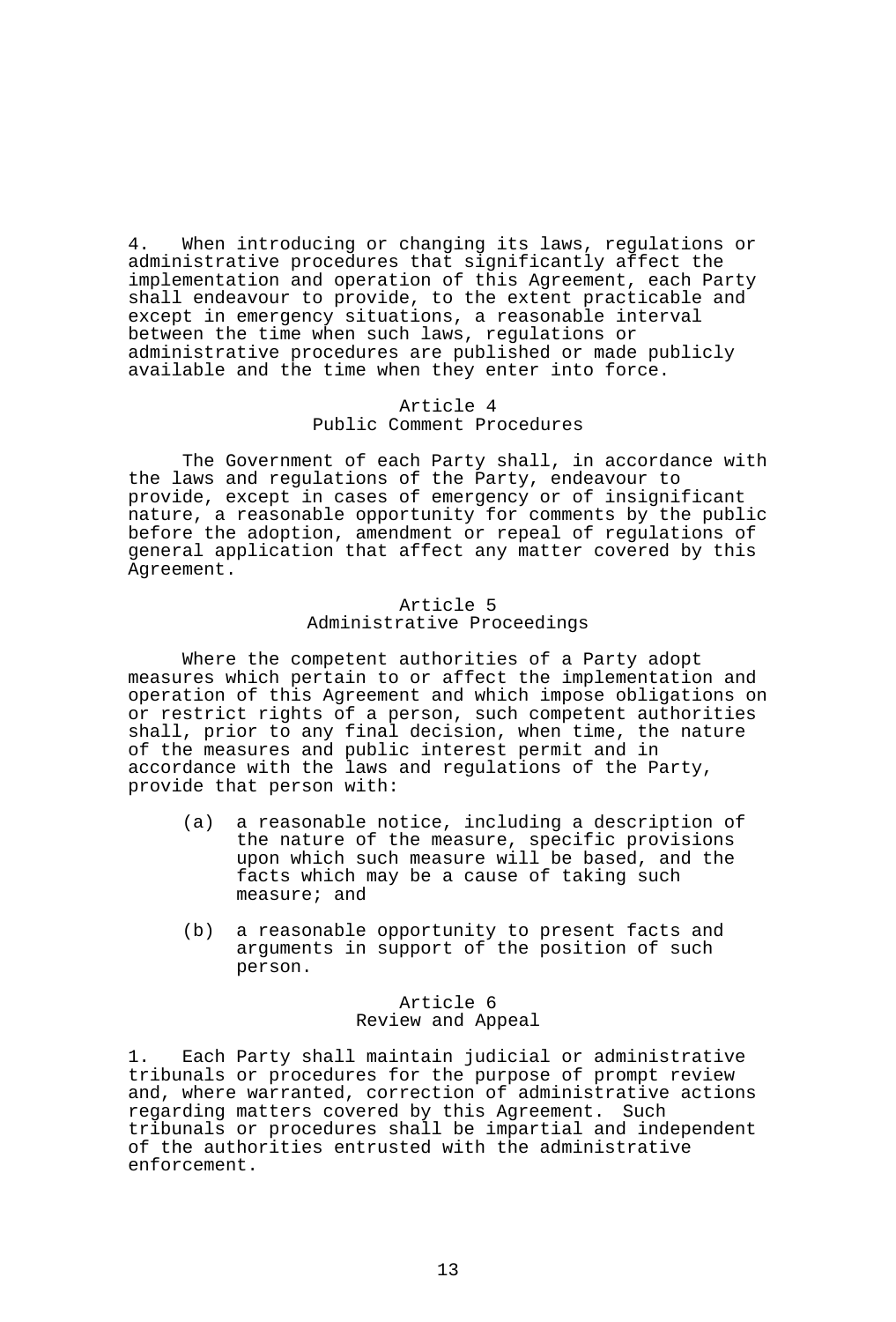4. When introducing or changing its laws, regulations or administrative procedures that significantly affect the implementation and operation of this Agreement, each Party shall endeavour to provide, to the extent practicable and except in emergency situations, a reasonable interval between the time when such laws, regulations or administrative procedures are published or made publicly available and the time when they enter into force.

### Article 4 Public Comment Procedures

 The Government of each Party shall, in accordance with the laws and regulations of the Party, endeavour to provide, except in cases of emergency or of insignificant nature, a reasonable opportunity for comments by the public before the adoption, amendment or repeal of regulations of general application that affect any matter covered by this Agreement.

## Article 5 Administrative Proceedings

 Where the competent authorities of a Party adopt measures which pertain to or affect the implementation and operation of this Agreement and which impose obligations on or restrict rights of a person, such competent authorities shall, prior to any final decision, when time, the nature of the measures and public interest permit and in accordance with the laws and regulations of the Party, provide that person with:

- (a) a reasonable notice, including a description of the nature of the measure, specific provisions upon which such measure will be based, and the facts which may be a cause of taking such measure; and
- (b) a reasonable opportunity to present facts and arguments in support of the position of such person.

# Article 6 Review and Appeal

1. Each Party shall maintain judicial or administrative tribunals or procedures for the purpose of prompt review and, where warranted, correction of administrative actions regarding matters covered by this Agreement. Such tribunals or procedures shall be impartial and independent of the authorities entrusted with the administrative enforcement.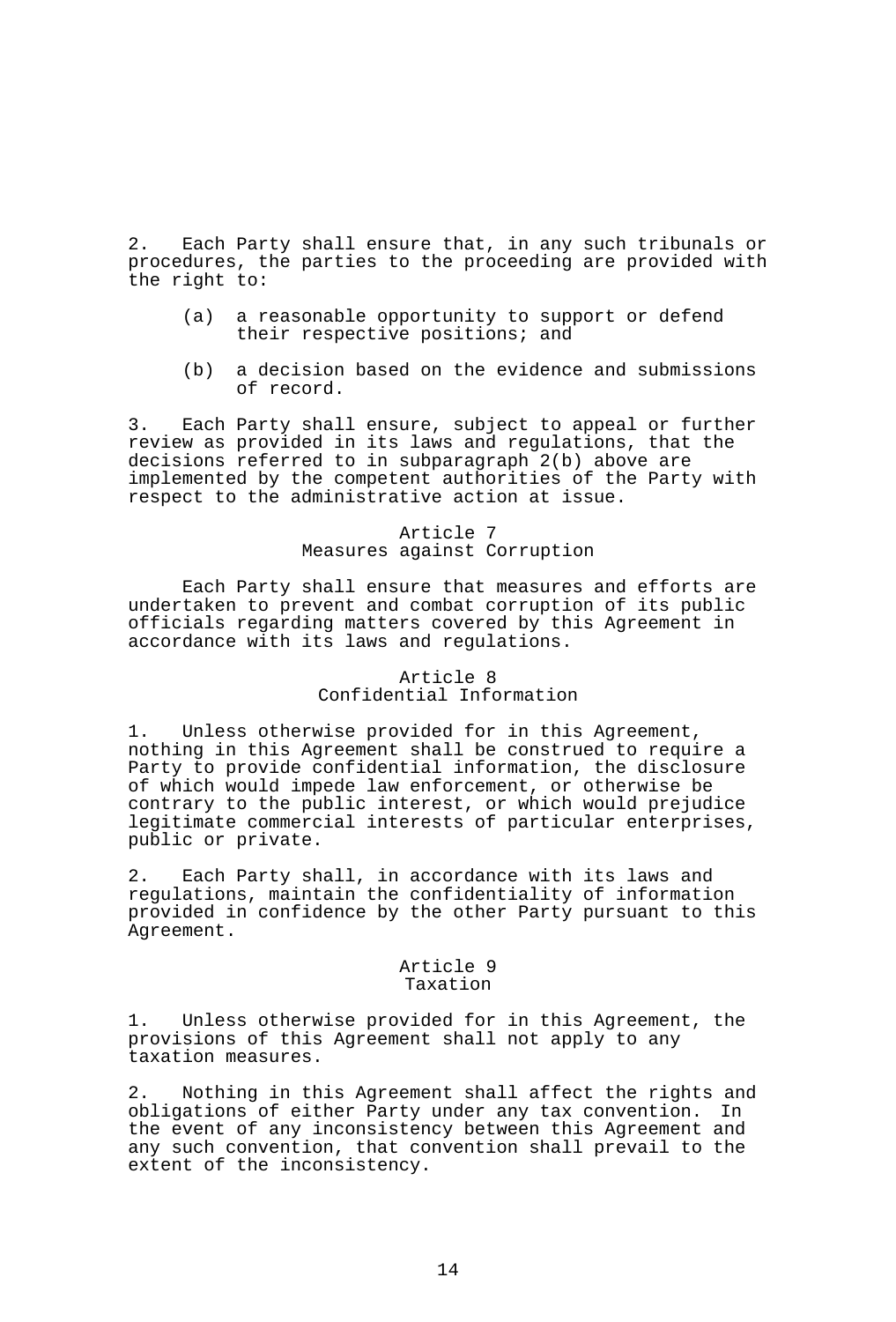2. Each Party shall ensure that, in any such tribunals or procedures, the parties to the proceeding are provided with the right to:

- (a) a reasonable opportunity to support or defend their respective positions; and
- (b) a decision based on the evidence and submissions of record.

3. Each Party shall ensure, subject to appeal or further review as provided in its laws and regulations, that the decisions referred to in subparagraph 2(b) above are implemented by the competent authorities of the Party with respect to the administrative action at issue.

# Article 7 Measures against Corruption

 Each Party shall ensure that measures and efforts are undertaken to prevent and combat corruption of its public officials regarding matters covered by this Agreement in accordance with its laws and regulations.

### Article 8 Confidential Information

1. Unless otherwise provided for in this Agreement, nothing in this Agreement shall be construed to require a Party to provide confidential information, the disclosure of which would impede law enforcement, or otherwise be contrary to the public interest, or which would prejudice legitimate commercial interests of particular enterprises, public or private.

2. Each Party shall, in accordance with its laws and regulations, maintain the confidentiality of information provided in confidence by the other Party pursuant to this Agreement.

### Article 9 Taxation

1. Unless otherwise provided for in this Agreement, the provisions of this Agreement shall not apply to any taxation measures.

2. Nothing in this Agreement shall affect the rights and<br>obligations of either Party under any tax convention. In obligations of either Party under any tax convention. the event of any inconsistency between this Agreement and any such convention, that convention shall prevail to the extent of the inconsistency.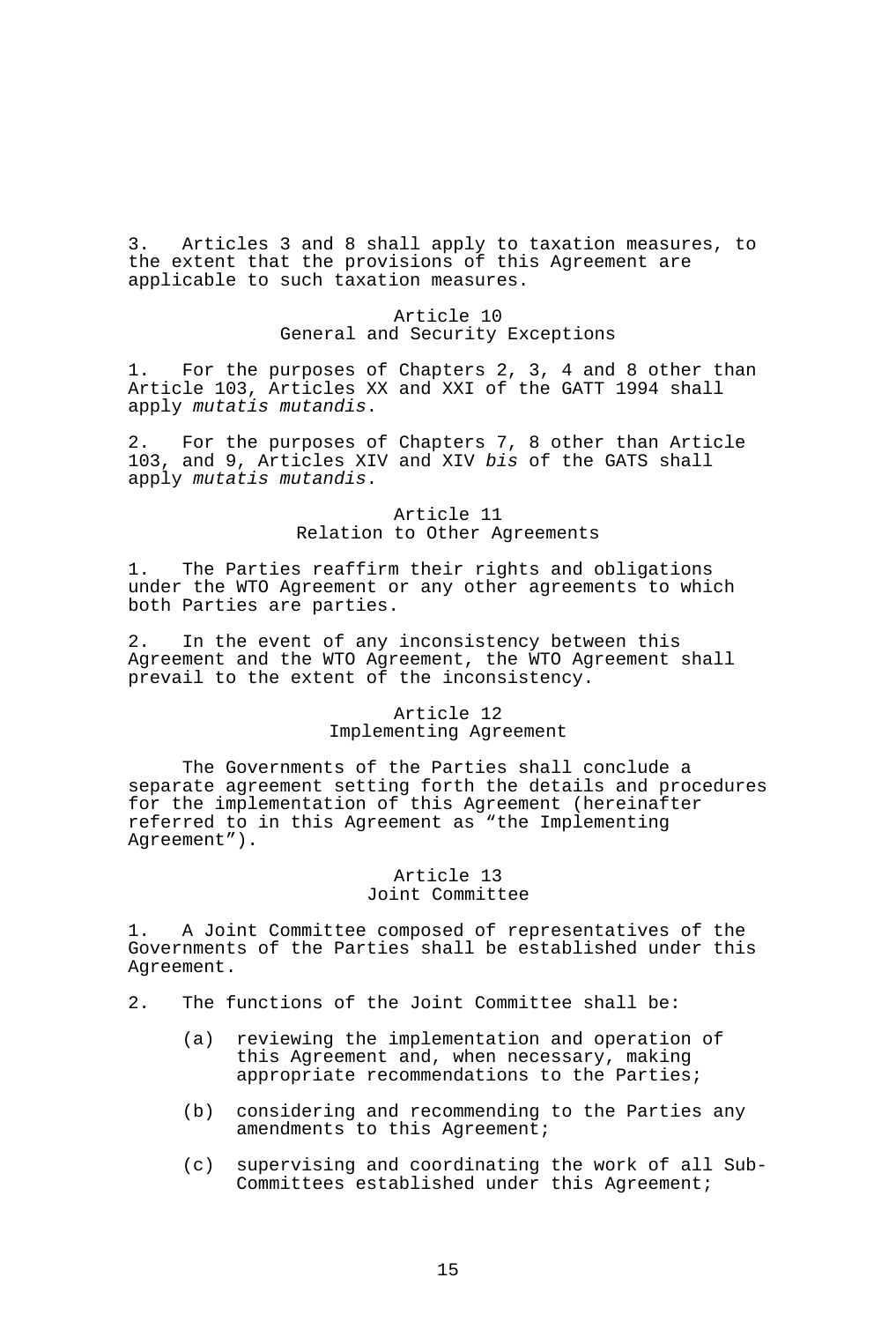3. Articles 3 and 8 shall apply to taxation measures, to the extent that the provisions of this Agreement are applicable to such taxation measures.

# Article 10 General and Security Exceptions

1. For the purposes of Chapters 2, 3, 4 and 8 other than Article 103, Articles XX and XXI of the GATT 1994 shall apply *mutatis mutandis*.

2. For the purposes of Chapters 7, 8 other than Article 103, and 9, Articles XIV and XIV *bis* of the GATS shall apply *mutatis mutandis*.

> Article 11 Relation to Other Agreements

1. The Parties reaffirm their rights and obligations under the WTO Agreement or any other agreements to which both Parties are parties.

2. In the event of any inconsistency between this Agreement and the WTO Agreement, the WTO Agreement shall prevail to the extent of the inconsistency.

### Article 12 Implementing Agreement

 The Governments of the Parties shall conclude a separate agreement setting forth the details and procedures for the implementation of this Agreement (hereinafter referred to in this Agreement as "the Implementing Agreement").

# Article 13 Joint Committee

1. A Joint Committee composed of representatives of the Governments of the Parties shall be established under this Agreement.

- 2. The functions of the Joint Committee shall be:
	- (a) reviewing the implementation and operation of this Agreement and, when necessary, making appropriate recommendations to the Parties;
	- (b) considering and recommending to the Parties any amendments to this Agreement;
	- (c) supervising and coordinating the work of all Sub-Committees established under this Agreement;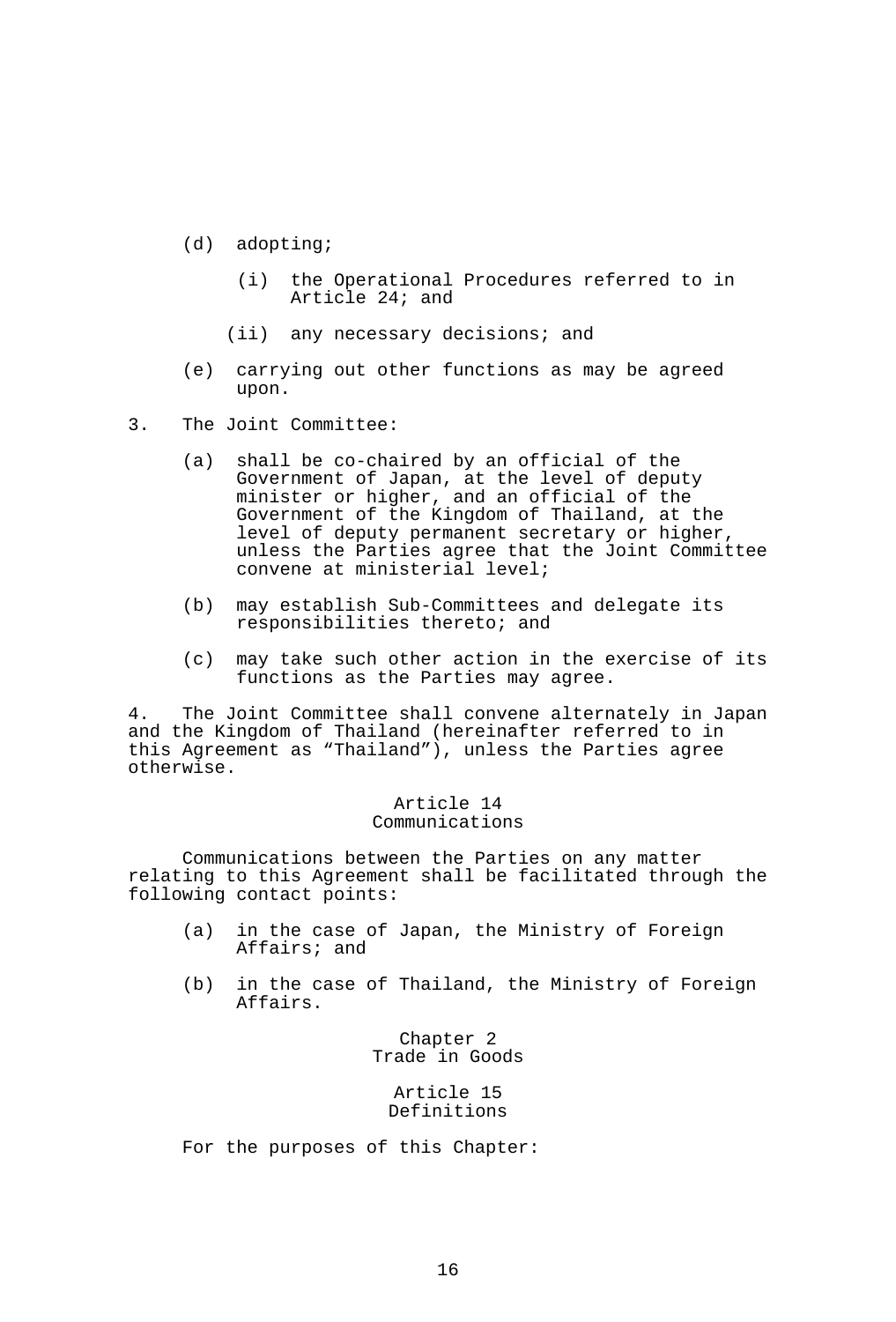- (d) adopting;
	- (i) the Operational Procedures referred to in Article 24; and
	- (ii) any necessary decisions; and
- (e) carrying out other functions as may be agreed upon.
- 3. The Joint Committee:
	- (a) shall be co-chaired by an official of the Government of Japan, at the level of deputy minister or higher, and an official of the Government of the Kingdom of Thailand, at the level of deputy permanent secretary or higher, unless the Parties agree that the Joint Committee convene at ministerial level;
	- (b) may establish Sub-Committees and delegate its responsibilities thereto; and
	- (c) may take such other action in the exercise of its functions as the Parties may agree.

4. The Joint Committee shall convene alternately in Japan and the Kingdom of Thailand (hereinafter referred to in this Agreement as "Thailand"), unless the Parties agree otherwise.

## Article 14 Communications

 Communications between the Parties on any matter relating to this Agreement shall be facilitated through the following contact points:

- (a) in the case of Japan, the Ministry of Foreign Affairs; and
- (b) in the case of Thailand, the Ministry of Foreign Affairs.

Chapter 2 Trade in Goods

> Article 15 Definitions

For the purposes of this Chapter: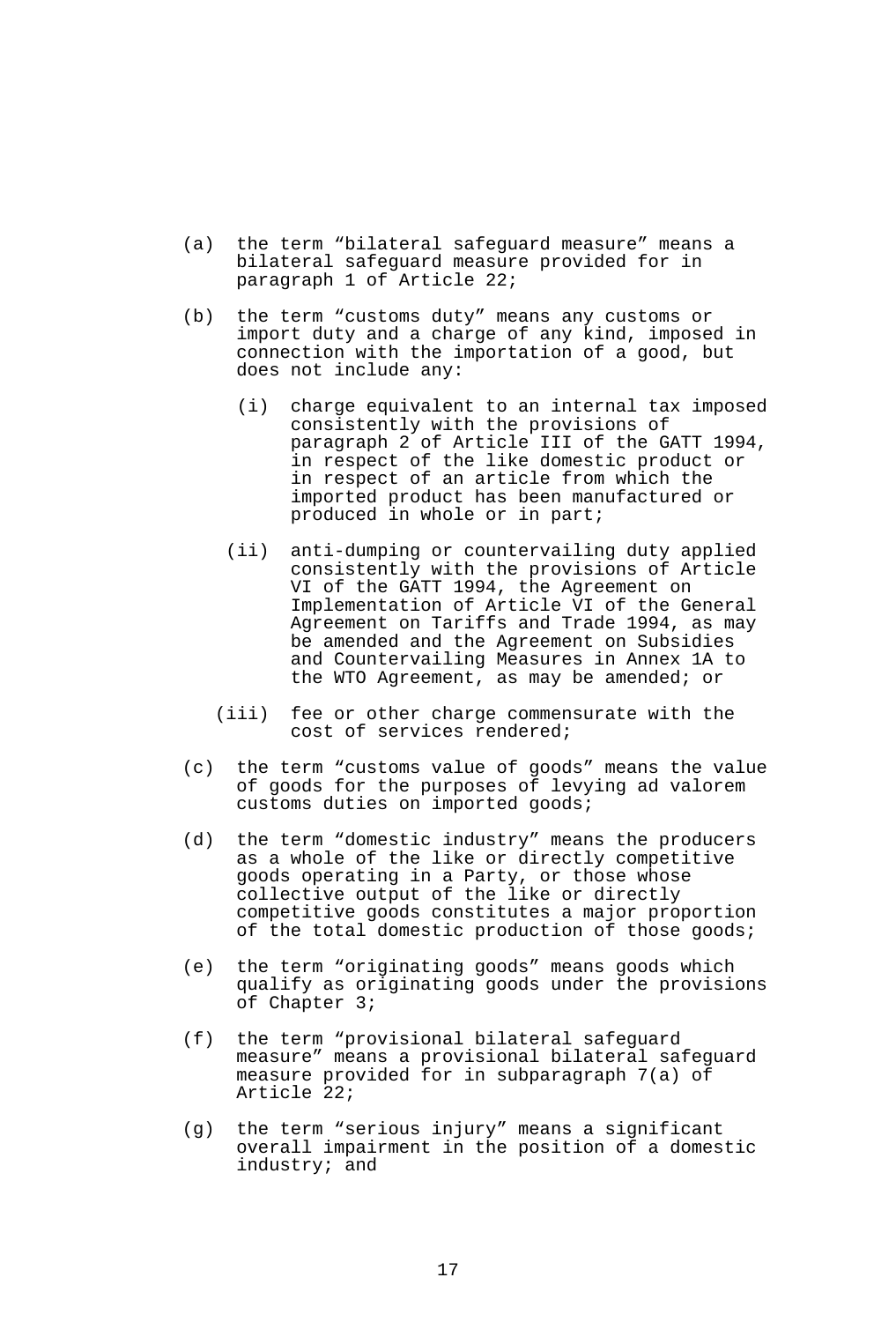- (a) the term "bilateral safeguard measure" means a bilateral safeguard measure provided for in paragraph 1 of Article 22;
- (b) the term "customs duty" means any customs or import duty and a charge of any kind, imposed in connection with the importation of a good, but does not include any:
	- (i) charge equivalent to an internal tax imposed consistently with the provisions of paragraph 2 of Article III of the GATT 1994, in respect of the like domestic product or in respect of an article from which the imported product has been manufactured or produced in whole or in part;
	- (ii) anti-dumping or countervailing duty applied consistently with the provisions of Article VI of the GATT 1994, the Agreement on Implementation of Article VI of the General Agreement on Tariffs and Trade 1994, as may be amended and the Agreement on Subsidies and Countervailing Measures in Annex 1A to the WTO Agreement, as may be amended; or
	- (iii) fee or other charge commensurate with the cost of services rendered;
- (c) the term "customs value of goods" means the value of goods for the purposes of levying ad valorem customs duties on imported goods;
- (d) the term "domestic industry" means the producers as a whole of the like or directly competitive goods operating in a Party, or those whose collective output of the like or directly competitive goods constitutes a major proportion of the total domestic production of those goods;
- (e) the term "originating goods" means goods which qualify as originating goods under the provisions of Chapter 3;
- (f) the term "provisional bilateral safeguard measure" means a provisional bilateral safeguard measure provided for in subparagraph 7(a) of Article 22;
- (g) the term "serious injury" means a significant overall impairment in the position of a domestic industry; and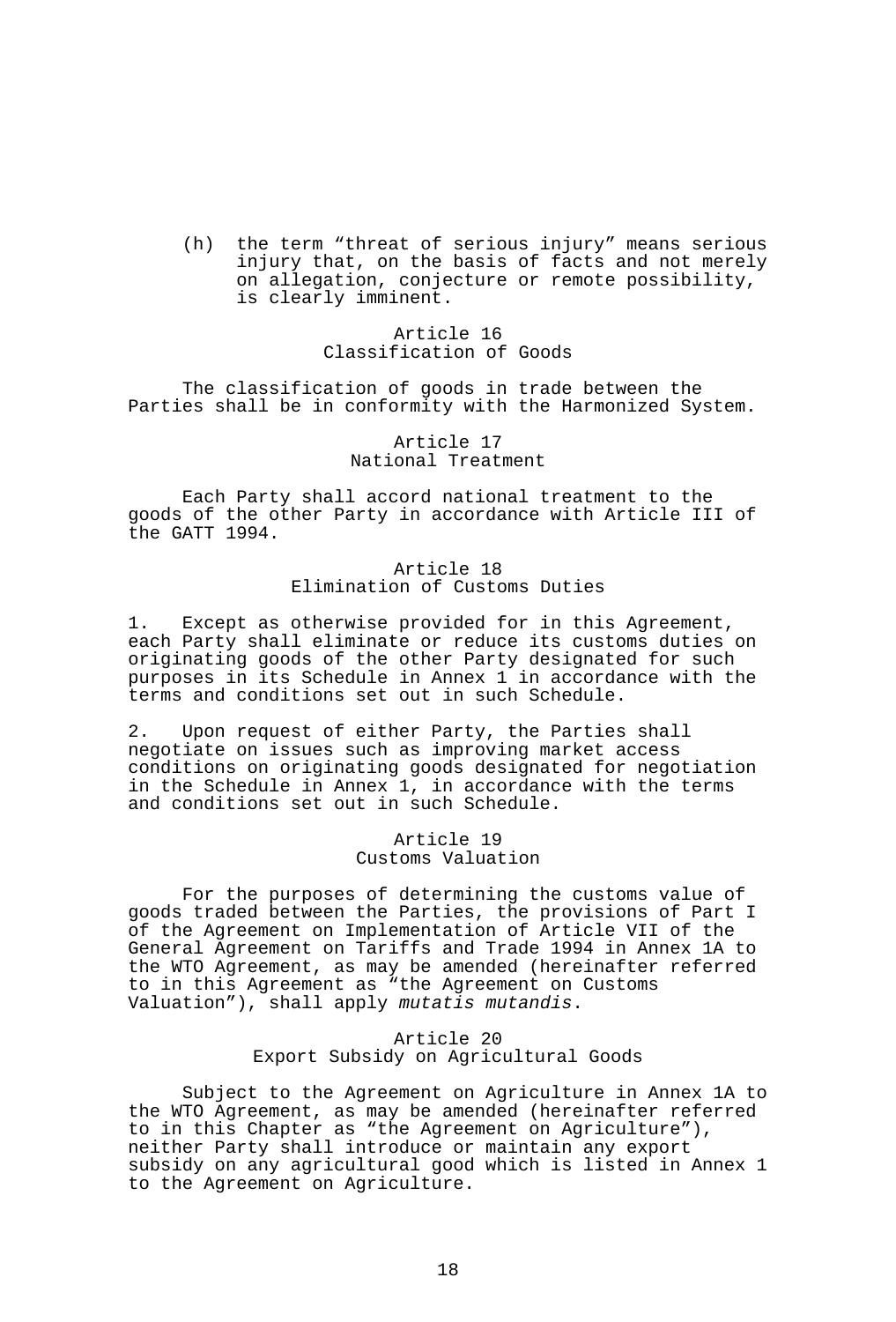(h) the term "threat of serious injury" means serious injury that, on the basis of facts and not merely on allegation, conjecture or remote possibility, is clearly imminent.

> Article 16 Classification of Goods

 The classification of goods in trade between the Parties shall be in conformity with the Harmonized System.

> Article 17 National Treatment

 Each Party shall accord national treatment to the goods of the other Party in accordance with Article III of the GATT 1994.

> Article 18 Elimination of Customs Duties

1. Except as otherwise provided for in this Agreement, each Party shall eliminate or reduce its customs duties on originating goods of the other Party designated for such purposes in its Schedule in Annex 1 in accordance with the terms and conditions set out in such Schedule.

2. Upon request of either Party, the Parties shall negotiate on issues such as improving market access conditions on originating goods designated for negotiation in the Schedule in Annex 1, in accordance with the terms and conditions set out in such Schedule.

> Article 19 Customs Valuation

 For the purposes of determining the customs value of goods traded between the Parties, the provisions of Part I of the Agreement on Implementation of Article VII of the General Agreement on Tariffs and Trade 1994 in Annex 1A to the WTO Agreement, as may be amended (hereinafter referred to in this Agreement as "the Agreement on Customs Valuation"), shall apply *mutatis mutandis*.

### Article 20 Export Subsidy on Agricultural Goods

 Subject to the Agreement on Agriculture in Annex 1A to the WTO Agreement, as may be amended (hereinafter referred to in this Chapter as "the Agreement on Agriculture"), neither Party shall introduce or maintain any export subsidy on any agricultural good which is listed in Annex 1 to the Agreement on Agriculture.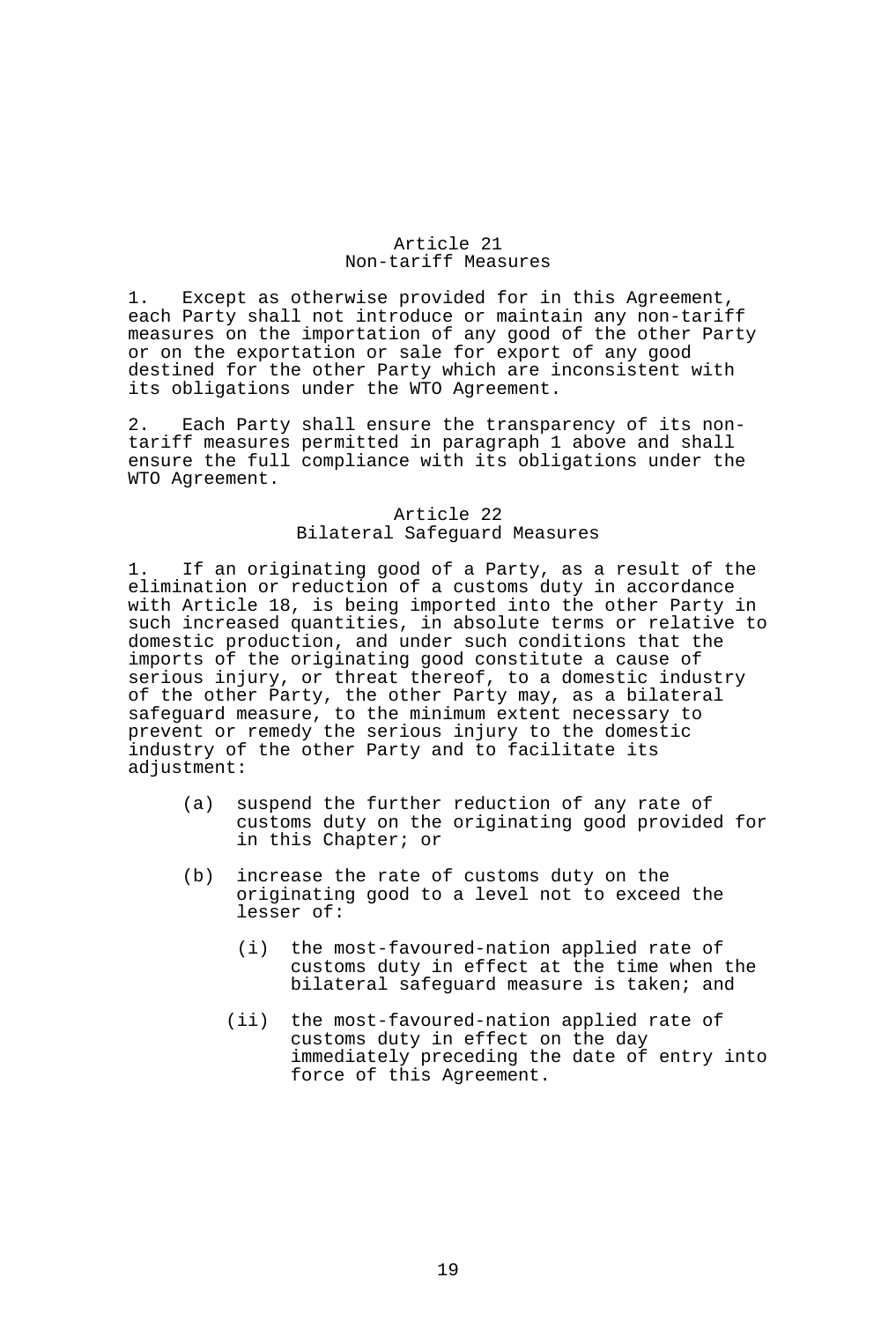## Article 21 Non-tariff Measures

1. Except as otherwise provided for in this Agreement, each Party shall not introduce or maintain any non-tariff measures on the importation of any good of the other Party or on the exportation or sale for export of any good destined for the other Party which are inconsistent with its obligations under the WTO Agreement.

2. Each Party shall ensure the transparency of its nontariff measures permitted in paragraph 1 above and shall ensure the full compliance with its obligations under the WTO Agreement.

## Article 22 Bilateral Safeguard Measures

1. If an originating good of a Party, as a result of the elimination or reduction of a customs duty in accordance with Article 18, is being imported into the other Party in such increased quantities, in absolute terms or relative to domestic production, and under such conditions that the imports of the originating good constitute a cause of serious injury, or threat thereof, to a domestic industry of the other Party, the other Party may, as a bilateral safeguard measure, to the minimum extent necessary to prevent or remedy the serious injury to the domestic industry of the other Party and to facilitate its adjustment:

- (a) suspend the further reduction of any rate of customs duty on the originating good provided for in this Chapter; or
- (b) increase the rate of customs duty on the originating good to a level not to exceed the lesser of:
	- (i) the most-favoured-nation applied rate of customs duty in effect at the time when the bilateral safeguard measure is taken; and
	- (ii) the most-favoured-nation applied rate of customs duty in effect on the day immediately preceding the date of entry into force of this Agreement.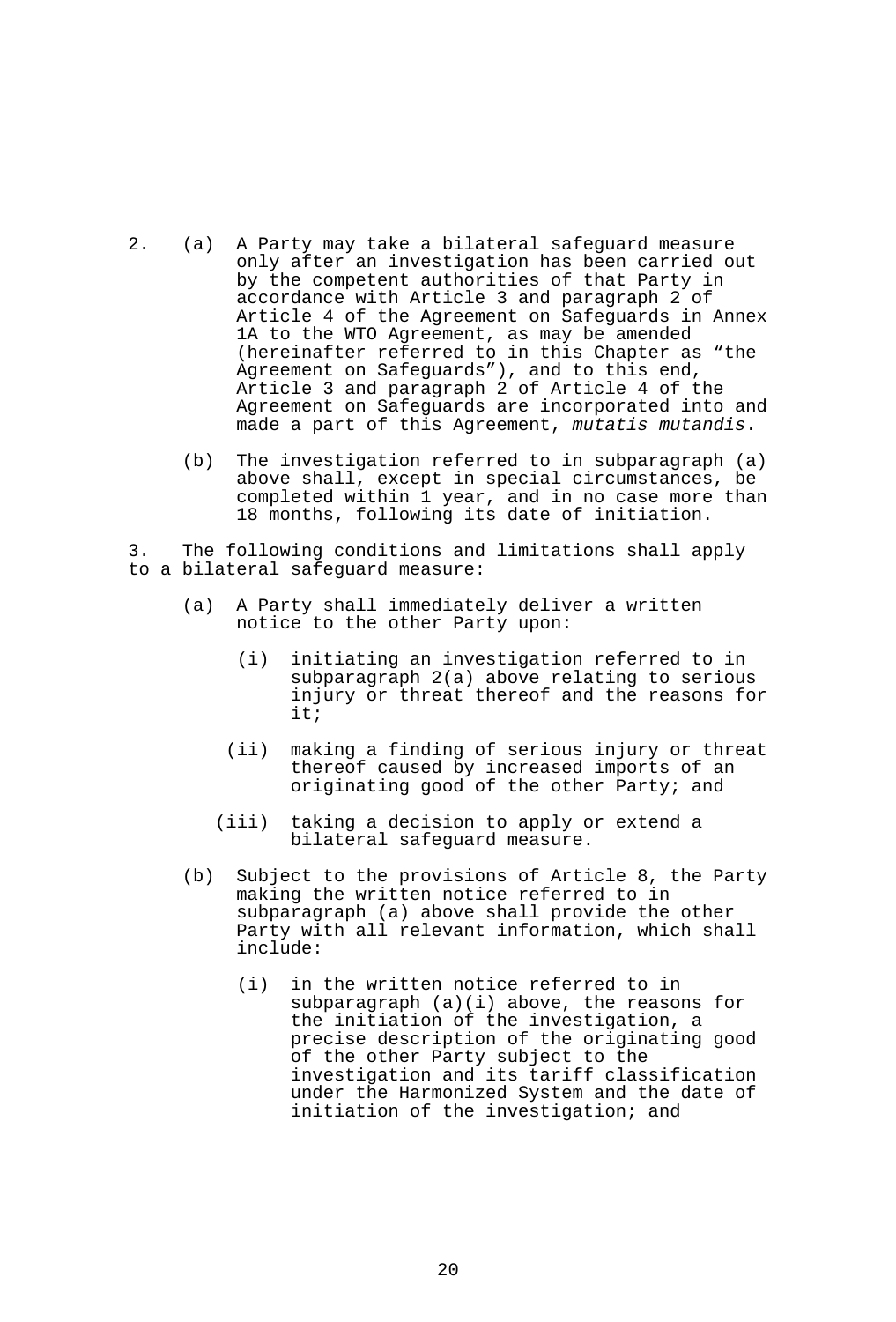- 2. (a) A Party may take a bilateral safeguard measure only after an investigation has been carried out by the competent authorities of that Party in accordance with Article 3 and paragraph 2 of Article 4 of the Agreement on Safeguards in Annex 1A to the WTO Agreement, as may be amended (hereinafter referred to in this Chapter as "the Agreement on Safeguards"), and to this end, Article 3 and paragraph 2 of Article 4 of the Agreement on Safeguards are incorporated into and made a part of this Agreement, *mutatis mutandis*.
	- (b) The investigation referred to in subparagraph (a) above shall, except in special circumstances, be completed within 1 year, and in no case more than 18 months, following its date of initiation.

3. The following conditions and limitations shall apply to a bilateral safeguard measure:

- (a) A Party shall immediately deliver a written notice to the other Party upon:
	- (i) initiating an investigation referred to in subparagraph 2(a) above relating to serious injury or threat thereof and the reasons for it;
	- (ii) making a finding of serious injury or threat thereof caused by increased imports of an originating good of the other Party; and
	- (iii) taking a decision to apply or extend a bilateral safeguard measure.
- (b) Subject to the provisions of Article 8, the Party making the written notice referred to in subparagraph (a) above shall provide the other Party with all relevant information, which shall include:
	- (i) in the written notice referred to in subparagraph (a)(i) above, the reasons for the initiation of the investigation, a precise description of the originating good of the other Party subject to the investigation and its tariff classification under the Harmonized System and the date of initiation of the investigation; and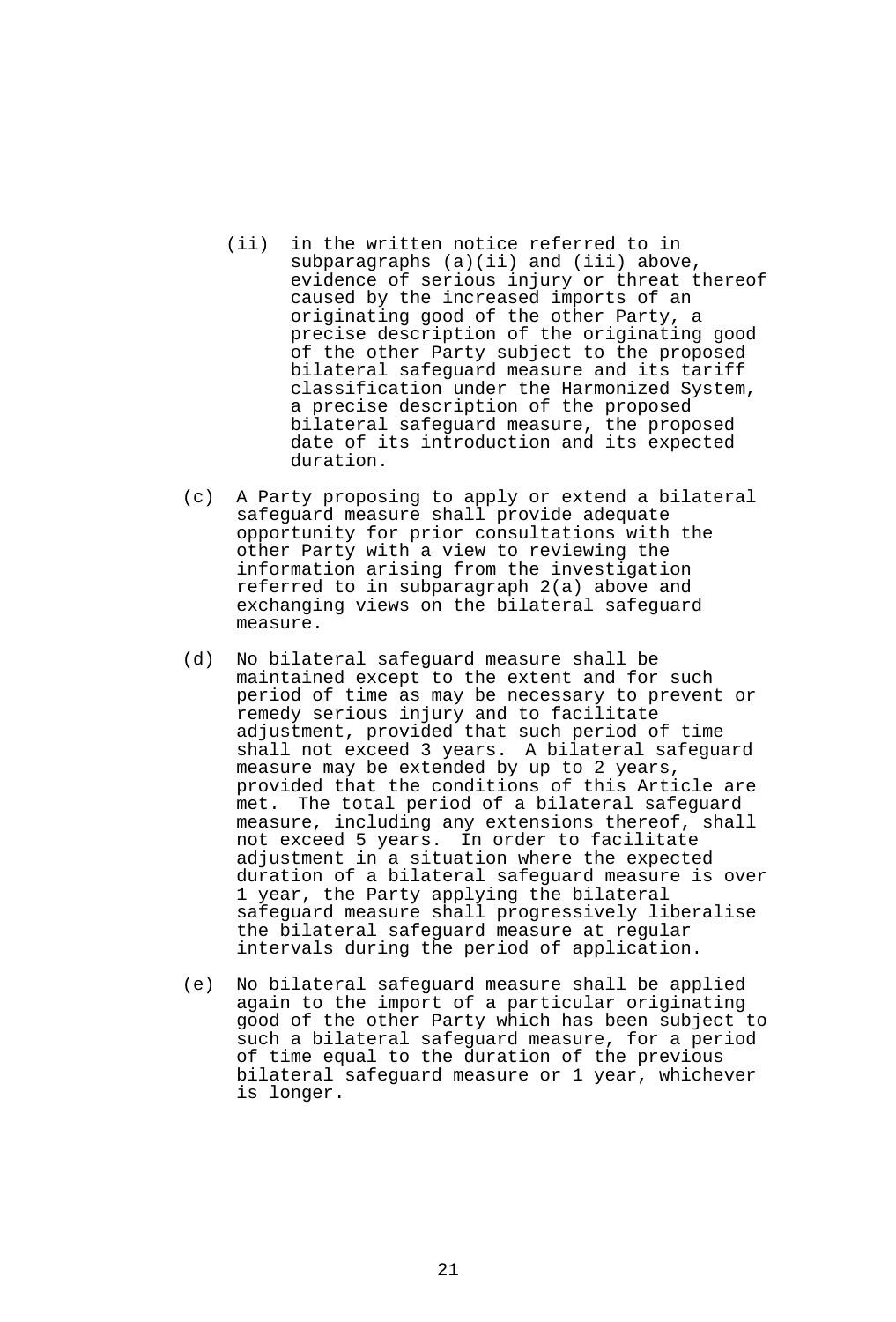- (ii) in the written notice referred to in subparagraphs (a)(ii) and (iii) above, evidence of serious injury or threat thereof caused by the increased imports of an originating good of the other Party, a precise description of the originating good of the other Party subject to the proposed bilateral safeguard measure and its tariff classification under the Harmonized System, a precise description of the proposed bilateral safeguard measure, the proposed date of its introduction and its expected duration.
- (c) A Party proposing to apply or extend a bilateral safeguard measure shall provide adequate opportunity for prior consultations with the other Party with a view to reviewing the information arising from the investigation referred to in subparagraph 2(a) above and exchanging views on the bilateral safeguard measure.
- (d) No bilateral safeguard measure shall be maintained except to the extent and for such period of time as may be necessary to prevent or remedy serious injury and to facilitate adjustment, provided that such period of time shall not exceed 3 years. A bilateral safeguard measure may be extended by up to 2 years, provided that the conditions of this Article are met. The total period of a bilateral safeguard measure, including any extensions thereof, shall not exceed 5 years. In order to facilitate adjustment in a situation where the expected duration of a bilateral safeguard measure is over 1 year, the Party applying the bilateral safeguard measure shall progressively liberalise the bilateral safeguard measure at regular intervals during the period of application.
- (e) No bilateral safeguard measure shall be applied again to the import of a particular originating good of the other Party which has been subject to such a bilateral safeguard measure, for a period of time equal to the duration of the previous bilateral safeguard measure or 1 year, whichever is longer.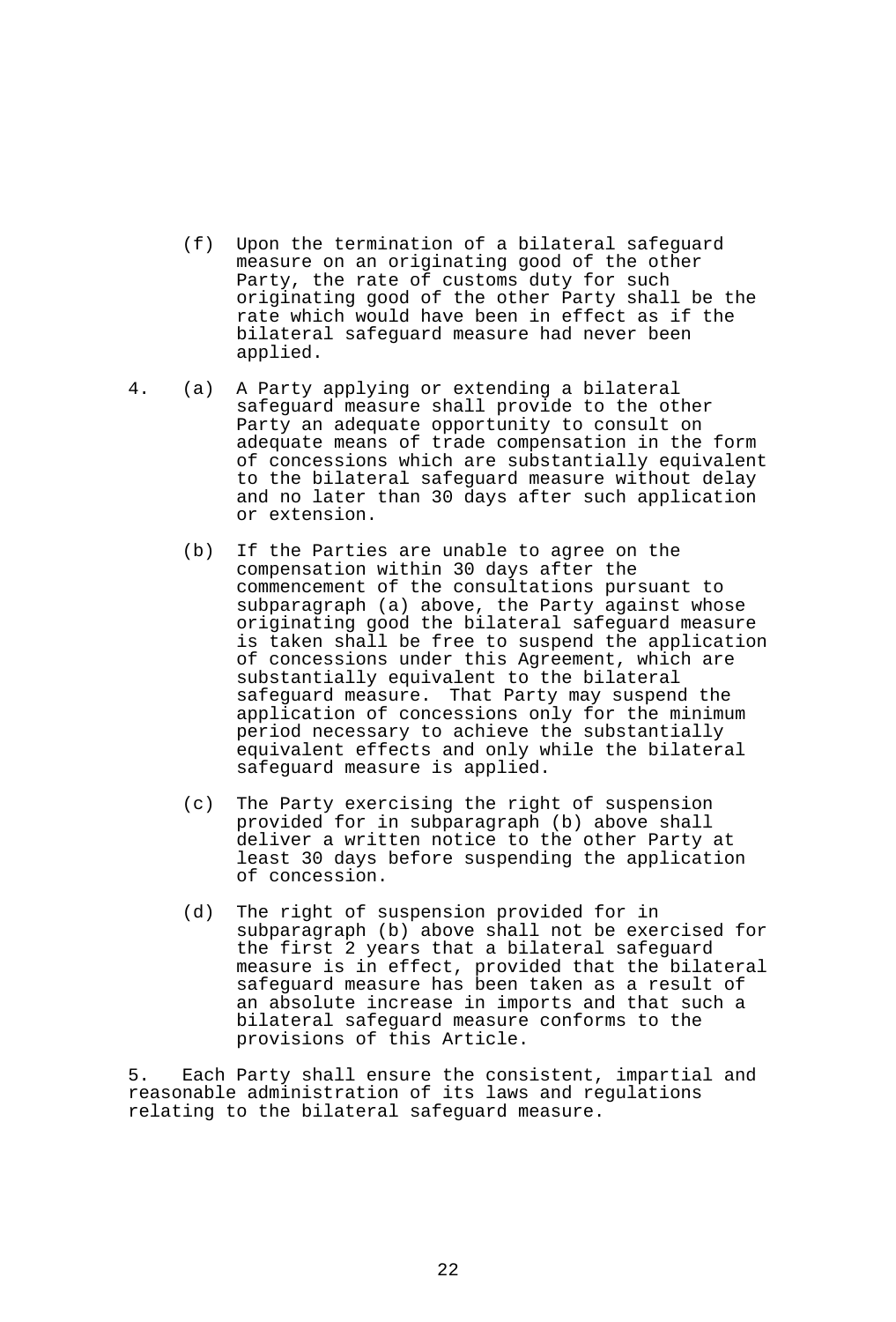- (f) Upon the termination of a bilateral safeguard measure on an originating good of the other Party, the rate of customs duty for such originating good of the other Party shall be the rate which would have been in effect as if the bilateral safeguard measure had never been applied.
- 4. (a) A Party applying or extending a bilateral safeguard measure shall provide to the other Party an adequate opportunity to consult on adequate means of trade compensation in the form of concessions which are substantially equivalent to the bilateral safeguard measure without delay and no later than 30 days after such application or extension.
	- (b) If the Parties are unable to agree on the compensation within 30 days after the commencement of the consultations pursuant to subparagraph (a) above, the Party against whose originating good the bilateral safeguard measure is taken shall be free to suspend the application of concessions under this Agreement, which are substantially equivalent to the bilateral safeguard measure. That Party may suspend the application of concessions only for the minimum period necessary to achieve the substantially equivalent effects and only while the bilateral safeguard measure is applied.
	- (c) The Party exercising the right of suspension provided for in subparagraph (b) above shall deliver a written notice to the other Party at least 30 days before suspending the application of concession.
	- (d) The right of suspension provided for in subparagraph (b) above shall not be exercised for the first 2 years that a bilateral safeguard measure is in effect, provided that the bilateral safeguard measure has been taken as a result of an absolute increase in imports and that such a bilateral safeguard measure conforms to the provisions of this Article.

5. Each Party shall ensure the consistent, impartial and reasonable administration of its laws and regulations relating to the bilateral safeguard measure.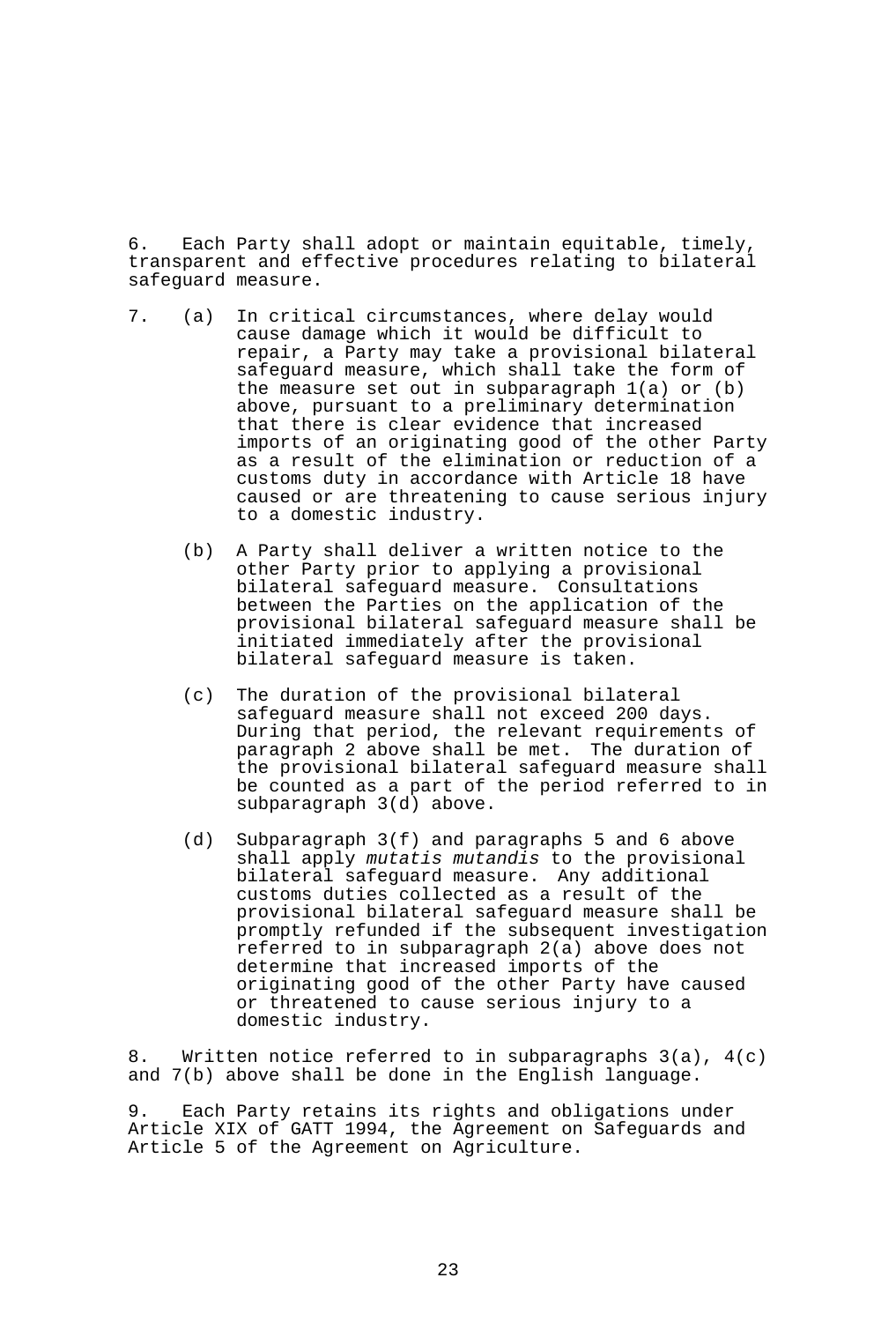6. Each Party shall adopt or maintain equitable, timely, transparent and effective procedures relating to bilateral safeguard measure.

- 7. (a) In critical circumstances, where delay would cause damage which it would be difficult to repair, a Party may take a provisional bilateral safeguard measure, which shall take the form of the measure set out in subparagraph 1(a) or (b) above, pursuant to a preliminary determination that there is clear evidence that increased imports of an originating good of the other Party as a result of the elimination or reduction of a customs duty in accordance with Article 18 have caused or are threatening to cause serious injury to a domestic industry.
	- (b) A Party shall deliver a written notice to the other Party prior to applying a provisional bilateral safeguard measure. Consultations between the Parties on the application of the provisional bilateral safeguard measure shall be initiated immediately after the provisional bilateral safeguard measure is taken.
	- (c) The duration of the provisional bilateral safeguard measure shall not exceed 200 days. During that period, the relevant requirements of paragraph 2 above shall be met. The duration of the provisional bilateral safeguard measure shall be counted as a part of the period referred to in subparagraph 3(d) above.
	- (d) Subparagraph 3(f) and paragraphs 5 and 6 above shall apply *mutatis mutandis* to the provisional bilateral safeguard measure. Any additional customs duties collected as a result of the provisional bilateral safeguard measure shall be promptly refunded if the subsequent investigation referred to in subparagraph 2(a) above does not determine that increased imports of the originating good of the other Party have caused or threatened to cause serious injury to a domestic industry.

8. Written notice referred to in subparagraphs  $3(a)$ ,  $4(c)$ and 7(b) above shall be done in the English language.

9. Each Party retains its rights and obligations under Article XIX of GATT 1994, the Agreement on Safeguards and Article 5 of the Agreement on Agriculture.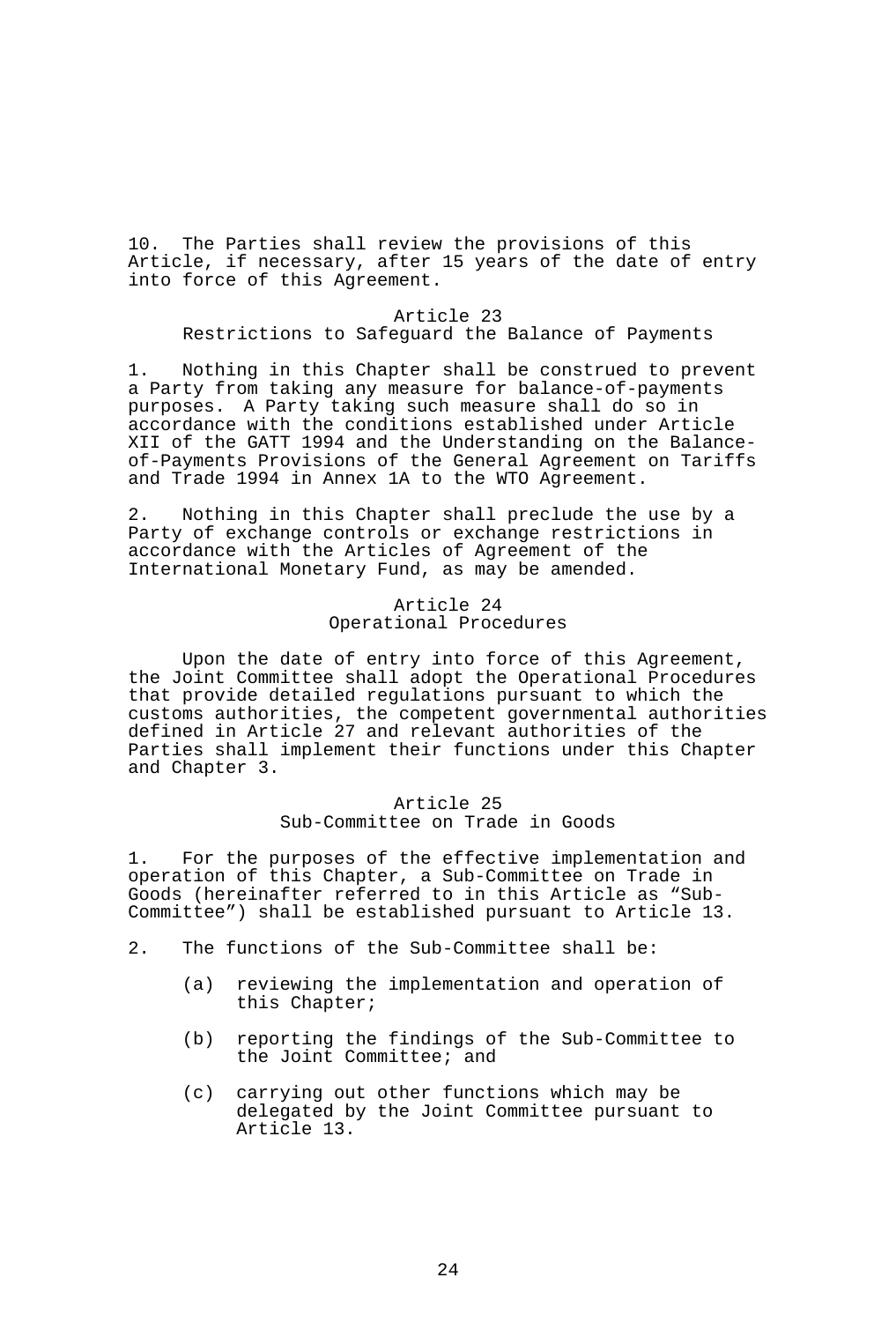10. The Parties shall review the provisions of this Article, if necessary, after 15 years of the date of entry into force of this Agreement.

#### Article 23

Restrictions to Safeguard the Balance of Payments

1. Nothing in this Chapter shall be construed to prevent a Party from taking any measure for balance-of-payments purposes. A Party taking such measure shall do so in accordance with the conditions established under Article XII of the GATT 1994 and the Understanding on the Balanceof-Payments Provisions of the General Agreement on Tariffs and Trade 1994 in Annex 1A to the WTO Agreement.

2. Nothing in this Chapter shall preclude the use by a Party of exchange controls or exchange restrictions in accordance with the Articles of Agreement of the International Monetary Fund, as may be amended.

## Article 24 Operational Procedures

 Upon the date of entry into force of this Agreement, the Joint Committee shall adopt the Operational Procedures that provide detailed regulations pursuant to which the customs authorities, the competent governmental authorities defined in Article 27 and relevant authorities of the Parties shall implement their functions under this Chapter and Chapter 3.

## Article 25 Sub-Committee on Trade in Goods

1. For the purposes of the effective implementation and operation of this Chapter, a Sub-Committee on Trade in Goods (hereinafter referred to in this Article as "Sub-Committee") shall be established pursuant to Article 13.

- 2. The functions of the Sub-Committee shall be:
	- (a) reviewing the implementation and operation of this Chapter;
	- (b) reporting the findings of the Sub-Committee to the Joint Committee; and
	- (c) carrying out other functions which may be delegated by the Joint Committee pursuant to Article 13.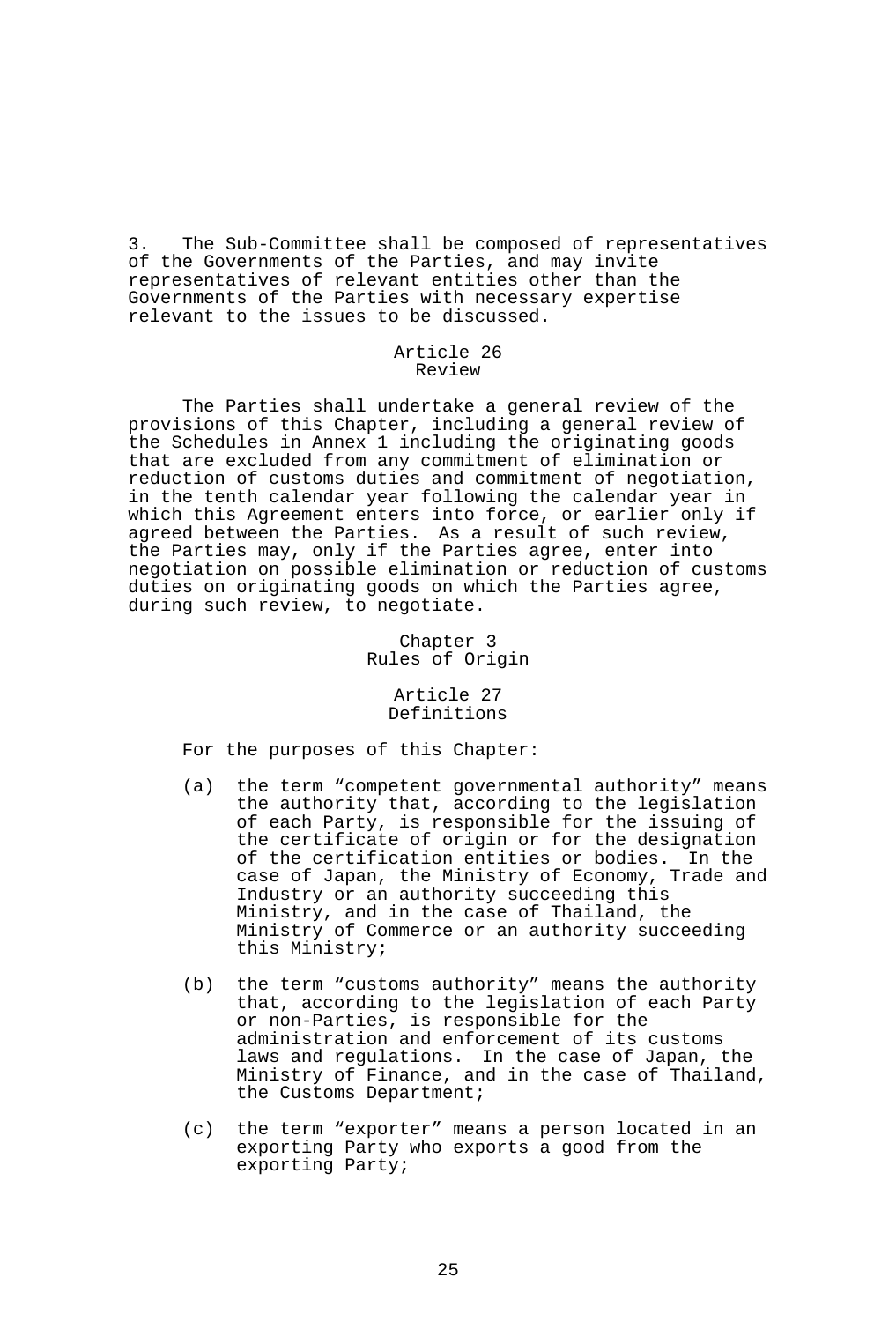3. The Sub-Committee shall be composed of representatives of the Governments of the Parties, and may invite representatives of relevant entities other than the Governments of the Parties with necessary expertise relevant to the issues to be discussed.

### Article 26 Review

 The Parties shall undertake a general review of the provisions of this Chapter, including a general review of the Schedules in Annex 1 including the originating goods that are excluded from any commitment of elimination or reduction of customs duties and commitment of negotiation, in the tenth calendar year following the calendar year in which this Agreement enters into force, or earlier only if agreed between the Parties. As a result of such review, the Parties may, only if the Parties agree, enter into negotiation on possible elimination or reduction of customs duties on originating goods on which the Parties agree, during such review, to negotiate.

> Chapter 3 Rules of Origin

> > Article 27 Definitions

For the purposes of this Chapter:

- (a) the term "competent governmental authority" means the authority that, according to the legislation of each Party, is responsible for the issuing of the certificate of origin or for the designation of the certification entities or bodies. In the case of Japan, the Ministry of Economy, Trade and Industry or an authority succeeding this Ministry, and in the case of Thailand, the Ministry of Commerce or an authority succeeding this Ministry;
- (b) the term "customs authority" means the authority that, according to the legislation of each Party or non-Parties, is responsible for the administration and enforcement of its customs laws and regulations. In the case of Japan, the Ministry of Finance, and in the case of Thailand, the Customs Department;
- (c) the term "exporter" means a person located in an exporting Party who exports a good from the exporting Party;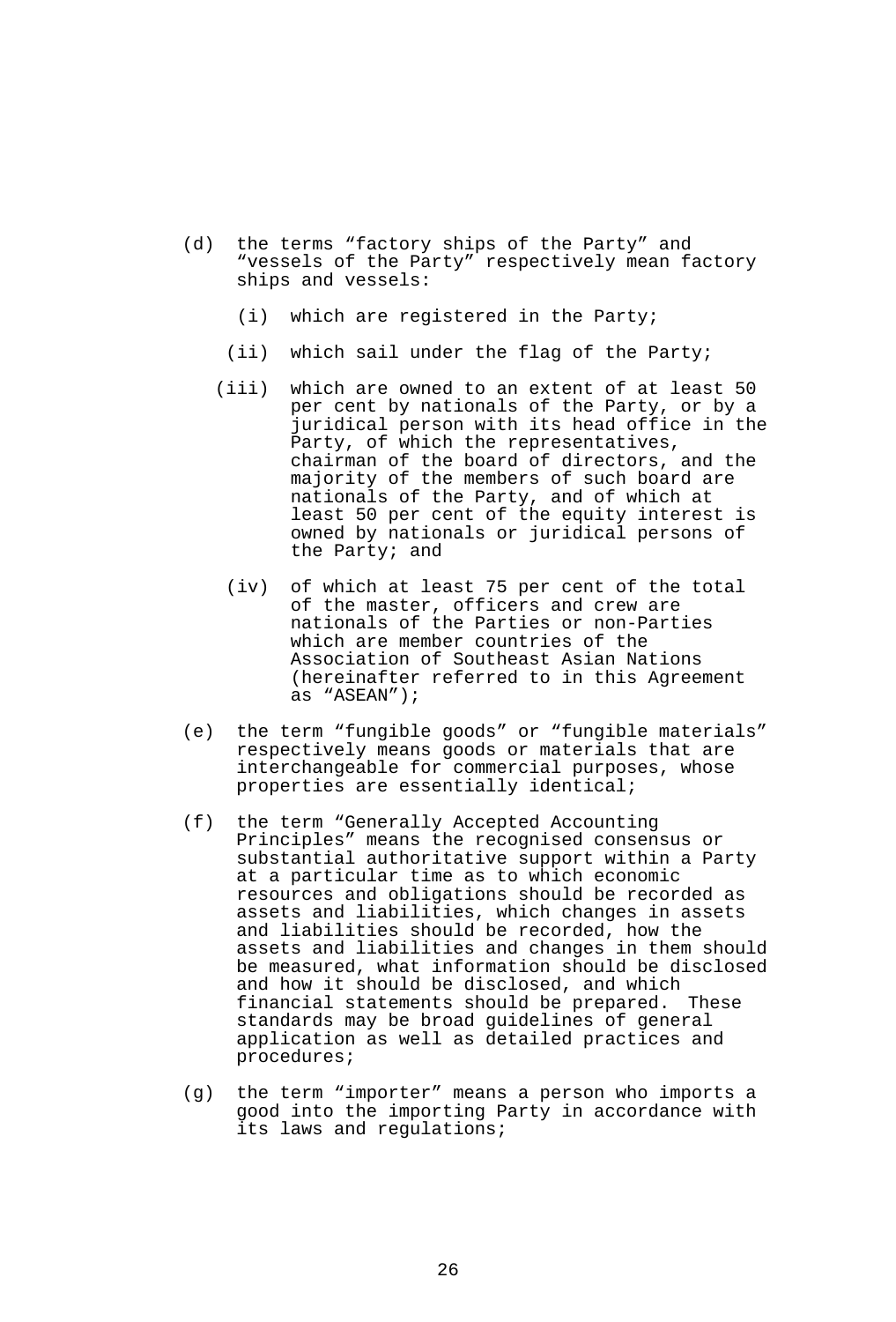- (d) the terms "factory ships of the Party" and "vessels of the Party" respectively mean factory ships and vessels:
	- (i) which are registered in the Party;
	- (ii) which sail under the flag of the Party;
	- (iii) which are owned to an extent of at least 50 per cent by nationals of the Party, or by a juridical person with its head office in the Party, of which the representatives, chairman of the board of directors, and the majority of the members of such board are nationals of the Party, and of which at least 50 per cent of the equity interest is owned by nationals or juridical persons of the Party; and
	- (iv) of which at least 75 per cent of the total of the master, officers and crew are nationals of the Parties or non-Parties which are member countries of the Association of Southeast Asian Nations (hereinafter referred to in this Agreement as "ASEAN");
- (e) the term "fungible goods" or "fungible materials" respectively means goods or materials that are interchangeable for commercial purposes, whose properties are essentially identical;
- (f) the term "Generally Accepted Accounting Principles" means the recognised consensus or substantial authoritative support within a Party at a particular time as to which economic resources and obligations should be recorded as assets and liabilities, which changes in assets and liabilities should be recorded, how the assets and liabilities and changes in them should be measured, what information should be disclosed and how it should be disclosed, and which financial statements should be prepared. These standards may be broad guidelines of general application as well as detailed practices and procedures;
- (g) the term "importer" means a person who imports a good into the importing Party in accordance with its laws and regulations;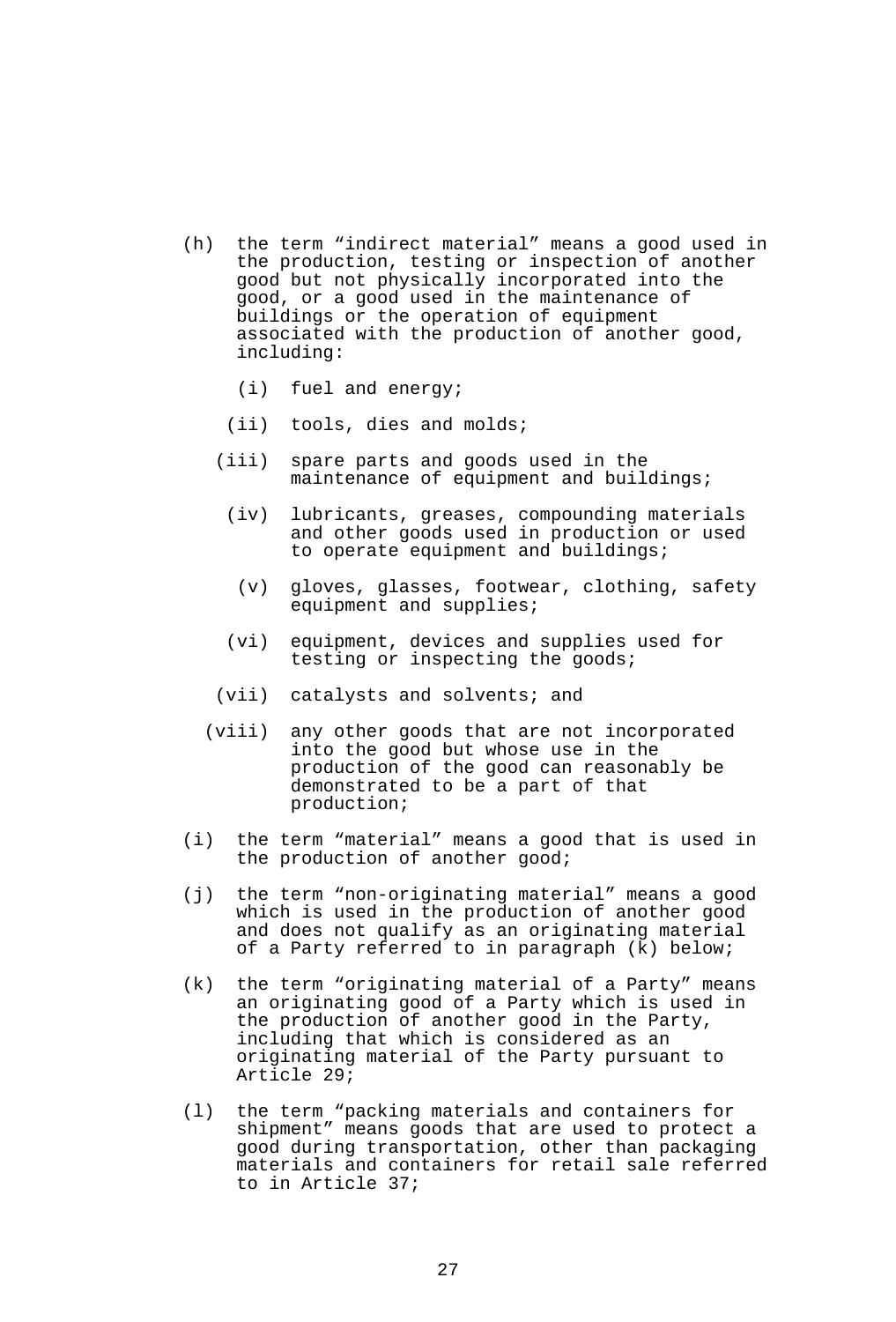- (h) the term "indirect material" means a good used in the production, testing or inspection of another good but not physically incorporated into the good, or a good used in the maintenance of buildings or the operation of equipment associated with the production of another good, including:
	- (i) fuel and energy;
	- (ii) tools, dies and molds;
	- (iii) spare parts and goods used in the maintenance of equipment and buildings;
		- (iv) lubricants, greases, compounding materials and other goods used in production or used to operate equipment and buildings;
			- (v) gloves, glasses, footwear, clothing, safety equipment and supplies;
	- (vi) equipment, devices and supplies used for testing or inspecting the goods;
	- (vii) catalysts and solvents; and
	- (viii) any other goods that are not incorporated into the good but whose use in the production of the good can reasonably be demonstrated to be a part of that production;
- (i) the term "material" means a good that is used in the production of another good;
- (j) the term "non-originating material" means a good which is used in the production of another good and does not qualify as an originating material of a Party referred to in paragraph (k) below;
- (k) the term "originating material of a Party" means an originating good of a Party which is used in the production of another good in the Party, including that which is considered as an originating material of the Party pursuant to Article 29;
- (l) the term "packing materials and containers for shipment" means goods that are used to protect a good during transportation, other than packaging materials and containers for retail sale referred to in Article 37;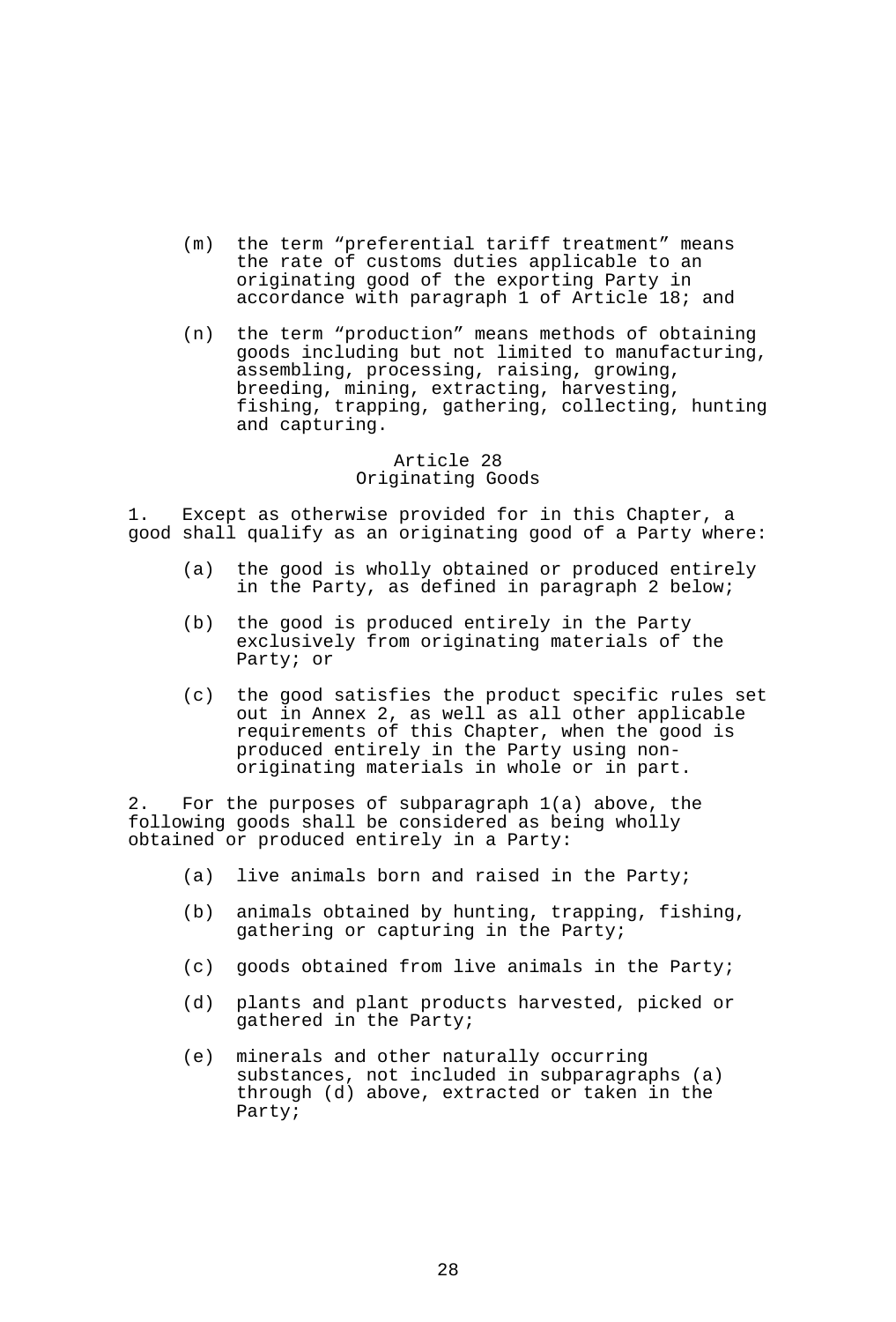- (m) the term "preferential tariff treatment" means the rate of customs duties applicable to an originating good of the exporting Party in accordance with paragraph 1 of Article 18; and
- (n) the term "production" means methods of obtaining goods including but not limited to manufacturing, assembling, processing, raising, growing, breeding, mining, extracting, harvesting, fishing, trapping, gathering, collecting, hunting and capturing.

### Article 28 Originating Goods

1. Except as otherwise provided for in this Chapter, a good shall qualify as an originating good of a Party where:

- (a) the good is wholly obtained or produced entirely in the Party, as defined in paragraph 2 below;
- (b) the good is produced entirely in the Party exclusively from originating materials of the Party; or
- (c) the good satisfies the product specific rules set out in Annex 2, as well as all other applicable requirements of this Chapter, when the good is produced entirely in the Party using nonoriginating materials in whole or in part.

2. For the purposes of subparagraph 1(a) above, the following goods shall be considered as being wholly obtained or produced entirely in a Party:

- (a) live animals born and raised in the Party;
- (b) animals obtained by hunting, trapping, fishing, gathering or capturing in the Party;
- (c) goods obtained from live animals in the Party;
- (d) plants and plant products harvested, picked or gathered in the Party;
- (e) minerals and other naturally occurring substances, not included in subparagraphs (a) through (d) above, extracted or taken in the Party;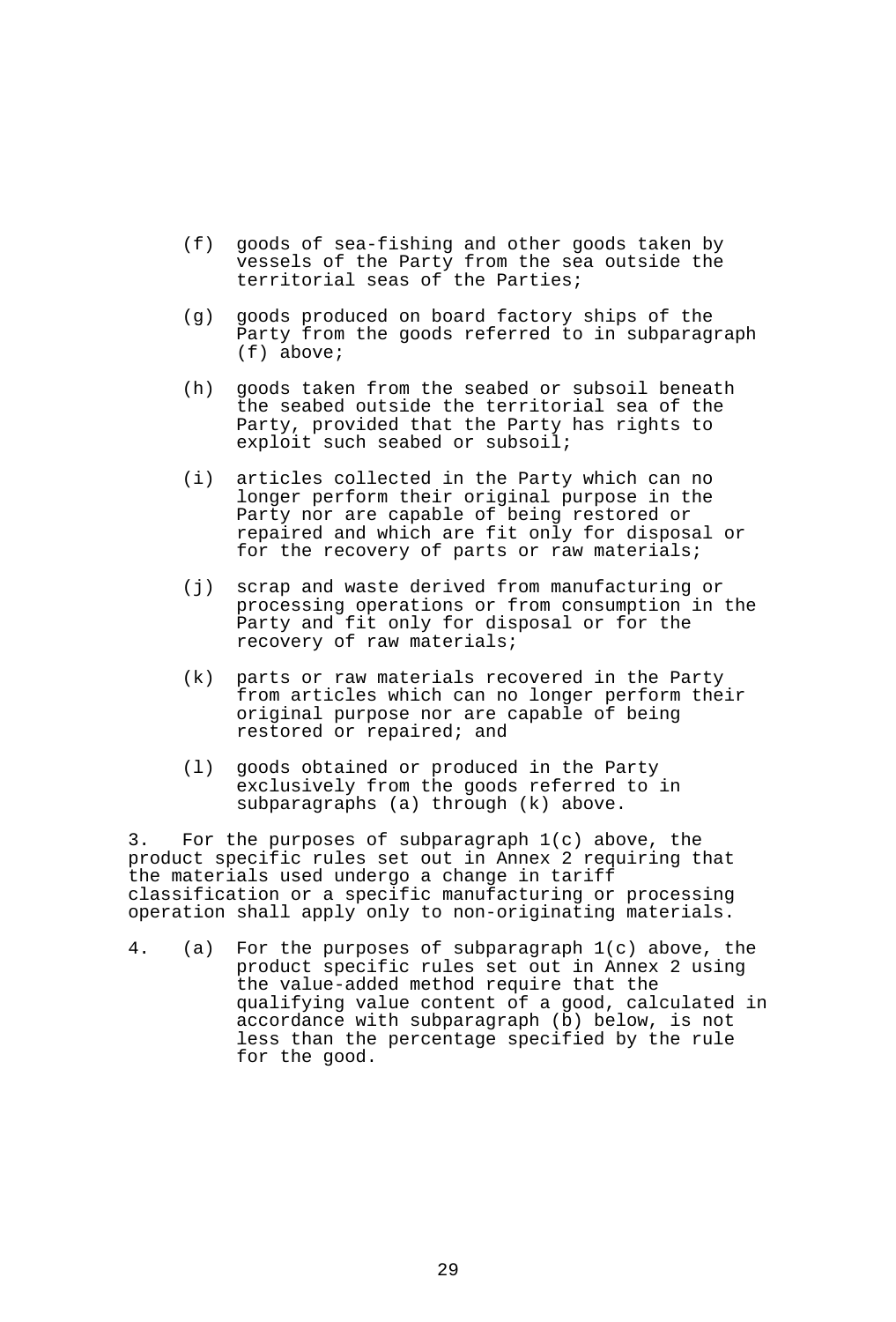- (f) goods of sea-fishing and other goods taken by vessels of the Party from the sea outside the territorial seas of the Parties;
- (g) goods produced on board factory ships of the Party from the goods referred to in subparagraph (f) above;
- (h) goods taken from the seabed or subsoil beneath the seabed outside the territorial sea of the Party, provided that the Party has rights to exploit such seabed or subsoil;
- (i) articles collected in the Party which can no longer perform their original purpose in the Party nor are capable of being restored or repaired and which are fit only for disposal or for the recovery of parts or raw materials;
- (j) scrap and waste derived from manufacturing or processing operations or from consumption in the Party and fit only for disposal or for the recovery of raw materials;
- (k) parts or raw materials recovered in the Party from articles which can no longer perform their original purpose nor are capable of being restored or repaired; and
- (l) goods obtained or produced in the Party exclusively from the goods referred to in subparagraphs (a) through (k) above.

3. For the purposes of subparagraph 1(c) above, the product specific rules set out in Annex 2 requiring that the materials used undergo a change in tariff classification or a specific manufacturing or processing operation shall apply only to non-originating materials.

4. (a) For the purposes of subparagraph 1(c) above, the product specific rules set out in Annex 2 using the value-added method require that the qualifying value content of a good, calculated in accordance with subparagraph (b) below, is not less than the percentage specified by the rule for the good.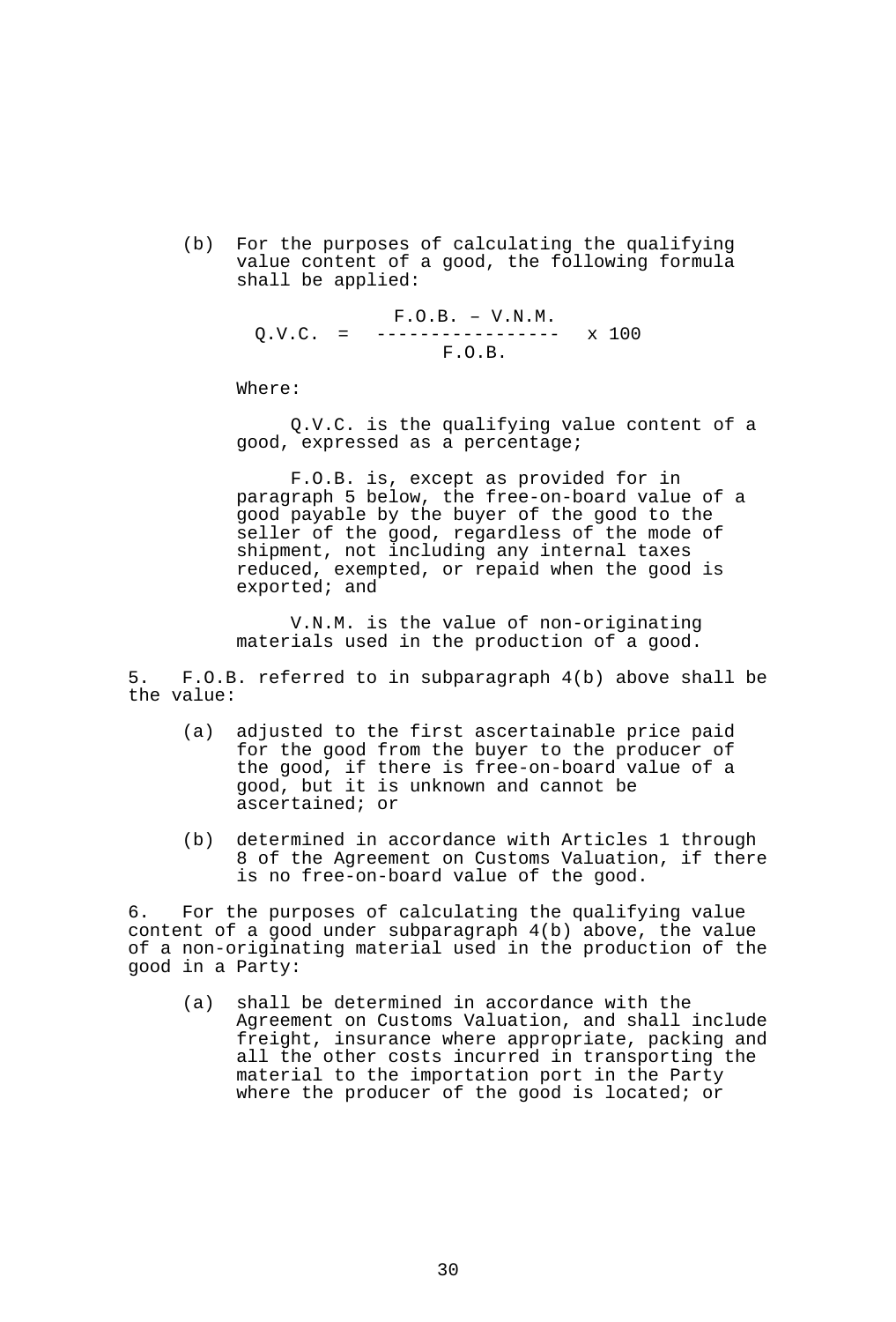(b) For the purposes of calculating the qualifying value content of a good, the following formula shall be applied:

 F.O.B. – V.N.M. Q.V.C. = ----------------- x 100 F.O.B.

Where:

 Q.V.C. is the qualifying value content of a good, expressed as a percentage;

 F.O.B. is, except as provided for in paragraph 5 below, the free-on-board value of a good payable by the buyer of the good to the seller of the good, regardless of the mode of shipment, not including any internal taxes reduced, exempted, or repaid when the good is exported; and

 V.N.M. is the value of non-originating materials used in the production of a good.

5. F.O.B. referred to in subparagraph 4(b) above shall be the value:

- (a) adjusted to the first ascertainable price paid for the good from the buyer to the producer of the good, if there is free-on-board value of a good, but it is unknown and cannot be ascertained; or
- (b) determined in accordance with Articles 1 through 8 of the Agreement on Customs Valuation, if there is no free-on-board value of the good.

6. For the purposes of calculating the qualifying value content of a good under subparagraph 4(b) above, the value of a non-originating material used in the production of the good in a Party:

 (a) shall be determined in accordance with the Agreement on Customs Valuation, and shall include freight, insurance where appropriate, packing and all the other costs incurred in transporting the material to the importation port in the Party where the producer of the good is located; or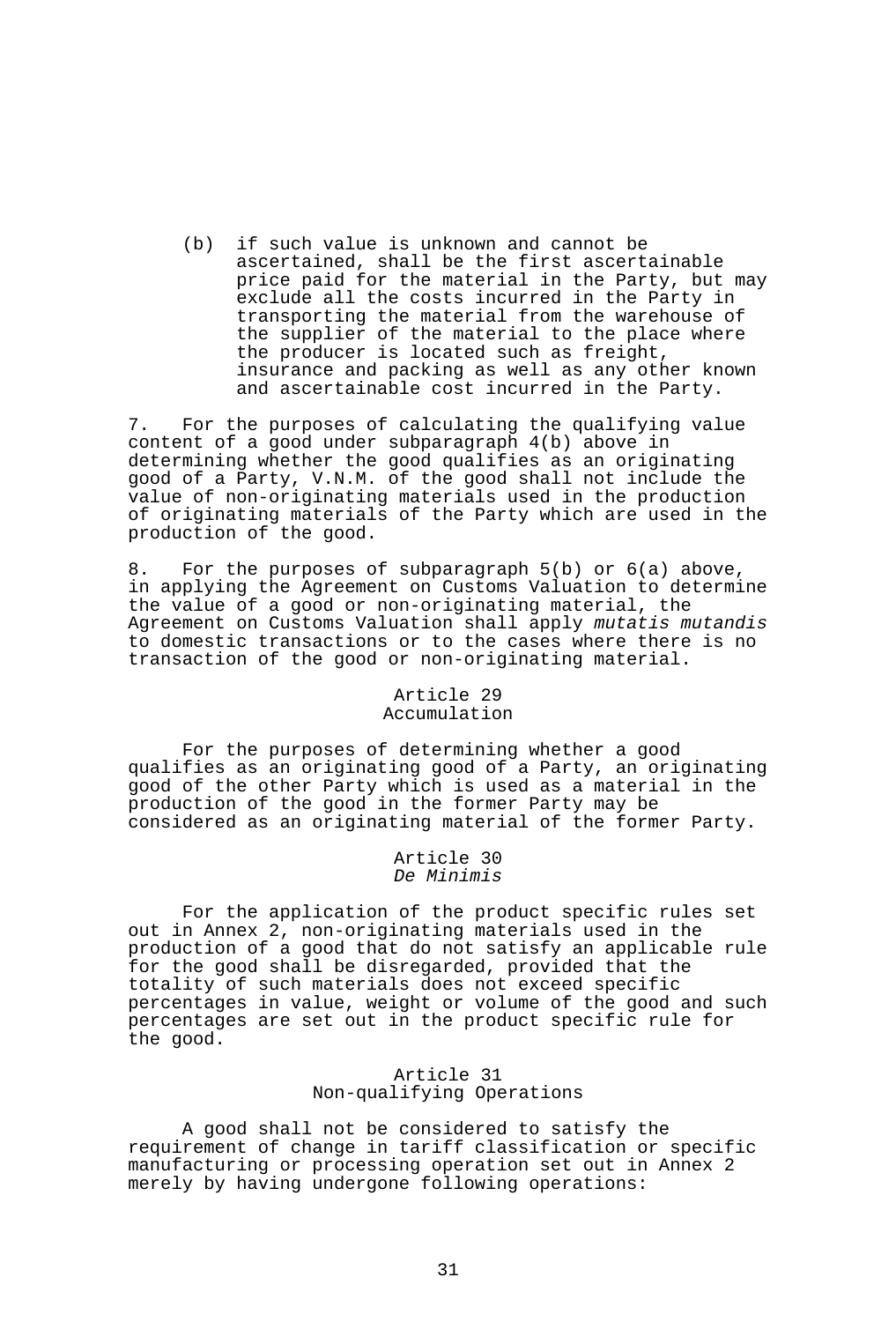(b) if such value is unknown and cannot be ascertained, shall be the first ascertainable price paid for the material in the Party, but may exclude all the costs incurred in the Party in transporting the material from the warehouse of the supplier of the material to the place where the producer is located such as freight, insurance and packing as well as any other known and ascertainable cost incurred in the Party.

7. For the purposes of calculating the qualifying value content of a good under subparagraph 4(b) above in determining whether the good qualifies as an originating good of a Party, V.N.M. of the good shall not include the value of non-originating materials used in the production of originating materials of the Party which are used in the production of the good.

8. For the purposes of subparagraph 5(b) or 6(a) above, in applying the Agreement on Customs Valuation to determine the value of a good or non-originating material, the Agreement on Customs Valuation shall apply *mutatis mutandis* to domestic transactions or to the cases where there is no transaction of the good or non-originating material.

# Article 29 Accumulation

 For the purposes of determining whether a good qualifies as an originating good of a Party, an originating good of the other Party which is used as a material in the production of the good in the former Party may be considered as an originating material of the former Party.

### Article 30 *De Minimis*

 For the application of the product specific rules set out in Annex 2, non-originating materials used in the production of a good that do not satisfy an applicable rule for the good shall be disregarded, provided that the totality of such materials does not exceed specific percentages in value, weight or volume of the good and such percentages are set out in the product specific rule for the good.

## Article 31 Non-qualifying Operations

 A good shall not be considered to satisfy the requirement of change in tariff classification or specific manufacturing or processing operation set out in Annex 2 merely by having undergone following operations: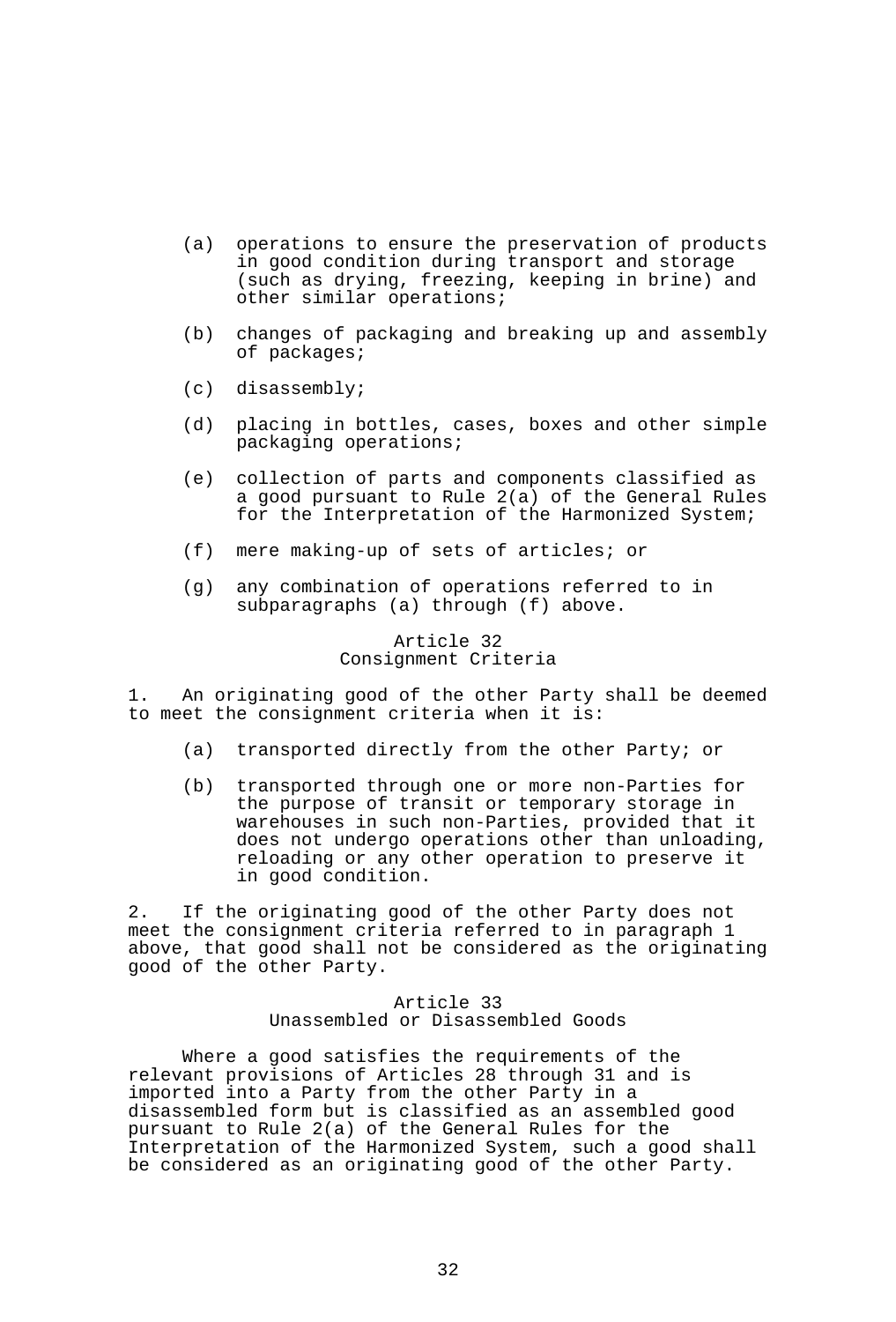- (a) operations to ensure the preservation of products in good condition during transport and storage (such as drying, freezing, keeping in brine) and other similar operations;
- (b) changes of packaging and breaking up and assembly of packages;
- (c) disassembly;
- (d) placing in bottles, cases, boxes and other simple packaging operations;
- (e) collection of parts and components classified as a good pursuant to Rule 2(a) of the General Rules for the Interpretation of the Harmonized System;
- (f) mere making-up of sets of articles; or
- (g) any combination of operations referred to in subparagraphs (a) through (f) above.

### Article 32 Consignment Criteria

1. An originating good of the other Party shall be deemed to meet the consignment criteria when it is:

- (a) transported directly from the other Party; or
- (b) transported through one or more non-Parties for the purpose of transit or temporary storage in warehouses in such non-Parties, provided that it does not undergo operations other than unloading, reloading or any other operation to preserve it in good condition.

2. If the originating good of the other Party does not meet the consignment criteria referred to in paragraph 1 above, that good shall not be considered as the originating good of the other Party.

### Article 33 Unassembled or Disassembled Goods

 Where a good satisfies the requirements of the relevant provisions of Articles 28 through 31 and is imported into a Party from the other Party in a disassembled form but is classified as an assembled good pursuant to Rule 2(a) of the General Rules for the Interpretation of the Harmonized System, such a good shall be considered as an originating good of the other Party.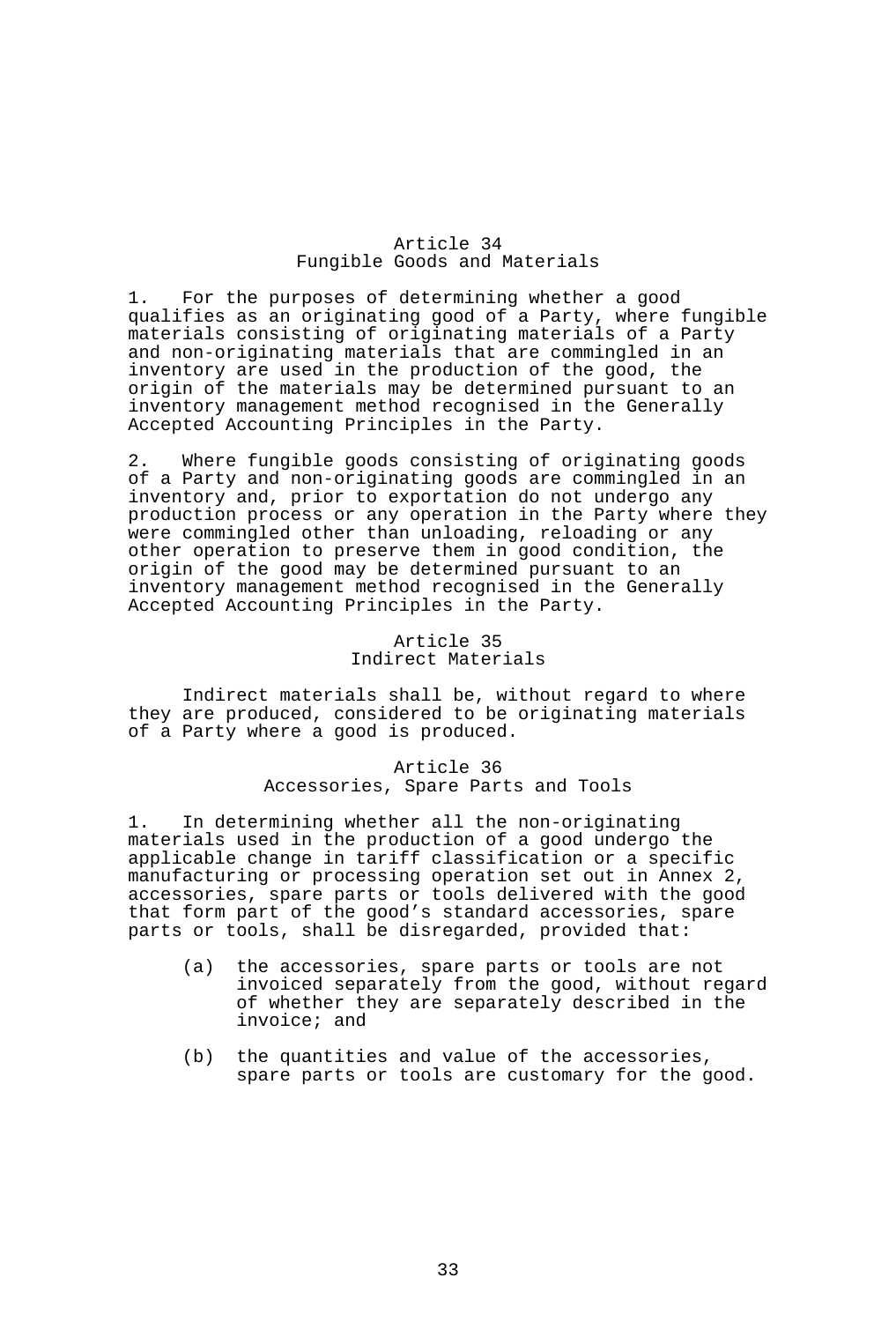# Article 34 Fungible Goods and Materials

1. For the purposes of determining whether a good qualifies as an originating good of a Party, where fungible materials consisting of originating materials of a Party and non-originating materials that are commingled in an inventory are used in the production of the good, the origin of the materials may be determined pursuant to an inventory management method recognised in the Generally Accepted Accounting Principles in the Party.

2. Where fungible goods consisting of originating goods of a Party and non-originating goods are commingled in an inventory and, prior to exportation do not undergo any production process or any operation in the Party where they were commingled other than unloading, reloading or any other operation to preserve them in good condition, the origin of the good may be determined pursuant to an inventory management method recognised in the Generally Accepted Accounting Principles in the Party.

## Article 35 Indirect Materials

 Indirect materials shall be, without regard to where they are produced, considered to be originating materials of a Party where a good is produced.

## Article 36 Accessories, Spare Parts and Tools

1. In determining whether all the non-originating materials used in the production of a good undergo the applicable change in tariff classification or a specific manufacturing or processing operation set out in Annex 2, accessories, spare parts or tools delivered with the good that form part of the good's standard accessories, spare parts or tools, shall be disregarded, provided that:

- (a) the accessories, spare parts or tools are not invoiced separately from the good, without regard of whether they are separately described in the invoice; and
- (b) the quantities and value of the accessories, spare parts or tools are customary for the good.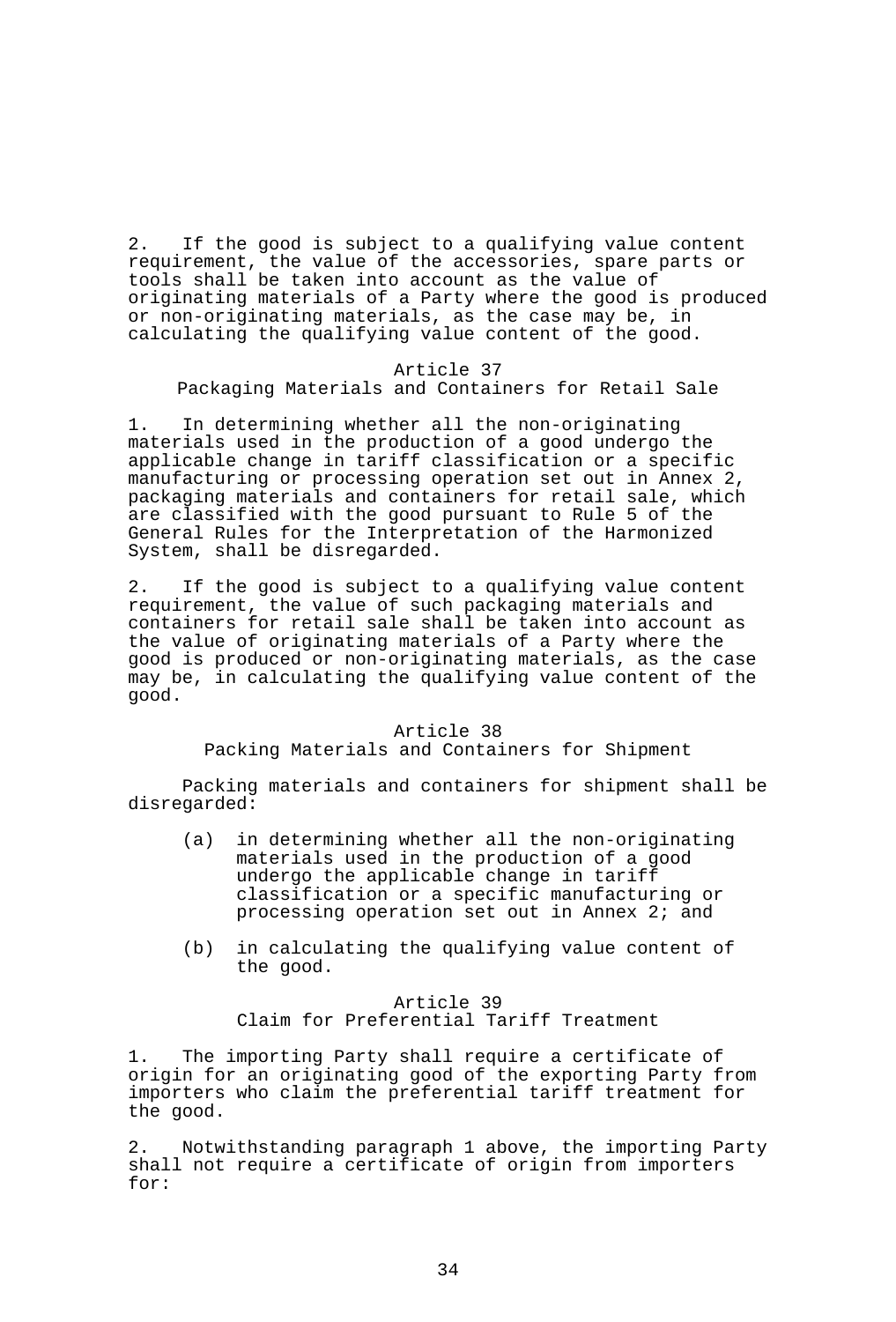2. If the good is subject to a qualifying value content requirement, the value of the accessories, spare parts or tools shall be taken into account as the value of originating materials of a Party where the good is produced or non-originating materials, as the case may be, in calculating the qualifying value content of the good.

## Article 37 Packaging Materials and Containers for Retail Sale

1. In determining whether all the non-originating materials used in the production of a good undergo the applicable change in tariff classification or a specific manufacturing or processing operation set out in Annex 2, packaging materials and containers for retail sale, which are classified with the good pursuant to Rule 5 of the General Rules for the Interpretation of the Harmonized System, shall be disregarded.

2. If the good is subject to a qualifying value content requirement, the value of such packaging materials and containers for retail sale shall be taken into account as the value of originating materials of a Party where the good is produced or non-originating materials, as the case may be, in calculating the qualifying value content of the good.

## Article 38

## Packing Materials and Containers for Shipment

Packing materials and containers for shipment shall be disregarded:

- (a) in determining whether all the non-originating materials used in the production of a good undergo the applicable change in tariff classification or a specific manufacturing or processing operation set out in Annex 2; and
- (b) in calculating the qualifying value content of the good.

### Article 39

Claim for Preferential Tariff Treatment

1. The importing Party shall require a certificate of origin for an originating good of the exporting Party from importers who claim the preferential tariff treatment for the good.

2. Notwithstanding paragraph 1 above, the importing Party shall not require a certificate of origin from importers for: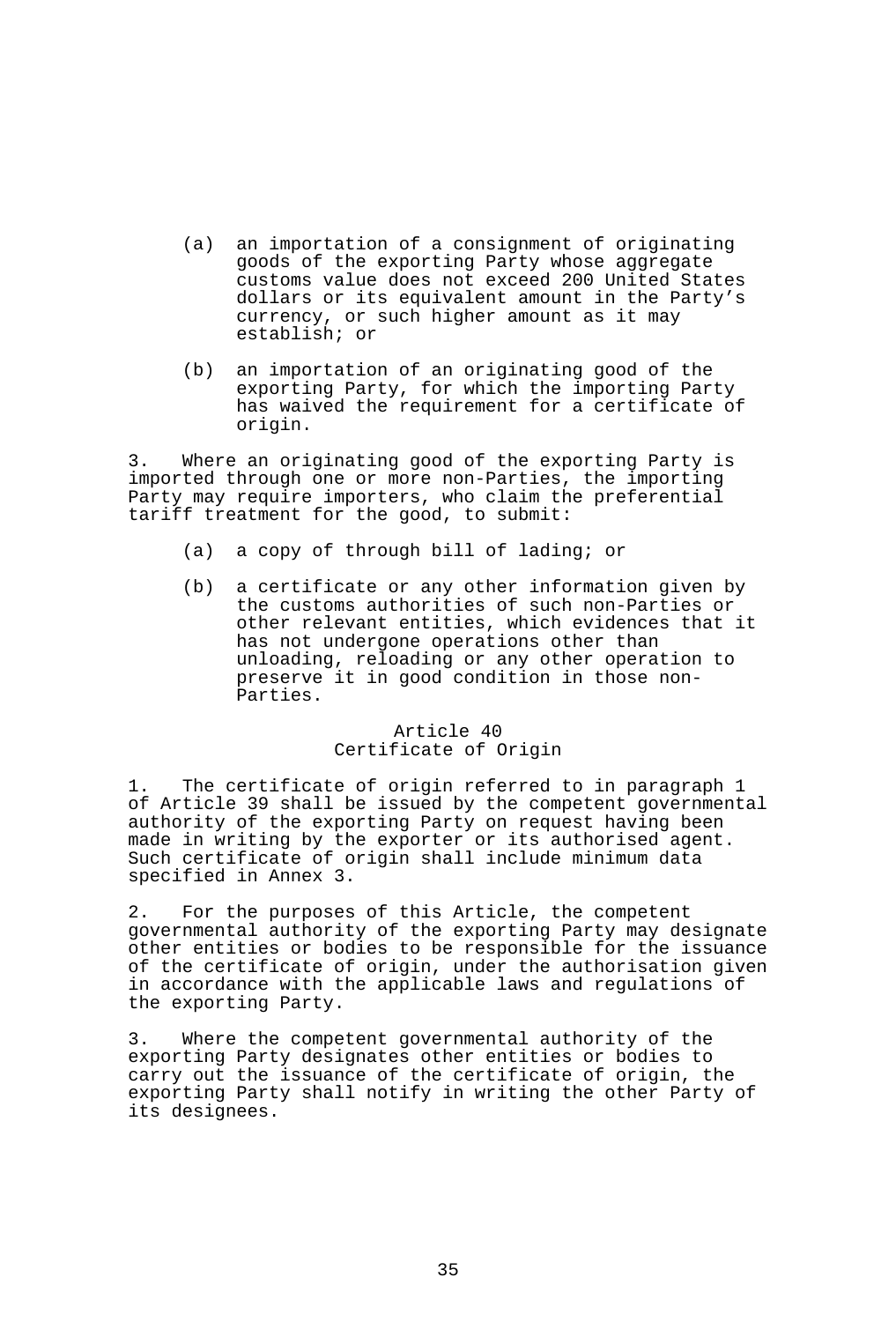- (a) an importation of a consignment of originating goods of the exporting Party whose aggregate customs value does not exceed 200 United States dollars or its equivalent amount in the Party's currency, or such higher amount as it may establish; or
- (b) an importation of an originating good of the exporting Party, for which the importing Party has waived the requirement for a certificate of origin.

3. Where an originating good of the exporting Party is imported through one or more non-Parties, the importing Party may require importers, who claim the preferential tariff treatment for the good, to submit:

- (a) a copy of through bill of lading; or
- (b) a certificate or any other information given by the customs authorities of such non-Parties or other relevant entities, which evidences that it has not undergone operations other than unloading, reloading or any other operation to preserve it in good condition in those non-Parties.

## Article 40 Certificate of Origin

1. The certificate of origin referred to in paragraph 1 of Article 39 shall be issued by the competent governmental authority of the exporting Party on request having been made in writing by the exporter or its authorised agent. Such certificate of origin shall include minimum data specified in Annex 3.

2. For the purposes of this Article, the competent governmental authority of the exporting Party may designate other entities or bodies to be responsible for the issuance of the certificate of origin, under the authorisation given in accordance with the applicable laws and regulations of the exporting Party.

3. Where the competent governmental authority of the exporting Party designates other entities or bodies to carry out the issuance of the certificate of origin, the exporting Party shall notify in writing the other Party of its designees.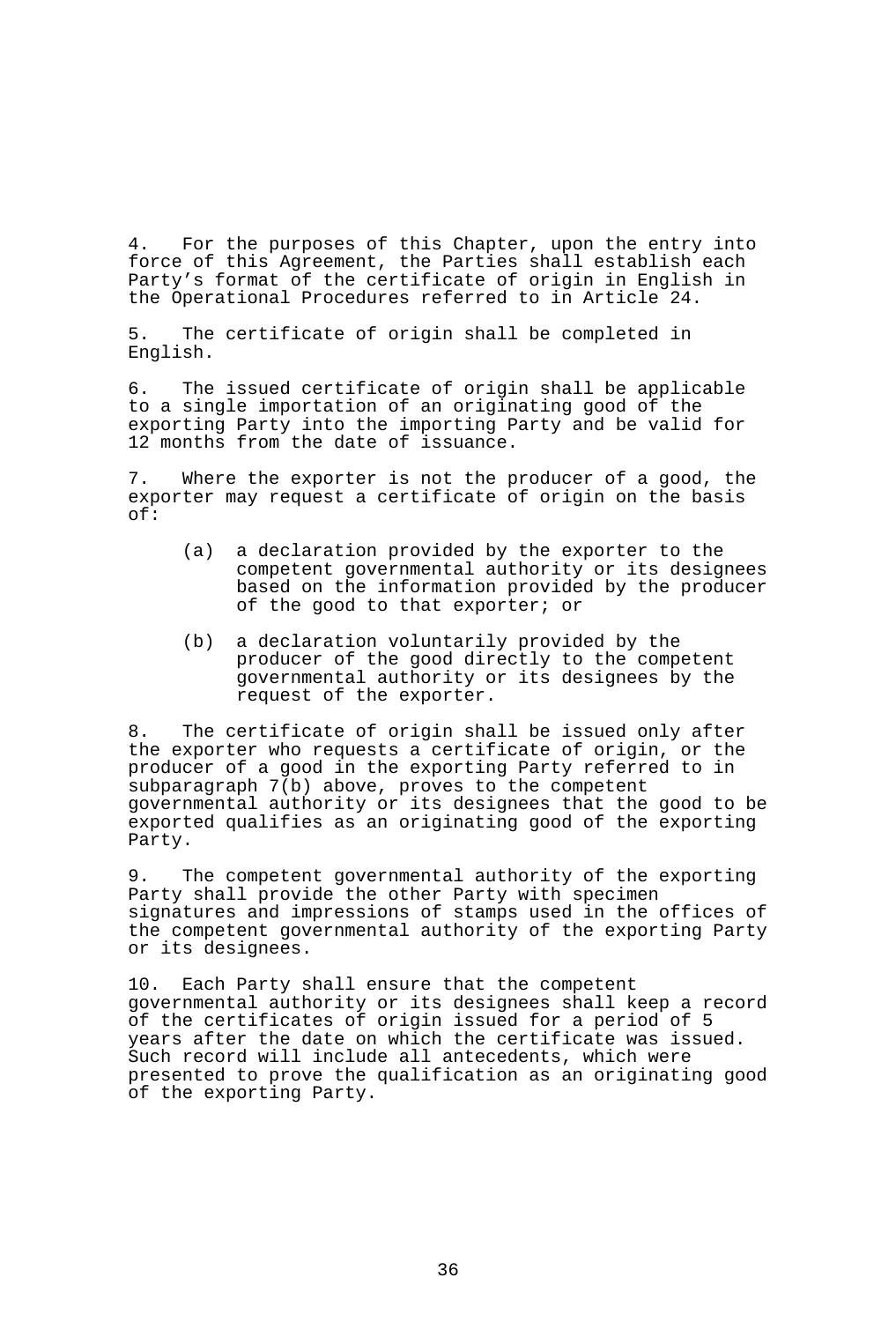4. For the purposes of this Chapter, upon the entry into force of this Agreement, the Parties shall establish each Party's format of the certificate of origin in English in the Operational Procedures referred to in Article 24.

5. The certificate of origin shall be completed in English.

6. The issued certificate of origin shall be applicable to a single importation of an originating good of the exporting Party into the importing Party and be valid for 12 months from the date of issuance.

7. Where the exporter is not the producer of a good, the exporter may request a certificate of origin on the basis of:

- (a) a declaration provided by the exporter to the competent governmental authority or its designees based on the information provided by the producer of the good to that exporter; or
- (b) a declaration voluntarily provided by the producer of the good directly to the competent governmental authority or its designees by the request of the exporter.

8. The certificate of origin shall be issued only after the exporter who requests a certificate of origin, or the producer of a good in the exporting Party referred to in subparagraph 7(b) above, proves to the competent governmental authority or its designees that the good to be exported qualifies as an originating good of the exporting Party.

9. The competent governmental authority of the exporting Party shall provide the other Party with specimen signatures and impressions of stamps used in the offices of the competent governmental authority of the exporting Party or its designees.

10. Each Party shall ensure that the competent governmental authority or its designees shall keep a record of the certificates of origin issued for a period of 5 years after the date on which the certificate was issued. Such record will include all antecedents, which were presented to prove the qualification as an originating good of the exporting Party.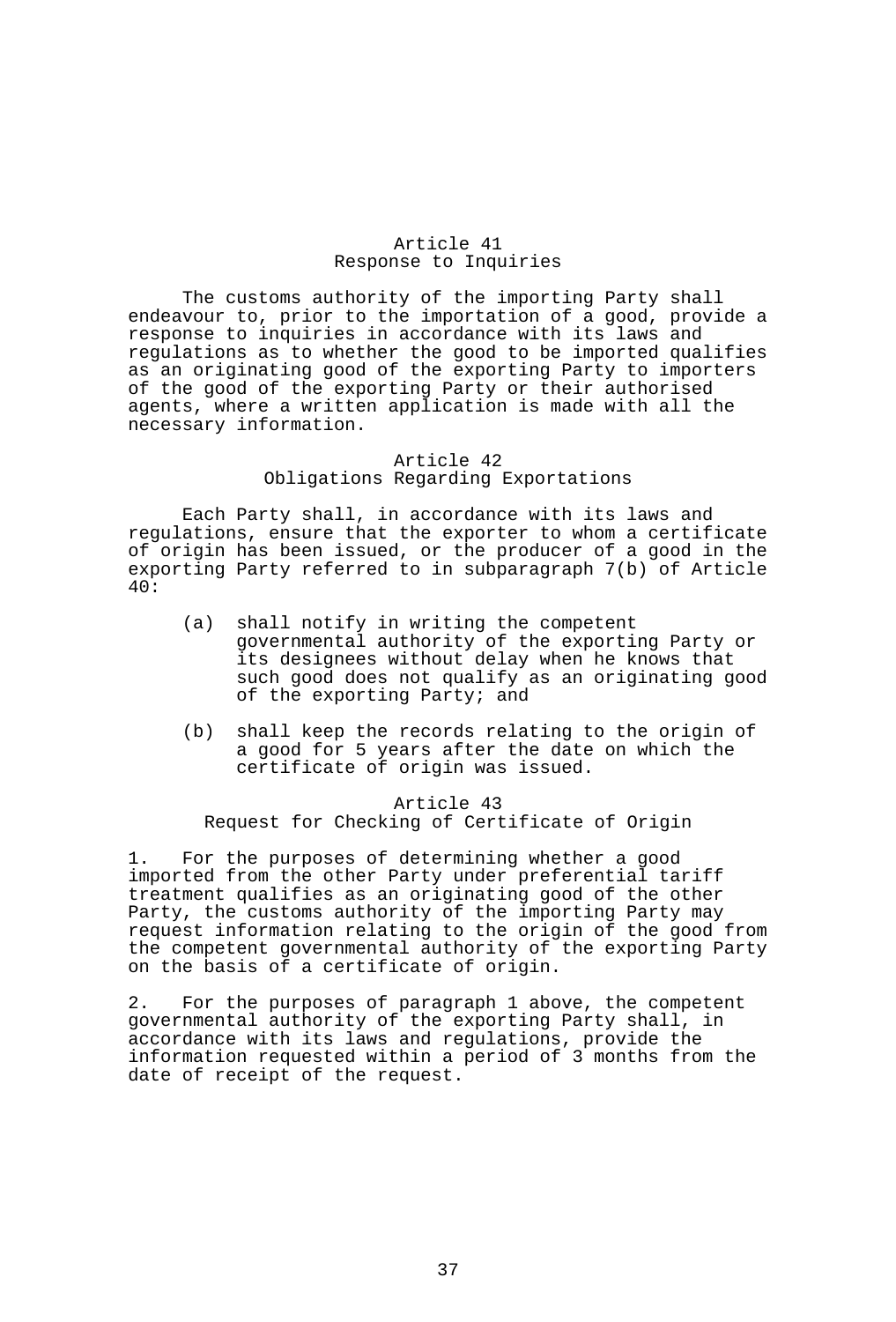## Article 41 Response to Inquiries

 The customs authority of the importing Party shall endeavour to, prior to the importation of a good, provide a response to inquiries in accordance with its laws and regulations as to whether the good to be imported qualifies as an originating good of the exporting Party to importers of the good of the exporting Party or their authorised agents, where a written application is made with all the necessary information.

### Article 42 Obligations Regarding Exportations

 Each Party shall, in accordance with its laws and regulations, ensure that the exporter to whom a certificate of origin has been issued, or the producer of a good in the exporting Party referred to in subparagraph 7(b) of Article 40:

- (a) shall notify in writing the competent governmental authority of the exporting Party or its designees without delay when he knows that such good does not qualify as an originating good of the exporting Party; and
- (b) shall keep the records relating to the origin of a good for 5 years after the date on which the certificate of origin was issued.

# Article 43 Request for Checking of Certificate of Origin

1. For the purposes of determining whether a good imported from the other Party under preferential tariff treatment qualifies as an originating good of the other Party, the customs authority of the importing Party may request information relating to the origin of the good from the competent governmental authority of the exporting Party on the basis of a certificate of origin.

2. For the purposes of paragraph 1 above, the competent governmental authority of the exporting Party shall, in accordance with its laws and regulations, provide the information requested within a period of 3 months from the date of receipt of the request.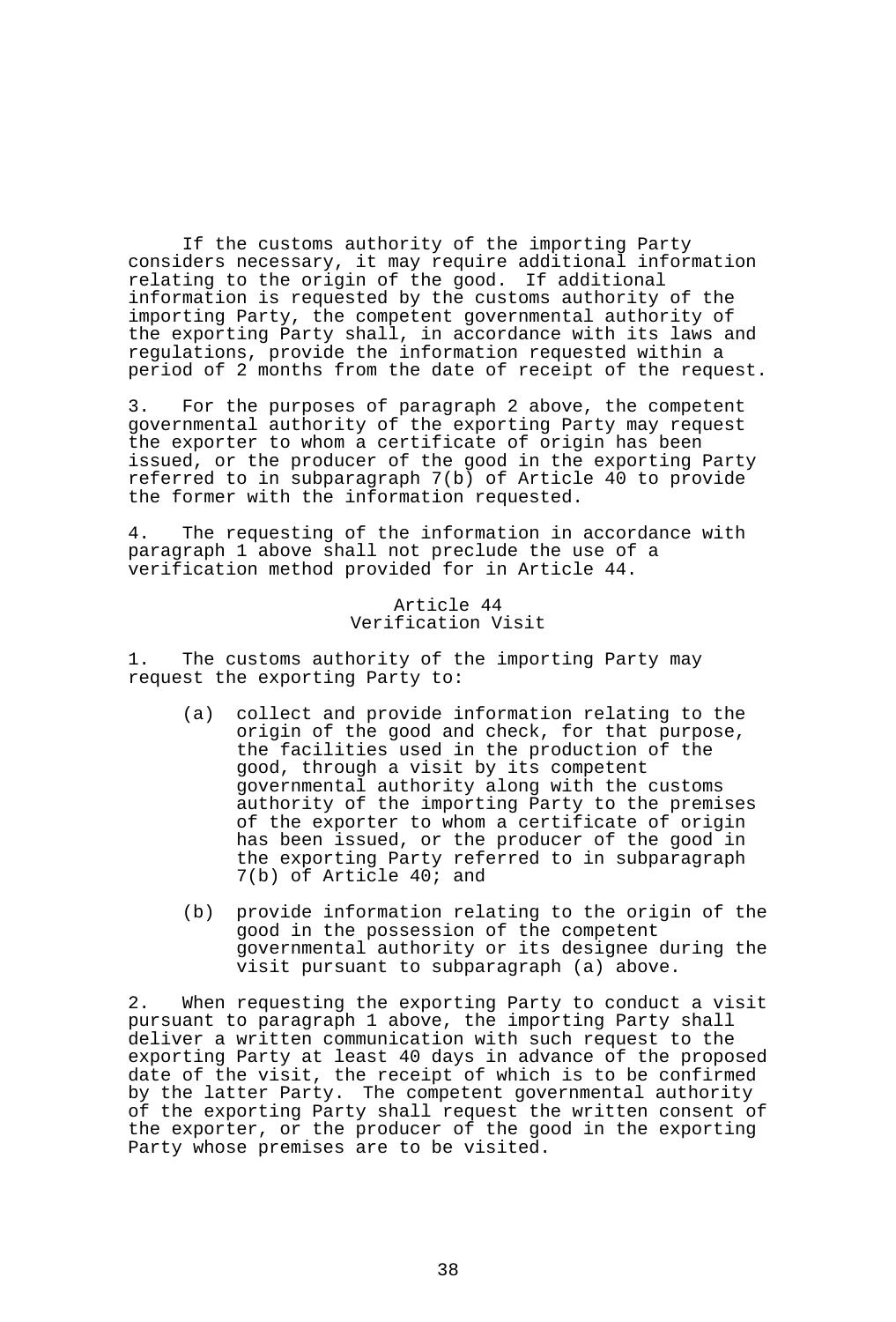If the customs authority of the importing Party considers necessary, it may require additional information relating to the origin of the good. If additional information is requested by the customs authority of the importing Party, the competent governmental authority of the exporting Party shall, in accordance with its laws and regulations, provide the information requested within a period of 2 months from the date of receipt of the request.

3. For the purposes of paragraph 2 above, the competent governmental authority of the exporting Party may request the exporter to whom a certificate of origin has been issued, or the producer of the good in the exporting Party referred to in subparagraph 7(b) of Article 40 to provide the former with the information requested.

4. The requesting of the information in accordance with paragraph 1 above shall not preclude the use of a verification method provided for in Article 44.

> Article 44 Verification Visit

1. The customs authority of the importing Party may request the exporting Party to:

- (a) collect and provide information relating to the origin of the good and check, for that purpose, the facilities used in the production of the good, through a visit by its competent governmental authority along with the customs authority of the importing Party to the premises of the exporter to whom a certificate of origin has been issued, or the producer of the good in the exporting Party referred to in subparagraph 7(b) of Article 40; and
- (b) provide information relating to the origin of the good in the possession of the competent governmental authority or its designee during the visit pursuant to subparagraph (a) above.

2. When requesting the exporting Party to conduct a visit pursuant to paragraph 1 above, the importing Party shall deliver a written communication with such request to the exporting Party at least 40 days in advance of the proposed date of the visit, the receipt of which is to be confirmed by the latter Party. The competent governmental authority of the exporting Party shall request the written consent of the exporter, or the producer of the good in the exporting Party whose premises are to be visited.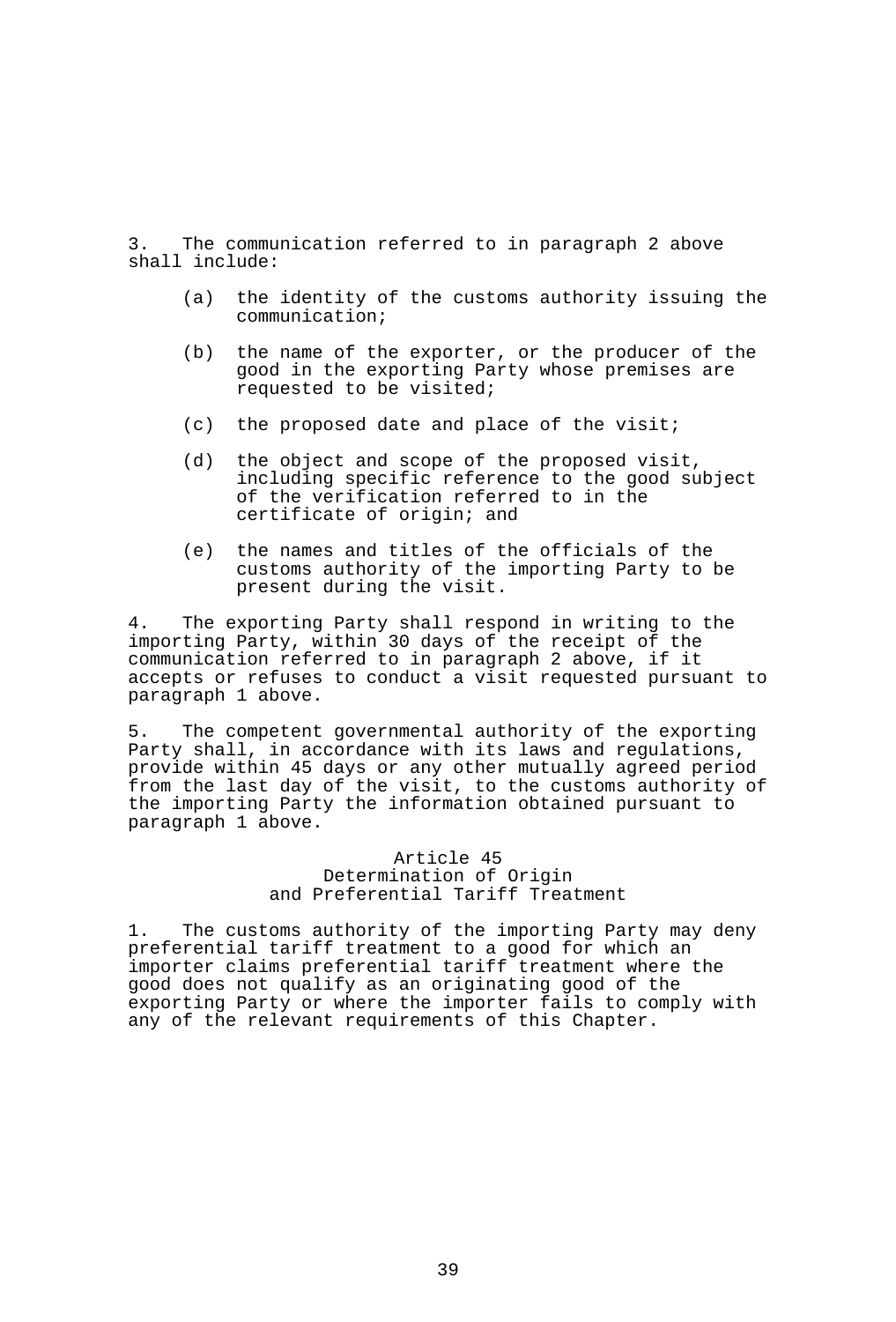3. The communication referred to in paragraph 2 above shall include:

- (a) the identity of the customs authority issuing the communication;
- (b) the name of the exporter, or the producer of the good in the exporting Party whose premises are requested to be visited;
- (c) the proposed date and place of the visit;
- (d) the object and scope of the proposed visit, including specific reference to the good subject of the verification referred to in the certificate of origin; and
- (e) the names and titles of the officials of the customs authority of the importing Party to be present during the visit.

4. The exporting Party shall respond in writing to the importing Party, within 30 days of the receipt of the communication referred to in paragraph 2 above, if it accepts or refuses to conduct a visit requested pursuant to paragraph 1 above.

5. The competent governmental authority of the exporting Party shall, in accordance with its laws and regulations, provide within 45 days or any other mutually agreed period from the last day of the visit, to the customs authority of the importing Party the information obtained pursuant to paragraph 1 above.

# Article 45 Determination of Origin and Preferential Tariff Treatment

1. The customs authority of the importing Party may deny preferential tariff treatment to a good for which an importer claims preferential tariff treatment where the good does not qualify as an originating good of the exporting Party or where the importer fails to comply with any of the relevant requirements of this Chapter.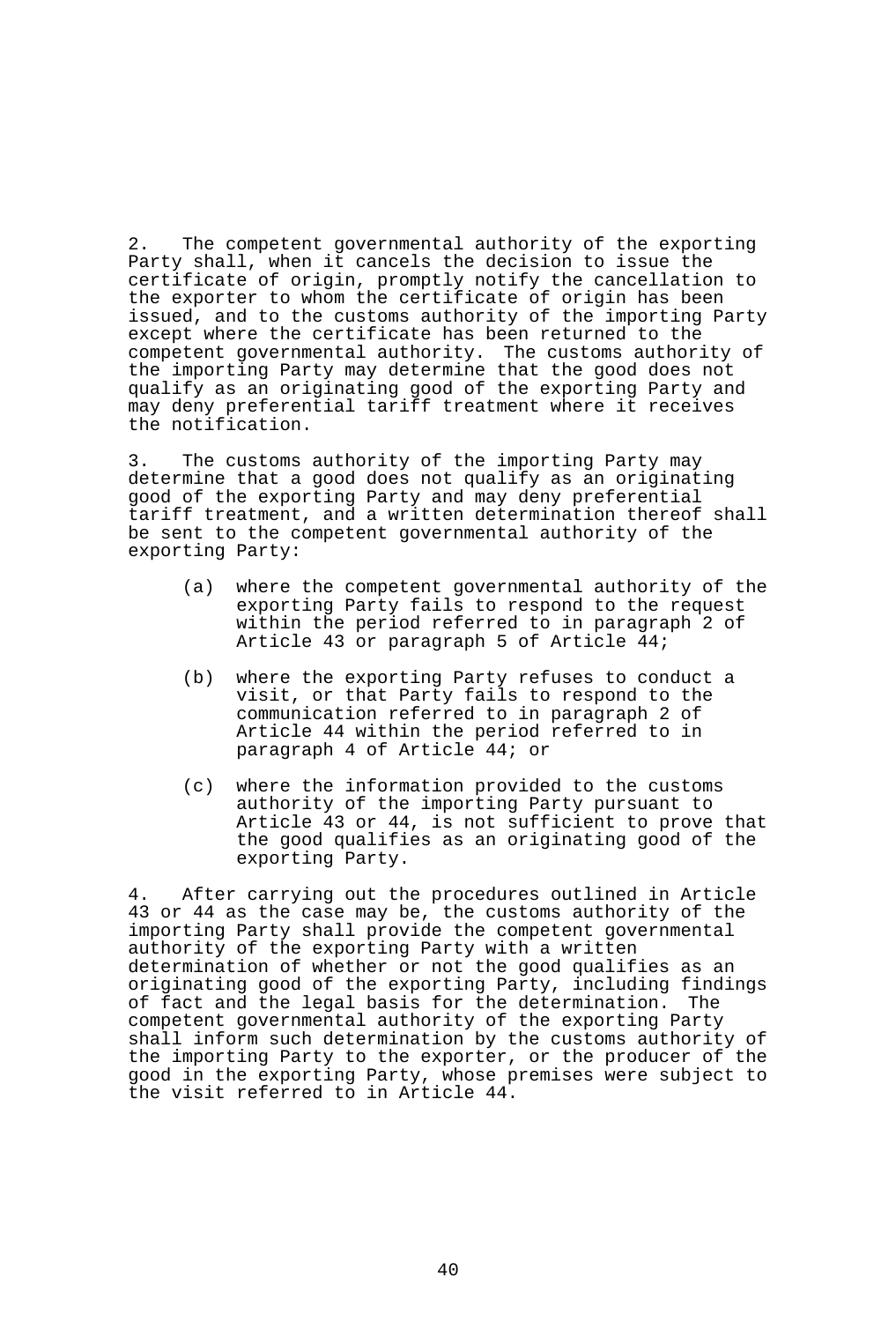2. The competent governmental authority of the exporting Party shall, when it cancels the decision to issue the certificate of origin, promptly notify the cancellation to the exporter to whom the certificate of origin has been issued, and to the customs authority of the importing Party except where the certificate has been returned to the competent governmental authority. The customs authority of the importing Party may determine that the good does not qualify as an originating good of the exporting Party and may deny preferential tariff treatment where it receives the notification.

3. The customs authority of the importing Party may determine that a good does not qualify as an originating good of the exporting Party and may deny preferential tariff treatment, and a written determination thereof shall be sent to the competent governmental authority of the exporting Party:

- (a) where the competent governmental authority of the exporting Party fails to respond to the request within the period referred to in paragraph 2 of Article 43 or paragraph 5 of Article 44;
- (b) where the exporting Party refuses to conduct a visit, or that Party fails to respond to the communication referred to in paragraph 2 of Article 44 within the period referred to in paragraph 4 of Article 44; or
- (c) where the information provided to the customs authority of the importing Party pursuant to Article 43 or 44, is not sufficient to prove that the good qualifies as an originating good of the exporting Party.

4. After carrying out the procedures outlined in Article 43 or 44 as the case may be, the customs authority of the importing Party shall provide the competent governmental authority of the exporting Party with a written determination of whether or not the good qualifies as an originating good of the exporting Party, including findings of fact and the legal basis for the determination. The competent governmental authority of the exporting Party shall inform such determination by the customs authority of the importing Party to the exporter, or the producer of the good in the exporting Party, whose premises were subject to the visit referred to in Article 44.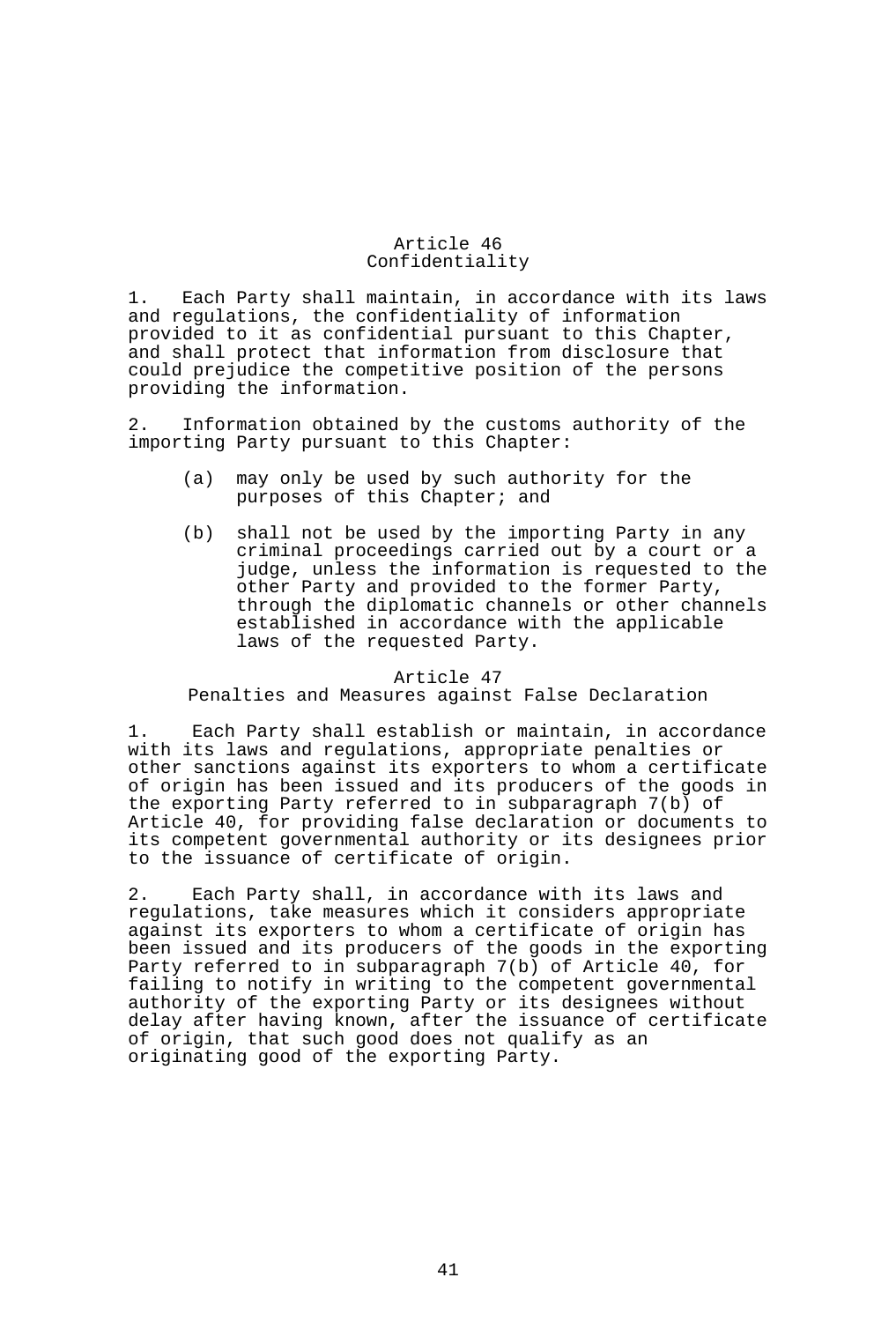# Article 46 Confidentiality

1. Each Party shall maintain, in accordance with its laws and regulations, the confidentiality of information provided to it as confidential pursuant to this Chapter, and shall protect that information from disclosure that could prejudice the competitive position of the persons providing the information.

2. Information obtained by the customs authority of the importing Party pursuant to this Chapter:

- (a) may only be used by such authority for the purposes of this Chapter; and
- (b) shall not be used by the importing Party in any criminal proceedings carried out by a court or a judge, unless the information is requested to the other Party and provided to the former Party, through the diplomatic channels or other channels established in accordance with the applicable laws of the requested Party.

#### Article 47

Penalties and Measures against False Declaration

1. Each Party shall establish or maintain, in accordance with its laws and regulations, appropriate penalties or other sanctions against its exporters to whom a certificate of origin has been issued and its producers of the goods in the exporting Party referred to in subparagraph 7(b) of Article 40, for providing false declaration or documents to its competent governmental authority or its designees prior to the issuance of certificate of origin.

2. Each Party shall, in accordance with its laws and regulations, take measures which it considers appropriate against its exporters to whom a certificate of origin has been issued and its producers of the goods in the exporting Party referred to in subparagraph 7(b) of Article 40, for failing to notify in writing to the competent governmental authority of the exporting Party or its designees without delay after having known, after the issuance of certificate of origin, that such good does not qualify as an originating good of the exporting Party.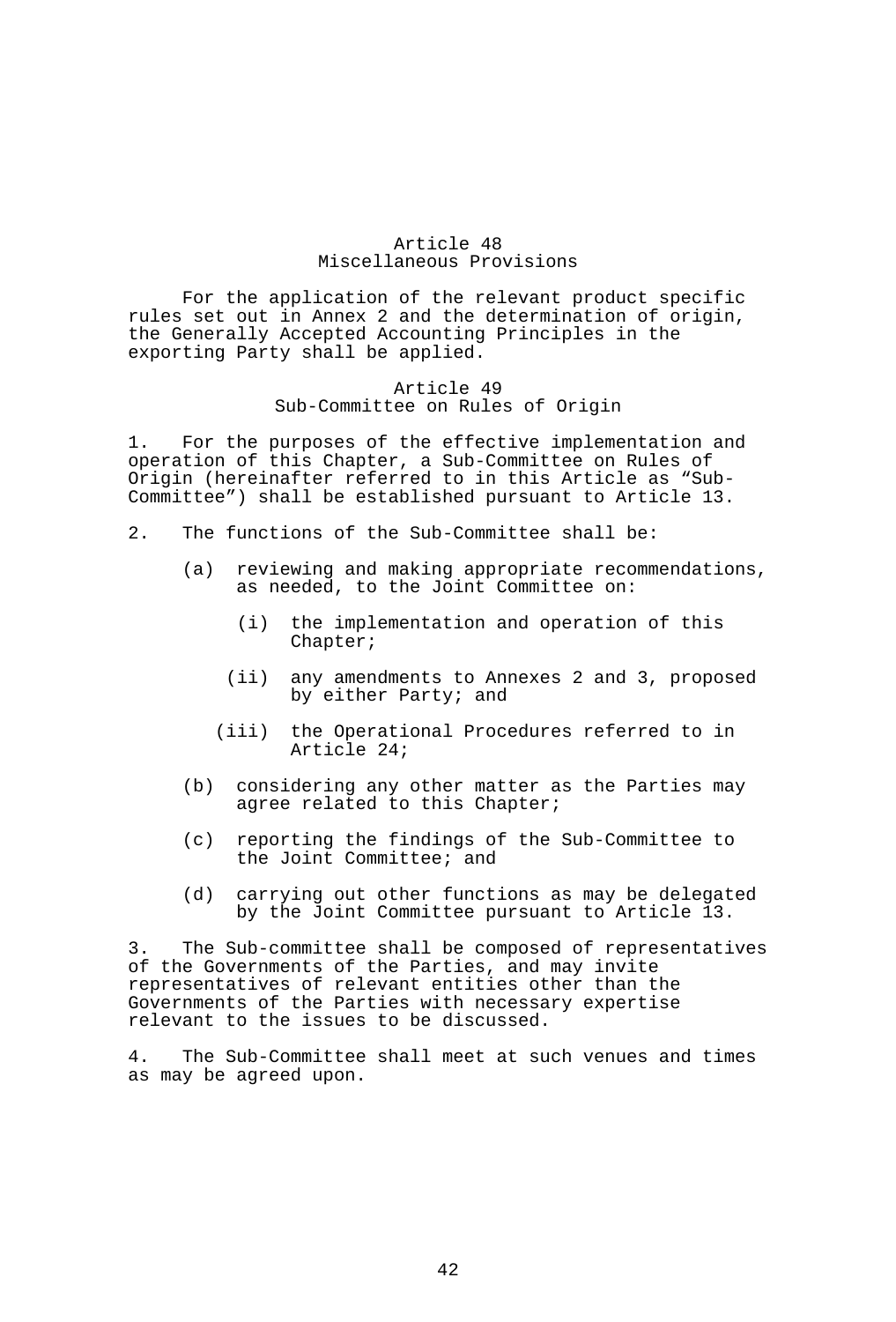# Article 48 Miscellaneous Provisions

 For the application of the relevant product specific rules set out in Annex 2 and the determination of origin, the Generally Accepted Accounting Principles in the exporting Party shall be applied.

# Article 49 Sub-Committee on Rules of Origin

1. For the purposes of the effective implementation and operation of this Chapter, a Sub-Committee on Rules of Origin (hereinafter referred to in this Article as "Sub-Committee") shall be established pursuant to Article 13.

- 2. The functions of the Sub-Committee shall be:
	- (a) reviewing and making appropriate recommendations, as needed, to the Joint Committee on:
		- (i) the implementation and operation of this Chapter;
		- (ii) any amendments to Annexes 2 and 3, proposed by either Party; and
		- (iii) the Operational Procedures referred to in Article 24;
	- (b) considering any other matter as the Parties may agree related to this Chapter;
	- (c) reporting the findings of the Sub-Committee to the Joint Committee; and
	- (d) carrying out other functions as may be delegated by the Joint Committee pursuant to Article 13.

3. The Sub-committee shall be composed of representatives of the Governments of the Parties, and may invite representatives of relevant entities other than the Governments of the Parties with necessary expertise relevant to the issues to be discussed.

4. The Sub-Committee shall meet at such venues and times as may be agreed upon.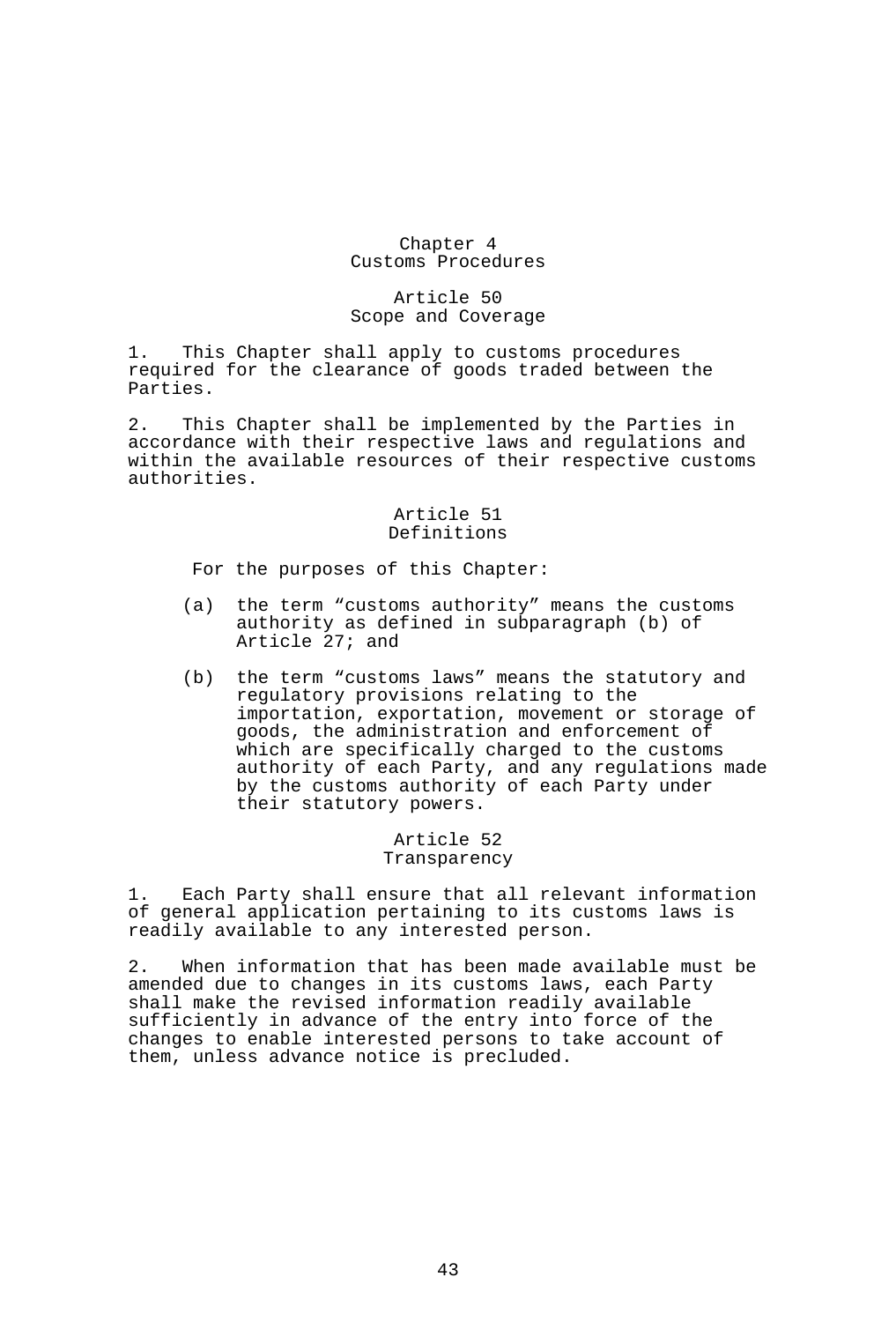# Chapter 4 Customs Procedures

# Article 50 Scope and Coverage

1. This Chapter shall apply to customs procedures required for the clearance of goods traded between the Parties.

2. This Chapter shall be implemented by the Parties in accordance with their respective laws and regulations and within the available resources of their respective customs authorities.

### Article 51 Definitions

For the purposes of this Chapter:

- (a) the term "customs authority" means the customs authority as defined in subparagraph (b) of Article 27; and
- (b) the term "customs laws" means the statutory and regulatory provisions relating to the importation, exportation, movement or storage of goods, the administration and enforcement of which are specifically charged to the customs authority of each Party, and any regulations made by the customs authority of each Party under their statutory powers.

# Article 52 Transparency

1. Each Party shall ensure that all relevant information of general application pertaining to its customs laws is readily available to any interested person.

2. When information that has been made available must be amended due to changes in its customs laws, each Party shall make the revised information readily available sufficiently in advance of the entry into force of the changes to enable interested persons to take account of them, unless advance notice is precluded.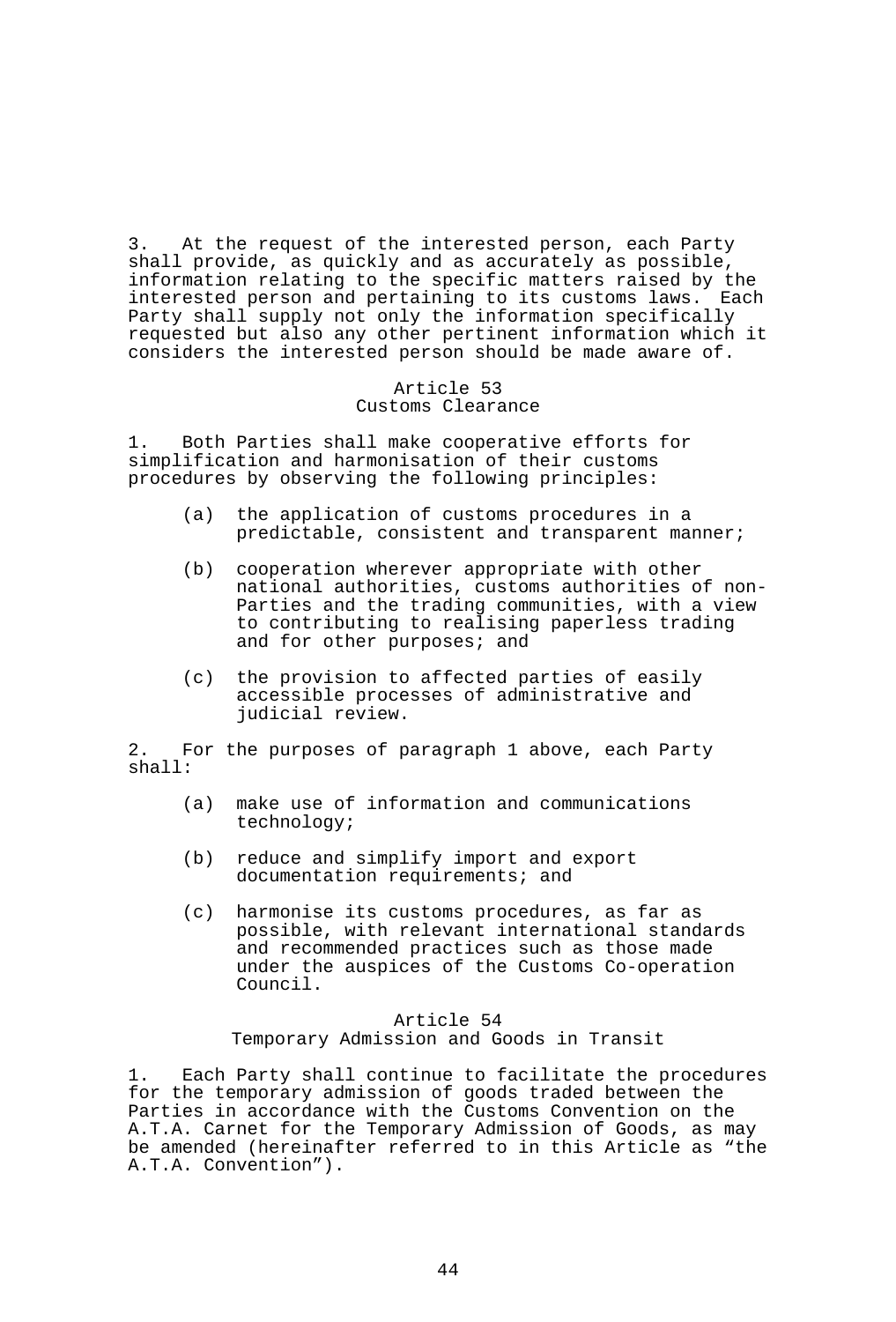3. At the request of the interested person, each Party shall provide, as quickly and as accurately as possible, information relating to the specific matters raised by the interested person and pertaining to its customs laws. Each Party shall supply not only the information specifically requested but also any other pertinent information which it considers the interested person should be made aware of.

### Article 53 Customs Clearance

1. Both Parties shall make cooperative efforts for simplification and harmonisation of their customs procedures by observing the following principles:

- (a) the application of customs procedures in a predictable, consistent and transparent manner;
- (b) cooperation wherever appropriate with other national authorities, customs authorities of non-Parties and the trading communities, with a view to contributing to realising paperless trading and for other purposes; and
- (c) the provision to affected parties of easily accessible processes of administrative and judicial review.

2. For the purposes of paragraph 1 above, each Party shall:

- (a) make use of information and communications technology;
- (b) reduce and simplify import and export documentation requirements; and
- (c) harmonise its customs procedures, as far as possible, with relevant international standards and recommended practices such as those made under the auspices of the Customs Co-operation Council.

# Article 54 Temporary Admission and Goods in Transit

1. Each Party shall continue to facilitate the procedures for the temporary admission of goods traded between the Parties in accordance with the Customs Convention on the A.T.A. Carnet for the Temporary Admission of Goods, as may be amended (hereinafter referred to in this Article as "the A.T.A. Convention").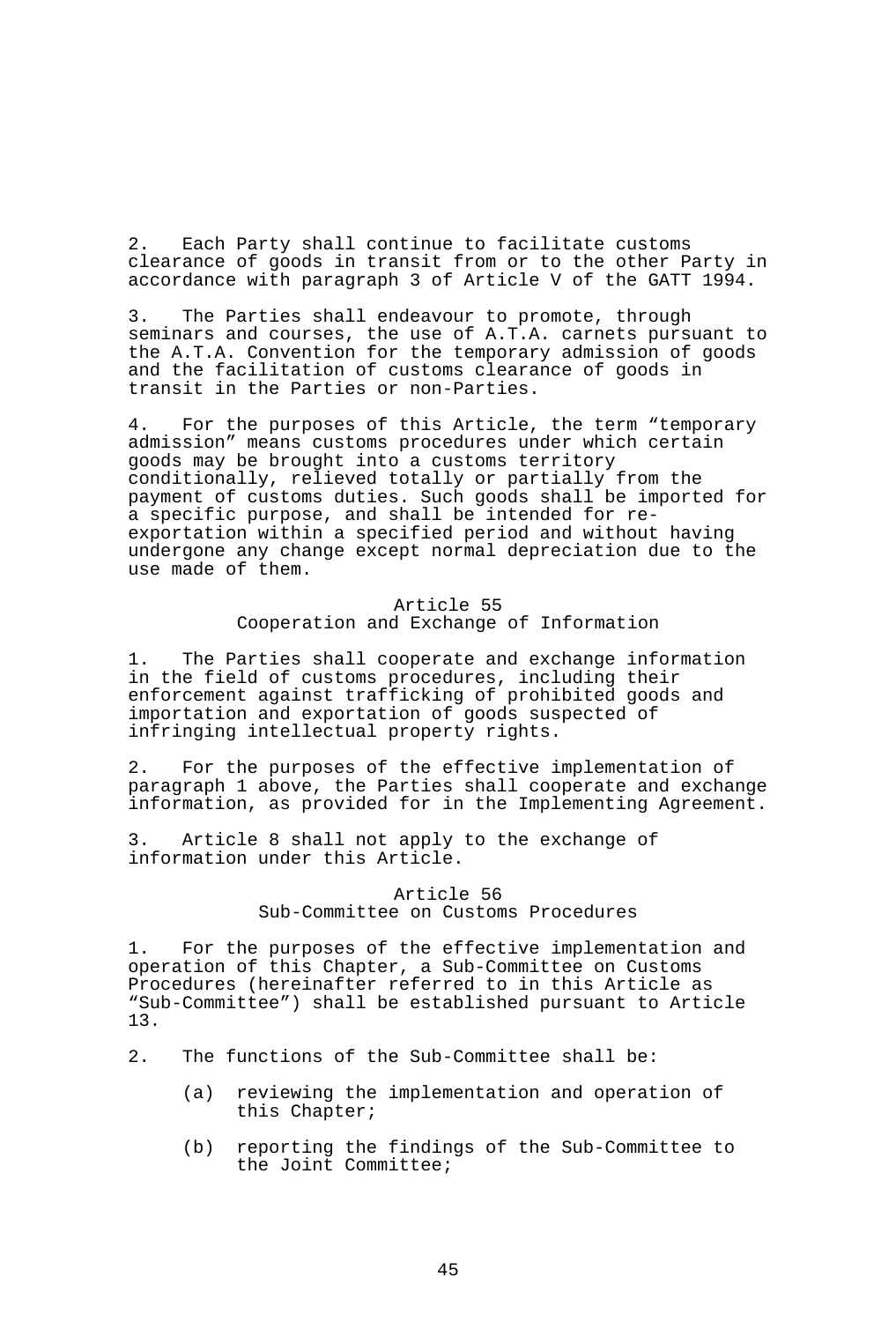2. Each Party shall continue to facilitate customs clearance of goods in transit from or to the other Party in accordance with paragraph 3 of Article V of the GATT 1994.

3. The Parties shall endeavour to promote, through seminars and courses, the use of A.T.A. carnets pursuant to the A.T.A. Convention for the temporary admission of goods and the facilitation of customs clearance of goods in transit in the Parties or non-Parties.

4. For the purposes of this Article, the term "temporary admission" means customs procedures under which certain goods may be brought into a customs territory conditionally, relieved totally or partially from the payment of customs duties. Such goods shall be imported for a specific purpose, and shall be intended for reexportation within a specified period and without having undergone any change except normal depreciation due to the use made of them.

# Article 55 Cooperation and Exchange of Information

1. The Parties shall cooperate and exchange information in the field of customs procedures, including their enforcement against trafficking of prohibited goods and importation and exportation of goods suspected of infringing intellectual property rights.

2. For the purposes of the effective implementation of paragraph 1 above, the Parties shall cooperate and exchange information, as provided for in the Implementing Agreement.

3. Article 8 shall not apply to the exchange of information under this Article.

### Article 56 Sub-Committee on Customs Procedures

1. For the purposes of the effective implementation and operation of this Chapter, a Sub-Committee on Customs Procedures (hereinafter referred to in this Article as "Sub-Committee") shall be established pursuant to Article 13.

- 2. The functions of the Sub-Committee shall be:
	- (a) reviewing the implementation and operation of this Chapter;
	- (b) reporting the findings of the Sub-Committee to the Joint Committee;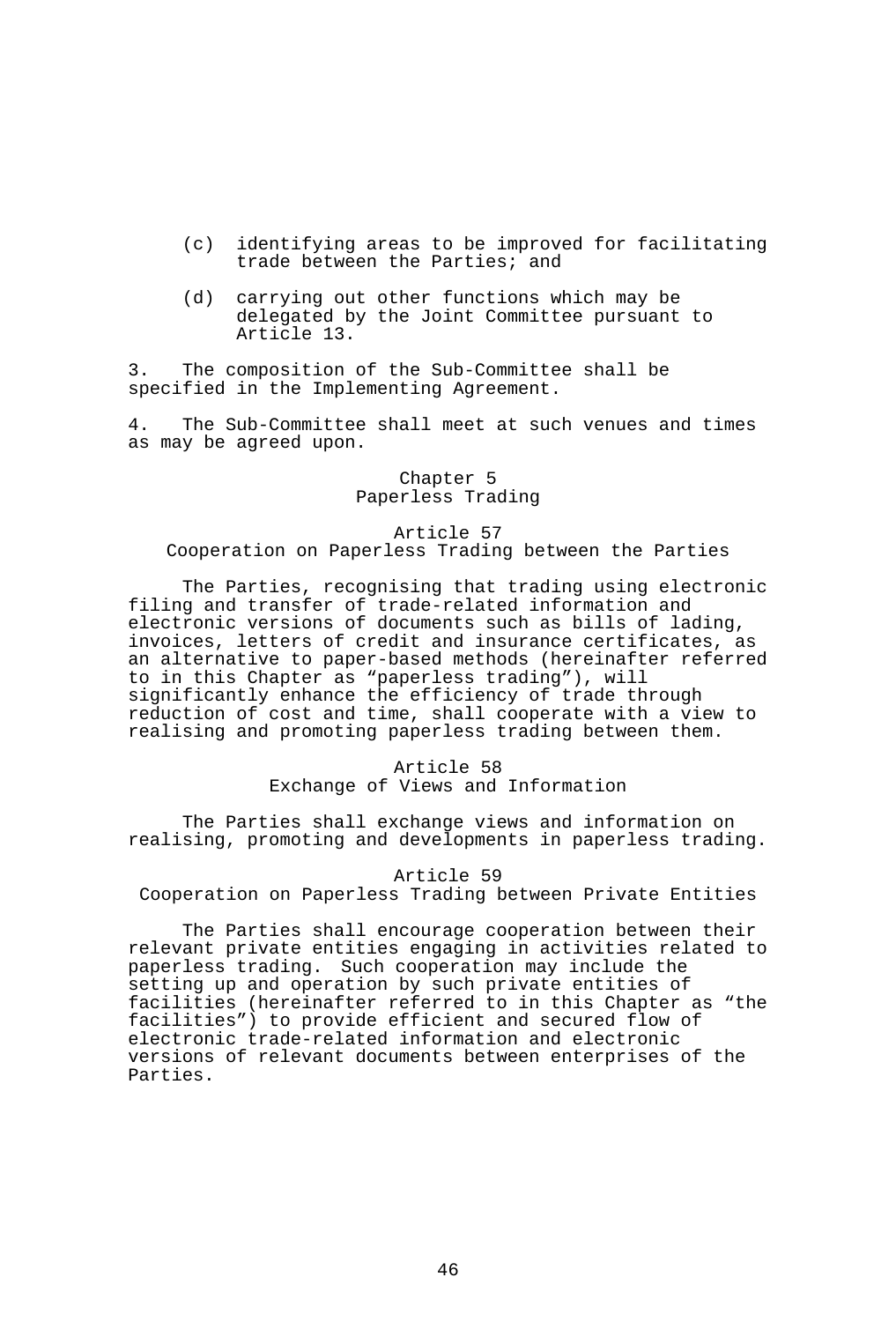- (c) identifying areas to be improved for facilitating trade between the Parties; and
- (d) carrying out other functions which may be delegated by the Joint Committee pursuant to Article 13.

3. The composition of the Sub-Committee shall be specified in the Implementing Agreement.

4. The Sub-Committee shall meet at such venues and times as may be agreed upon.

### Chapter 5 Paperless Trading

#### Article 57

Cooperation on Paperless Trading between the Parties

 The Parties, recognising that trading using electronic filing and transfer of trade-related information and electronic versions of documents such as bills of lading, invoices, letters of credit and insurance certificates, as an alternative to paper-based methods (hereinafter referred to in this Chapter as "paperless trading"), will significantly enhance the efficiency of trade through reduction of cost and time, shall cooperate with a view to realising and promoting paperless trading between them.

### Article 58 Exchange of Views and Information

 The Parties shall exchange views and information on realising, promoting and developments in paperless trading.

#### Article 59

Cooperation on Paperless Trading between Private Entities

 The Parties shall encourage cooperation between their relevant private entities engaging in activities related to paperless trading. Such cooperation may include the setting up and operation by such private entities of facilities (hereinafter referred to in this Chapter as "the facilities") to provide efficient and secured flow of electronic trade-related information and electronic versions of relevant documents between enterprises of the Parties.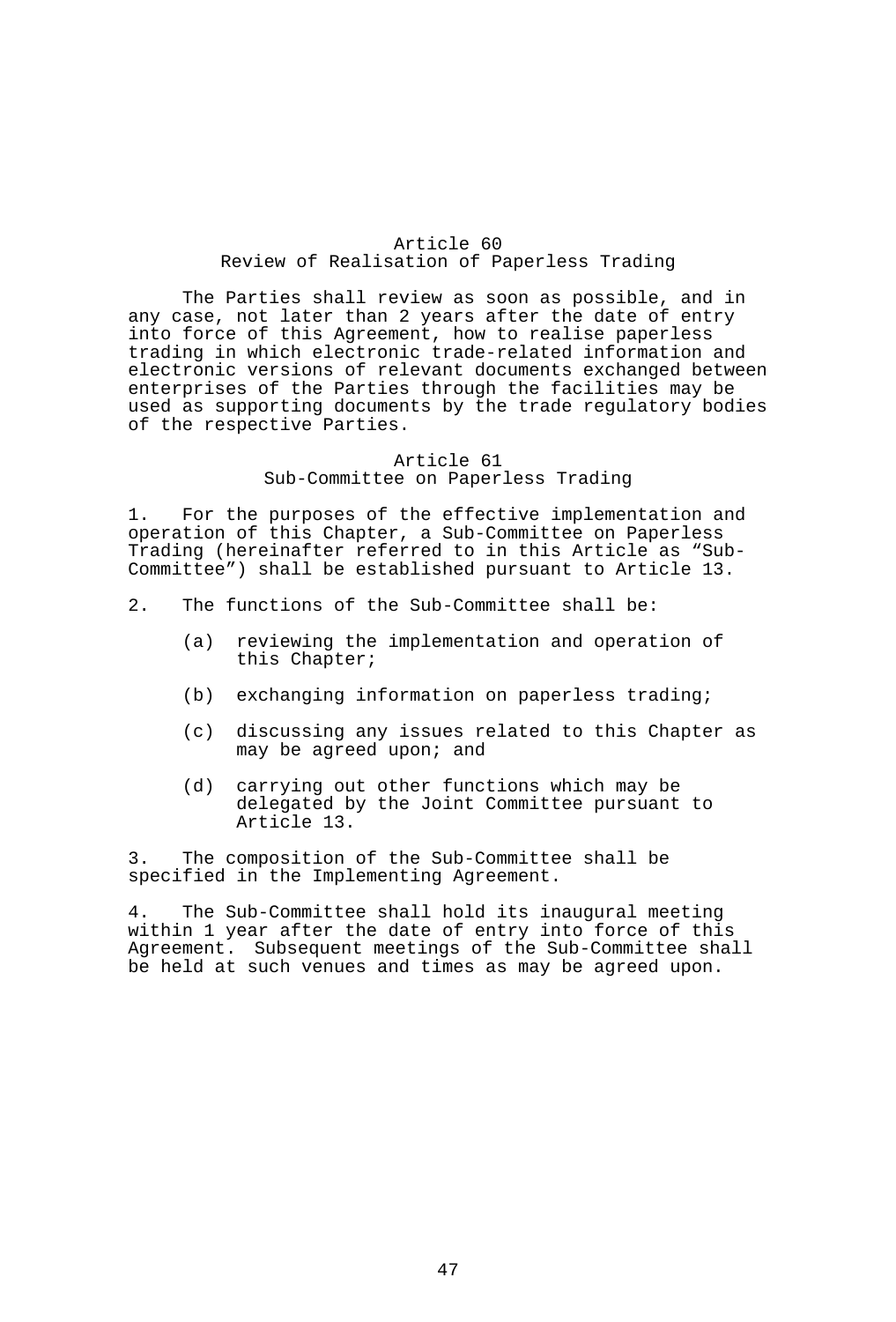# Article 60 Review of Realisation of Paperless Trading

 The Parties shall review as soon as possible, and in any case, not later than 2 years after the date of entry into force of this Agreement, how to realise paperless trading in which electronic trade-related information and electronic versions of relevant documents exchanged between enterprises of the Parties through the facilities may be used as supporting documents by the trade regulatory bodies of the respective Parties.

#### Article 61 Sub-Committee on Paperless Trading

1. For the purposes of the effective implementation and operation of this Chapter, a Sub-Committee on Paperless Trading (hereinafter referred to in this Article as "Sub-Committee") shall be established pursuant to Article 13.

- 2. The functions of the Sub-Committee shall be:
	- (a) reviewing the implementation and operation of this Chapter;
	- (b) exchanging information on paperless trading;
	- (c) discussing any issues related to this Chapter as may be agreed upon; and
	- (d) carrying out other functions which may be delegated by the Joint Committee pursuant to Article 13.

3. The composition of the Sub-Committee shall be specified in the Implementing Agreement.

4. The Sub-Committee shall hold its inaugural meeting within 1 year after the date of entry into force of this Agreement. Subsequent meetings of the Sub-Committee shall be held at such venues and times as may be agreed upon.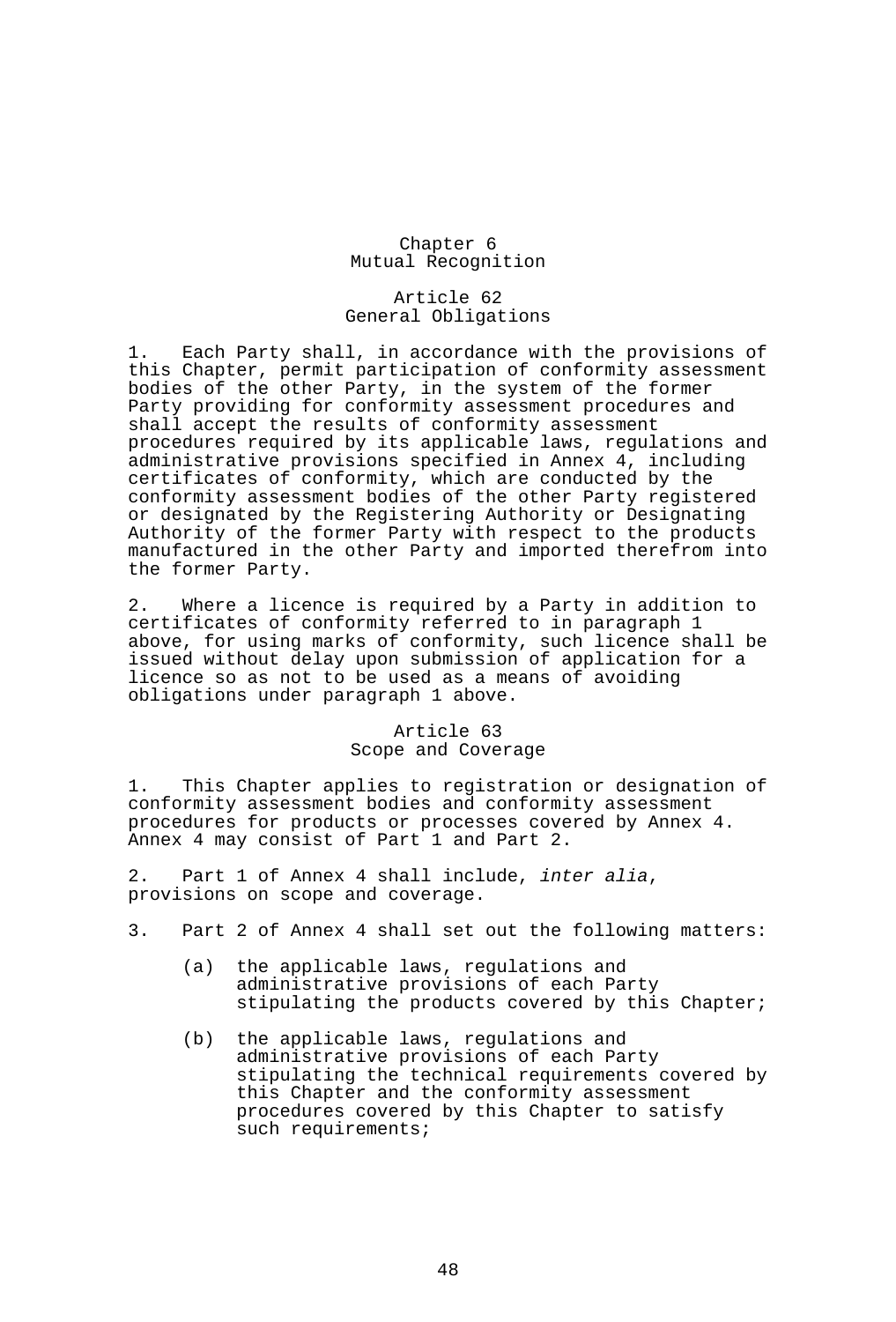# Chapter 6 Mutual Recognition

### Article 62 General Obligations

1. Each Party shall, in accordance with the provisions of this Chapter, permit participation of conformity assessment bodies of the other Party, in the system of the former Party providing for conformity assessment procedures and shall accept the results of conformity assessment procedures required by its applicable laws, regulations and administrative provisions specified in Annex 4, including certificates of conformity, which are conducted by the conformity assessment bodies of the other Party registered or designated by the Registering Authority or Designating Authority of the former Party with respect to the products manufactured in the other Party and imported therefrom into the former Party.

2. Where a licence is required by a Party in addition to certificates of conformity referred to in paragraph 1 above, for using marks of conformity, such licence shall be issued without delay upon submission of application for a licence so as not to be used as a means of avoiding obligations under paragraph 1 above.

# Article 63 Scope and Coverage

1. This Chapter applies to registration or designation of conformity assessment bodies and conformity assessment procedures for products or processes covered by Annex 4. Annex 4 may consist of Part 1 and Part 2.

2. Part 1 of Annex 4 shall include, *inter alia*, provisions on scope and coverage.

- 3. Part 2 of Annex 4 shall set out the following matters:
	- (a) the applicable laws, regulations and administrative provisions of each Party stipulating the products covered by this Chapter;
	- (b) the applicable laws, regulations and administrative provisions of each Party stipulating the technical requirements covered by this Chapter and the conformity assessment procedures covered by this Chapter to satisfy such requirements;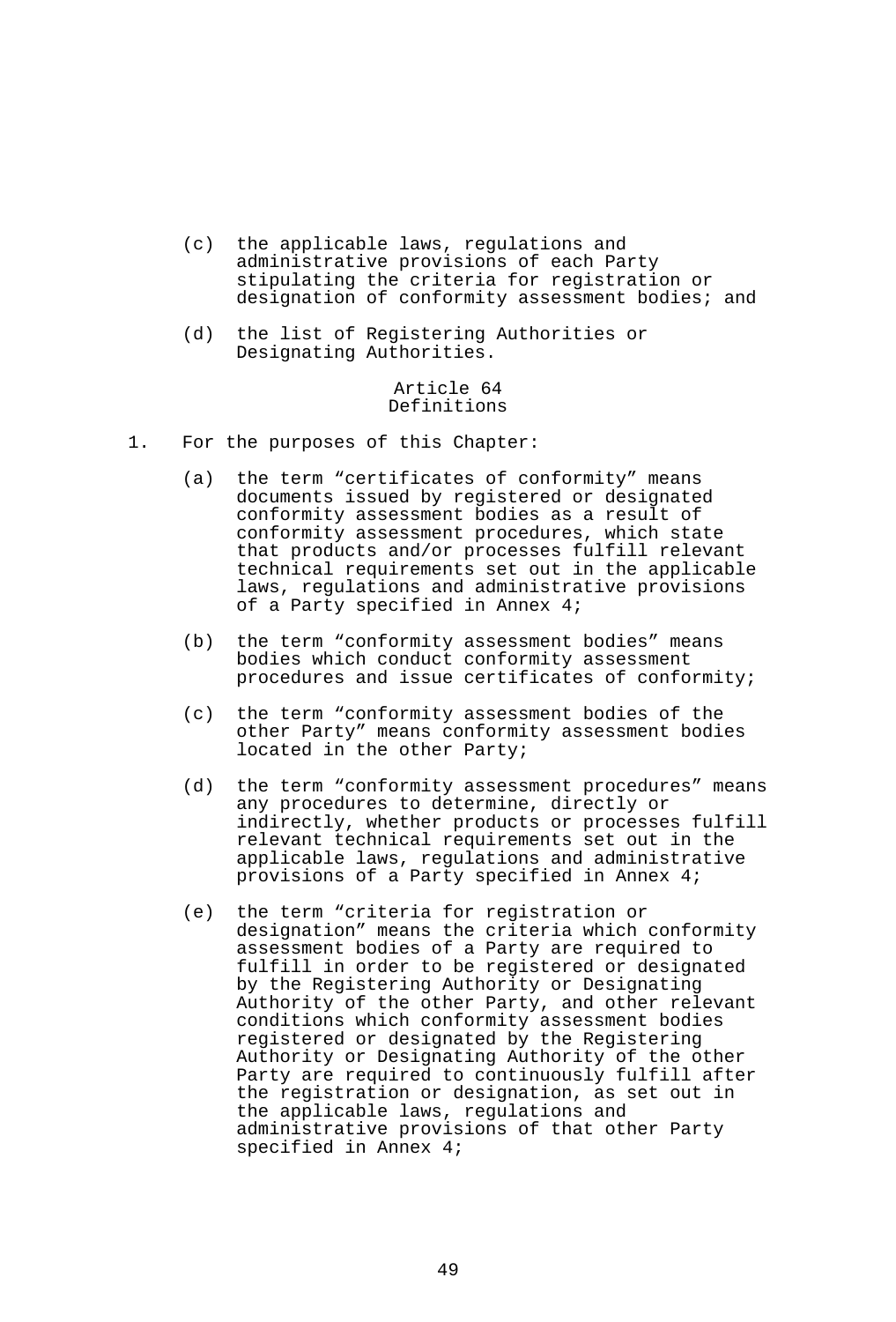- (c) the applicable laws, regulations and administrative provisions of each Party stipulating the criteria for registration or designation of conformity assessment bodies; and
- (d) the list of Registering Authorities or Designating Authorities.

## Article 64 Definitions

- 1. For the purposes of this Chapter:
	- (a) the term "certificates of conformity" means documents issued by registered or designated conformity assessment bodies as a result of conformity assessment procedures, which state that products and/or processes fulfill relevant technical requirements set out in the applicable laws, regulations and administrative provisions of a Party specified in Annex 4;
- (b) the term "conformity assessment bodies" means bodies which conduct conformity assessment procedures and issue certificates of conformity;
	- (c) the term "conformity assessment bodies of the other Party" means conformity assessment bodies located in the other Party;
	- (d) the term "conformity assessment procedures" means any procedures to determine, directly or indirectly, whether products or processes fulfill relevant technical requirements set out in the applicable laws, regulations and administrative provisions of a Party specified in Annex 4;
	- (e) the term "criteria for registration or designation" means the criteria which conformity assessment bodies of a Party are required to fulfill in order to be registered or designated by the Registering Authority or Designating Authority of the other Party, and other relevant conditions which conformity assessment bodies registered or designated by the Registering Authority or Designating Authority of the other Party are required to continuously fulfill after the registration or designation, as set out in the applicable laws, regulations and administrative provisions of that other Party specified in Annex 4;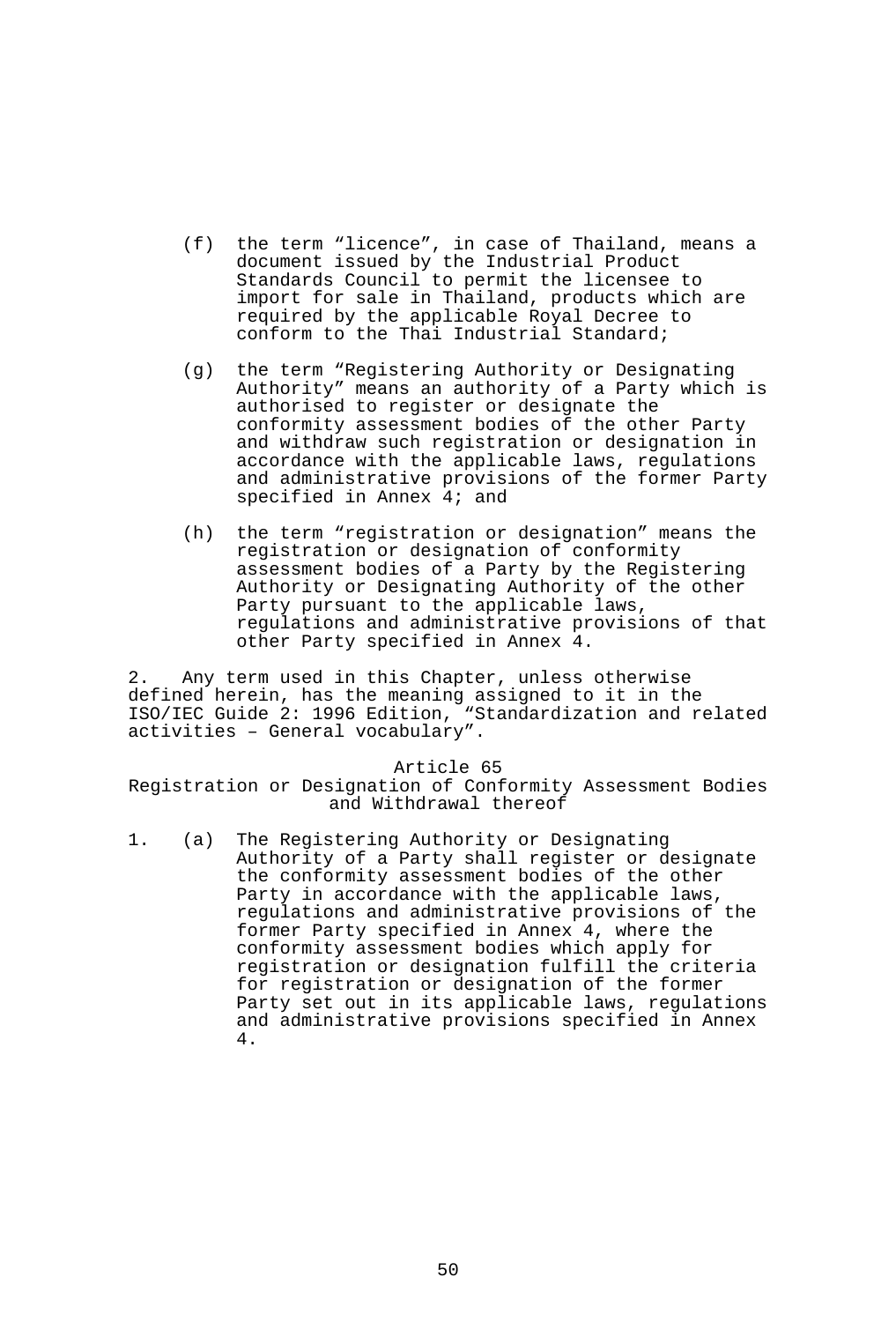- (f) the term "licence", in case of Thailand, means a document issued by the Industrial Product Standards Council to permit the licensee to import for sale in Thailand, products which are required by the applicable Royal Decree to conform to the Thai Industrial Standard;
- (g) the term "Registering Authority or Designating Authority" means an authority of a Party which is authorised to register or designate the conformity assessment bodies of the other Party and withdraw such registration or designation in accordance with the applicable laws, regulations and administrative provisions of the former Party specified in Annex 4; and
- (h) the term "registration or designation" means the registration or designation of conformity assessment bodies of a Party by the Registering Authority or Designating Authority of the other Party pursuant to the applicable laws, regulations and administrative provisions of that other Party specified in Annex 4.

2. Any term used in this Chapter, unless otherwise defined herein, has the meaning assigned to it in the ISO/IEC Guide 2: 1996 Edition, "Standardization and related activities – General vocabulary".

Article 65

Registration or Designation of Conformity Assessment Bodies and Withdrawal thereof

1. (a) The Registering Authority or Designating Authority of a Party shall register or designate the conformity assessment bodies of the other Party in accordance with the applicable laws, regulations and administrative provisions of the former Party specified in Annex 4, where the conformity assessment bodies which apply for registration or designation fulfill the criteria for registration or designation of the former Party set out in its applicable laws, regulations and administrative provisions specified in Annex 4.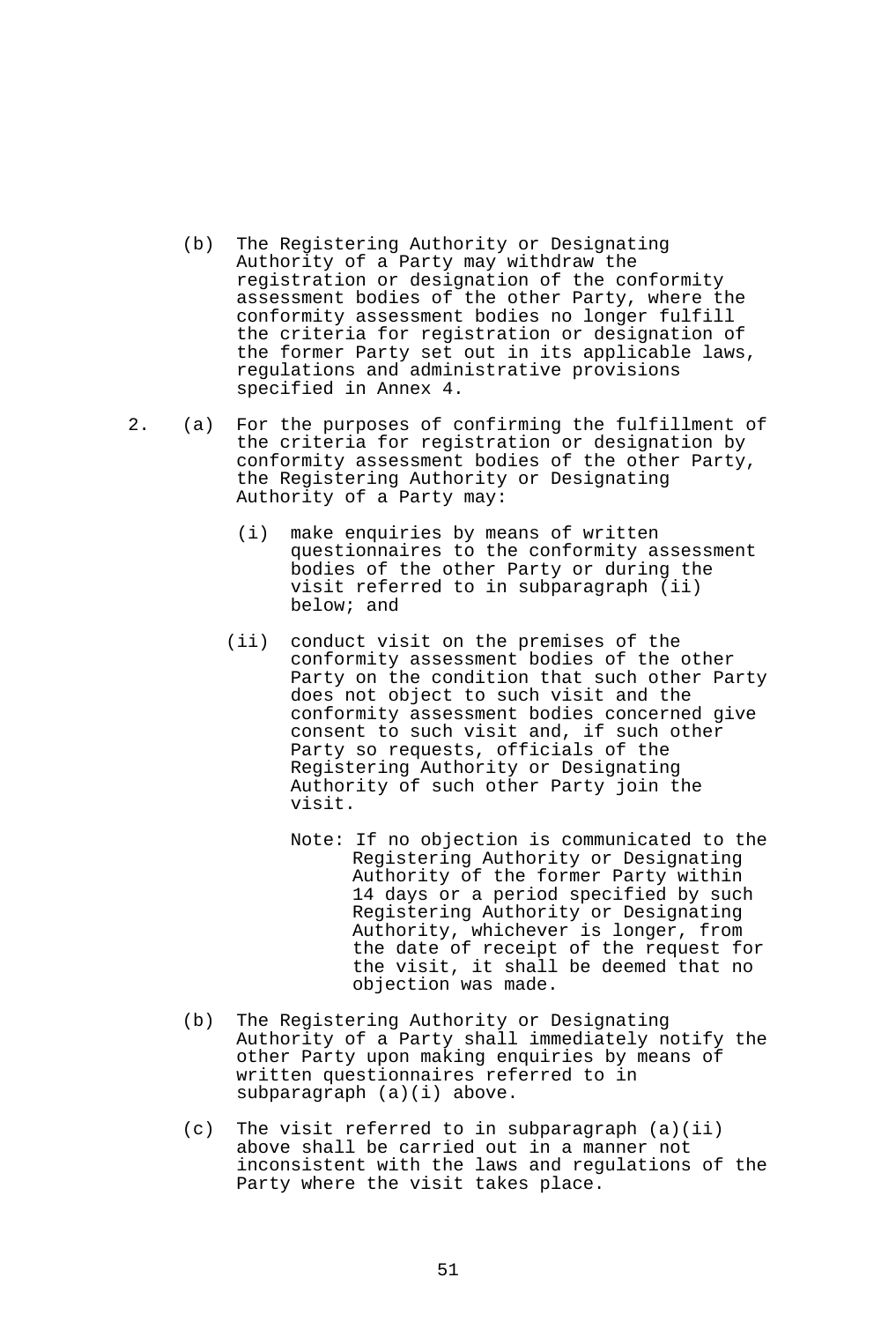- (b) The Registering Authority or Designating Authority of a Party may withdraw the registration or designation of the conformity assessment bodies of the other Party, where the conformity assessment bodies no longer fulfill the criteria for registration or designation of the former Party set out in its applicable laws, regulations and administrative provisions specified in Annex 4.
- 2. (a) For the purposes of confirming the fulfillment of the criteria for registration or designation by conformity assessment bodies of the other Party, the Registering Authority or Designating Authority of a Party may:
	- (i) make enquiries by means of written questionnaires to the conformity assessment bodies of the other Party or during the visit referred to in subparagraph (ii) below; and
	- (ii) conduct visit on the premises of the conformity assessment bodies of the other Party on the condition that such other Party does not object to such visit and the conformity assessment bodies concerned give consent to such visit and, if such other Party so requests, officials of the Registering Authority or Designating Authority of such other Party join the visit.
		- Note: If no objection is communicated to the Registering Authority or Designating Authority of the former Party within 14 days or a period specified by such Registering Authority or Designating Authority, whichever is longer, from the date of receipt of the request for the visit, it shall be deemed that no objection was made.
	- (b) The Registering Authority or Designating Authority of a Party shall immediately notify the other Party upon making enquiries by means of written questionnaires referred to in subparagraph (a)(i) above.
	- (c) The visit referred to in subparagraph (a)(ii) above shall be carried out in a manner not inconsistent with the laws and regulations of the Party where the visit takes place.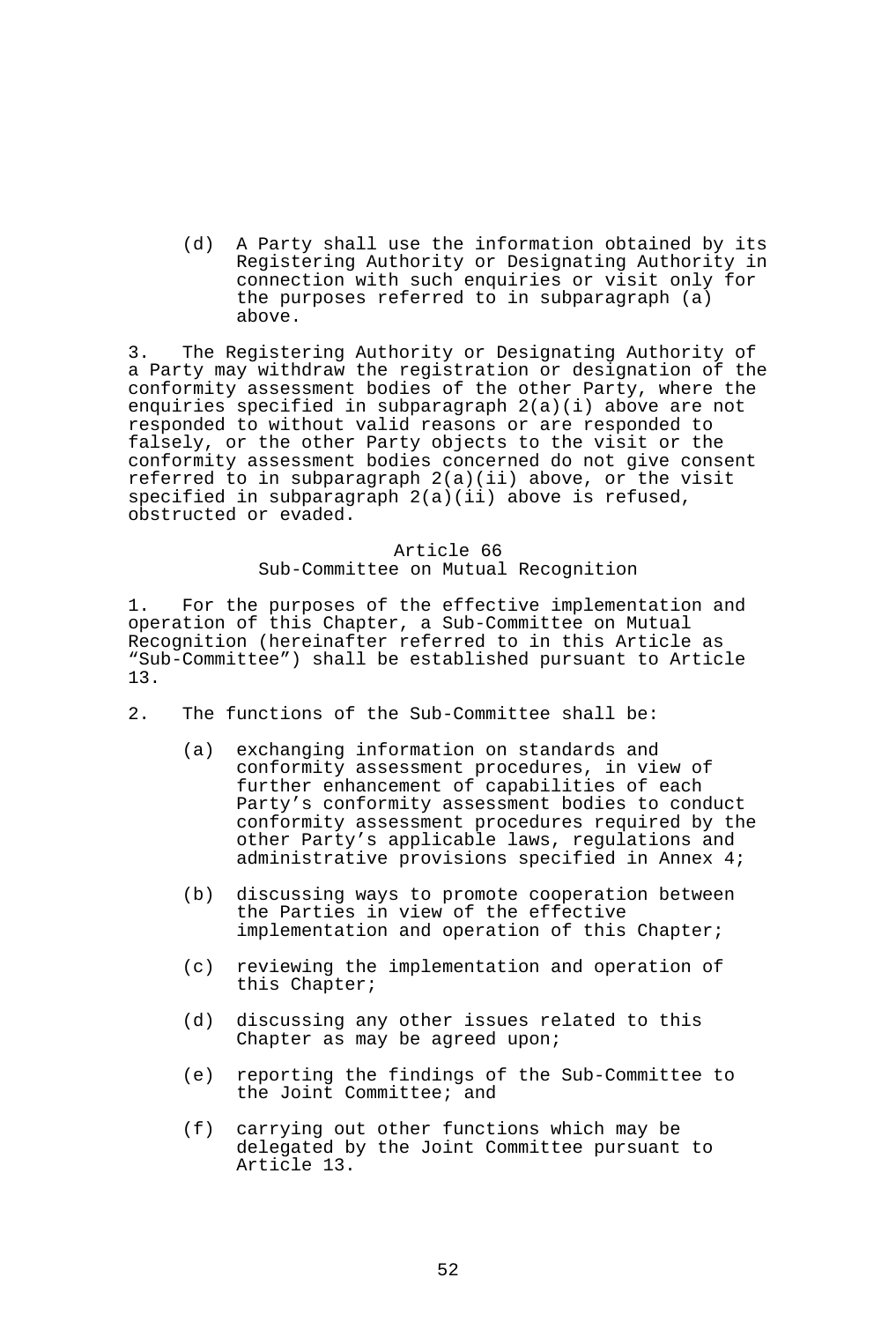(d) A Party shall use the information obtained by its Registering Authority or Designating Authority in connection with such enquiries or visit only for the purposes referred to in subparagraph (a) above.

3. The Registering Authority or Designating Authority of a Party may withdraw the registration or designation of the conformity assessment bodies of the other Party, where the enquiries specified in subparagraph 2(a)(i) above are not responded to without valid reasons or are responded to falsely, or the other Party objects to the visit or the conformity assessment bodies concerned do not give consent referred to in subparagraph  $2(a)(ii)$  above, or the visit specified in subparagraph 2(a)(ii) above is refused, obstructed or evaded.

# Article 66 Sub-Committee on Mutual Recognition

1. For the purposes of the effective implementation and operation of this Chapter, a Sub-Committee on Mutual Recognition (hereinafter referred to in this Article as "Sub-Committee") shall be established pursuant to Article 13.

- 2. The functions of the Sub-Committee shall be:
	- (a) exchanging information on standards and conformity assessment procedures, in view of further enhancement of capabilities of each Party's conformity assessment bodies to conduct conformity assessment procedures required by the other Party's applicable laws, regulations and administrative provisions specified in Annex 4;
	- (b) discussing ways to promote cooperation between the Parties in view of the effective implementation and operation of this Chapter;
	- (c) reviewing the implementation and operation of this Chapter;
	- (d) discussing any other issues related to this Chapter as may be agreed upon;
	- (e) reporting the findings of the Sub-Committee to the Joint Committee; and
	- (f) carrying out other functions which may be delegated by the Joint Committee pursuant to Article 13.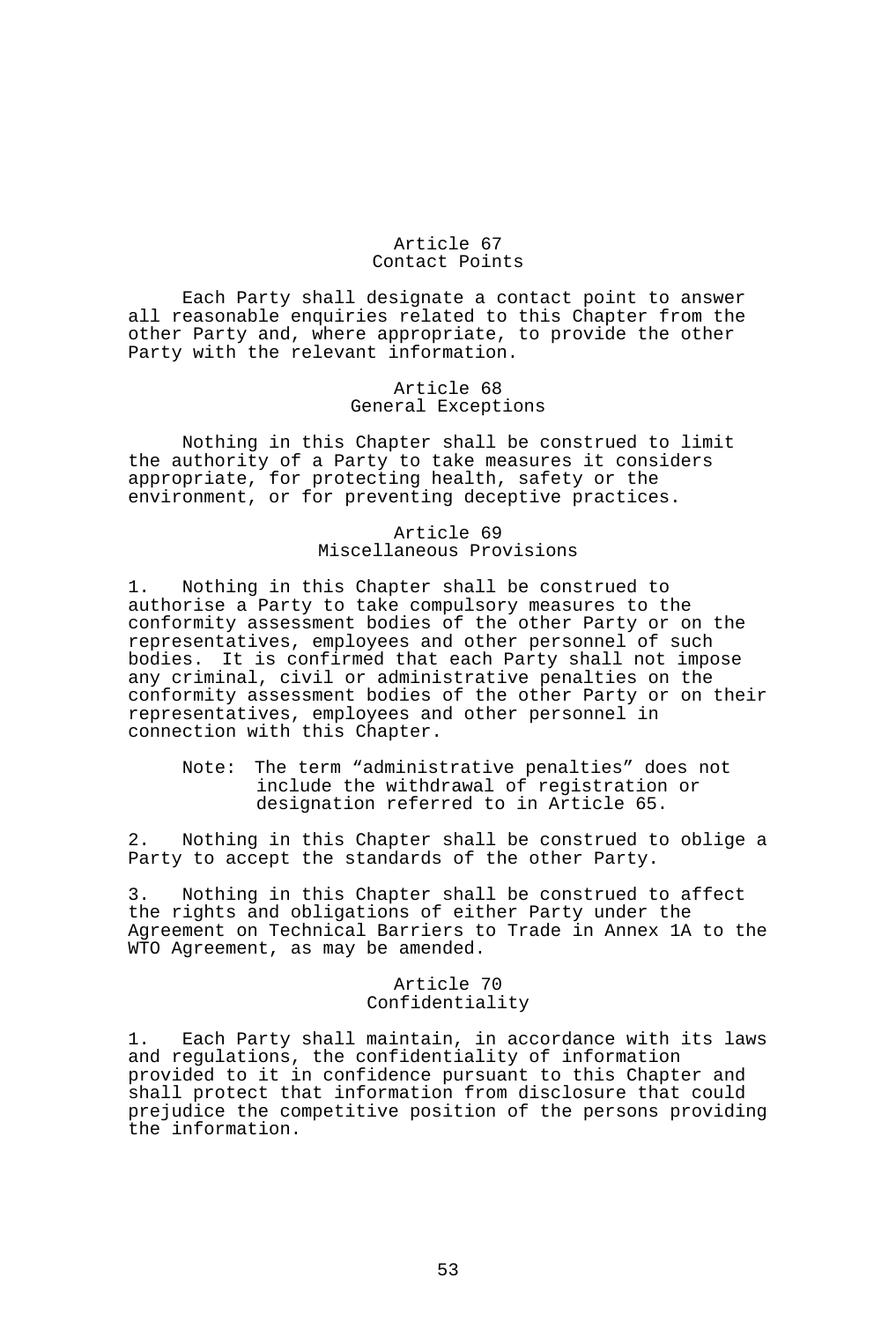### Article 67 Contact Points

 Each Party shall designate a contact point to answer all reasonable enquiries related to this Chapter from the other Party and, where appropriate, to provide the other Party with the relevant information.

## Article 68 General Exceptions

 Nothing in this Chapter shall be construed to limit the authority of a Party to take measures it considers appropriate, for protecting health, safety or the environment, or for preventing deceptive practices.

# Article 69 Miscellaneous Provisions

1. Nothing in this Chapter shall be construed to authorise a Party to take compulsory measures to the conformity assessment bodies of the other Party or on the representatives, employees and other personnel of such bodies. It is confirmed that each Party shall not impose any criminal, civil or administrative penalties on the conformity assessment bodies of the other Party or on their representatives, employees and other personnel in connection with this Chapter.

 Note: The term "administrative penalties" does not include the withdrawal of registration or designation referred to in Article 65.

2. Nothing in this Chapter shall be construed to oblige a Party to accept the standards of the other Party.

3. Nothing in this Chapter shall be construed to affect the rights and obligations of either Party under the Agreement on Technical Barriers to Trade in Annex 1A to the WTO Agreement, as may be amended.

# Article 70 Confidentiality

1. Each Party shall maintain, in accordance with its laws and regulations, the confidentiality of information provided to it in confidence pursuant to this Chapter and shall protect that information from disclosure that could prejudice the competitive position of the persons providing the information.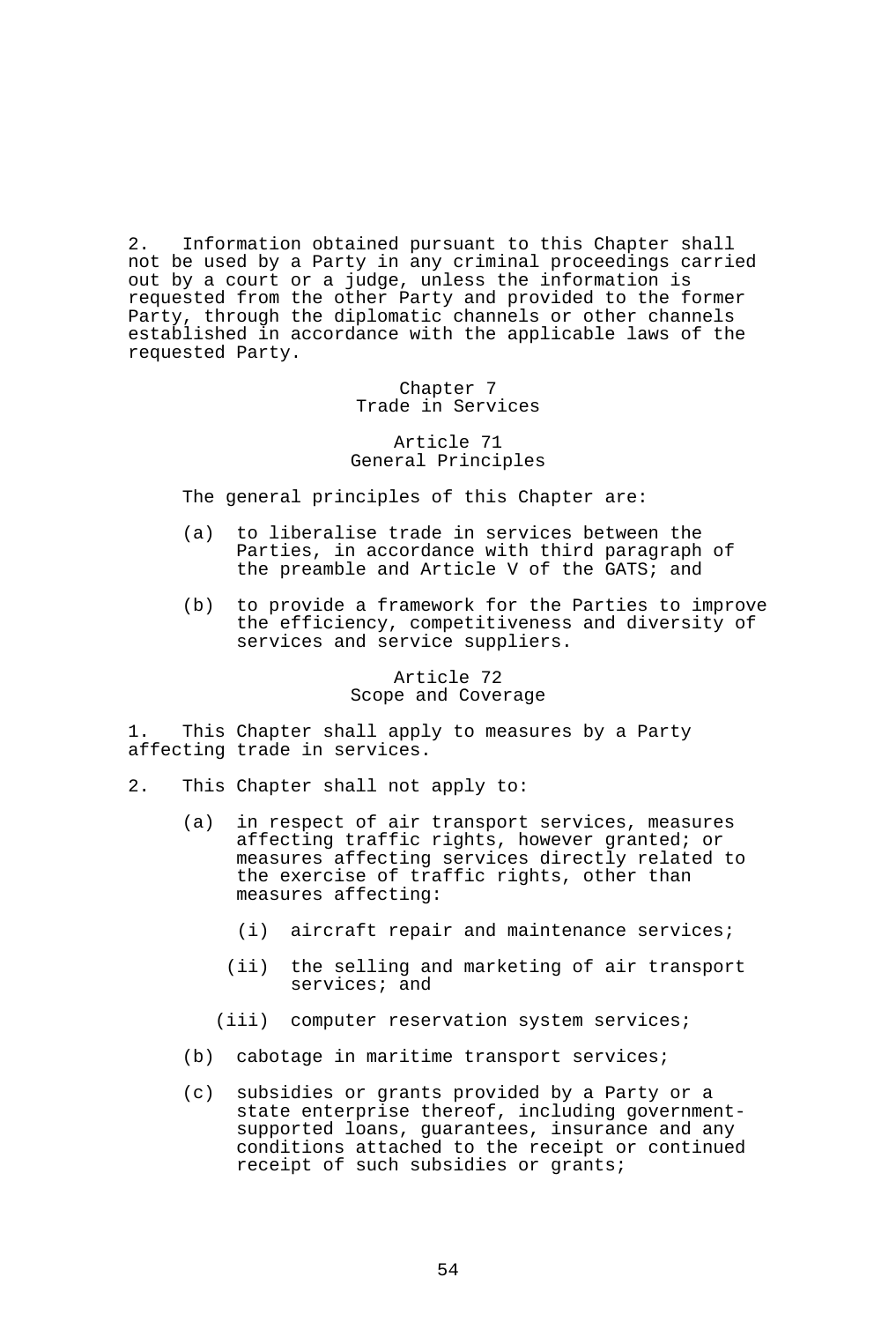2. Information obtained pursuant to this Chapter shall not be used by a Party in any criminal proceedings carried out by a court or a judge, unless the information is requested from the other Party and provided to the former Party, through the diplomatic channels or other channels established in accordance with the applicable laws of the requested Party.

> Chapter 7 Trade in Services

## Article 71 General Principles

The general principles of this Chapter are:

- (a) to liberalise trade in services between the Parties, in accordance with third paragraph of the preamble and Article V of the GATS; and
- (b) to provide a framework for the Parties to improve the efficiency, competitiveness and diversity of services and service suppliers.

### Article 72 Scope and Coverage

1. This Chapter shall apply to measures by a Party affecting trade in services.

- 2. This Chapter shall not apply to:
	- (a) in respect of air transport services, measures affecting traffic rights, however granted; or measures affecting services directly related to the exercise of traffic rights, other than measures affecting:
		- (i) aircraft repair and maintenance services;
		- (ii) the selling and marketing of air transport services; and
		- (iii) computer reservation system services;
	- (b) cabotage in maritime transport services;
	- (c) subsidies or grants provided by a Party or a state enterprise thereof, including governmentsupported loans, guarantees, insurance and any conditions attached to the receipt or continued receipt of such subsidies or grants;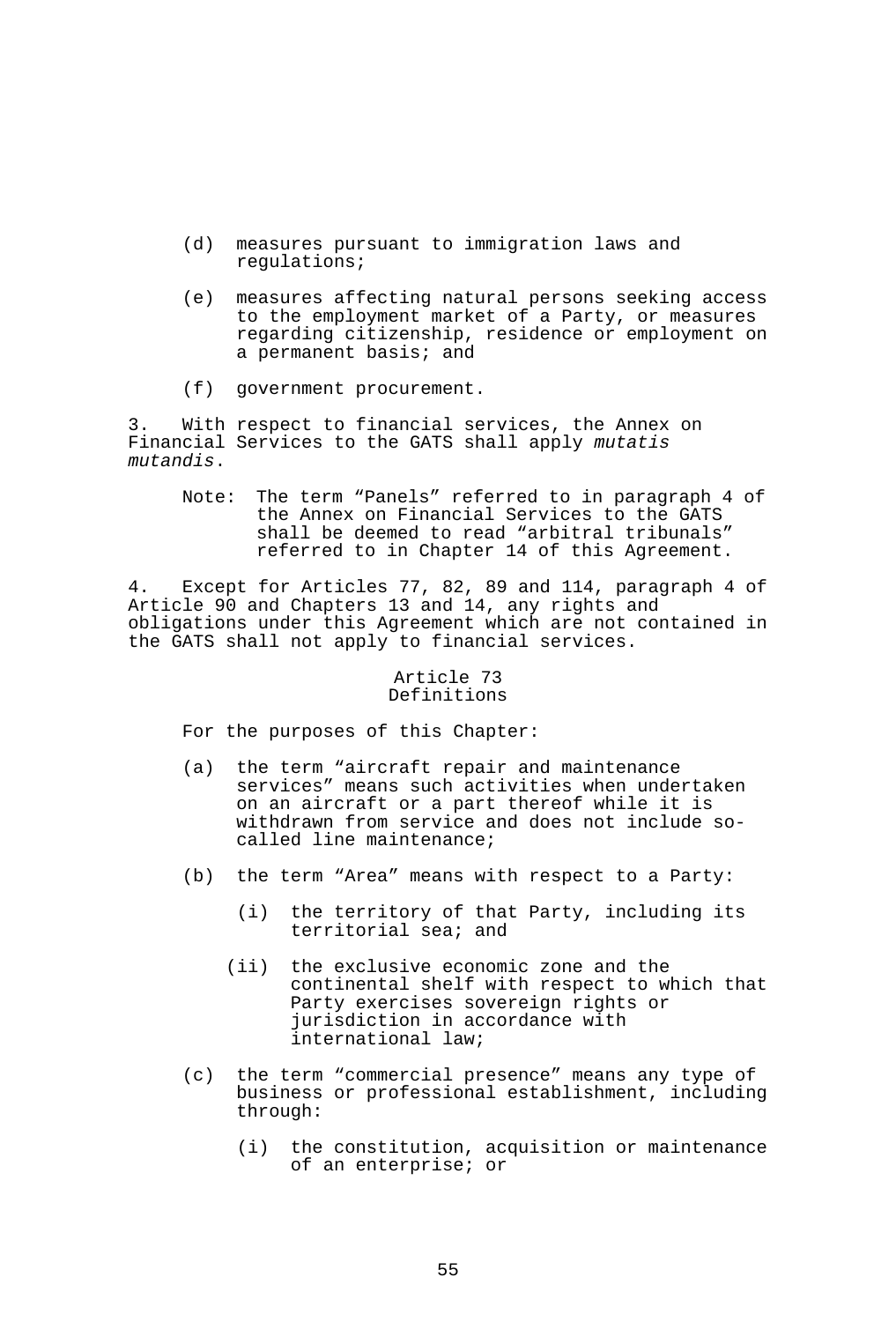- (d) measures pursuant to immigration laws and regulations;
- (e) measures affecting natural persons seeking access to the employment market of a Party, or measures regarding citizenship, residence or employment on a permanent basis; and
- (f) government procurement.

3. With respect to financial services, the Annex on Financial Services to the GATS shall apply *mutatis mutandis*.

 Note: The term "Panels" referred to in paragraph 4 of the Annex on Financial Services to the GATS shall be deemed to read "arbitral tribunals" referred to in Chapter 14 of this Agreement.

4. Except for Articles 77, 82, 89 and 114, paragraph 4 of Article 90 and Chapters 13 and 14, any rights and obligations under this Agreement which are not contained in the GATS shall not apply to financial services.

### Article 73 Definitions

For the purposes of this Chapter:

- (a) the term "aircraft repair and maintenance services" means such activities when undertaken on an aircraft or a part thereof while it is withdrawn from service and does not include socalled line maintenance;
- (b) the term "Area" means with respect to a Party:
	- (i) the territory of that Party, including its territorial sea; and
	- (ii) the exclusive economic zone and the continental shelf with respect to which that Party exercises sovereign rights or jurisdiction in accordance with international law;
- (c) the term "commercial presence" means any type of business or professional establishment, including through:
	- (i) the constitution, acquisition or maintenance of an enterprise; or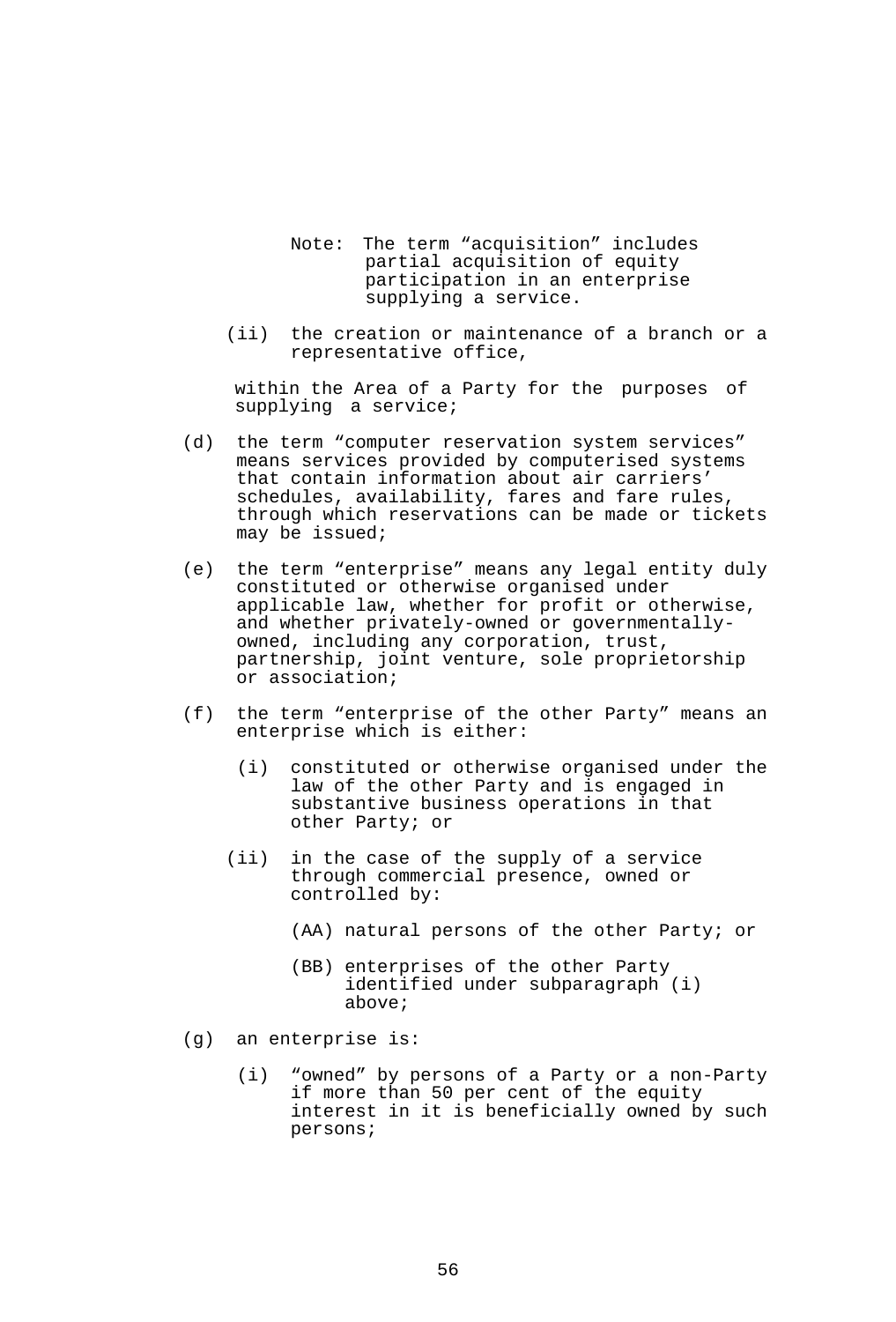- Note: The term "acquisition" includes partial acquisition of equity participation in an enterprise supplying a service.
	- (ii) the creation or maintenance of a branch or a representative office,

within the Area of a Party for the purposes of supplying a service;

- (d) the term "computer reservation system services" means services provided by computerised systems that contain information about air carriers' schedules, availability, fares and fare rules, through which reservations can be made or tickets may be issued;
- (e) the term "enterprise" means any legal entity duly constituted or otherwise organised under applicable law, whether for profit or otherwise, and whether privately-owned or governmentallyowned, including any corporation, trust, partnership, joint venture, sole proprietorship or association;
- (f) the term "enterprise of the other Party" means an enterprise which is either:
	- (i) constituted or otherwise organised under the law of the other Party and is engaged in substantive business operations in that other Party; or
	- (ii) in the case of the supply of a service through commercial presence, owned or controlled by:
		- (AA) natural persons of the other Party; or
		- (BB) enterprises of the other Party identified under subparagraph (i) above;
- (g) an enterprise is:
	- (i) "owned" by persons of a Party or a non-Party if more than 50 per cent of the equity interest in it is beneficially owned by such persons;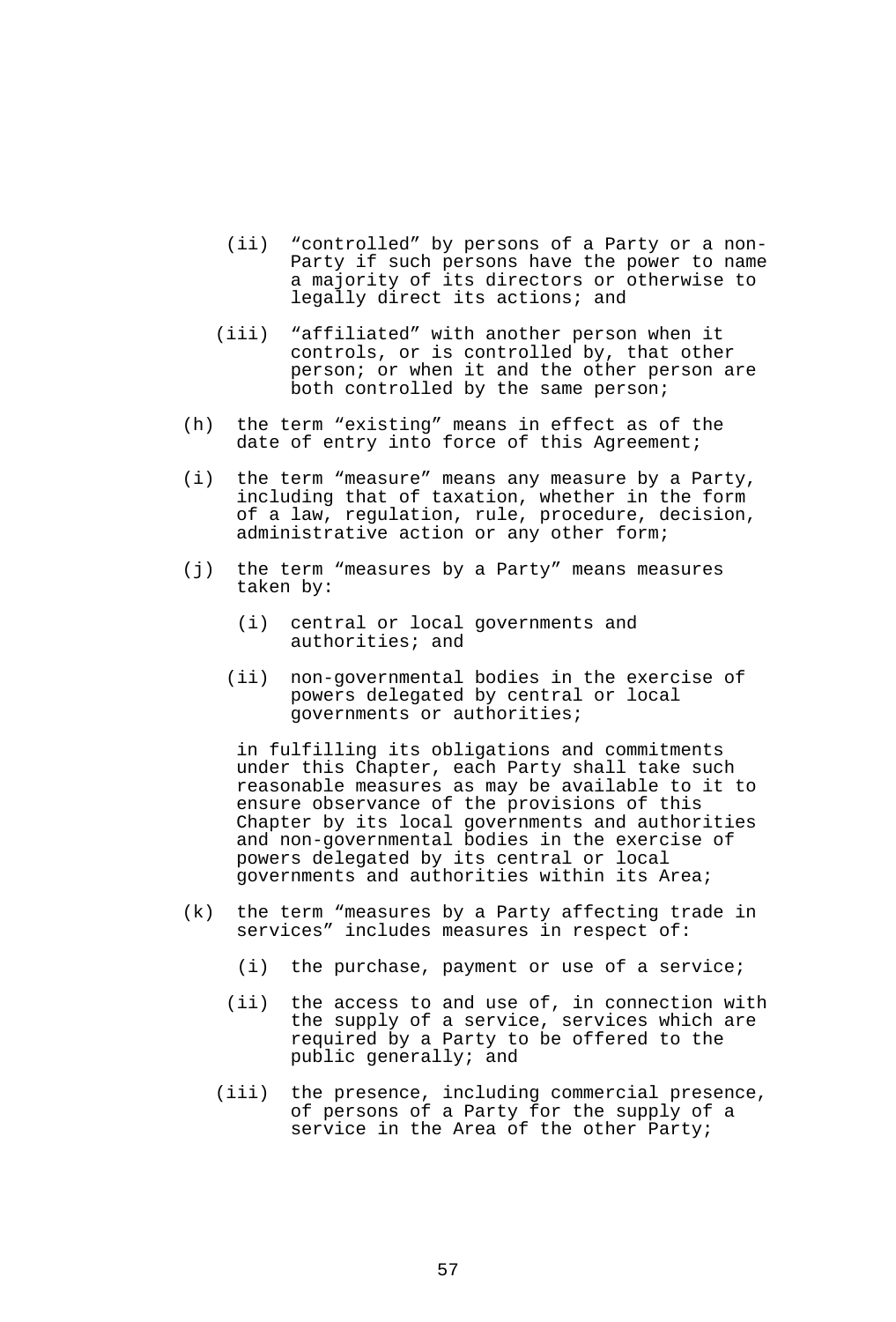- (ii) "controlled" by persons of a Party or a non-Party if such persons have the power to name a majority of its directors or otherwise to legally direct its actions; and
- (iii) "affiliated" with another person when it controls, or is controlled by, that other person; or when it and the other person are both controlled by the same person;
- (h) the term "existing" means in effect as of the date of entry into force of this Agreement;
- (i) the term "measure" means any measure by a Party, including that of taxation, whether in the form of a law, regulation, rule, procedure, decision, administrative action or any other form;
- (j) the term "measures by a Party" means measures taken by:
	- (i) central or local governments and authorities; and
	- (ii) non-governmental bodies in the exercise of powers delegated by central or local governments or authorities;

 in fulfilling its obligations and commitments under this Chapter, each Party shall take such reasonable measures as may be available to it to ensure observance of the provisions of this Chapter by its local governments and authorities and non-governmental bodies in the exercise of powers delegated by its central or local governments and authorities within its Area;

- (k) the term "measures by a Party affecting trade in services" includes measures in respect of:
	- (i) the purchase, payment or use of a service;
	- (ii) the access to and use of, in connection with the supply of a service, services which are required by a Party to be offered to the public generally; and
- (iii) the presence, including commercial presence, of persons of a Party for the supply of a service in the Area of the other Party;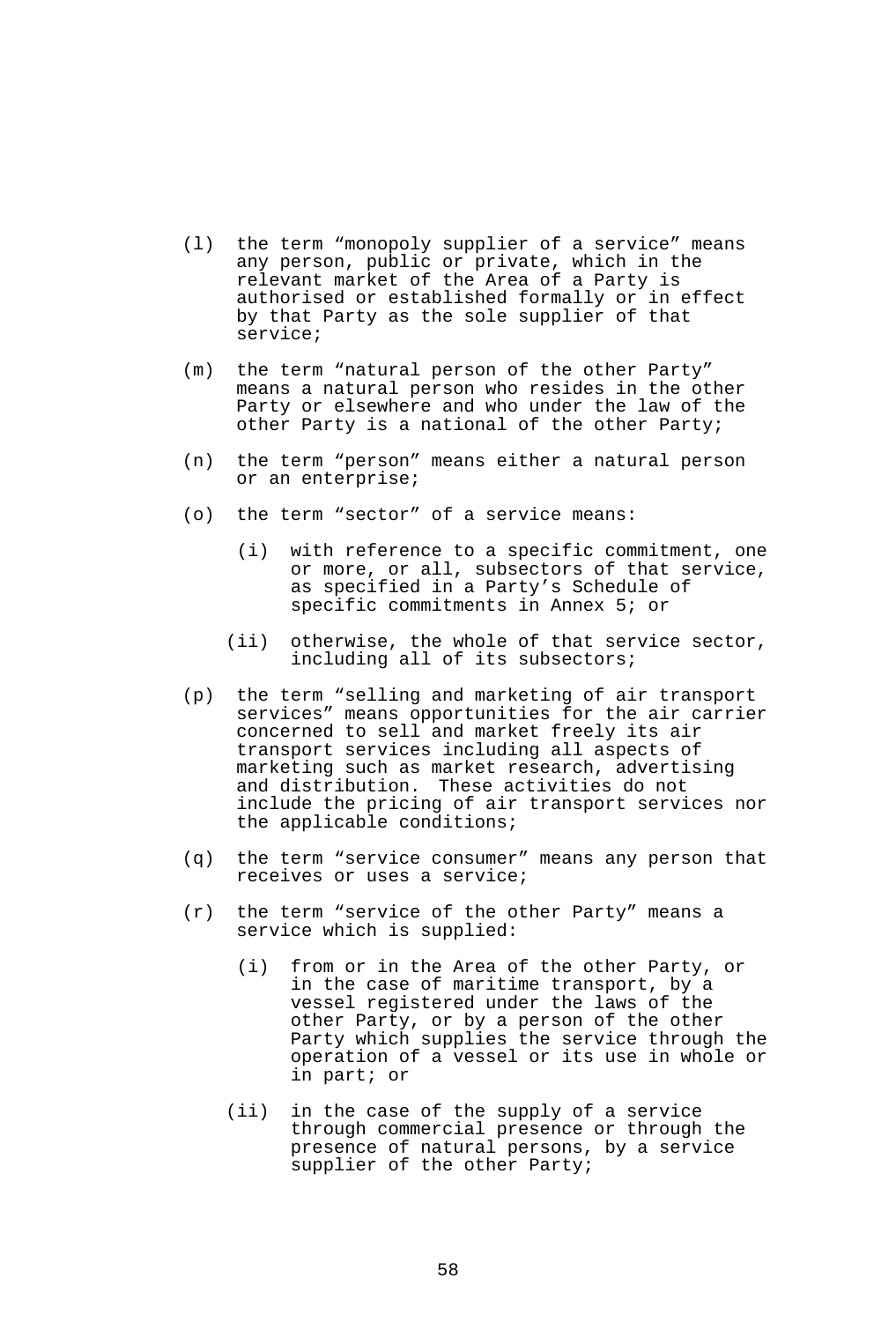- (l) the term "monopoly supplier of a service" means any person, public or private, which in the relevant market of the Area of a Party is authorised or established formally or in effect by that Party as the sole supplier of that service;
- (m) the term "natural person of the other Party" means a natural person who resides in the other Party or elsewhere and who under the law of the other Party is a national of the other Party;
- (n) the term "person" means either a natural person or an enterprise;
- (o) the term "sector" of a service means:
	- (i) with reference to a specific commitment, one or more, or all, subsectors of that service, as specified in a Party's Schedule of specific commitments in Annex 5; or
	- (ii) otherwise, the whole of that service sector, including all of its subsectors;
- (p) the term "selling and marketing of air transport services" means opportunities for the air carrier concerned to sell and market freely its air transport services including all aspects of marketing such as market research, advertising and distribution. These activities do not include the pricing of air transport services nor the applicable conditions;
- (q) the term "service consumer" means any person that receives or uses a service;
- (r) the term "service of the other Party" means a service which is supplied:
	- (i) from or in the Area of the other Party, or in the case of maritime transport, by a vessel registered under the laws of the other Party, or by a person of the other Party which supplies the service through the operation of a vessel or its use in whole or in part; or
	- (ii) in the case of the supply of a service through commercial presence or through the presence of natural persons, by a service supplier of the other Party;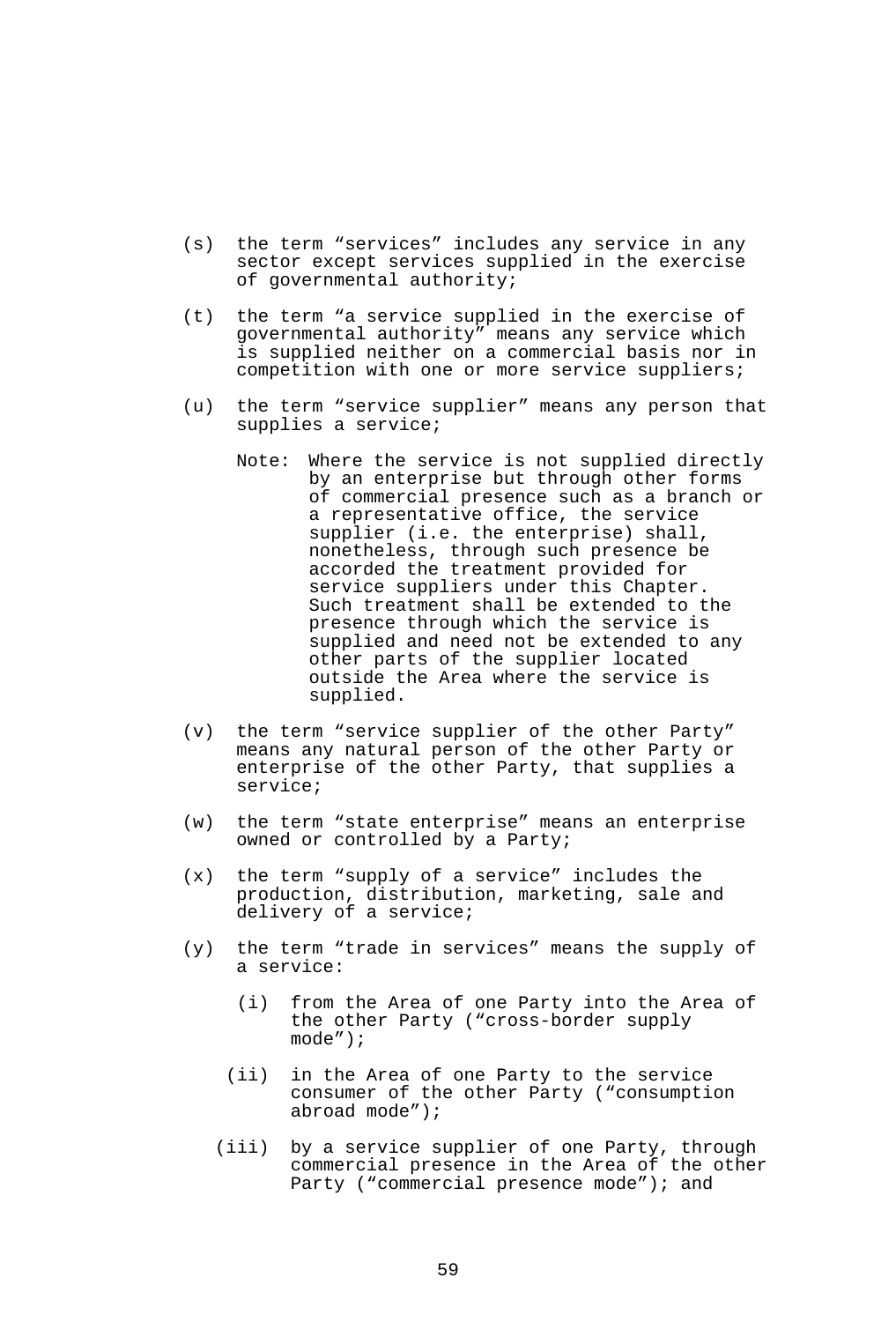- (s) the term "services" includes any service in any sector except services supplied in the exercise of governmental authority;
- (t) the term "a service supplied in the exercise of governmental authority" means any service which is supplied neither on a commercial basis nor in competition with one or more service suppliers;
- (u) the term "service supplier" means any person that supplies a service;
	- Note: Where the service is not supplied directly by an enterprise but through other forms of commercial presence such as a branch or a representative office, the service supplier (i.e. the enterprise) shall, nonetheless, through such presence be accorded the treatment provided for service suppliers under this Chapter. Such treatment shall be extended to the presence through which the service is supplied and need not be extended to any other parts of the supplier located outside the Area where the service is supplied.
- (v) the term "service supplier of the other Party" means any natural person of the other Party or enterprise of the other Party, that supplies a service;
- (w) the term "state enterprise" means an enterprise owned or controlled by a Party;
- (x) the term "supply of a service" includes the production, distribution, marketing, sale and delivery of a service;
- (y) the term "trade in services" means the supply of a service:
	- (i) from the Area of one Party into the Area of the other Party ("cross-border supply mode");
	- (ii) in the Area of one Party to the service consumer of the other Party ("consumption abroad mode");
	- (iii) by a service supplier of one Party, through commercial presence in the Area of the other Party ("commercial presence mode"); and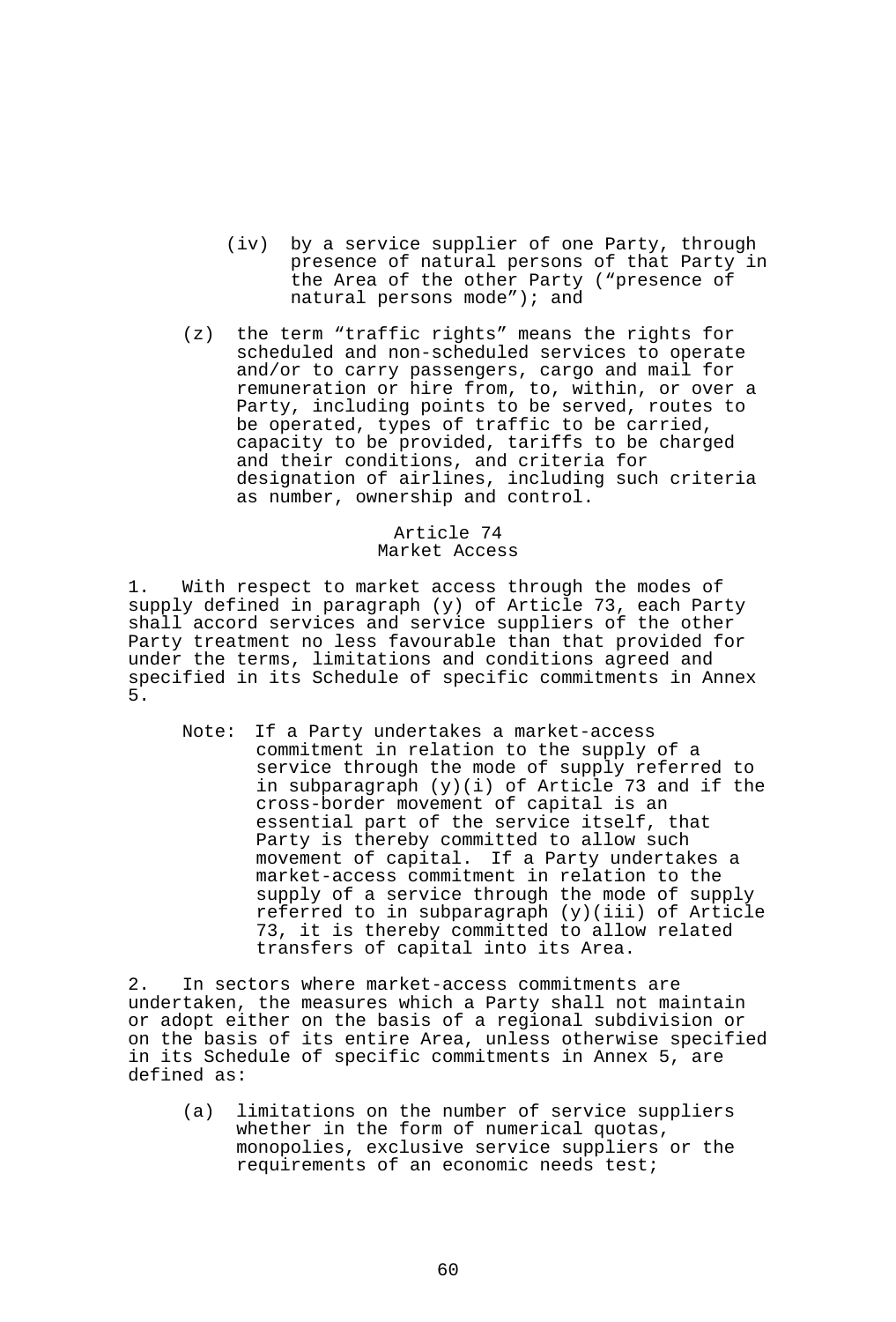- (iv) by a service supplier of one Party, through presence of natural persons of that Party in the Area of the other Party ("presence of natural persons mode"); and
- (z) the term "traffic rights" means the rights for scheduled and non-scheduled services to operate and/or to carry passengers, cargo and mail for remuneration or hire from, to, within, or over a Party, including points to be served, routes to be operated, types of traffic to be carried, capacity to be provided, tariffs to be charged and their conditions, and criteria for designation of airlines, including such criteria as number, ownership and control.

# Article 74 Market Access

1. With respect to market access through the modes of supply defined in paragraph (y) of Article 73, each Party shall accord services and service suppliers of the other Party treatment no less favourable than that provided for under the terms, limitations and conditions agreed and specified in its Schedule of specific commitments in Annex 5.

 Note: If a Party undertakes a market-access commitment in relation to the supply of a service through the mode of supply referred to in subparagraph (y)(i) of Article 73 and if the cross-border movement of capital is an essential part of the service itself, that Party is thereby committed to allow such movement of capital. If a Party undertakes a market-access commitment in relation to the supply of a service through the mode of supply referred to in subparagraph  $(y)(iii)$  of Article 73, it is thereby committed to allow related transfers of capital into its Area.

2. In sectors where market-access commitments are undertaken, the measures which a Party shall not maintain or adopt either on the basis of a regional subdivision or on the basis of its entire Area, unless otherwise specified in its Schedule of specific commitments in Annex 5, are defined as:

 (a) limitations on the number of service suppliers whether in the form of numerical quotas, monopolies, exclusive service suppliers or the requirements of an economic needs test;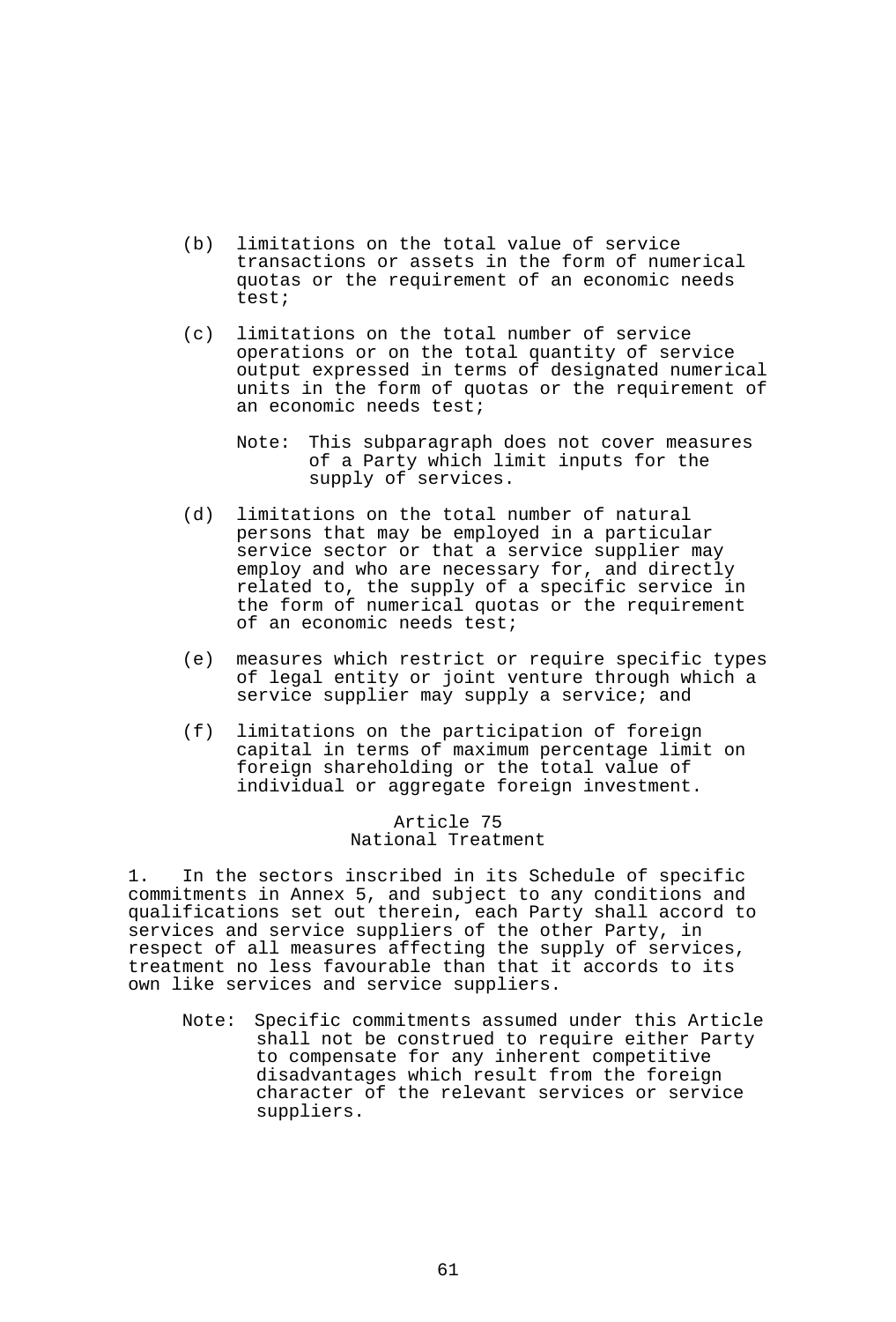- (b) limitations on the total value of service transactions or assets in the form of numerical quotas or the requirement of an economic needs test;
- (c) limitations on the total number of service operations or on the total quantity of service output expressed in terms of designated numerical units in the form of quotas or the requirement of an economic needs test;
	- Note: This subparagraph does not cover measures of a Party which limit inputs for the supply of services.
- (d) limitations on the total number of natural persons that may be employed in a particular service sector or that a service supplier may employ and who are necessary for, and directly related to, the supply of a specific service in the form of numerical quotas or the requirement of an economic needs test;
- (e) measures which restrict or require specific types of legal entity or joint venture through which a service supplier may supply a service; and
- (f) limitations on the participation of foreign capital in terms of maximum percentage limit on foreign shareholding or the total value of individual or aggregate foreign investment.

#### Article 75 National Treatment

1. In the sectors inscribed in its Schedule of specific commitments in Annex 5, and subject to any conditions and qualifications set out therein, each Party shall accord to services and service suppliers of the other Party, in respect of all measures affecting the supply of services, treatment no less favourable than that it accords to its own like services and service suppliers.

 Note: Specific commitments assumed under this Article shall not be construed to require either Party to compensate for any inherent competitive disadvantages which result from the foreign character of the relevant services or service suppliers.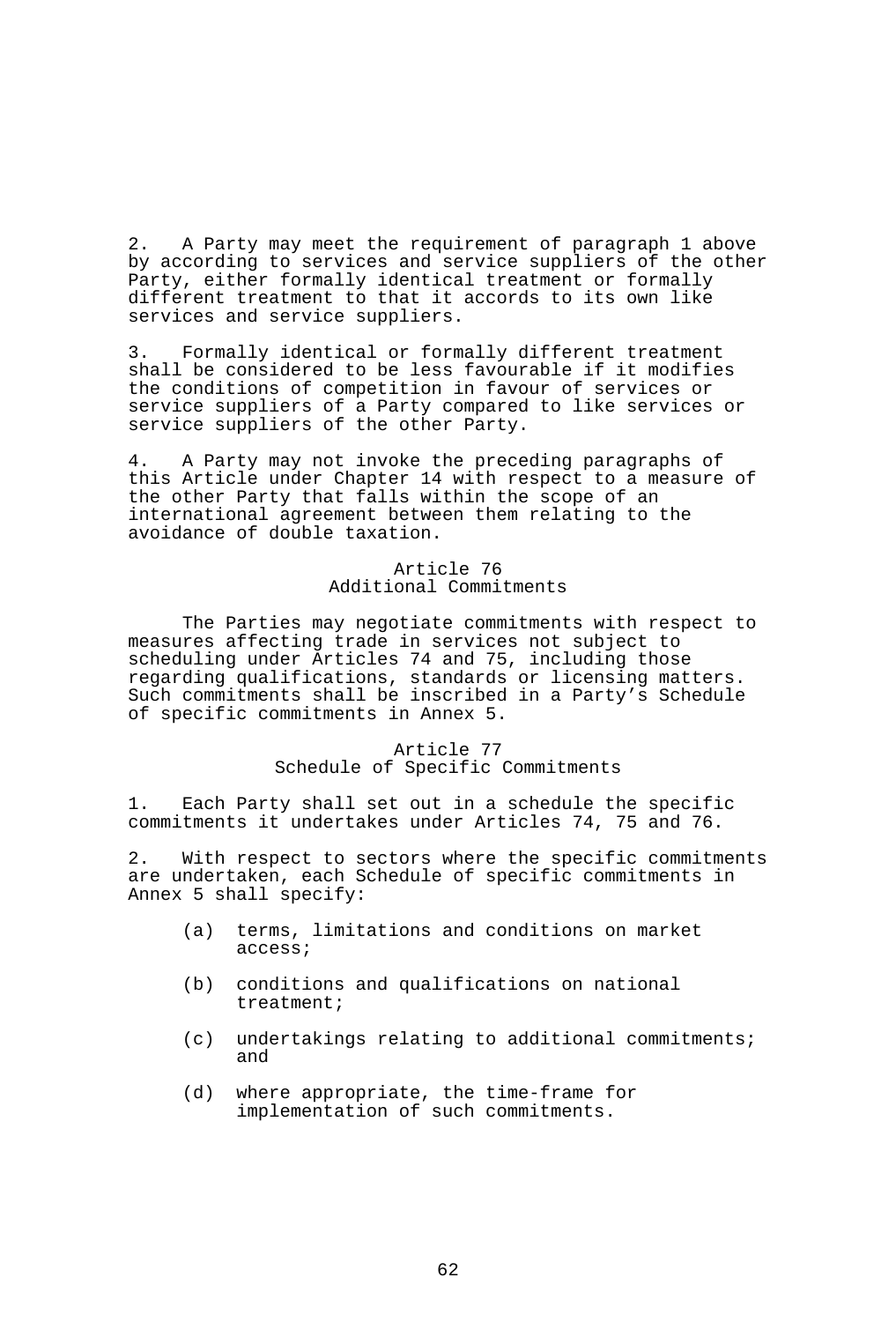2. A Party may meet the requirement of paragraph 1 above by according to services and service suppliers of the other Party, either formally identical treatment or formally different treatment to that it accords to its own like services and service suppliers.

3. Formally identical or formally different treatment shall be considered to be less favourable if it modifies the conditions of competition in favour of services or service suppliers of a Party compared to like services or service suppliers of the other Party.

4. A Party may not invoke the preceding paragraphs of this Article under Chapter 14 with respect to a measure of the other Party that falls within the scope of an international agreement between them relating to the avoidance of double taxation.

## Article 76 Additional Commitments

 The Parties may negotiate commitments with respect to measures affecting trade in services not subject to scheduling under Articles 74 and 75, including those regarding qualifications, standards or licensing matters. Such commitments shall be inscribed in a Party's Schedule of specific commitments in Annex 5.

# Article 77

Schedule of Specific Commitments

1. Each Party shall set out in a schedule the specific commitments it undertakes under Articles 74, 75 and 76.

2. With respect to sectors where the specific commitments are undertaken, each Schedule of specific commitments in Annex 5 shall specify:

- (a) terms, limitations and conditions on market access;
- (b) conditions and qualifications on national treatment;
- (c) undertakings relating to additional commitments; and
- (d) where appropriate, the time-frame for implementation of such commitments.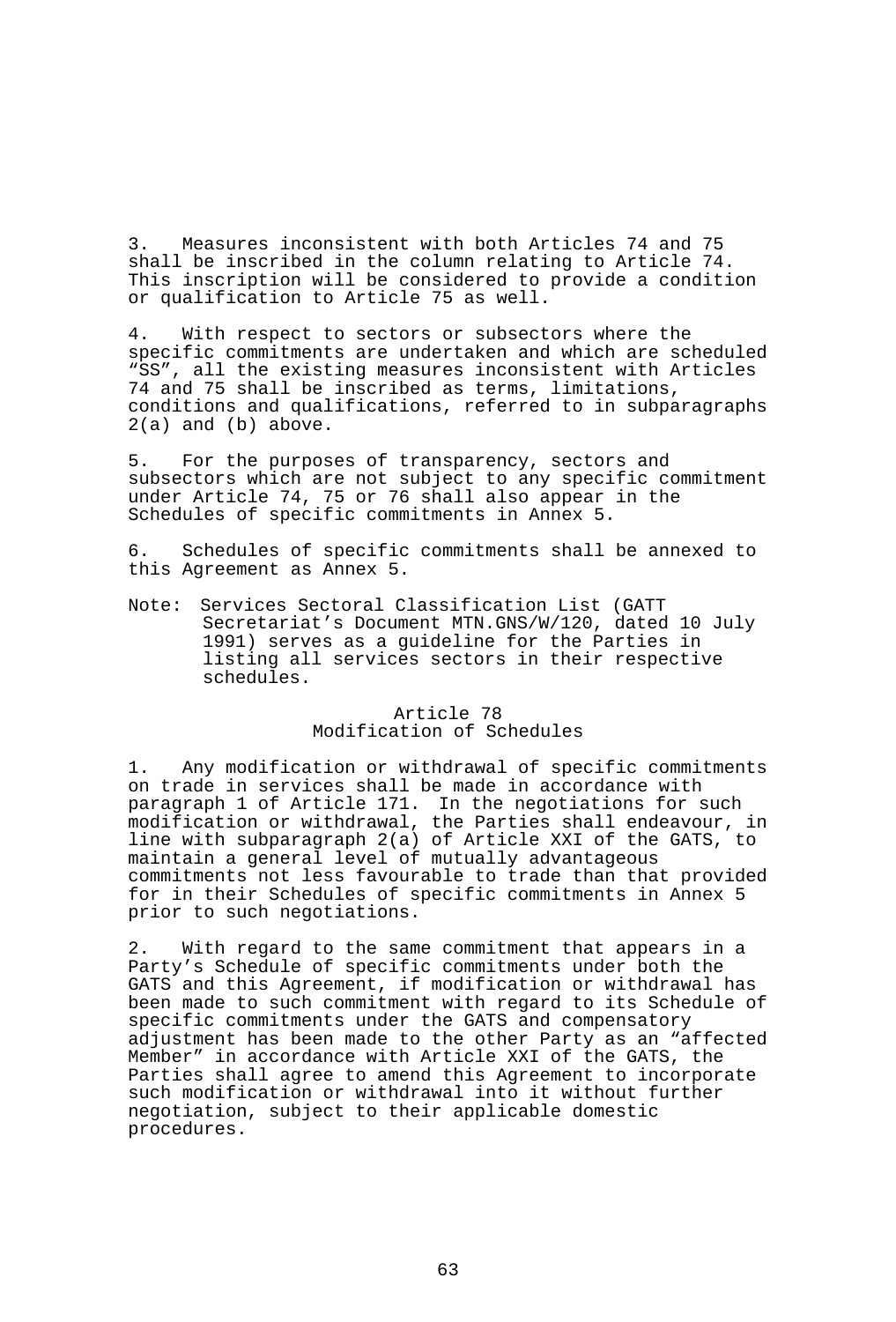3. Measures inconsistent with both Articles 74 and 75 shall be inscribed in the column relating to Article 74. This inscription will be considered to provide a condition or qualification to Article 75 as well.

4. With respect to sectors or subsectors where the specific commitments are undertaken and which are scheduled "SS", all the existing measures inconsistent with Articles 74 and 75 shall be inscribed as terms, limitations, conditions and qualifications, referred to in subparagraphs 2(a) and (b) above.

5. For the purposes of transparency, sectors and subsectors which are not subject to any specific commitment under Article 74, 75 or 76 shall also appear in the Schedules of specific commitments in Annex 5.

6. Schedules of specific commitments shall be annexed to this Agreement as Annex 5.

Note: Services Sectoral Classification List (GATT Secretariat's Document MTN.GNS/W/120, dated 10 July 1991) serves as a guideline for the Parties in listing all services sectors in their respective schedules.

### Article 78 Modification of Schedules

1. Any modification or withdrawal of specific commitments on trade in services shall be made in accordance with paragraph 1 of Article 171. In the negotiations for such modification or withdrawal, the Parties shall endeavour, in line with subparagraph 2(a) of Article XXI of the GATS, to maintain a general level of mutually advantageous commitments not less favourable to trade than that provided for in their Schedules of specific commitments in Annex 5 prior to such negotiations.

2. With regard to the same commitment that appears in a Party's Schedule of specific commitments under both the GATS and this Agreement, if modification or withdrawal has been made to such commitment with regard to its Schedule of specific commitments under the GATS and compensatory adjustment has been made to the other Party as an "affected Member" in accordance with Article XXI of the GATS, the Parties shall agree to amend this Agreement to incorporate such modification or withdrawal into it without further negotiation, subject to their applicable domestic procedures.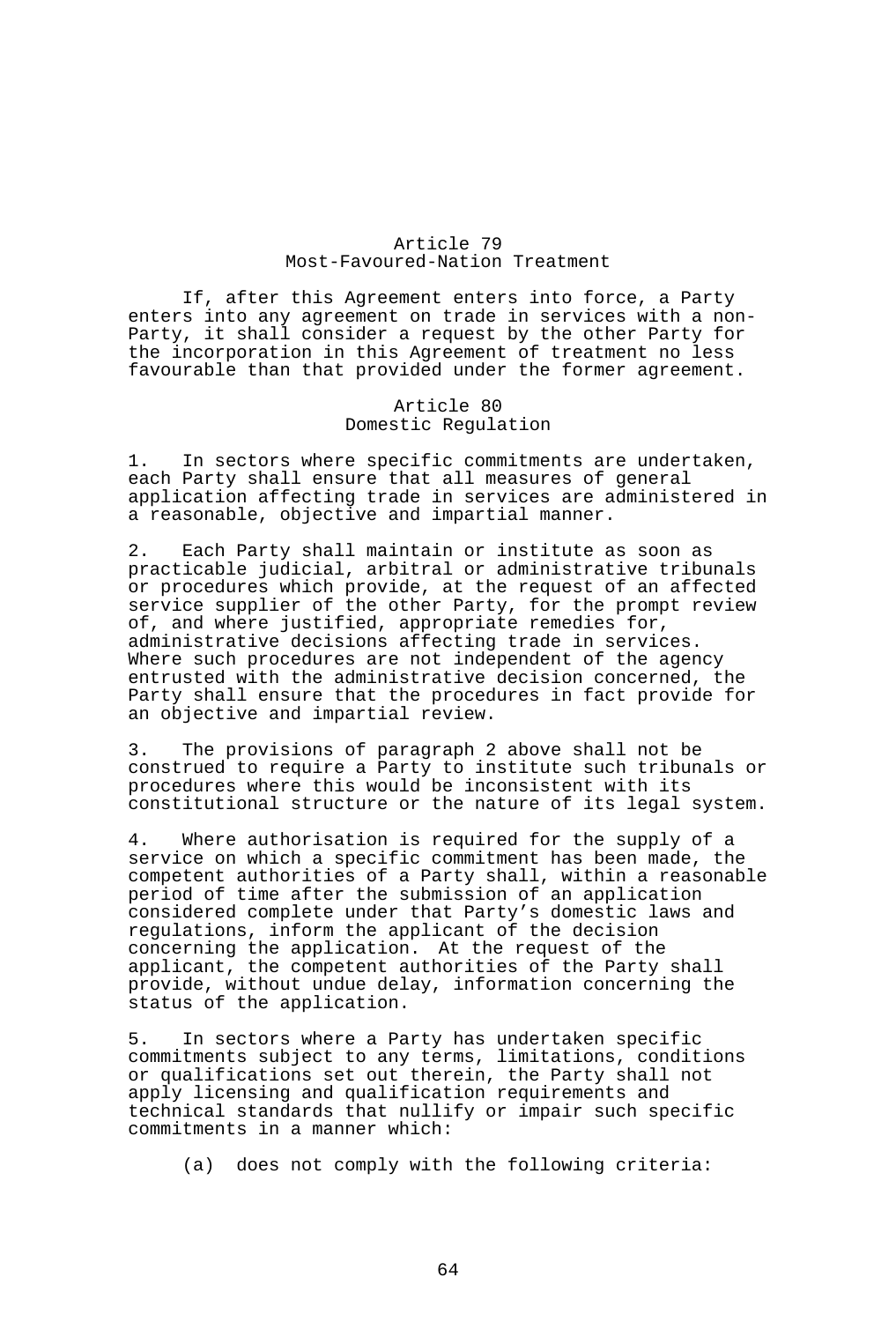# Article 79 Most-Favoured-Nation Treatment

 If, after this Agreement enters into force, a Party enters into any agreement on trade in services with a non-Party, it shall consider a request by the other Party for the incorporation in this Agreement of treatment no less favourable than that provided under the former agreement.

#### Article 80 Domestic Regulation

1. In sectors where specific commitments are undertaken, each Party shall ensure that all measures of general application affecting trade in services are administered in a reasonable, objective and impartial manner.

2. Each Party shall maintain or institute as soon as practicable judicial, arbitral or administrative tribunals or procedures which provide, at the request of an affected service supplier of the other Party, for the prompt review of, and where justified, appropriate remedies for, administrative decisions affecting trade in services. Where such procedures are not independent of the agency entrusted with the administrative decision concerned, the Party shall ensure that the procedures in fact provide for an objective and impartial review.

3. The provisions of paragraph 2 above shall not be construed to require a Party to institute such tribunals or procedures where this would be inconsistent with its constitutional structure or the nature of its legal system.

4. Where authorisation is required for the supply of a service on which a specific commitment has been made, the competent authorities of a Party shall, within a reasonable period of time after the submission of an application considered complete under that Party's domestic laws and regulations, inform the applicant of the decision concerning the application. At the request of the applicant, the competent authorities of the Party shall provide, without undue delay, information concerning the status of the application.

5. In sectors where a Party has undertaken specific commitments subject to any terms, limitations, conditions or qualifications set out therein, the Party shall not apply licensing and qualification requirements and technical standards that nullify or impair such specific commitments in a manner which:

(a) does not comply with the following criteria: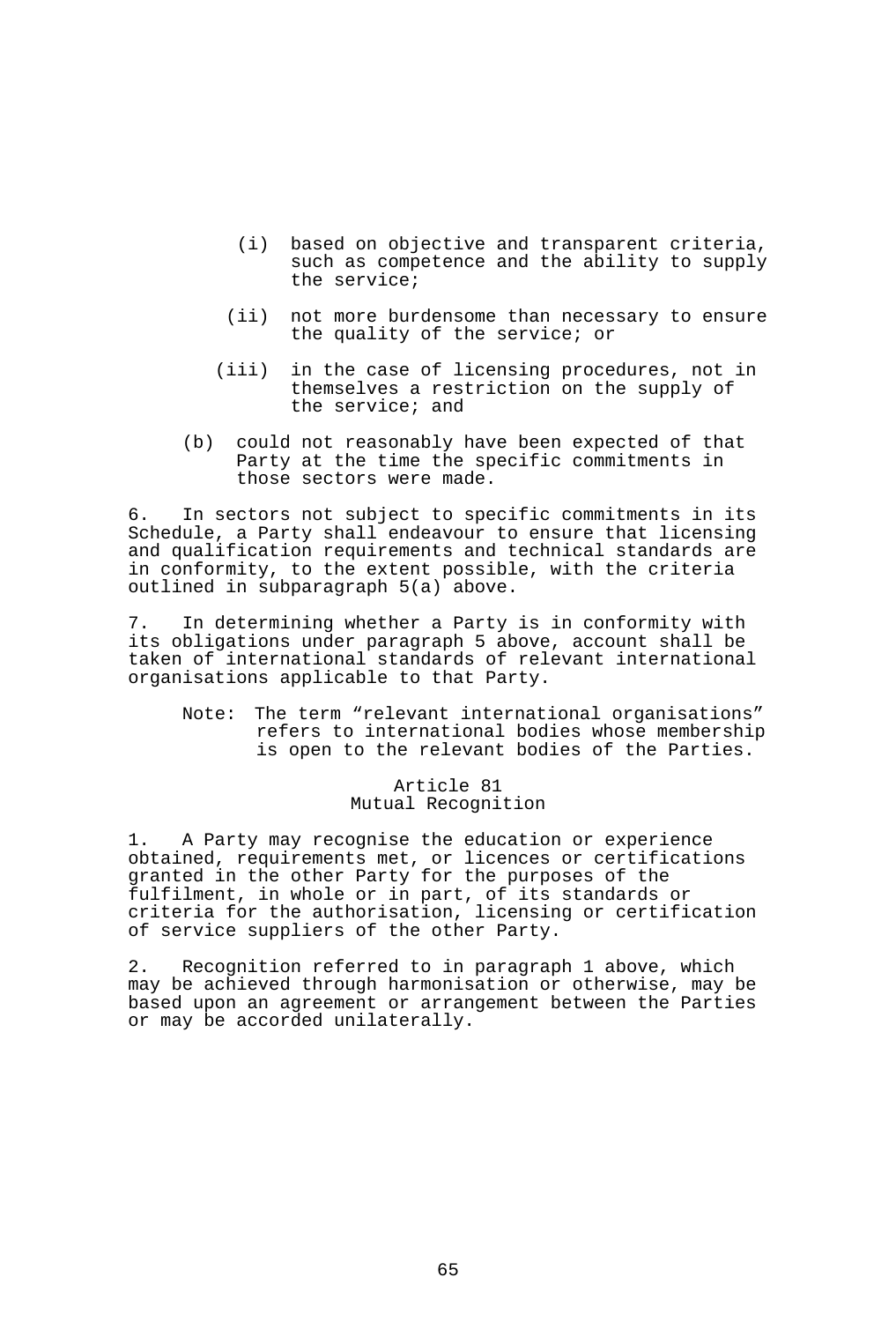- (i) based on objective and transparent criteria, such as competence and the ability to supply the service;
- (ii) not more burdensome than necessary to ensure the quality of the service; or
- (iii) in the case of licensing procedures, not in themselves a restriction on the supply of the service; and
- (b) could not reasonably have been expected of that Party at the time the specific commitments in those sectors were made.

6. In sectors not subject to specific commitments in its Schedule, a Party shall endeavour to ensure that licensing and qualification requirements and technical standards are in conformity, to the extent possible, with the criteria outlined in subparagraph 5(a) above.

7. In determining whether a Party is in conformity with its obligations under paragraph 5 above, account shall be taken of international standards of relevant international organisations applicable to that Party.

 Note: The term "relevant international organisations" refers to international bodies whose membership is open to the relevant bodies of the Parties.

> Article 81 Mutual Recognition

1. A Party may recognise the education or experience obtained, requirements met, or licences or certifications granted in the other Party for the purposes of the fulfilment, in whole or in part, of its standards or criteria for the authorisation, licensing or certification of service suppliers of the other Party.

2. Recognition referred to in paragraph 1 above, which may be achieved through harmonisation or otherwise, may be based upon an agreement or arrangement between the Parties or may be accorded unilaterally.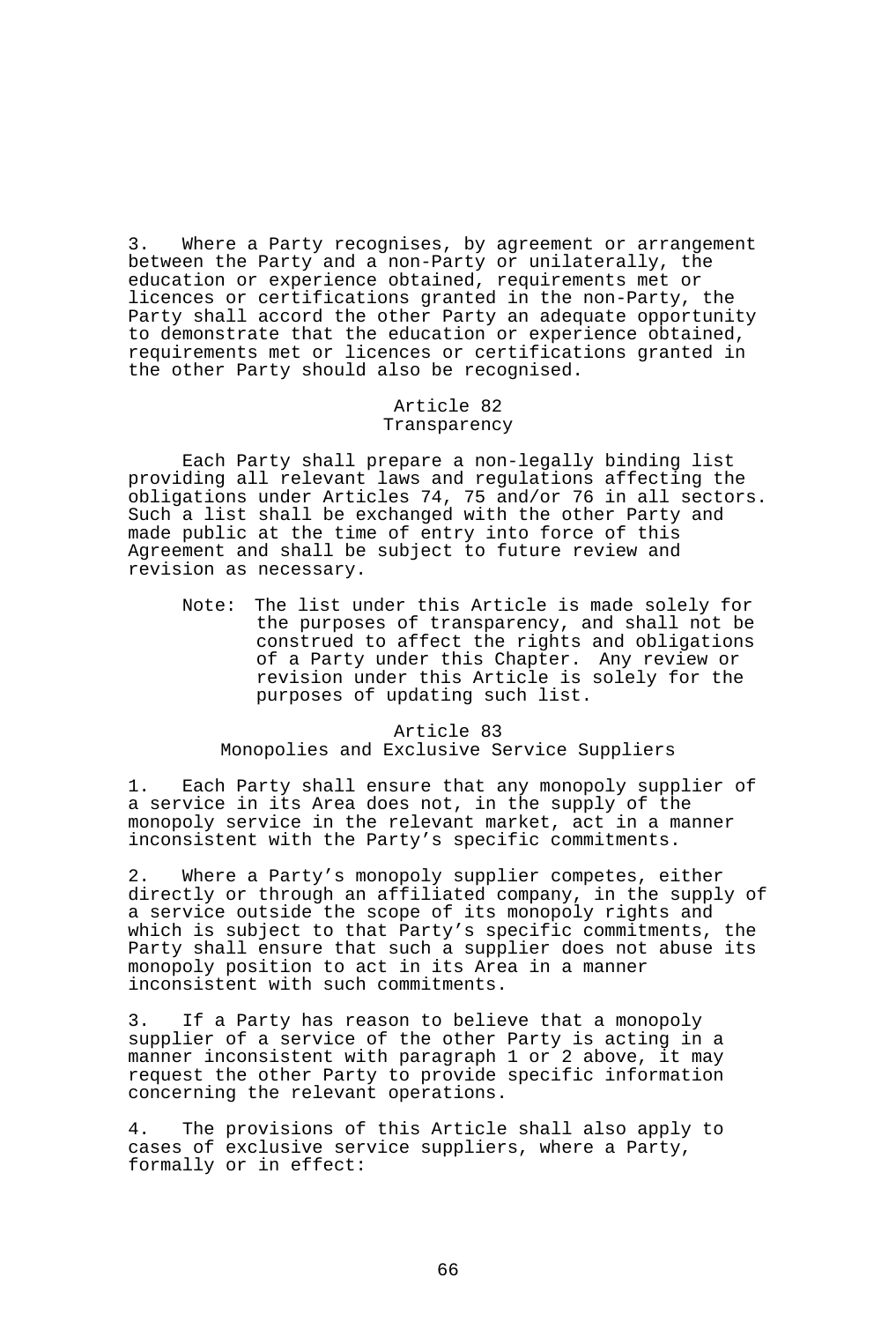3. Where a Party recognises, by agreement or arrangement between the Party and a non-Party or unilaterally, the education or experience obtained, requirements met or licences or certifications granted in the non-Party, the Party shall accord the other Party an adequate opportunity to demonstrate that the education or experience obtained, requirements met or licences or certifications granted in the other Party should also be recognised.

#### Article 82 Transparency

 Each Party shall prepare a non-legally binding list providing all relevant laws and regulations affecting the obligations under Articles 74, 75 and/or 76 in all sectors. Such a list shall be exchanged with the other Party and made public at the time of entry into force of this Agreement and shall be subject to future review and revision as necessary.

 Note: The list under this Article is made solely for the purposes of transparency, and shall not be construed to affect the rights and obligations of a Party under this Chapter. Any review or revision under this Article is solely for the purposes of updating such list.

### Article 83 Monopolies and Exclusive Service Suppliers

1. Each Party shall ensure that any monopoly supplier of a service in its Area does not, in the supply of the monopoly service in the relevant market, act in a manner inconsistent with the Party's specific commitments.

2. Where a Party's monopoly supplier competes, either directly or through an affiliated company, in the supply of a service outside the scope of its monopoly rights and which is subject to that Party's specific commitments, the Party shall ensure that such a supplier does not abuse its monopoly position to act in its Area in a manner inconsistent with such commitments.

3. If a Party has reason to believe that a monopoly supplier of a service of the other Party is acting in a manner inconsistent with paragraph 1 or 2 above, it may request the other Party to provide specific information concerning the relevant operations.

4. The provisions of this Article shall also apply to cases of exclusive service suppliers, where a Party, formally or in effect: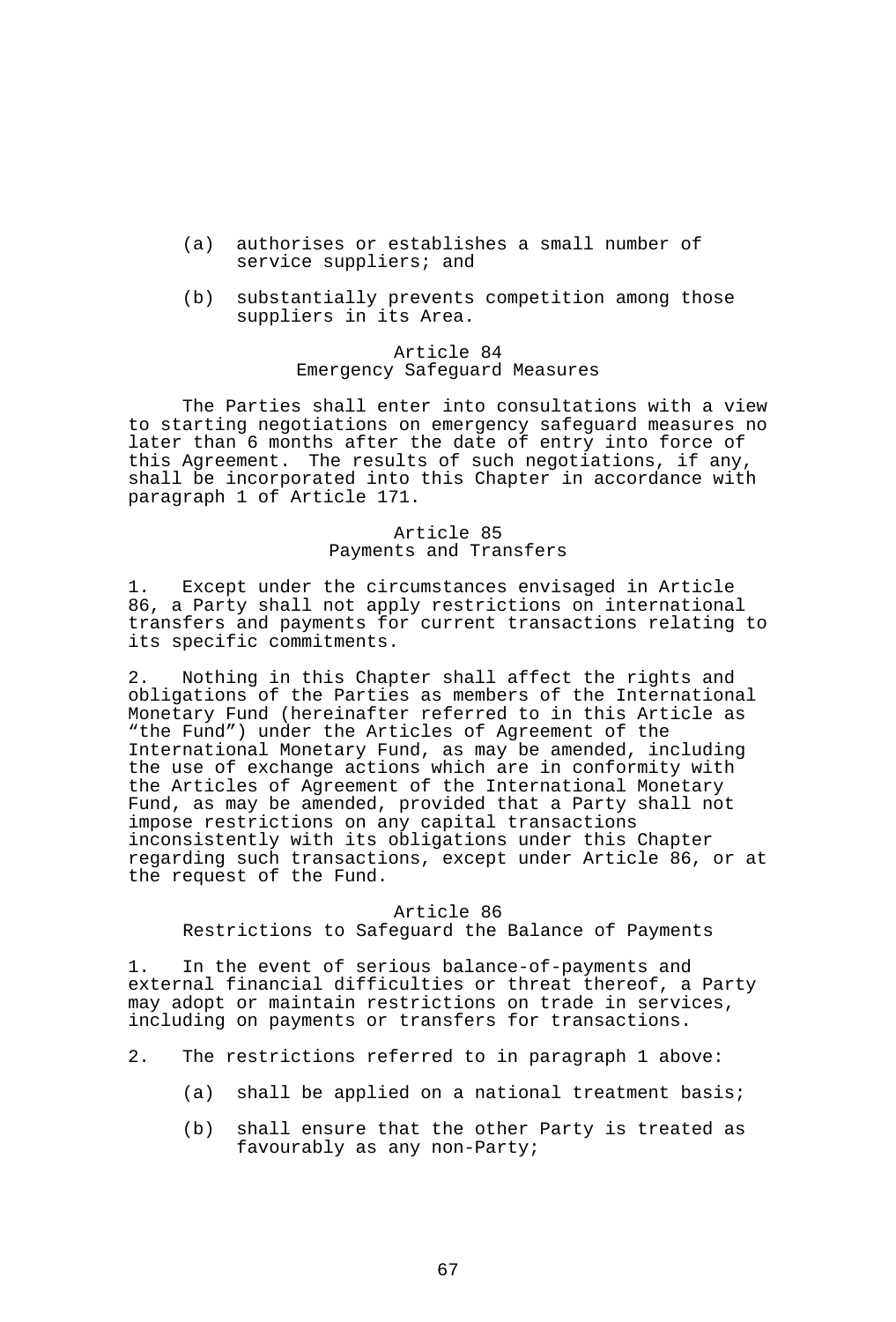- (a) authorises or establishes a small number of service suppliers; and
- (b) substantially prevents competition among those suppliers in its Area.

### Article 84 Emergency Safeguard Measures

 The Parties shall enter into consultations with a view to starting negotiations on emergency safeguard measures no later than 6 months after the date of entry into force of this Agreement. The results of such negotiations, if any, shall be incorporated into this Chapter in accordance with paragraph 1 of Article 171.

# Article 85 Payments and Transfers

1. Except under the circumstances envisaged in Article 86, a Party shall not apply restrictions on international transfers and payments for current transactions relating to its specific commitments.

2. Nothing in this Chapter shall affect the rights and obligations of the Parties as members of the International Monetary Fund (hereinafter referred to in this Article as "the Fund") under the Articles of Agreement of the International Monetary Fund, as may be amended, including the use of exchange actions which are in conformity with the Articles of Agreement of the International Monetary Fund, as may be amended, provided that a Party shall not impose restrictions on any capital transactions inconsistently with its obligations under this Chapter regarding such transactions, except under Article 86, or at the request of the Fund.

#### Article 86

Restrictions to Safeguard the Balance of Payments

1. In the event of serious balance-of-payments and external financial difficulties or threat thereof, a Party may adopt or maintain restrictions on trade in services, including on payments or transfers for transactions.

- 2. The restrictions referred to in paragraph 1 above:
	- (a) shall be applied on a national treatment basis;
	- (b) shall ensure that the other Party is treated as favourably as any non-Party;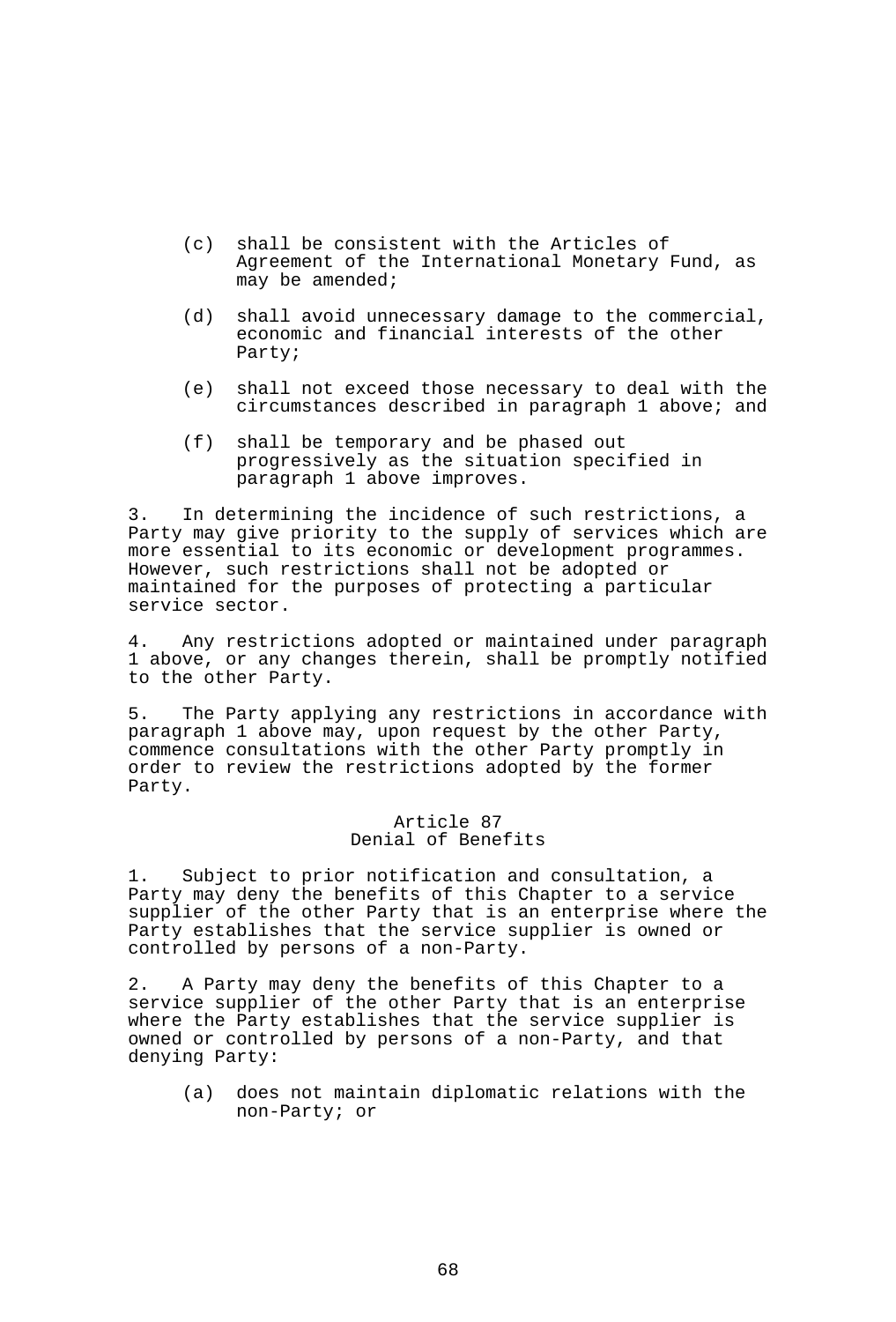- (c) shall be consistent with the Articles of Agreement of the International Monetary Fund, as may be amended;
- (d) shall avoid unnecessary damage to the commercial, economic and financial interests of the other Party;
	- (e) shall not exceed those necessary to deal with the circumstances described in paragraph 1 above; and
	- (f) shall be temporary and be phased out progressively as the situation specified in paragraph 1 above improves.

3. In determining the incidence of such restrictions, a Party may give priority to the supply of services which are more essential to its economic or development programmes. However, such restrictions shall not be adopted or maintained for the purposes of protecting a particular service sector.

4. Any restrictions adopted or maintained under paragraph 1 above, or any changes therein, shall be promptly notified to the other Party.

5. The Party applying any restrictions in accordance with paragraph 1 above may, upon request by the other Party, commence consultations with the other Party promptly in order to review the restrictions adopted by the former Party.

#### Article 87 Denial of Benefits

1. Subject to prior notification and consultation, a Party may deny the benefits of this Chapter to a service supplier of the other Party that is an enterprise where the Party establishes that the service supplier is owned or controlled by persons of a non-Party.

2. A Party may deny the benefits of this Chapter to a service supplier of the other Party that is an enterprise where the Party establishes that the service supplier is owned or controlled by persons of a non-Party, and that denying Party:

 (a) does not maintain diplomatic relations with the non-Party; or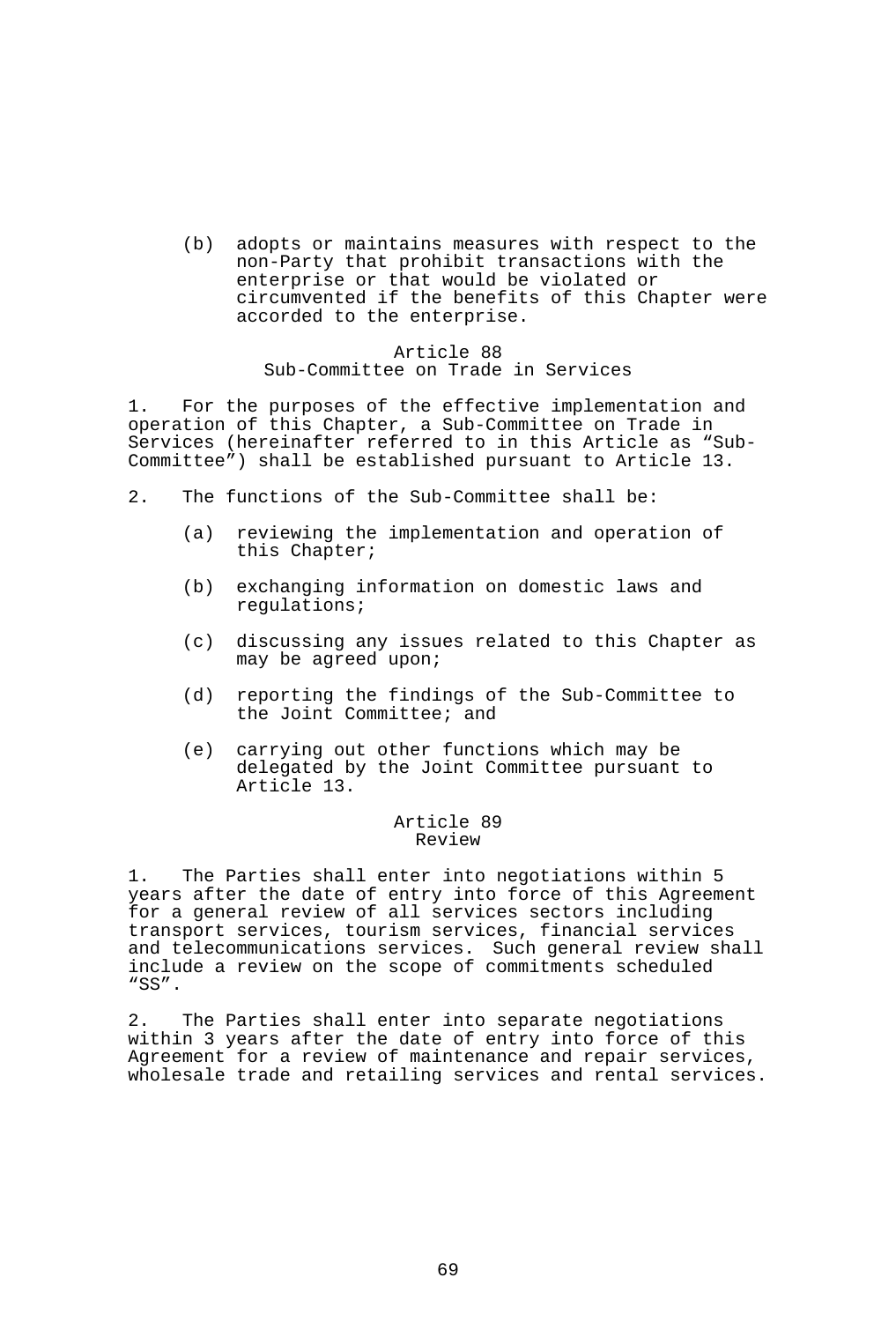(b) adopts or maintains measures with respect to the non-Party that prohibit transactions with the enterprise or that would be violated or circumvented if the benefits of this Chapter were accorded to the enterprise.

### Article 88 Sub-Committee on Trade in Services

1. For the purposes of the effective implementation and operation of this Chapter, a Sub-Committee on Trade in Services (hereinafter referred to in this Article as "Sub-Committee") shall be established pursuant to Article 13.

- 2. The functions of the Sub-Committee shall be:
	- (a) reviewing the implementation and operation of this Chapter;
	- (b) exchanging information on domestic laws and regulations;
	- (c) discussing any issues related to this Chapter as may be agreed upon;
	- (d) reporting the findings of the Sub-Committee to the Joint Committee; and
	- (e) carrying out other functions which may be delegated by the Joint Committee pursuant to Article 13.

#### Article 89 Review

1. The Parties shall enter into negotiations within 5 years after the date of entry into force of this Agreement for a general review of all services sectors including transport services, tourism services, financial services and telecommunications services. Such general review shall include a review on the scope of commitments scheduled "SS".

2. The Parties shall enter into separate negotiations within 3 years after the date of entry into force of this Agreement for a review of maintenance and repair services, wholesale trade and retailing services and rental services.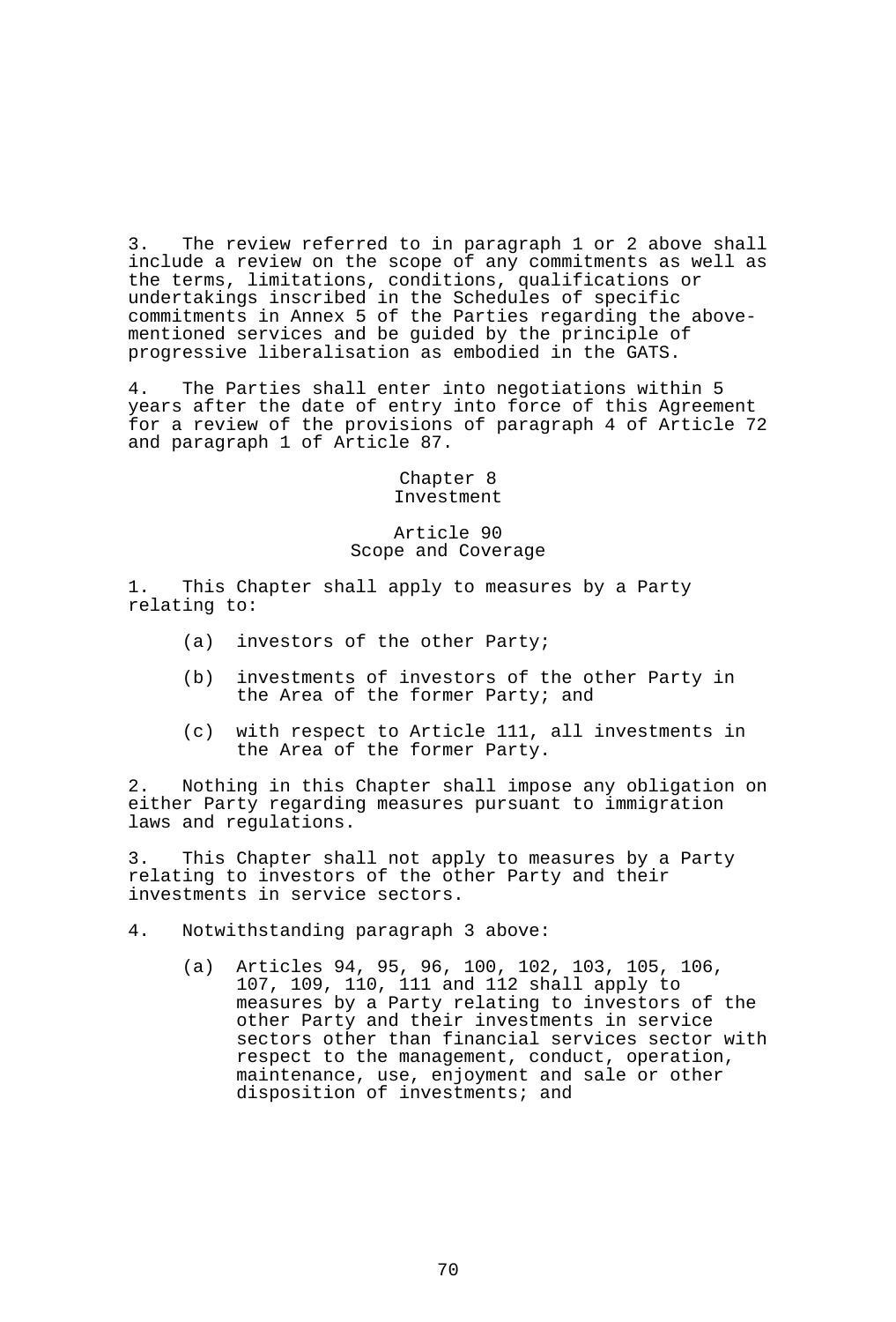3. The review referred to in paragraph 1 or 2 above shall include a review on the scope of any commitments as well as the terms, limitations, conditions, qualifications or undertakings inscribed in the Schedules of specific commitments in Annex 5 of the Parties regarding the abovementioned services and be guided by the principle of progressive liberalisation as embodied in the GATS.

4. The Parties shall enter into negotiations within 5 years after the date of entry into force of this Agreement for a review of the provisions of paragraph 4 of Article 72 and paragraph 1 of Article 87.

# Chapter 8 Investment

# Article 90 Scope and Coverage

1. This Chapter shall apply to measures by a Party relating to:

- (a) investors of the other Party;
- (b) investments of investors of the other Party in the Area of the former Party; and
- (c) with respect to Article 111, all investments in the Area of the former Party.

2. Nothing in this Chapter shall impose any obligation on either Party regarding measures pursuant to immigration laws and regulations.

3. This Chapter shall not apply to measures by a Party relating to investors of the other Party and their investments in service sectors.

4. Notwithstanding paragraph 3 above:

 (a) Articles 94, 95, 96, 100, 102, 103, 105, 106, 107, 109, 110, 111 and 112 shall apply to measures by a Party relating to investors of the other Party and their investments in service sectors other than financial services sector with respect to the management, conduct, operation, maintenance, use, enjoyment and sale or other disposition of investments; and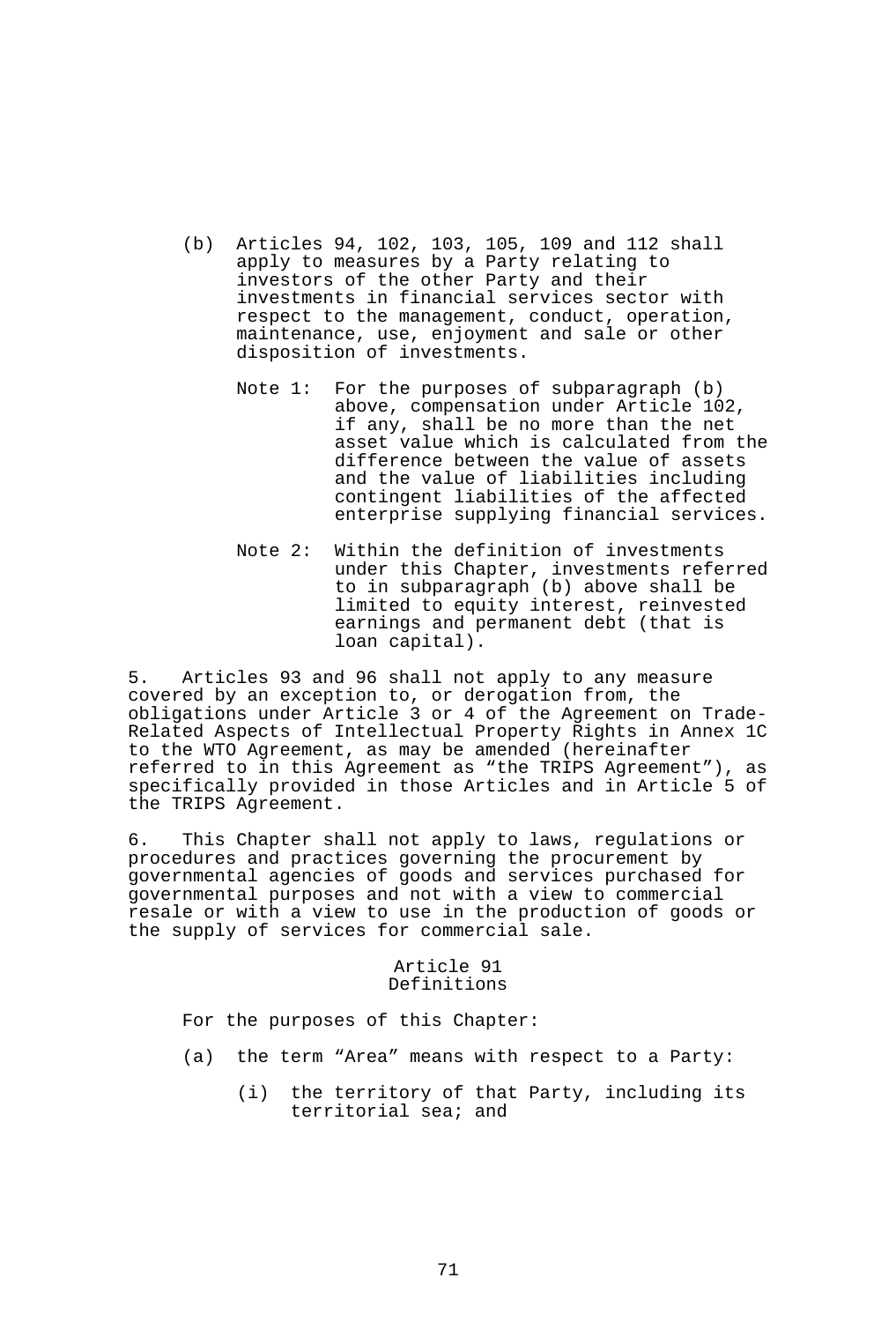- (b) Articles 94, 102, 103, 105, 109 and 112 shall apply to measures by a Party relating to investors of the other Party and their investments in financial services sector with respect to the management, conduct, operation, maintenance, use, enjoyment and sale or other disposition of investments.
	- Note 1: For the purposes of subparagraph (b) above, compensation under Article 102, if any, shall be no more than the net asset value which is calculated from the difference between the value of assets and the value of liabilities including contingent liabilities of the affected enterprise supplying financial services.
	- Note 2: Within the definition of investments under this Chapter, investments referred to in subparagraph (b) above shall be limited to equity interest, reinvested earnings and permanent debt (that is loan capital).

5. Articles 93 and 96 shall not apply to any measure covered by an exception to, or derogation from, the obligations under Article 3 or 4 of the Agreement on Trade-Related Aspects of Intellectual Property Rights in Annex 1C to the WTO Agreement, as may be amended (hereinafter referred to in this Agreement as "the TRIPS Agreement"), as specifically provided in those Articles and in Article 5 of the TRIPS Agreement.

6. This Chapter shall not apply to laws, regulations or procedures and practices governing the procurement by governmental agencies of goods and services purchased for governmental purposes and not with a view to commercial resale or with a view to use in the production of goods or the supply of services for commercial sale.

### Article 91 Definitions

For the purposes of this Chapter:

- (a) the term "Area" means with respect to a Party:
	- (i) the territory of that Party, including its territorial sea; and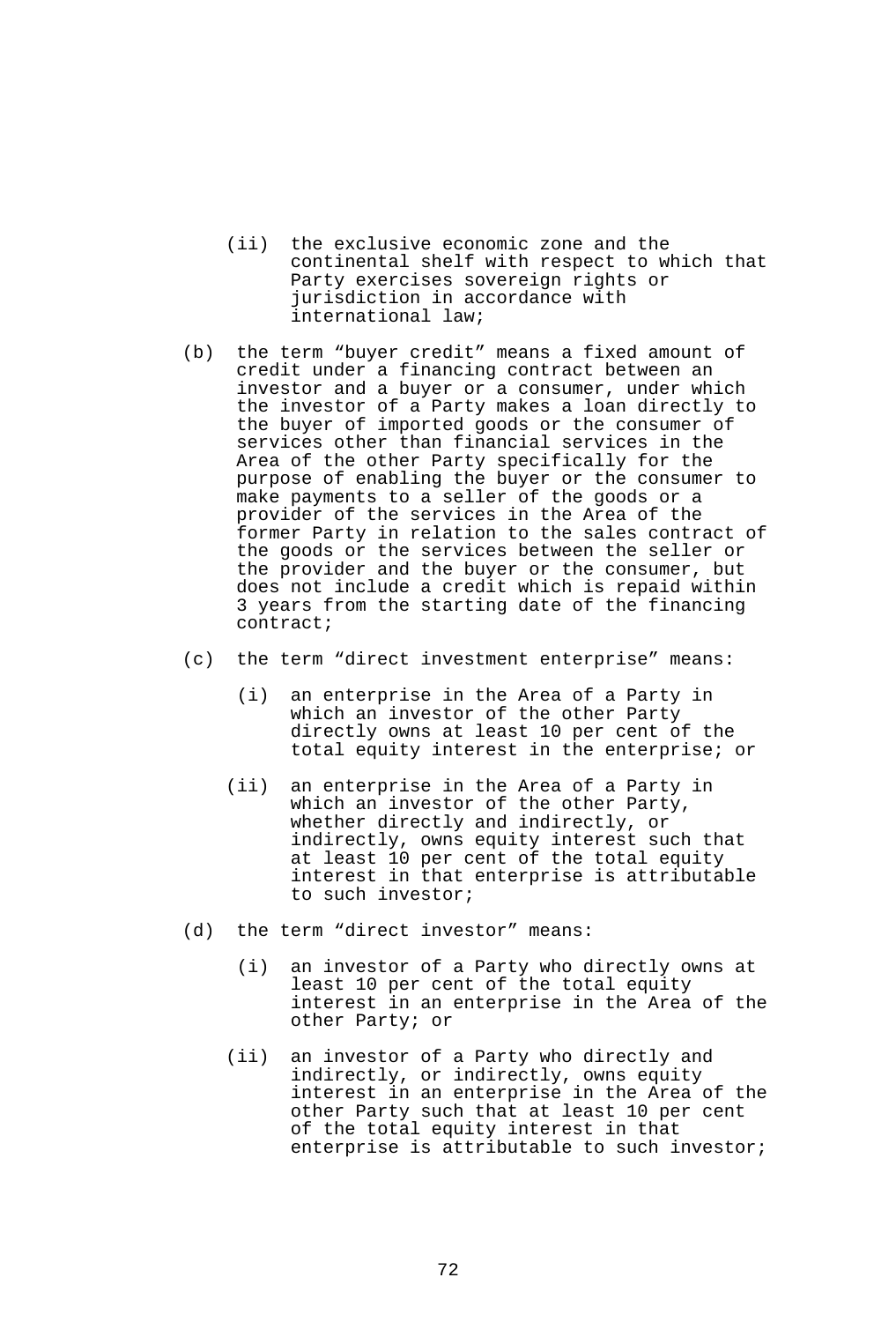- (ii) the exclusive economic zone and the continental shelf with respect to which that Party exercises sovereign rights or jurisdiction in accordance with international law;
- (b) the term "buyer credit" means a fixed amount of credit under a financing contract between an investor and a buyer or a consumer, under which the investor of a Party makes a loan directly to the buyer of imported goods or the consumer of services other than financial services in the Area of the other Party specifically for the purpose of enabling the buyer or the consumer to make payments to a seller of the goods or a provider of the services in the Area of the former Party in relation to the sales contract of the goods or the services between the seller or the provider and the buyer or the consumer, but does not include a credit which is repaid within 3 years from the starting date of the financing contract;
- (c) the term "direct investment enterprise" means:
	- (i) an enterprise in the Area of a Party in which an investor of the other Party directly owns at least 10 per cent of the total equity interest in the enterprise; or
	- (ii) an enterprise in the Area of a Party in which an investor of the other Party, whether directly and indirectly, or indirectly, owns equity interest such that at least 10 per cent of the total equity interest in that enterprise is attributable to such investor;
- (d) the term "direct investor" means:
	- (i) an investor of a Party who directly owns at least 10 per cent of the total equity interest in an enterprise in the Area of the other Party; or
	- (ii) an investor of a Party who directly and indirectly, or indirectly, owns equity interest in an enterprise in the Area of the other Party such that at least 10 per cent of the total equity interest in that enterprise is attributable to such investor;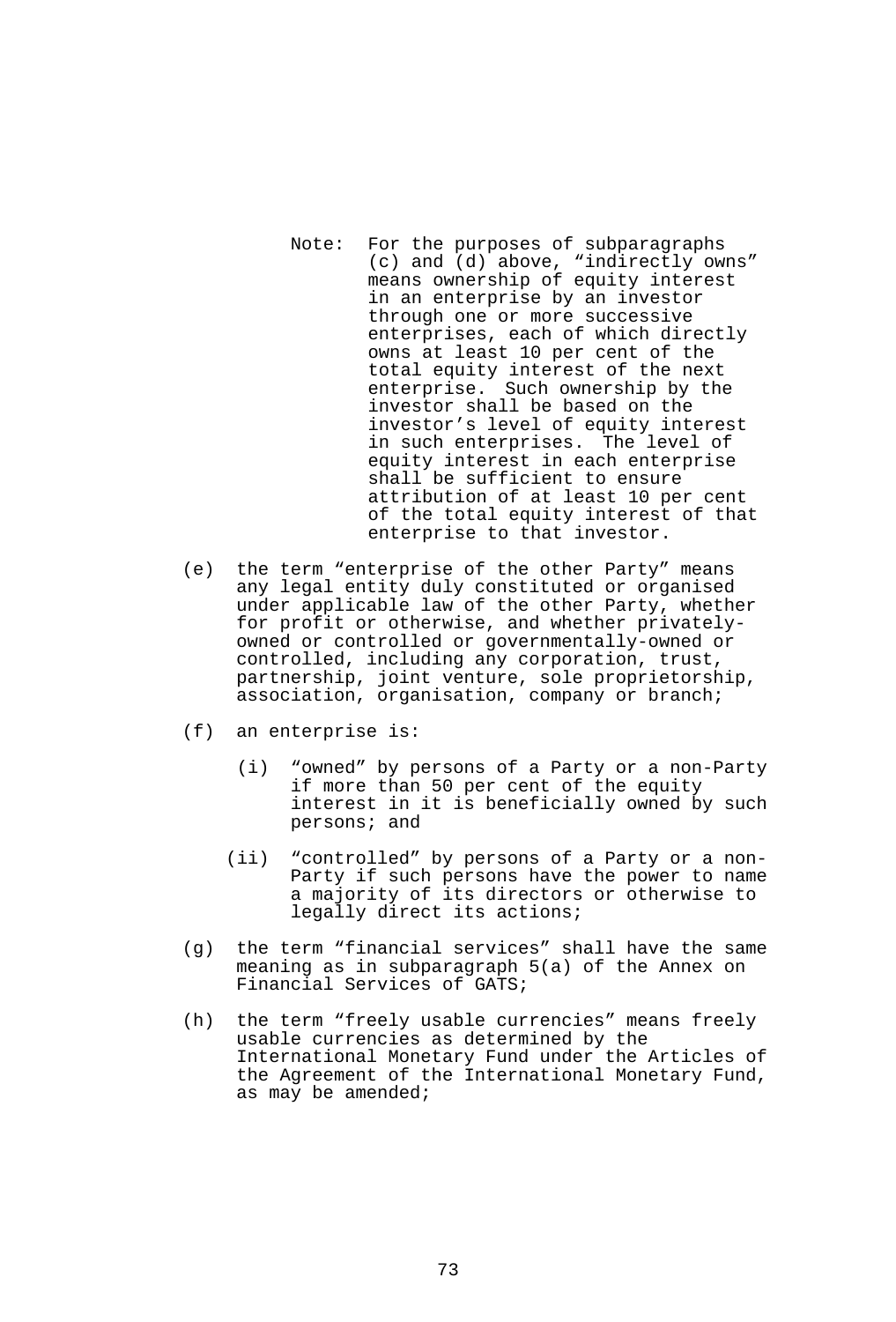- Note: For the purposes of subparagraphs (c) and (d) above, "indirectly owns" means ownership of equity interest in an enterprise by an investor through one or more successive enterprises, each of which directly owns at least 10 per cent of the total equity interest of the next enterprise. Such ownership by the investor shall be based on the investor's level of equity interest in such enterprises. The level of equity interest in each enterprise shall be sufficient to ensure attribution of at least 10 per cent of the total equity interest of that enterprise to that investor.
- (e) the term "enterprise of the other Party" means any legal entity duly constituted or organised under applicable law of the other Party, whether for profit or otherwise, and whether privatelyowned or controlled or governmentally-owned or controlled, including any corporation, trust, partnership, joint venture, sole proprietorship, association, organisation, company or branch;
- (f) an enterprise is:
	- (i) "owned" by persons of a Party or a non-Party if more than 50 per cent of the equity interest in it is beneficially owned by such persons; and
	- (ii) "controlled" by persons of a Party or a non-Party if such persons have the power to name a majority of its directors or otherwise to legally direct its actions;
- (g) the term "financial services" shall have the same meaning as in subparagraph 5(a) of the Annex on Financial Services of GATS;
- (h) the term "freely usable currencies" means freely usable currencies as determined by the International Monetary Fund under the Articles of the Agreement of the International Monetary Fund, as may be amended;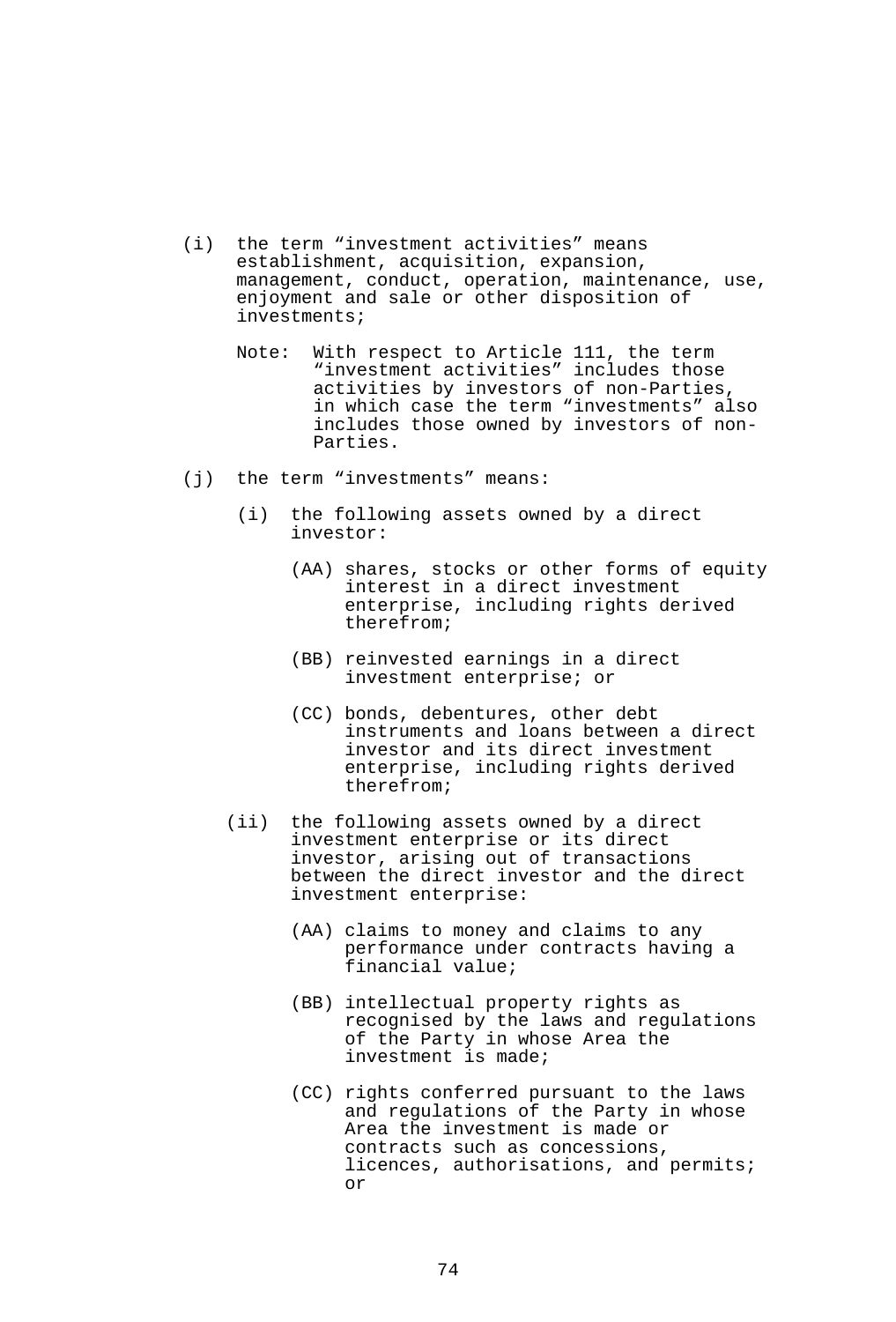- (i) the term "investment activities" means establishment, acquisition, expansion, management, conduct, operation, maintenance, use, enjoyment and sale or other disposition of investments;
	- Note: With respect to Article 111, the term "investment activities" includes those activities by investors of non-Parties, in which case the term "investments" also includes those owned by investors of non-Parties.
- (j) the term "investments" means:
	- (i) the following assets owned by a direct investor:
		- (AA) shares, stocks or other forms of equity interest in a direct investment enterprise, including rights derived therefrom;
		- (BB) reinvested earnings in a direct investment enterprise; or
		- (CC) bonds, debentures, other debt instruments and loans between a direct investor and its direct investment enterprise, including rights derived therefrom;
	- (ii) the following assets owned by a direct investment enterprise or its direct investor, arising out of transactions between the direct investor and the direct investment enterprise:
		- (AA) claims to money and claims to any performance under contracts having a financial value;
		- (BB) intellectual property rights as recognised by the laws and regulations of the Party in whose Area the investment is made;
		- (CC) rights conferred pursuant to the laws and regulations of the Party in whose Area the investment is made or contracts such as concessions, licences, authorisations, and permits; or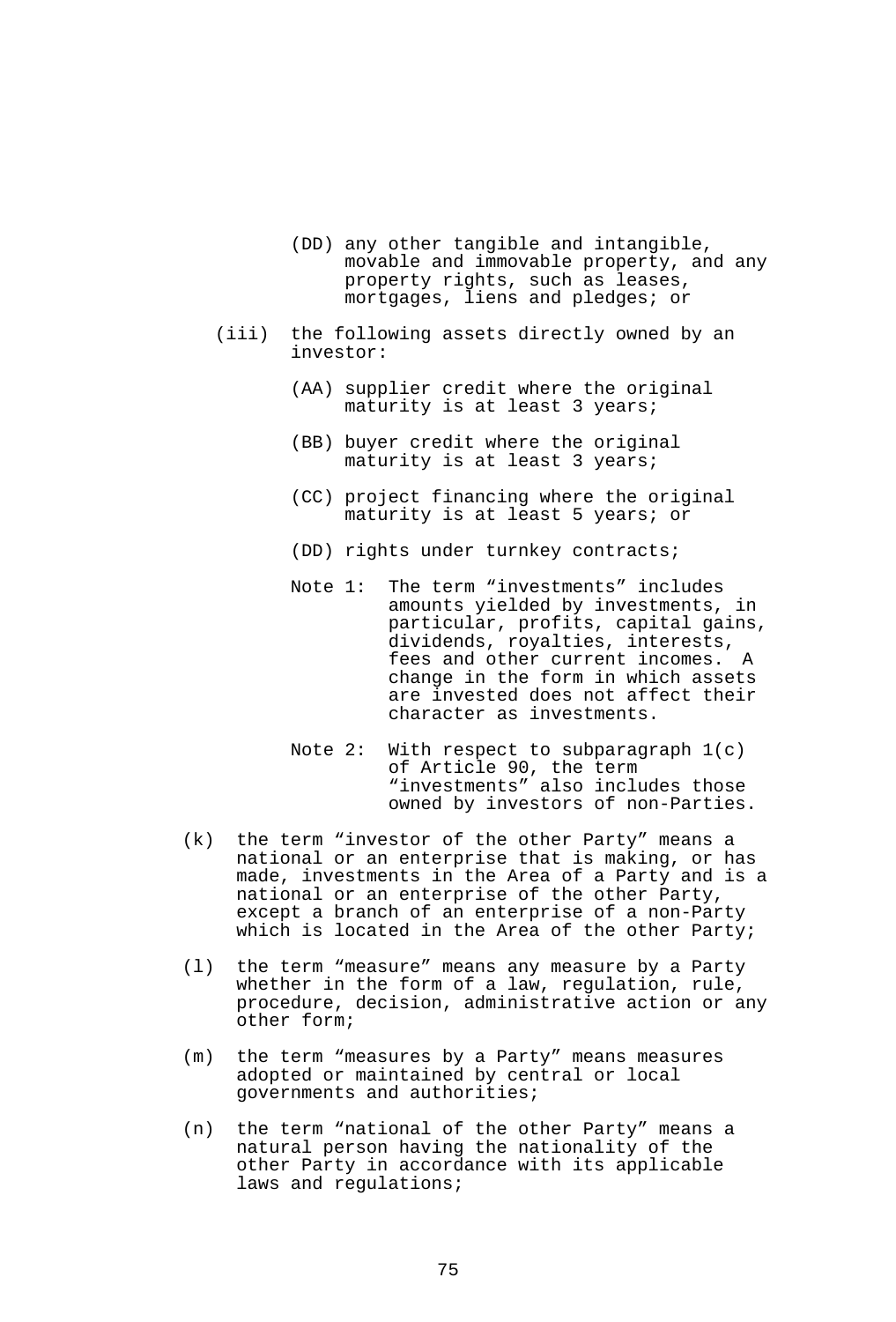- (DD) any other tangible and intangible, movable and immovable property, and any property rights, such as leases, mortgages, liens and pledges; or
- (iii) the following assets directly owned by an investor:
	- (AA) supplier credit where the original maturity is at least 3 years;
	- (BB) buyer credit where the original maturity is at least 3 years;
	- (CC) project financing where the original maturity is at least 5 years; or
	- (DD) rights under turnkey contracts;
	- Note 1: The term "investments" includes amounts yielded by investments, in particular, profits, capital gains, dividends, royalties, interests, fees and other current incomes. A change in the form in which assets are invested does not affect their character as investments.
	- Note 2: With respect to subparagraph 1(c) of Article 90, the term "investments" also includes those owned by investors of non-Parties.
- (k) the term "investor of the other Party" means a national or an enterprise that is making, or has made, investments in the Area of a Party and is a national or an enterprise of the other Party, except a branch of an enterprise of a non-Party which is located in the Area of the other Party;
- (l) the term "measure" means any measure by a Party whether in the form of a law, regulation, rule, procedure, decision, administrative action or any other form;
- (m) the term "measures by a Party" means measures adopted or maintained by central or local governments and authorities;
- (n) the term "national of the other Party" means a natural person having the nationality of the other Party in accordance with its applicable laws and regulations;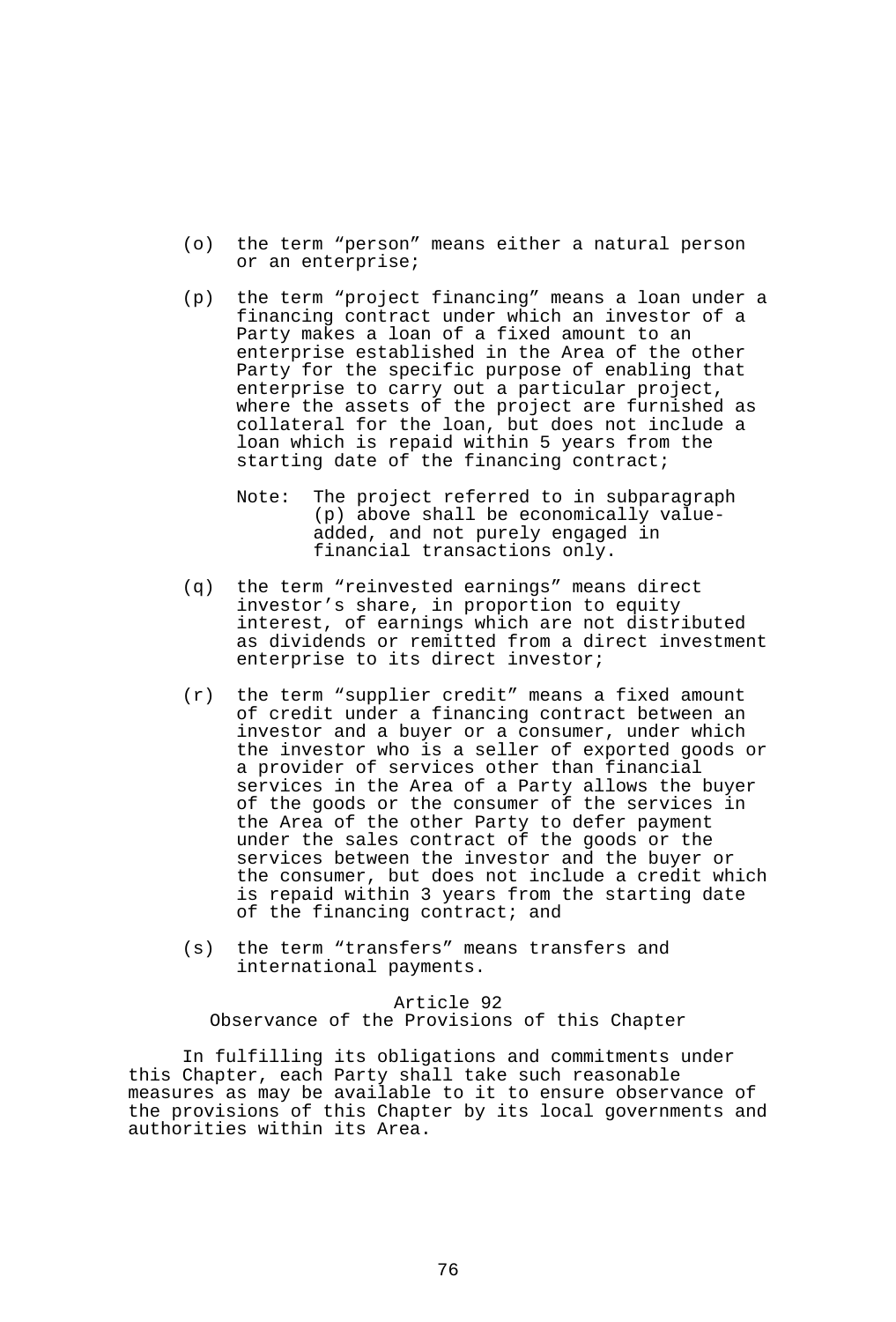- (o) the term "person" means either a natural person or an enterprise;
- (p) the term "project financing" means a loan under a financing contract under which an investor of a Party makes a loan of a fixed amount to an enterprise established in the Area of the other Party for the specific purpose of enabling that enterprise to carry out a particular project, where the assets of the project are furnished as collateral for the loan, but does not include a loan which is repaid within 5 years from the starting date of the financing contract;
	- Note: The project referred to in subparagraph (p) above shall be economically valueadded, and not purely engaged in financial transactions only.
- (q) the term "reinvested earnings" means direct investor's share, in proportion to equity interest, of earnings which are not distributed as dividends or remitted from a direct investment enterprise to its direct investor;
- (r) the term "supplier credit" means a fixed amount of credit under a financing contract between an investor and a buyer or a consumer, under which the investor who is a seller of exported goods or a provider of services other than financial services in the Area of a Party allows the buyer of the goods or the consumer of the services in the Area of the other Party to defer payment under the sales contract of the goods or the services between the investor and the buyer or the consumer, but does not include a credit which is repaid within 3 years from the starting date of the financing contract; and
- (s) the term "transfers" means transfers and international payments.

#### Article 92

Observance of the Provisions of this Chapter

 In fulfilling its obligations and commitments under this Chapter, each Party shall take such reasonable measures as may be available to it to ensure observance of the provisions of this Chapter by its local governments and authorities within its Area.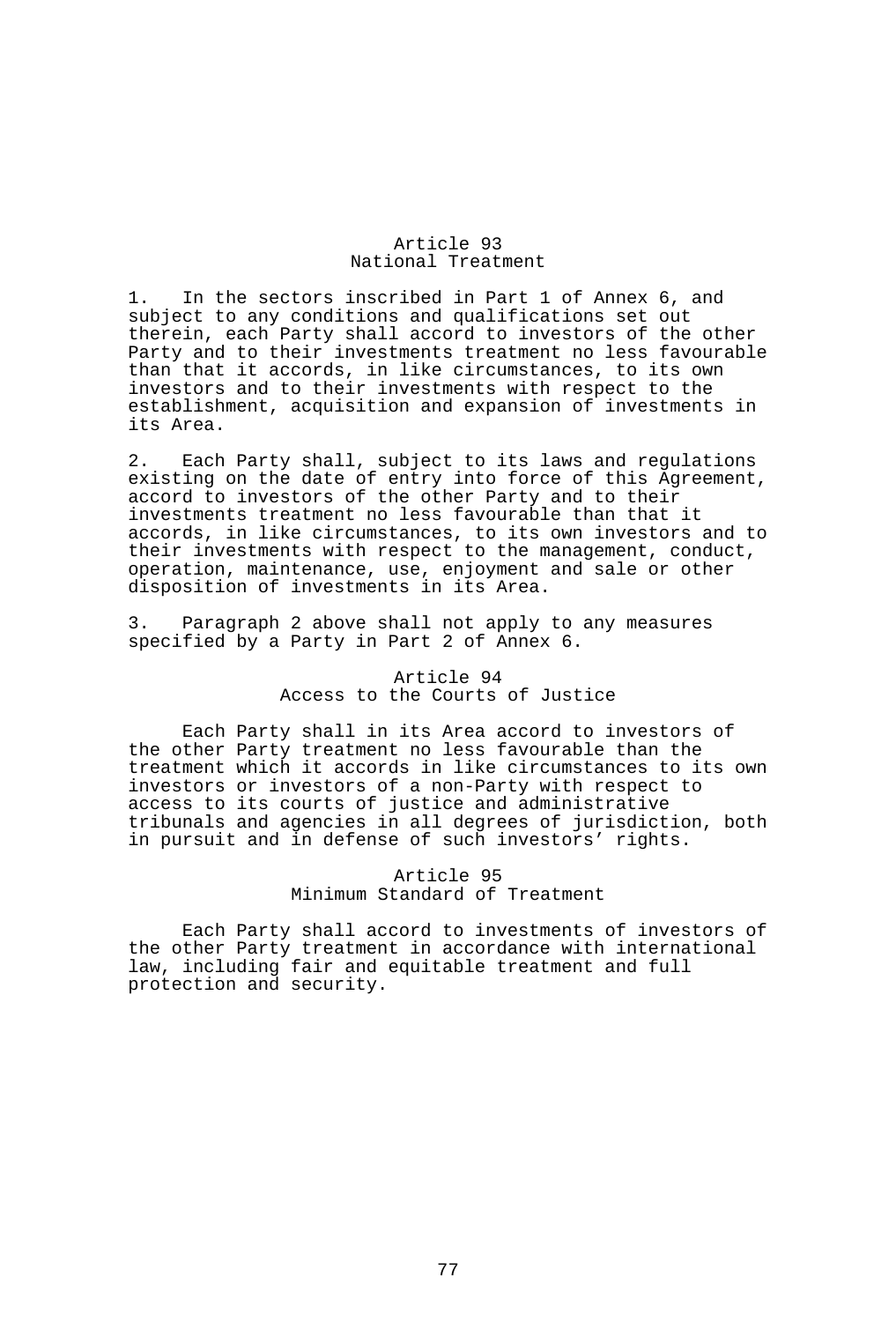### Article 93 National Treatment

1. In the sectors inscribed in Part 1 of Annex 6, and subject to any conditions and qualifications set out therein, each Party shall accord to investors of the other Party and to their investments treatment no less favourable than that it accords, in like circumstances, to its own investors and to their investments with respect to the establishment, acquisition and expansion of investments in its Area.

2. Each Party shall, subject to its laws and regulations existing on the date of entry into force of this Agreement, accord to investors of the other Party and to their investments treatment no less favourable than that it accords, in like circumstances, to its own investors and to their investments with respect to the management, conduct, operation, maintenance, use, enjoyment and sale or other disposition of investments in its Area.

3. Paragraph 2 above shall not apply to any measures specified by a Party in Part 2 of Annex 6.

#### Article 94 Access to the Courts of Justice

 Each Party shall in its Area accord to investors of the other Party treatment no less favourable than the treatment which it accords in like circumstances to its own investors or investors of a non-Party with respect to access to its courts of justice and administrative tribunals and agencies in all degrees of jurisdiction, both in pursuit and in defense of such investors' rights.

## Article 95 Minimum Standard of Treatment

 Each Party shall accord to investments of investors of the other Party treatment in accordance with international law, including fair and equitable treatment and full protection and security.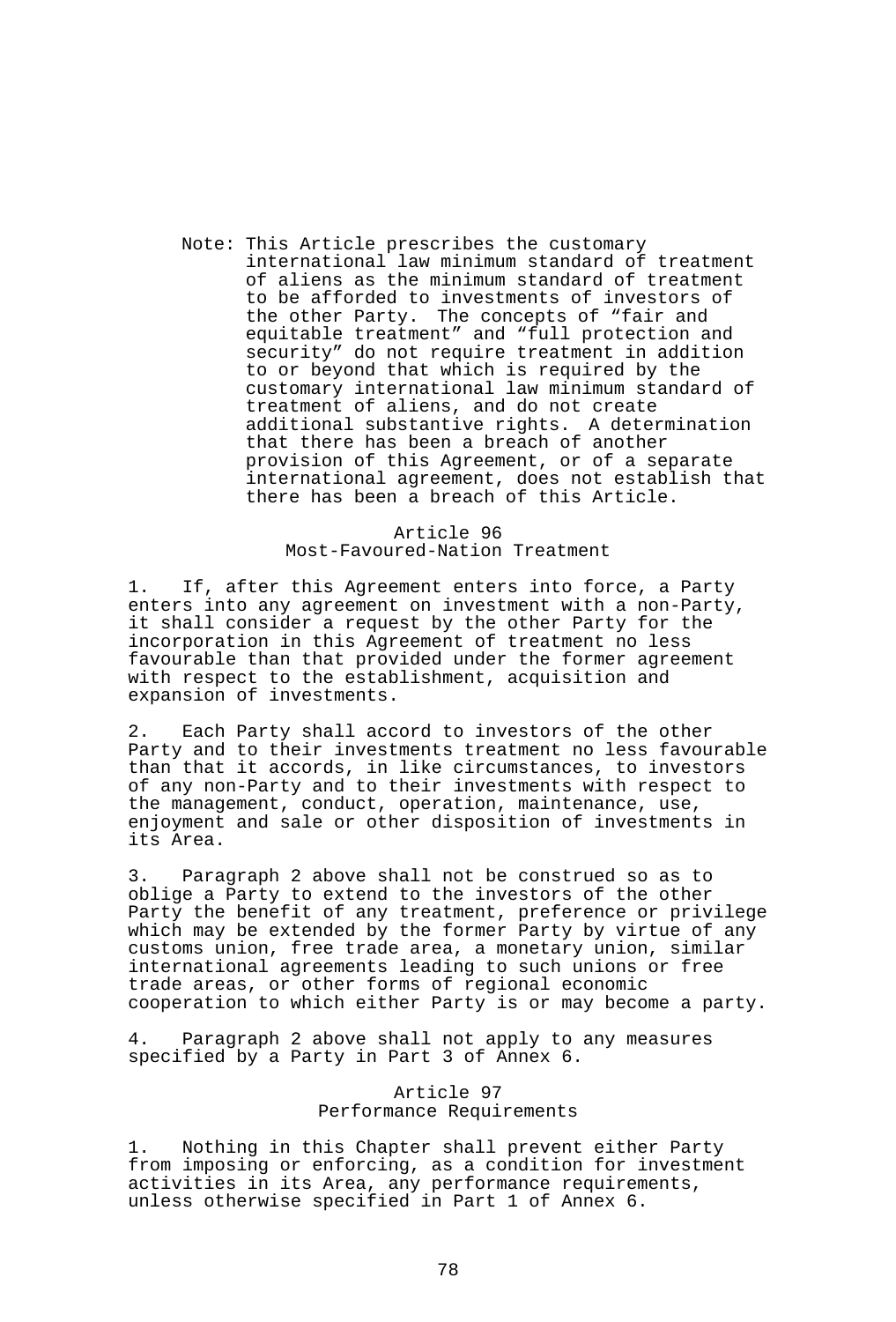Note: This Article prescribes the customary international law minimum standard of treatment of aliens as the minimum standard of treatment to be afforded to investments of investors of the other Party. The concepts of "fair and equitable treatment" and "full protection and security" do not require treatment in addition to or beyond that which is required by the customary international law minimum standard of treatment of aliens, and do not create additional substantive rights. A determination that there has been a breach of another provision of this Agreement, or of a separate international agreement, does not establish that there has been a breach of this Article.

### Article 96 Most-Favoured-Nation Treatment

1. If, after this Agreement enters into force, a Party enters into any agreement on investment with a non-Party, it shall consider a request by the other Party for the incorporation in this Agreement of treatment no less favourable than that provided under the former agreement with respect to the establishment, acquisition and expansion of investments.

2. Each Party shall accord to investors of the other Party and to their investments treatment no less favourable than that it accords, in like circumstances, to investors of any non-Party and to their investments with respect to the management, conduct, operation, maintenance, use, enjoyment and sale or other disposition of investments in its Area.

3. Paragraph 2 above shall not be construed so as to oblige a Party to extend to the investors of the other Party the benefit of any treatment, preference or privilege which may be extended by the former Party by virtue of any customs union, free trade area, a monetary union, similar international agreements leading to such unions or free trade areas, or other forms of regional economic cooperation to which either Party is or may become a party.

4. Paragraph 2 above shall not apply to any measures specified by a Party in Part 3 of Annex 6.

# Article 97 Performance Requirements

1. Nothing in this Chapter shall prevent either Party from imposing or enforcing, as a condition for investment activities in its Area, any performance requirements, unless otherwise specified in Part 1 of Annex 6.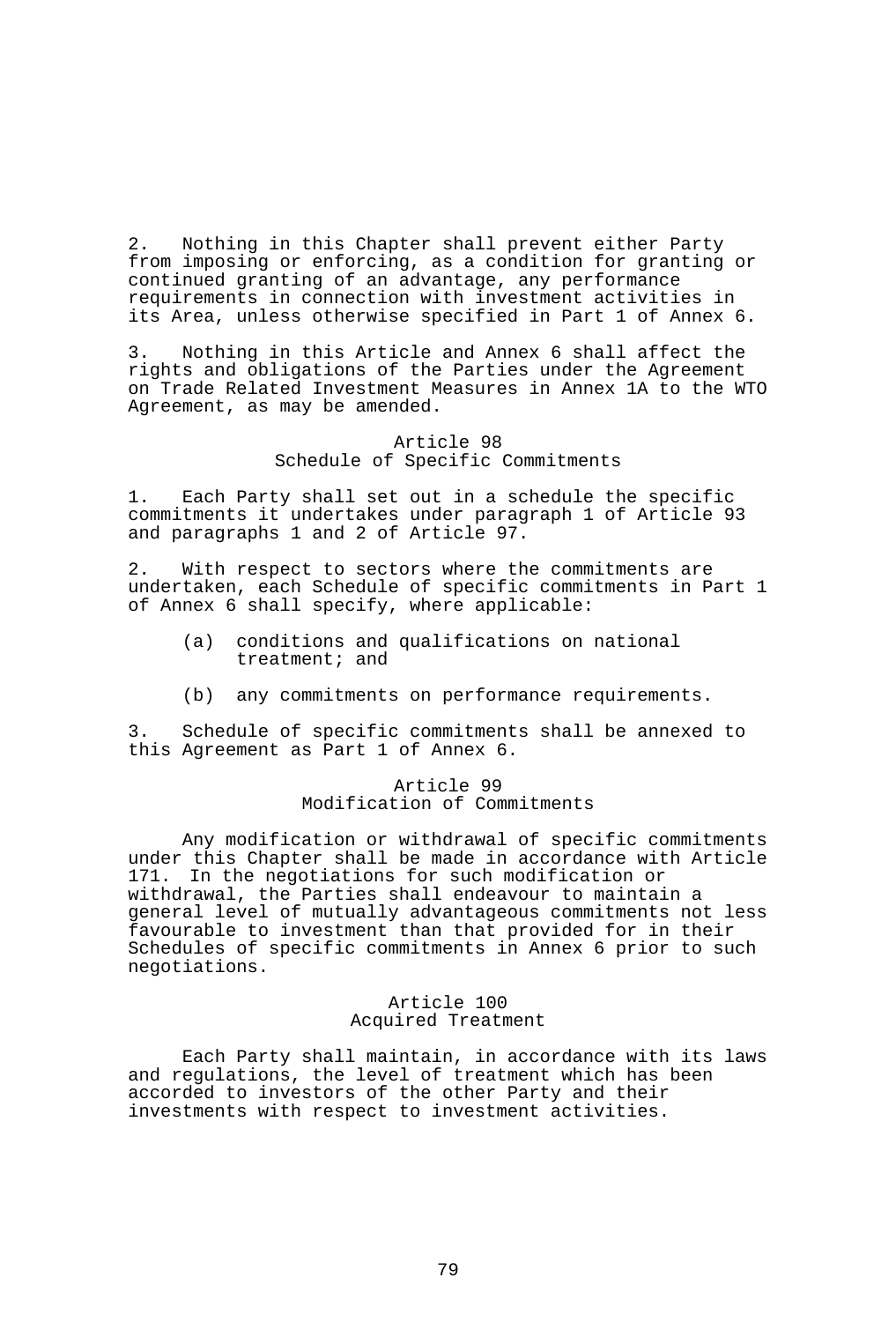2. Nothing in this Chapter shall prevent either Party from imposing or enforcing, as a condition for granting or continued granting of an advantage, any performance requirements in connection with investment activities in its Area, unless otherwise specified in Part 1 of Annex 6.

3. Nothing in this Article and Annex 6 shall affect the rights and obligations of the Parties under the Agreement on Trade Related Investment Measures in Annex 1A to the WTO Agreement, as may be amended.

### Article 98 Schedule of Specific Commitments

1. Each Party shall set out in a schedule the specific commitments it undertakes under paragraph 1 of Article 93 and paragraphs 1 and 2 of Article 97.

2. With respect to sectors where the commitments are undertaken, each Schedule of specific commitments in Part 1 of Annex 6 shall specify, where applicable:

- (a) conditions and qualifications on national treatment; and
- (b) any commitments on performance requirements.

3. Schedule of specific commitments shall be annexed to this Agreement as Part 1 of Annex 6.

## Article 99 Modification of Commitments

 Any modification or withdrawal of specific commitments under this Chapter shall be made in accordance with Article 171. In the negotiations for such modification or withdrawal, the Parties shall endeavour to maintain a general level of mutually advantageous commitments not less favourable to investment than that provided for in their Schedules of specific commitments in Annex 6 prior to such negotiations.

### Article 100 Acquired Treatment

 Each Party shall maintain, in accordance with its laws and regulations, the level of treatment which has been accorded to investors of the other Party and their investments with respect to investment activities.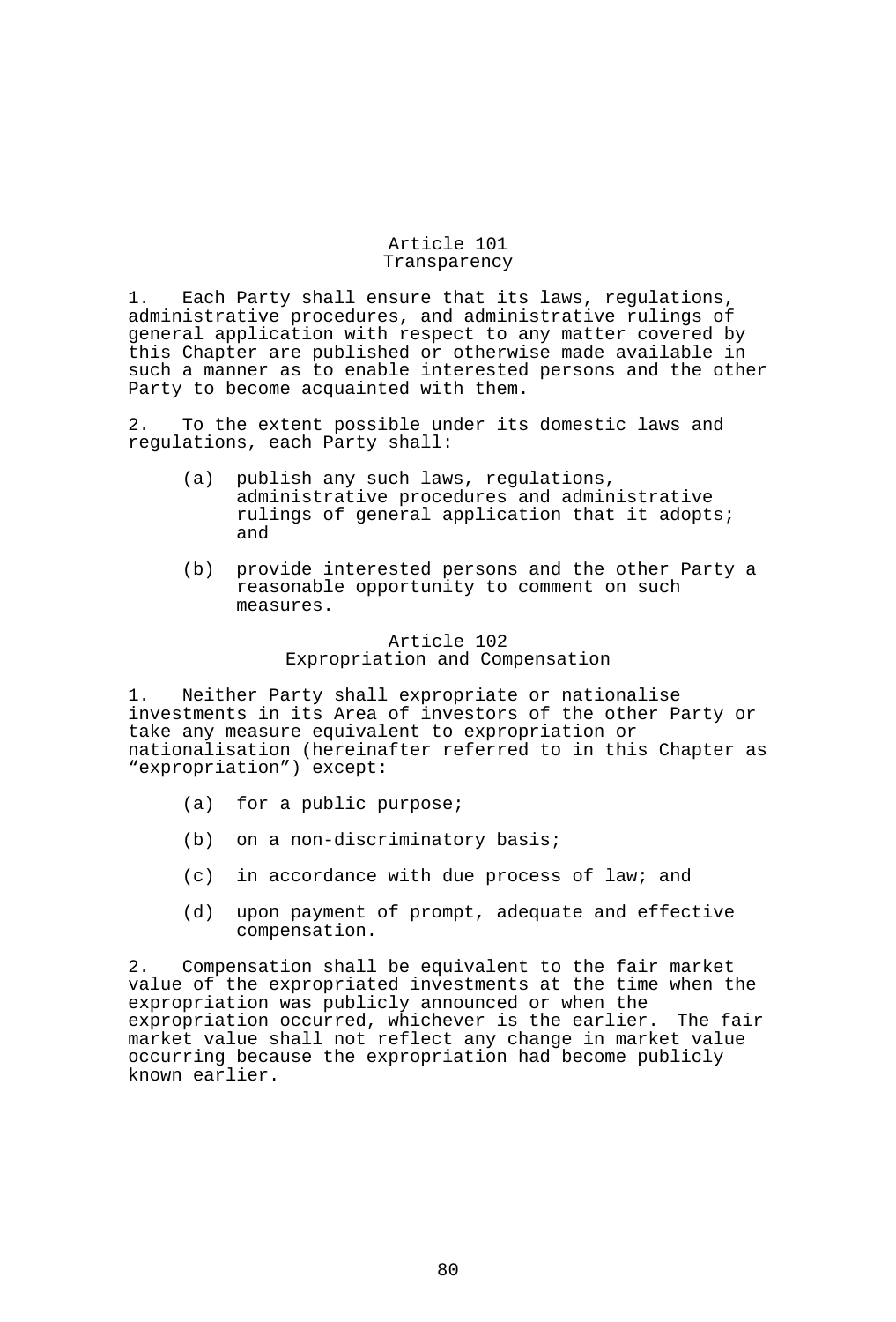### Article 101 Transparency

1. Each Party shall ensure that its laws, regulations, administrative procedures, and administrative rulings of general application with respect to any matter covered by this Chapter are published or otherwise made available in such a manner as to enable interested persons and the other Party to become acquainted with them.

2. To the extent possible under its domestic laws and regulations, each Party shall:

- (a) publish any such laws, regulations, administrative procedures and administrative rulings of general application that it adopts; and
- (b) provide interested persons and the other Party a reasonable opportunity to comment on such measures.

## Article 102 Expropriation and Compensation

1. Neither Party shall expropriate or nationalise investments in its Area of investors of the other Party or take any measure equivalent to expropriation or nationalisation (hereinafter referred to in this Chapter as "expropriation") except:

- (a) for a public purpose;
- (b) on a non-discriminatory basis;
- (c) in accordance with due process of law; and
- (d) upon payment of prompt, adequate and effective compensation.

2. Compensation shall be equivalent to the fair market value of the expropriated investments at the time when the expropriation was publicly announced or when the expropriation occurred, whichever is the earlier. The fair market value shall not reflect any change in market value occurring because the expropriation had become publicly known earlier.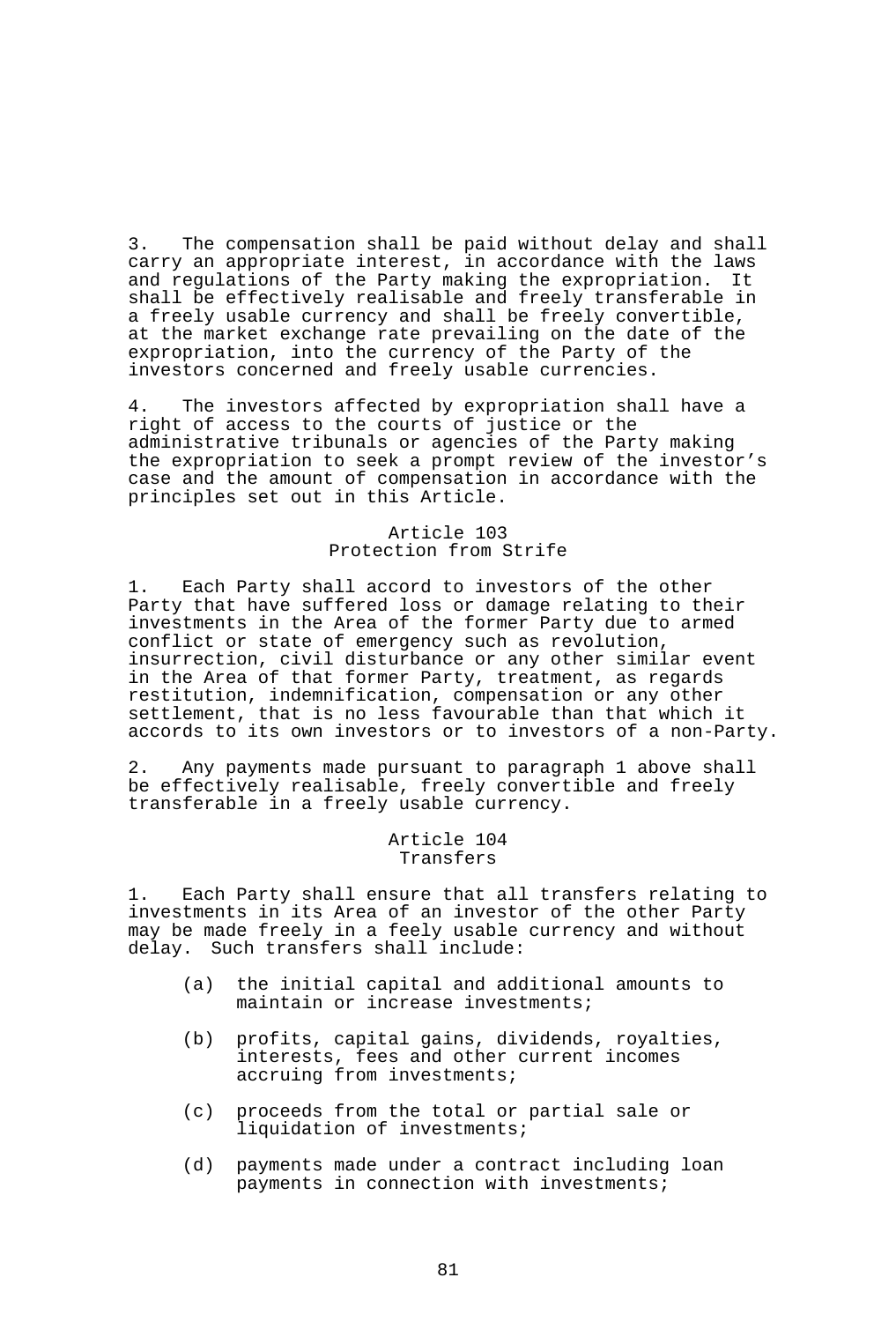3. The compensation shall be paid without delay and shall carry an appropriate interest, in accordance with the laws and regulations of the Party making the expropriation. It shall be effectively realisable and freely transferable in a freely usable currency and shall be freely convertible, at the market exchange rate prevailing on the date of the expropriation, into the currency of the Party of the investors concerned and freely usable currencies.

4. The investors affected by expropriation shall have a right of access to the courts of justice or the administrative tribunals or agencies of the Party making the expropriation to seek a prompt review of the investor's case and the amount of compensation in accordance with the principles set out in this Article.

## Article 103 Protection from Strife

1. Each Party shall accord to investors of the other Party that have suffered loss or damage relating to their investments in the Area of the former Party due to armed conflict or state of emergency such as revolution, insurrection, civil disturbance or any other similar event in the Area of that former Party, treatment, as regards restitution, indemnification, compensation or any other settlement, that is no less favourable than that which it accords to its own investors or to investors of a non-Party.

2. Any payments made pursuant to paragraph 1 above shall be effectively realisable, freely convertible and freely transferable in a freely usable currency.

### Article 104 Transfers

1. Each Party shall ensure that all transfers relating to investments in its Area of an investor of the other Party may be made freely in a feely usable currency and without delay. Such transfers shall include:

- (a) the initial capital and additional amounts to maintain or increase investments;
- (b) profits, capital gains, dividends, royalties, interests, fees and other current incomes accruing from investments;
- (c) proceeds from the total or partial sale or liquidation of investments;
- (d) payments made under a contract including loan payments in connection with investments;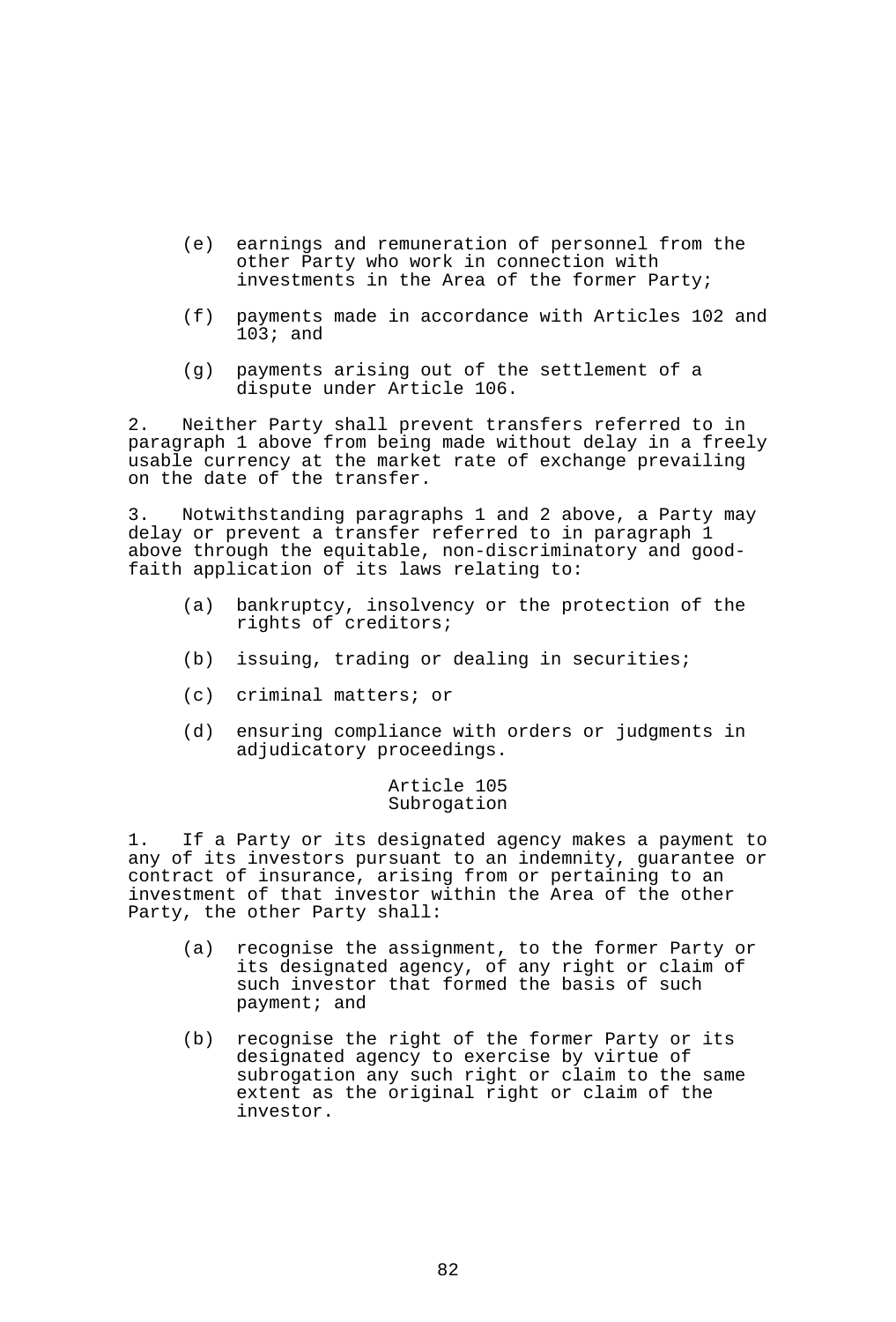- (e) earnings and remuneration of personnel from the other Party who work in connection with investments in the Area of the former Party;
- (f) payments made in accordance with Articles 102 and 103; and
- (g) payments arising out of the settlement of a dispute under Article 106.

2. Neither Party shall prevent transfers referred to in paragraph 1 above from being made without delay in a freely usable currency at the market rate of exchange prevailing on the date of the transfer.

3. Notwithstanding paragraphs 1 and 2 above, a Party may delay or prevent a transfer referred to in paragraph 1 above through the equitable, non-discriminatory and goodfaith application of its laws relating to:

- (a) bankruptcy, insolvency or the protection of the rights of creditors;
- (b) issuing, trading or dealing in securities;
- (c) criminal matters; or
- (d) ensuring compliance with orders or judgments in adjudicatory proceedings.

## Article 105 Subrogation

1. If a Party or its designated agency makes a payment to any of its investors pursuant to an indemnity, guarantee or contract of insurance, arising from or pertaining to an investment of that investor within the Area of the other Party, the other Party shall:

- (a) recognise the assignment, to the former Party or its designated agency, of any right or claim of such investor that formed the basis of such payment; and
- (b) recognise the right of the former Party or its designated agency to exercise by virtue of subrogation any such right or claim to the same extent as the original right or claim of the investor.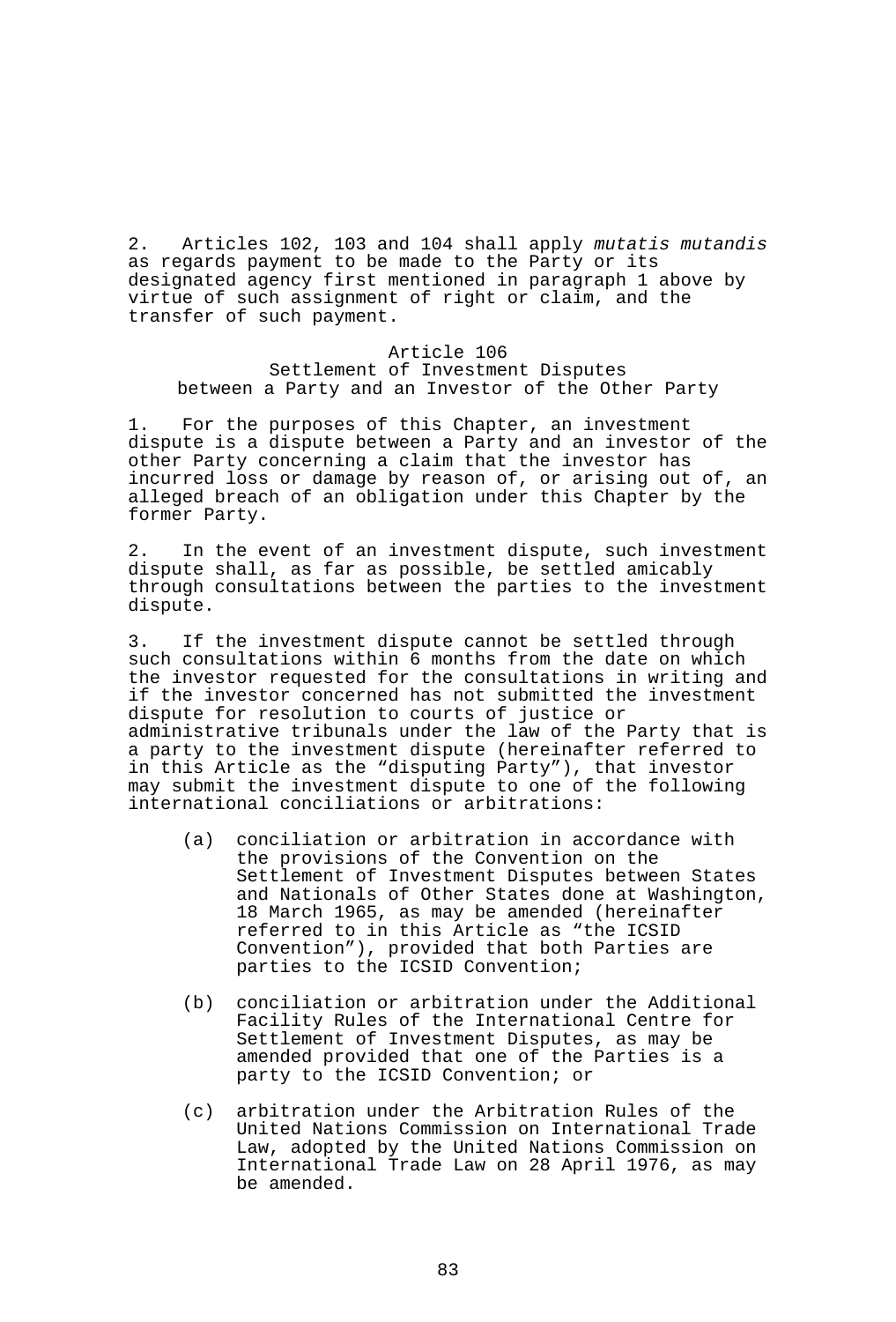2. Articles 102, 103 and 104 shall apply *mutatis mutandis* as regards payment to be made to the Party or its designated agency first mentioned in paragraph 1 above by virtue of such assignment of right or claim, and the transfer of such payment.

### Article 106 Settlement of Investment Disputes between a Party and an Investor of the Other Party

1. For the purposes of this Chapter, an investment dispute is a dispute between a Party and an investor of the other Party concerning a claim that the investor has incurred loss or damage by reason of, or arising out of, an alleged breach of an obligation under this Chapter by the former Party.

2. In the event of an investment dispute, such investment dispute shall, as far as possible, be settled amicably through consultations between the parties to the investment dispute.

3. If the investment dispute cannot be settled through such consultations within 6 months from the date on which the investor requested for the consultations in writing and if the investor concerned has not submitted the investment dispute for resolution to courts of justice or administrative tribunals under the law of the Party that is a party to the investment dispute (hereinafter referred to in this Article as the "disputing Party"), that investor may submit the investment dispute to one of the following international conciliations or arbitrations:

- (a) conciliation or arbitration in accordance with the provisions of the Convention on the Settlement of Investment Disputes between States and Nationals of Other States done at Washington, 18 March 1965, as may be amended (hereinafter referred to in this Article as "the ICSID Convention"), provided that both Parties are parties to the ICSID Convention;
- (b) conciliation or arbitration under the Additional Facility Rules of the International Centre for Settlement of Investment Disputes, as may be amended provided that one of the Parties is a party to the ICSID Convention; or
- (c) arbitration under the Arbitration Rules of the United Nations Commission on International Trade Law, adopted by the United Nations Commission on International Trade Law on 28 April 1976, as may be amended.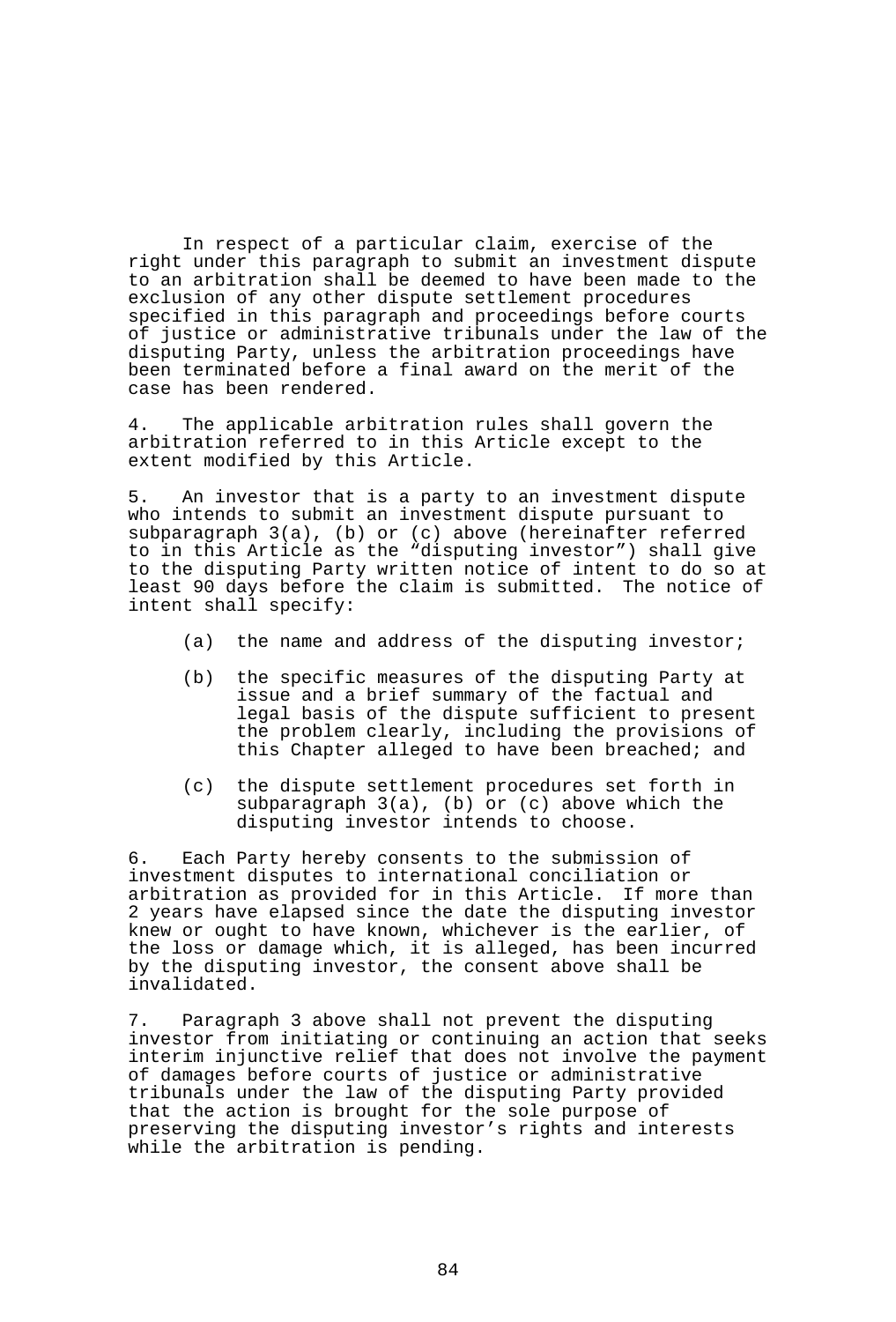In respect of a particular claim, exercise of the right under this paragraph to submit an investment dispute to an arbitration shall be deemed to have been made to the exclusion of any other dispute settlement procedures specified in this paragraph and proceedings before courts of justice or administrative tribunals under the law of the disputing Party, unless the arbitration proceedings have been terminated before a final award on the merit of the case has been rendered.

4. The applicable arbitration rules shall govern the arbitration referred to in this Article except to the extent modified by this Article.

5. An investor that is a party to an investment dispute who intends to submit an investment dispute pursuant to subparagraph 3(a), (b) or (c) above (hereinafter referred to in this Article as the "disputing investor") shall give to the disputing Party written notice of intent to do so at least 90 days before the claim is submitted. The notice of intent shall specify:

- (a) the name and address of the disputing investor;
- (b) the specific measures of the disputing Party at issue and a brief summary of the factual and legal basis of the dispute sufficient to present the problem clearly, including the provisions of this Chapter alleged to have been breached; and
- (c) the dispute settlement procedures set forth in subparagraph 3(a), (b) or (c) above which the disputing investor intends to choose.

6. Each Party hereby consents to the submission of investment disputes to international conciliation or arbitration as provided for in this Article. If more than 2 years have elapsed since the date the disputing investor knew or ought to have known, whichever is the earlier, of the loss or damage which, it is alleged, has been incurred by the disputing investor, the consent above shall be invalidated.

7. Paragraph 3 above shall not prevent the disputing investor from initiating or continuing an action that seeks interim injunctive relief that does not involve the payment of damages before courts of justice or administrative tribunals under the law of the disputing Party provided that the action is brought for the sole purpose of preserving the disputing investor's rights and interests while the arbitration is pending.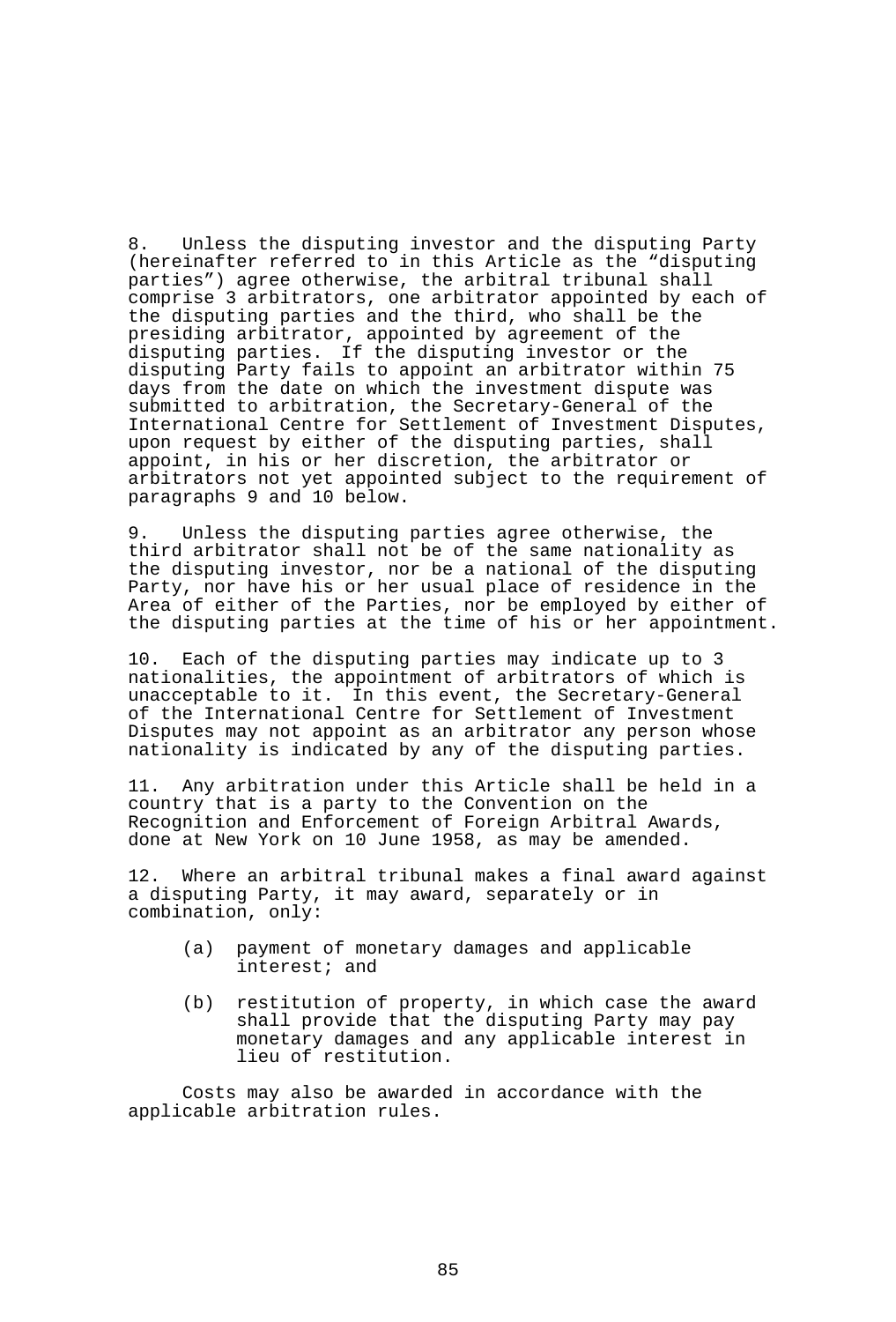8. Unless the disputing investor and the disputing Party (hereinafter referred to in this Article as the "disputing parties") agree otherwise, the arbitral tribunal shall comprise 3 arbitrators, one arbitrator appointed by each of the disputing parties and the third, who shall be the presiding arbitrator, appointed by agreement of the disputing parties. If the disputing investor or the disputing Party fails to appoint an arbitrator within 75 days from the date on which the investment dispute was submitted to arbitration, the Secretary-General of the International Centre for Settlement of Investment Disputes, upon request by either of the disputing parties, shall appoint, in his or her discretion, the arbitrator or arbitrators not yet appointed subject to the requirement of paragraphs 9 and 10 below.

9. Unless the disputing parties agree otherwise, the third arbitrator shall not be of the same nationality as the disputing investor, nor be a national of the disputing Party, nor have his or her usual place of residence in the Area of either of the Parties, nor be employed by either of the disputing parties at the time of his or her appointment.

10. Each of the disputing parties may indicate up to 3 nationalities, the appointment of arbitrators of which is unacceptable to it. In this event, the Secretary-General of the International Centre for Settlement of Investment Disputes may not appoint as an arbitrator any person whose nationality is indicated by any of the disputing parties.

11. Any arbitration under this Article shall be held in a country that is a party to the Convention on the Recognition and Enforcement of Foreign Arbitral Awards, done at New York on 10 June 1958, as may be amended.

12. Where an arbitral tribunal makes a final award against a disputing Party, it may award, separately or in combination, only:

- (a) payment of monetary damages and applicable interest; and
- (b) restitution of property, in which case the award shall provide that the disputing Party may pay monetary damages and any applicable interest in lieu of restitution.

 Costs may also be awarded in accordance with the applicable arbitration rules.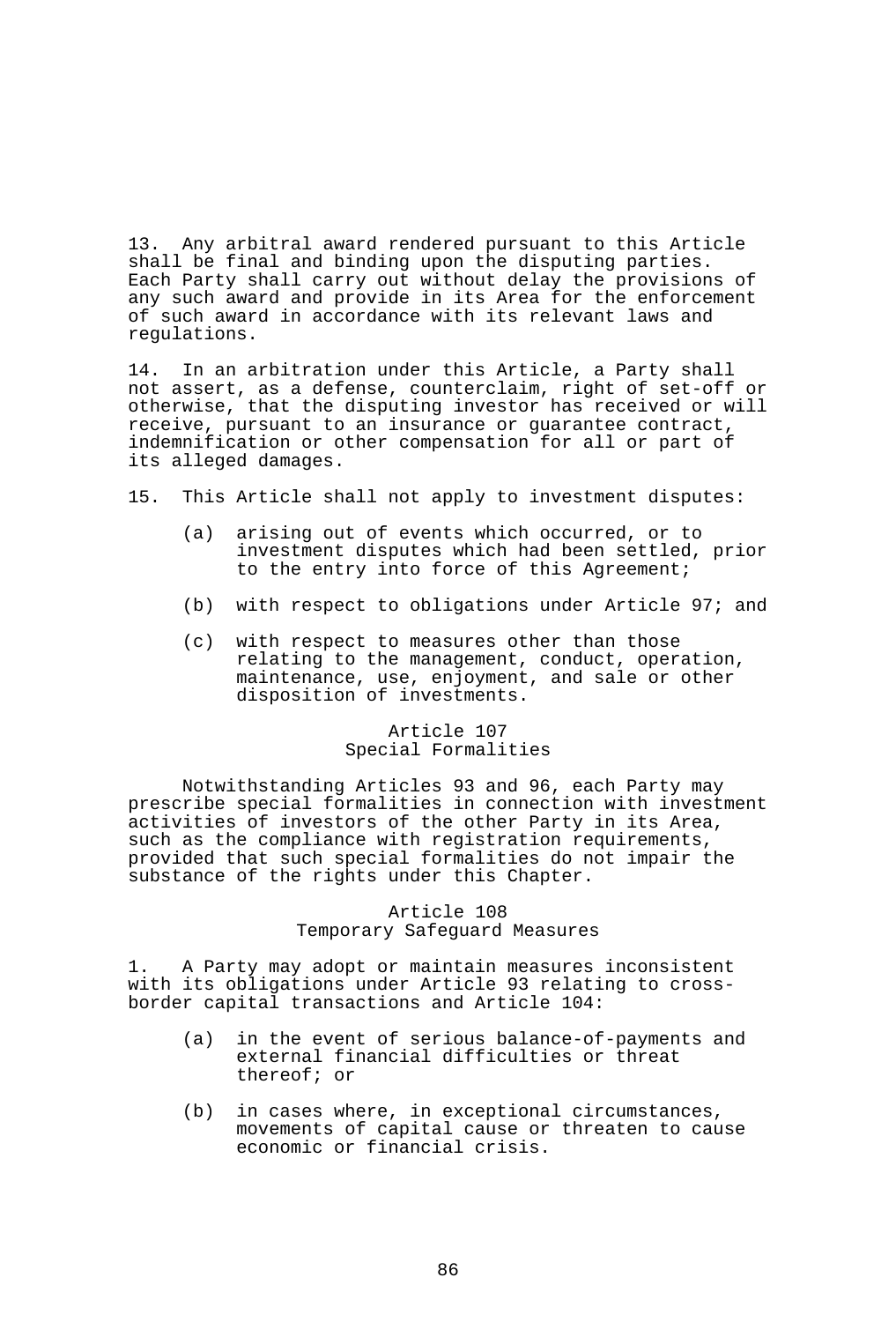13. Any arbitral award rendered pursuant to this Article shall be final and binding upon the disputing parties. Each Party shall carry out without delay the provisions of any such award and provide in its Area for the enforcement of such award in accordance with its relevant laws and regulations.

14. In an arbitration under this Article, a Party shall not assert, as a defense, counterclaim, right of set-off or otherwise, that the disputing investor has received or will receive, pursuant to an insurance or guarantee contract, indemnification or other compensation for all or part of its alleged damages.

- 15. This Article shall not apply to investment disputes:
	- (a) arising out of events which occurred, or to investment disputes which had been settled, prior to the entry into force of this Agreement;
	- (b) with respect to obligations under Article 97; and
	- (c) with respect to measures other than those relating to the management, conduct, operation, maintenance, use, enjoyment, and sale or other disposition of investments.

### Article 107 Special Formalities

 Notwithstanding Articles 93 and 96, each Party may prescribe special formalities in connection with investment activities of investors of the other Party in its Area, such as the compliance with registration requirements, provided that such special formalities do not impair the substance of the rights under this Chapter.

### Article 108 Temporary Safeguard Measures

1. A Party may adopt or maintain measures inconsistent with its obligations under Article 93 relating to crossborder capital transactions and Article 104:

- (a) in the event of serious balance-of-payments and external financial difficulties or threat thereof; or
- (b) in cases where, in exceptional circumstances, movements of capital cause or threaten to cause economic or financial crisis.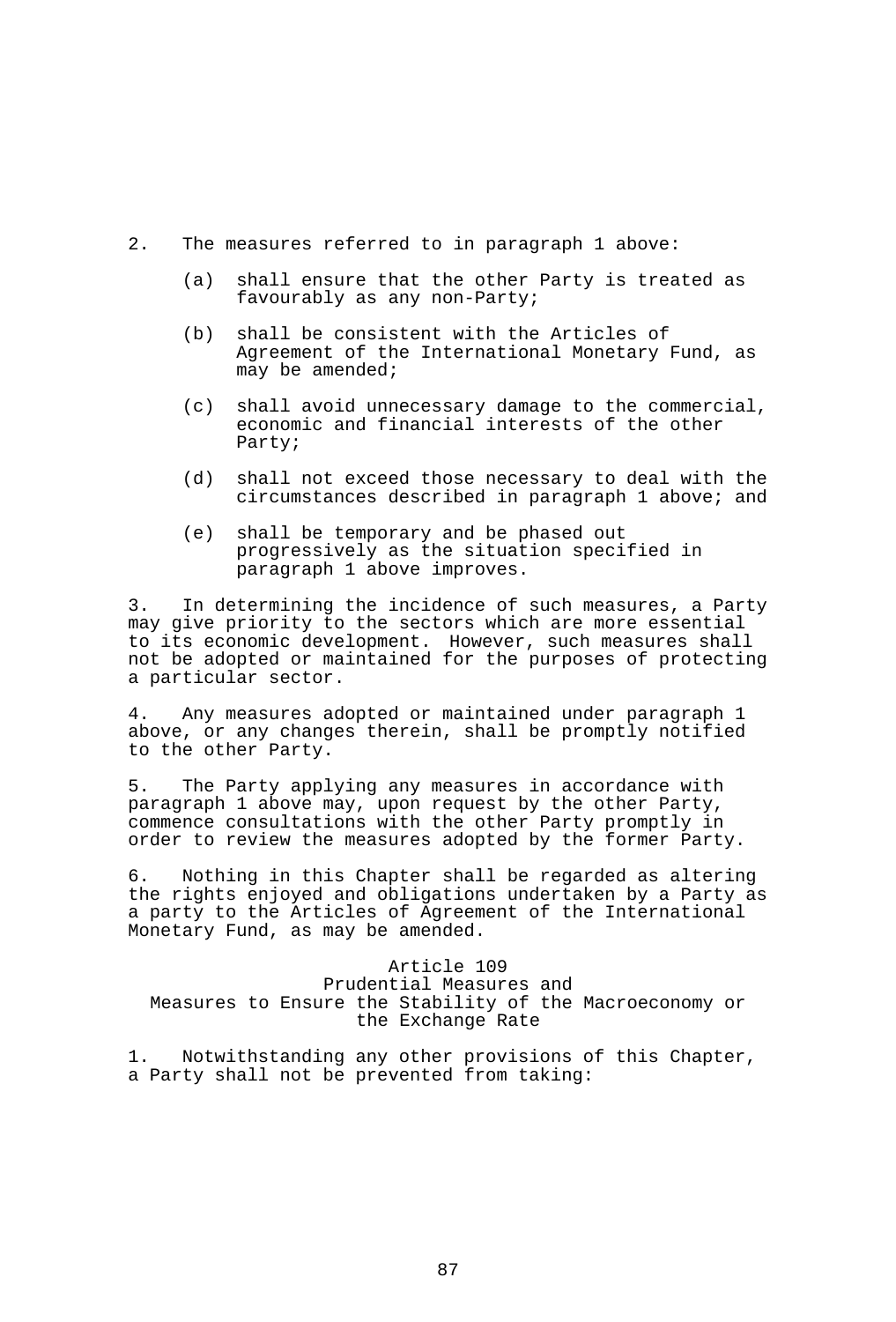- 2. The measures referred to in paragraph 1 above:
	- (a) shall ensure that the other Party is treated as favourably as any non-Party;
	- (b) shall be consistent with the Articles of Agreement of the International Monetary Fund, as may be amended;
	- (c) shall avoid unnecessary damage to the commercial, economic and financial interests of the other Party;
	- (d) shall not exceed those necessary to deal with the circumstances described in paragraph 1 above; and
	- (e) shall be temporary and be phased out progressively as the situation specified in paragraph 1 above improves.

3. In determining the incidence of such measures, a Party may give priority to the sectors which are more essential to its economic development. However, such measures shall not be adopted or maintained for the purposes of protecting a particular sector.

4. Any measures adopted or maintained under paragraph 1 above, or any changes therein, shall be promptly notified to the other Party.

5. The Party applying any measures in accordance with paragraph 1 above may, upon request by the other Party, commence consultations with the other Party promptly in order to review the measures adopted by the former Party.

6. Nothing in this Chapter shall be regarded as altering the rights enjoyed and obligations undertaken by a Party as a party to the Articles of Agreement of the International Monetary Fund, as may be amended.

Article 109 Prudential Measures and Measures to Ensure the Stability of the Macroeconomy or the Exchange Rate

1. Notwithstanding any other provisions of this Chapter, a Party shall not be prevented from taking: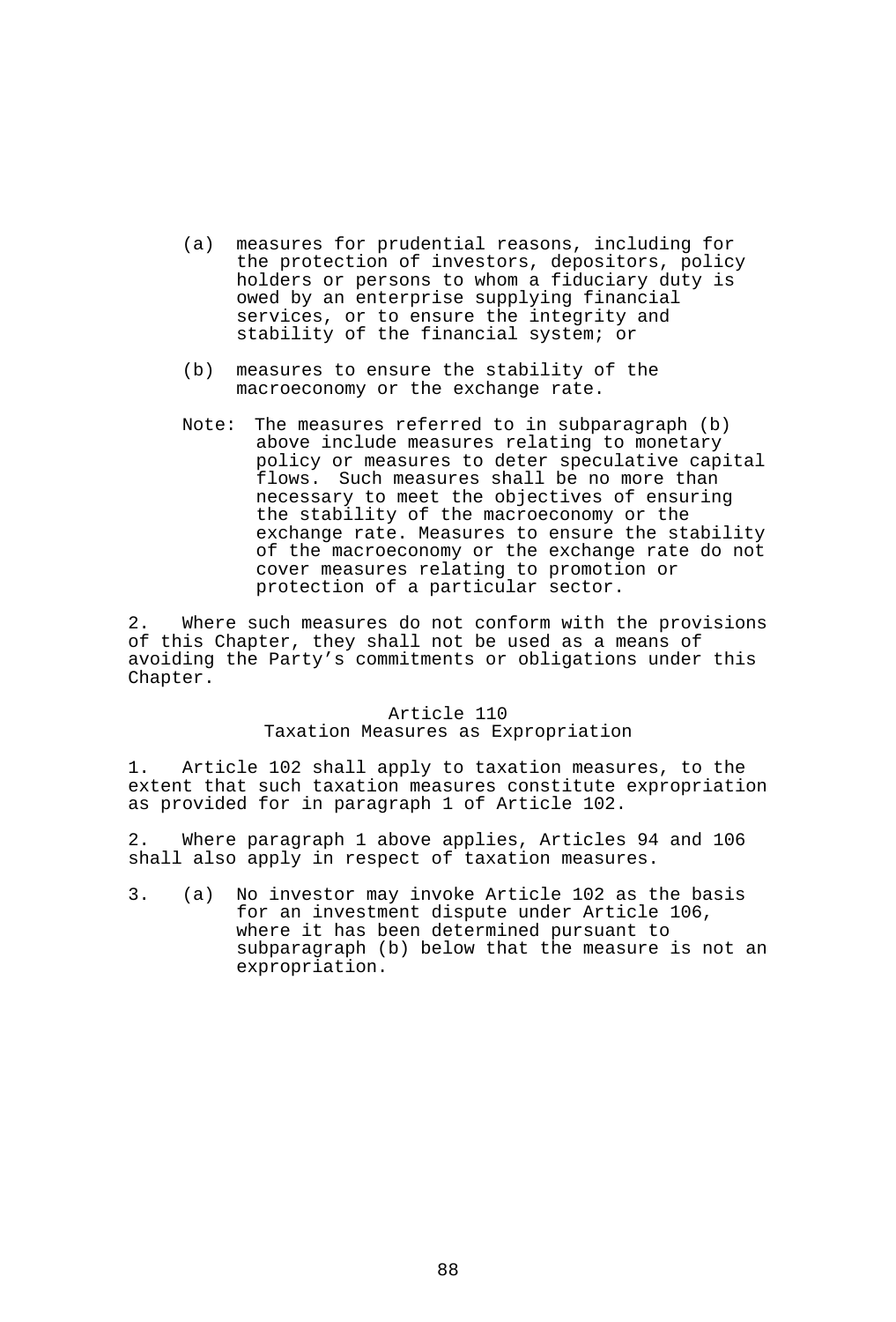- (a) measures for prudential reasons, including for the protection of investors, depositors, policy holders or persons to whom a fiduciary duty is owed by an enterprise supplying financial services, or to ensure the integrity and stability of the financial system; or
- (b) measures to ensure the stability of the macroeconomy or the exchange rate.
- Note: The measures referred to in subparagraph (b) above include measures relating to monetary policy or measures to deter speculative capital flows. Such measures shall be no more than necessary to meet the objectives of ensuring the stability of the macroeconomy or the exchange rate. Measures to ensure the stability of the macroeconomy or the exchange rate do not cover measures relating to promotion or protection of a particular sector.

2. Where such measures do not conform with the provisions of this Chapter, they shall not be used as a means of avoiding the Party's commitments or obligations under this Chapter.

#### Article 110

#### Taxation Measures as Expropriation

1. Article 102 shall apply to taxation measures, to the extent that such taxation measures constitute expropriation as provided for in paragraph 1 of Article 102.

2. Where paragraph 1 above applies, Articles 94 and 106 shall also apply in respect of taxation measures.

3. (a) No investor may invoke Article 102 as the basis for an investment dispute under Article 106, where it has been determined pursuant to subparagraph (b) below that the measure is not an expropriation.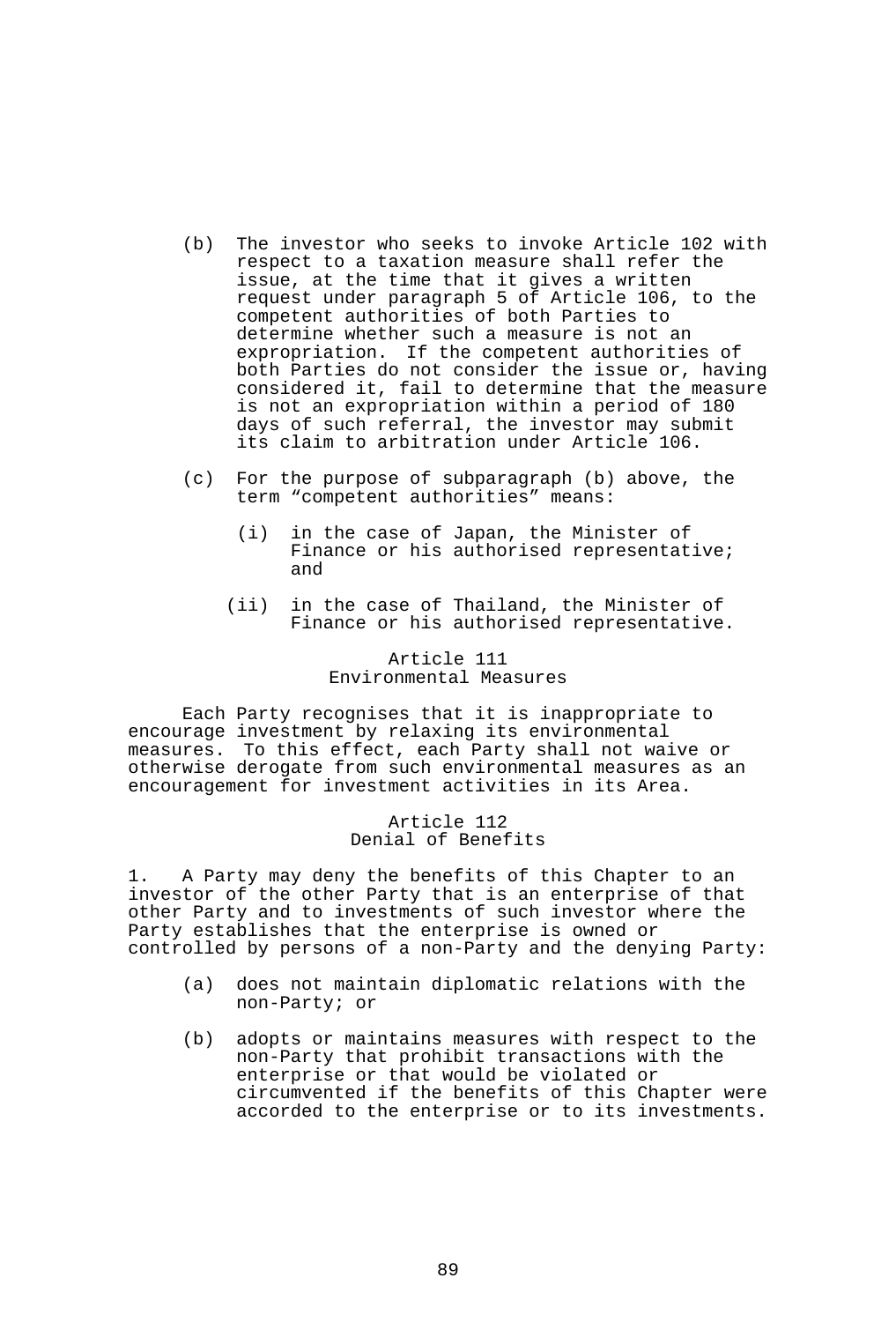- (b) The investor who seeks to invoke Article 102 with respect to a taxation measure shall refer the issue, at the time that it gives a written request under paragraph 5 of Article 106, to the competent authorities of both Parties to determine whether such a measure is not an expropriation. If the competent authorities of both Parties do not consider the issue or, having considered it, fail to determine that the measure is not an expropriation within a period of 180 days of such referral, the investor may submit its claim to arbitration under Article 106.
- (c) For the purpose of subparagraph (b) above, the term "competent authorities" means:
	- (i) in the case of Japan, the Minister of Finance or his authorised representative; and
	- (ii) in the case of Thailand, the Minister of Finance or his authorised representative.

### Article 111 Environmental Measures

 Each Party recognises that it is inappropriate to encourage investment by relaxing its environmental measures. To this effect, each Party shall not waive or otherwise derogate from such environmental measures as an encouragement for investment activities in its Area.

> Article 112 Denial of Benefits

1. A Party may deny the benefits of this Chapter to an investor of the other Party that is an enterprise of that other Party and to investments of such investor where the Party establishes that the enterprise is owned or controlled by persons of a non-Party and the denying Party:

- (a) does not maintain diplomatic relations with the non-Party; or
- (b) adopts or maintains measures with respect to the non-Party that prohibit transactions with the enterprise or that would be violated or circumvented if the benefits of this Chapter were accorded to the enterprise or to its investments.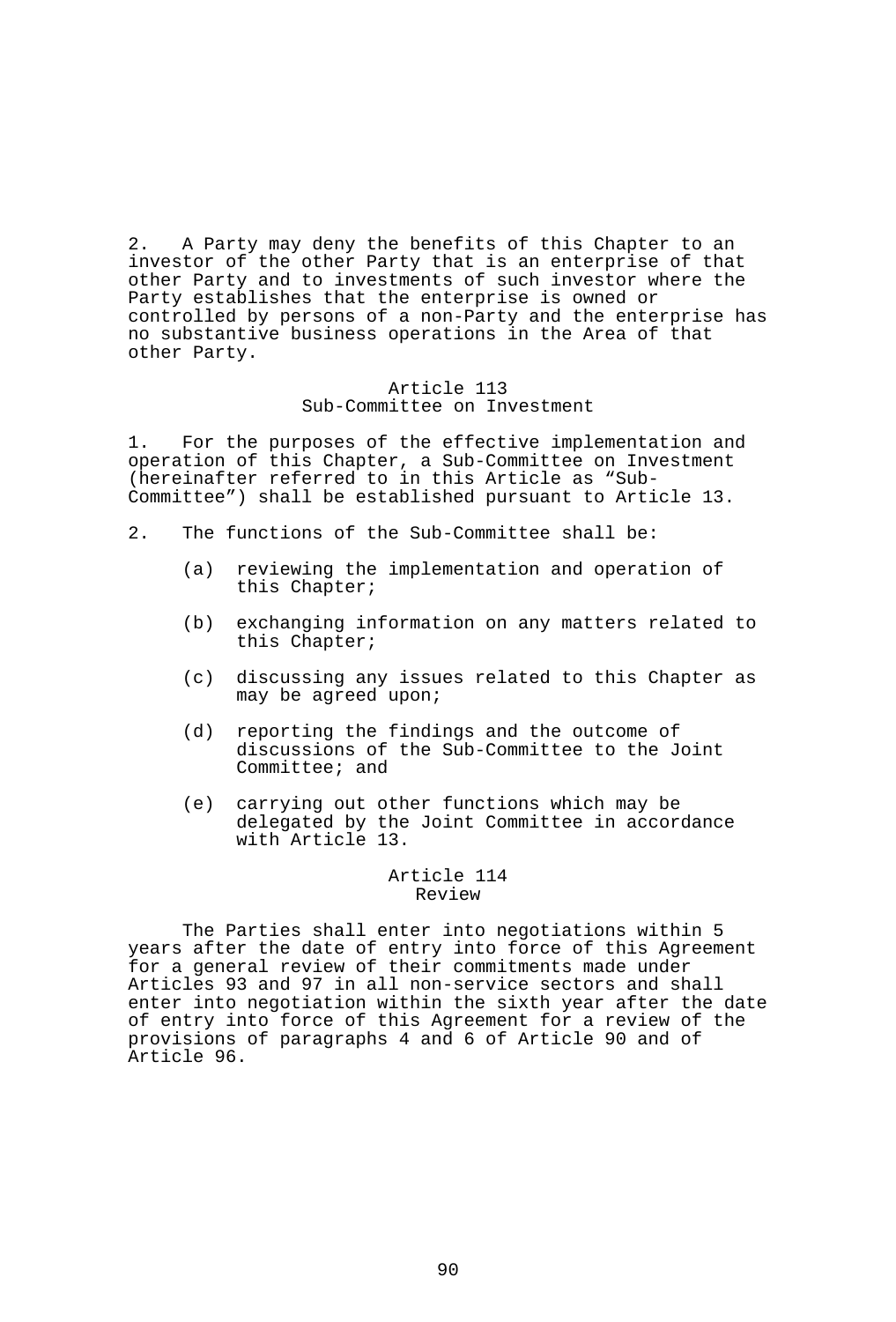2. A Party may deny the benefits of this Chapter to an investor of the other Party that is an enterprise of that other Party and to investments of such investor where the Party establishes that the enterprise is owned or controlled by persons of a non-Party and the enterprise has no substantive business operations in the Area of that other Party.

#### Article 113 Sub-Committee on Investment

1. For the purposes of the effective implementation and operation of this Chapter, a Sub-Committee on Investment (hereinafter referred to in this Article as "Sub-Committee") shall be established pursuant to Article 13.

- 2. The functions of the Sub-Committee shall be:
	- (a) reviewing the implementation and operation of this Chapter;
	- (b) exchanging information on any matters related to this Chapter;
	- (c) discussing any issues related to this Chapter as may be agreed upon;
	- (d) reporting the findings and the outcome of discussions of the Sub-Committee to the Joint Committee; and
	- (e) carrying out other functions which may be delegated by the Joint Committee in accordance with Article 13.

#### Article 114 Review

 The Parties shall enter into negotiations within 5 years after the date of entry into force of this Agreement for a general review of their commitments made under Articles 93 and 97 in all non-service sectors and shall enter into negotiation within the sixth year after the date of entry into force of this Agreement for a review of the provisions of paragraphs 4 and 6 of Article 90 and of Article 96.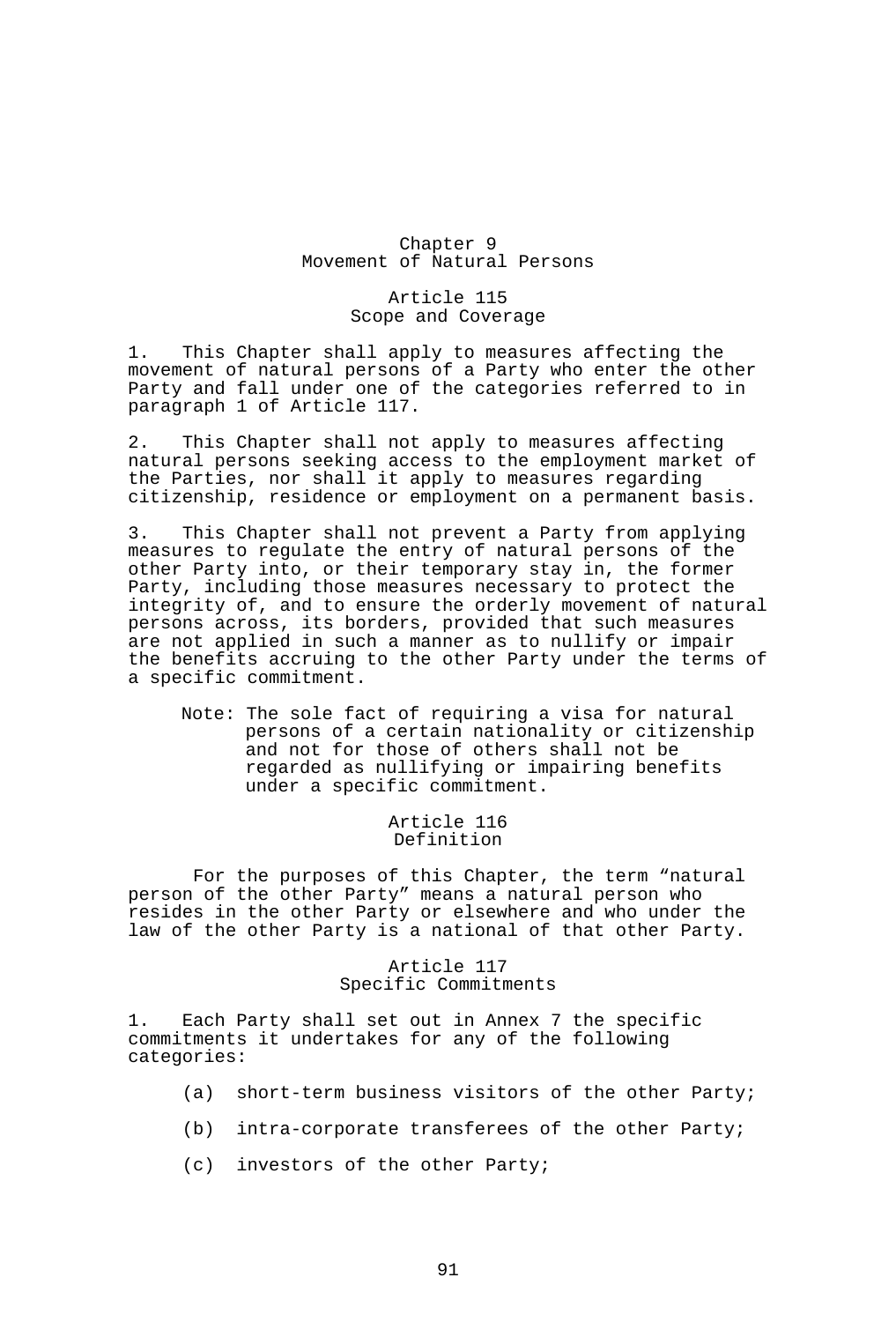## Chapter 9 Movement of Natural Persons

### Article 115 Scope and Coverage

1. This Chapter shall apply to measures affecting the movement of natural persons of a Party who enter the other Party and fall under one of the categories referred to in paragraph 1 of Article 117.

2. This Chapter shall not apply to measures affecting natural persons seeking access to the employment market of the Parties, nor shall it apply to measures regarding citizenship, residence or employment on a permanent basis.

3. This Chapter shall not prevent a Party from applying measures to regulate the entry of natural persons of the other Party into, or their temporary stay in, the former Party, including those measures necessary to protect the integrity of, and to ensure the orderly movement of natural persons across, its borders, provided that such measures are not applied in such a manner as to nullify or impair the benefits accruing to the other Party under the terms of a specific commitment.

Note: The sole fact of requiring a visa for natural persons of a certain nationality or citizenship and not for those of others shall not be regarded as nullifying or impairing benefits under a specific commitment.

> Article 116 Definition

For the purposes of this Chapter, the term "natural person of the other Party" means a natural person who resides in the other Party or elsewhere and who under the law of the other Party is a national of that other Party.

### Article 117 Specific Commitments

1. Each Party shall set out in Annex 7 the specific commitments it undertakes for any of the following categories:

- (a) short-term business visitors of the other Party;
- (b) intra-corporate transferees of the other Party;
- (c) investors of the other Party;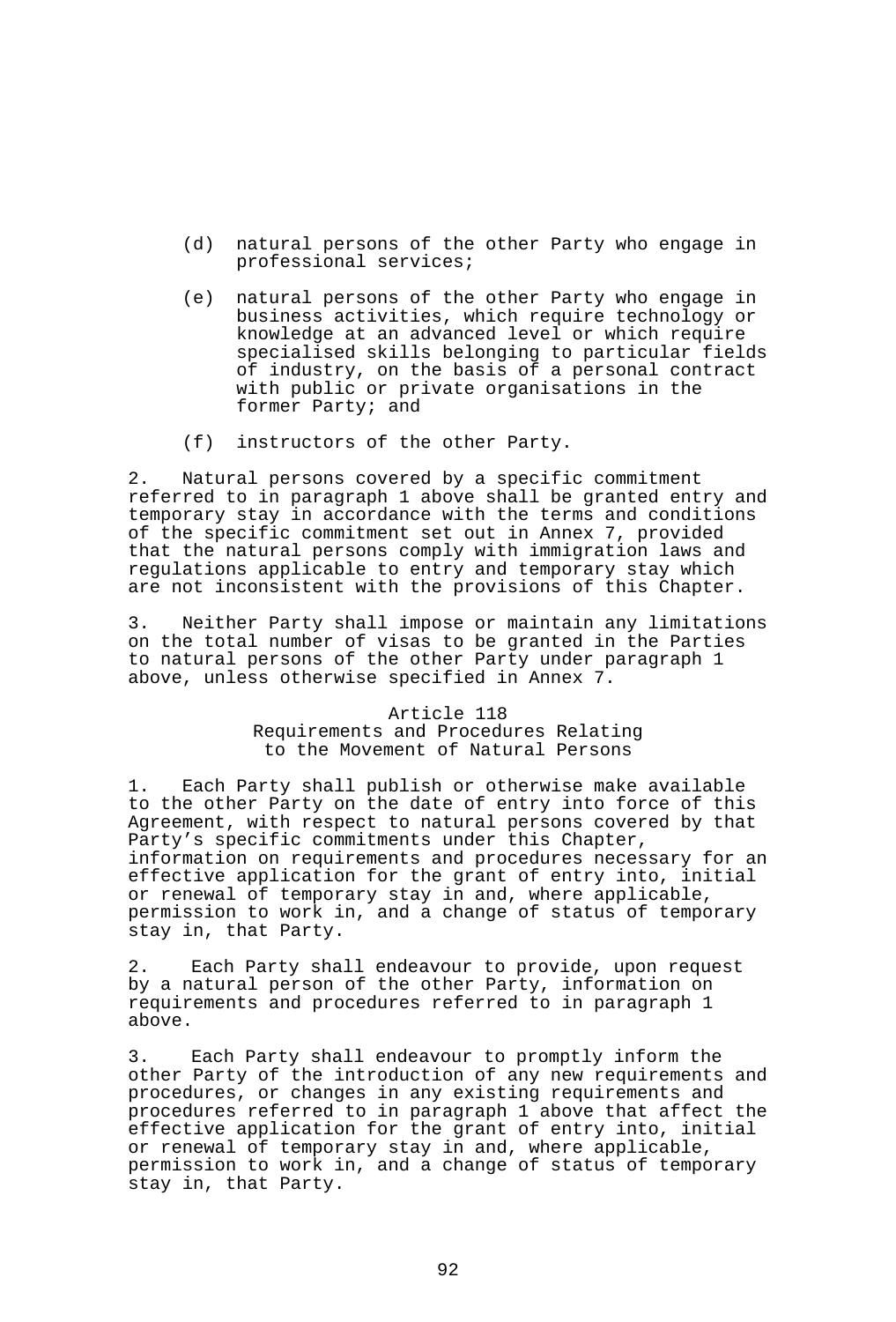- (d) natural persons of the other Party who engage in professional services;
- (e) natural persons of the other Party who engage in business activities, which require technology or knowledge at an advanced level or which require specialised skills belonging to particular fields of industry, on the basis of a personal contract with public or private organisations in the former Party; and
- (f) instructors of the other Party.

2. Natural persons covered by a specific commitment referred to in paragraph 1 above shall be granted entry and temporary stay in accordance with the terms and conditions of the specific commitment set out in Annex 7, provided that the natural persons comply with immigration laws and regulations applicable to entry and temporary stay which are not inconsistent with the provisions of this Chapter.

3. Neither Party shall impose or maintain any limitations on the total number of visas to be granted in the Parties to natural persons of the other Party under paragraph 1 above, unless otherwise specified in Annex 7.

#### Article 118 Requirements and Procedures Relating to the Movement of Natural Persons

1. Each Party shall publish or otherwise make available to the other Party on the date of entry into force of this Agreement, with respect to natural persons covered by that Party's specific commitments under this Chapter, information on requirements and procedures necessary for an effective application for the grant of entry into, initial or renewal of temporary stay in and, where applicable, permission to work in, and a change of status of temporary stay in, that Party.

2. Each Party shall endeavour to provide, upon request by a natural person of the other Party, information on requirements and procedures referred to in paragraph 1 above.

3. Each Party shall endeavour to promptly inform the other Party of the introduction of any new requirements and procedures, or changes in any existing requirements and procedures referred to in paragraph 1 above that affect the effective application for the grant of entry into, initial or renewal of temporary stay in and, where applicable, permission to work in, and a change of status of temporary stay in, that Party.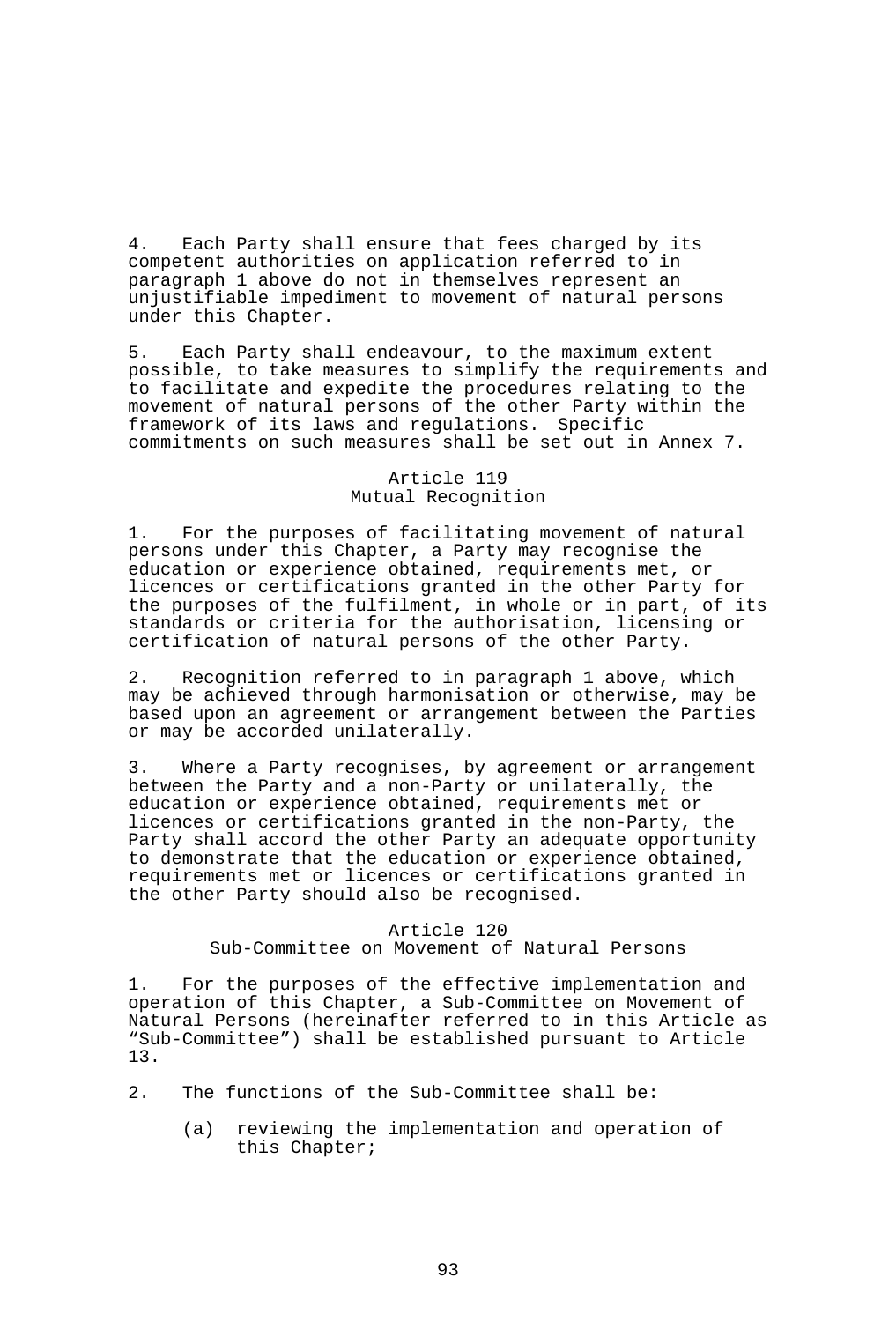4. Each Party shall ensure that fees charged by its competent authorities on application referred to in paragraph 1 above do not in themselves represent an unjustifiable impediment to movement of natural persons under this Chapter.

5. Each Party shall endeavour, to the maximum extent possible, to take measures to simplify the requirements and to facilitate and expedite the procedures relating to the movement of natural persons of the other Party within the framework of its laws and regulations. Specific commitments on such measures shall be set out in Annex 7.

# Article 119 Mutual Recognition

1. For the purposes of facilitating movement of natural persons under this Chapter, a Party may recognise the education or experience obtained, requirements met, or licences or certifications granted in the other Party for the purposes of the fulfilment, in whole or in part, of its standards or criteria for the authorisation, licensing or certification of natural persons of the other Party.

2. Recognition referred to in paragraph 1 above, which may be achieved through harmonisation or otherwise, may be based upon an agreement or arrangement between the Parties or may be accorded unilaterally.

3. Where a Party recognises, by agreement or arrangement between the Party and a non-Party or unilaterally, the education or experience obtained, requirements met or licences or certifications granted in the non-Party, the Party shall accord the other Party an adequate opportunity to demonstrate that the education or experience obtained, requirements met or licences or certifications granted in the other Party should also be recognised.

### Article 120

Sub-Committee on Movement of Natural Persons

1. For the purposes of the effective implementation and operation of this Chapter, a Sub-Committee on Movement of Natural Persons (hereinafter referred to in this Article as "Sub-Committee") shall be established pursuant to Article 13.

- 2. The functions of the Sub-Committee shall be:
	- (a) reviewing the implementation and operation of this Chapter;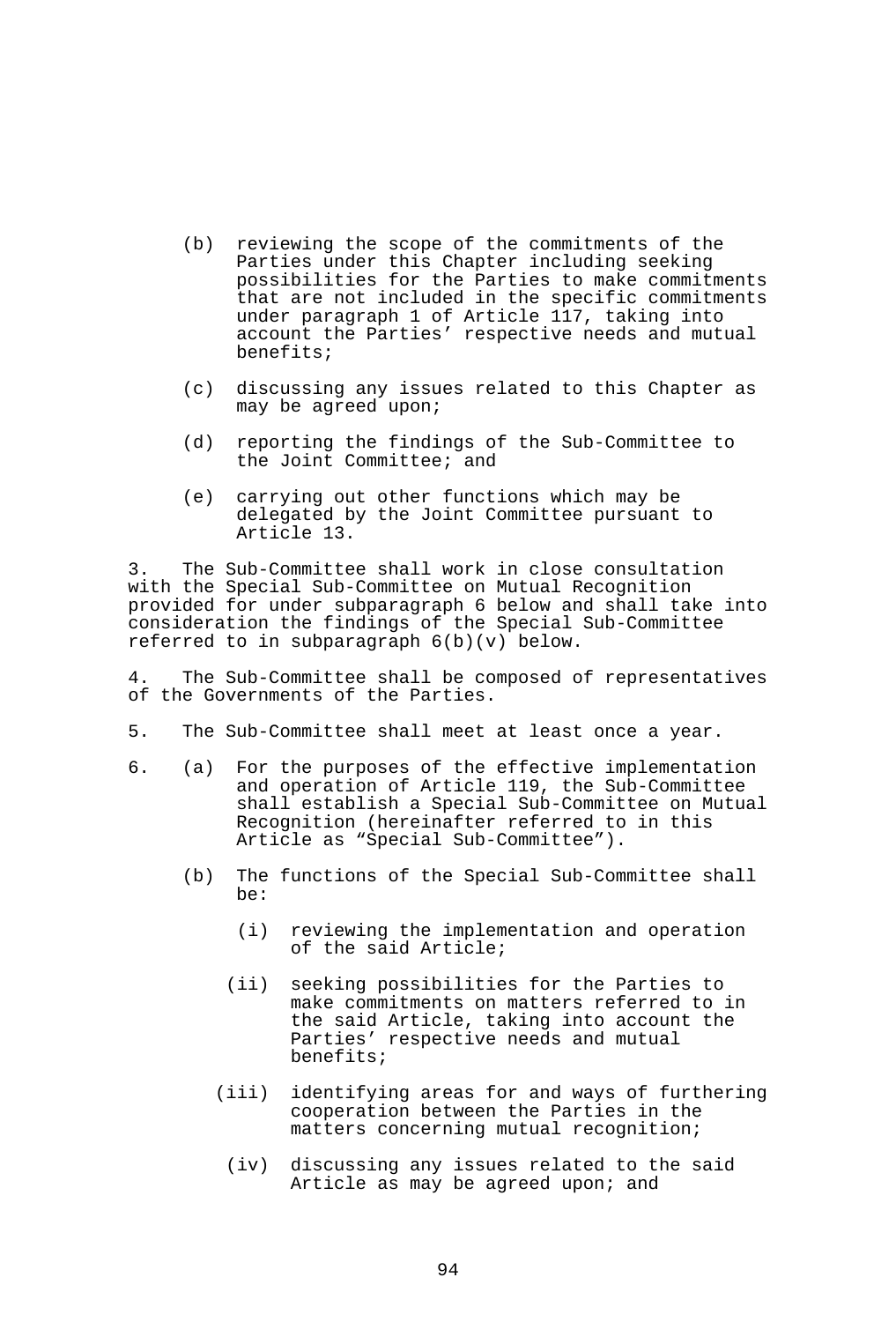- (b) reviewing the scope of the commitments of the Parties under this Chapter including seeking possibilities for the Parties to make commitments that are not included in the specific commitments under paragraph 1 of Article 117, taking into account the Parties' respective needs and mutual benefits;
- (c) discussing any issues related to this Chapter as may be agreed upon;
- (d) reporting the findings of the Sub-Committee to the Joint Committee; and
- (e) carrying out other functions which may be delegated by the Joint Committee pursuant to Article 13.

3. The Sub-Committee shall work in close consultation with the Special Sub-Committee on Mutual Recognition provided for under subparagraph 6 below and shall take into consideration the findings of the Special Sub-Committee referred to in subparagraph 6(b)(v) below.

4. The Sub-Committee shall be composed of representatives of the Governments of the Parties.

- 5. The Sub-Committee shall meet at least once a year.
- 6. (a) For the purposes of the effective implementation and operation of Article 119, the Sub-Committee shall establish a Special Sub-Committee on Mutual Recognition (hereinafter referred to in this Article as "Special Sub-Committee").
	- (b) The functions of the Special Sub-Committee shall be:
		- (i) reviewing the implementation and operation of the said Article;
		- (ii) seeking possibilities for the Parties to make commitments on matters referred to in the said Article, taking into account the Parties' respective needs and mutual benefits;
		- (iii) identifying areas for and ways of furthering cooperation between the Parties in the matters concerning mutual recognition;
			- (iv) discussing any issues related to the said Article as may be agreed upon; and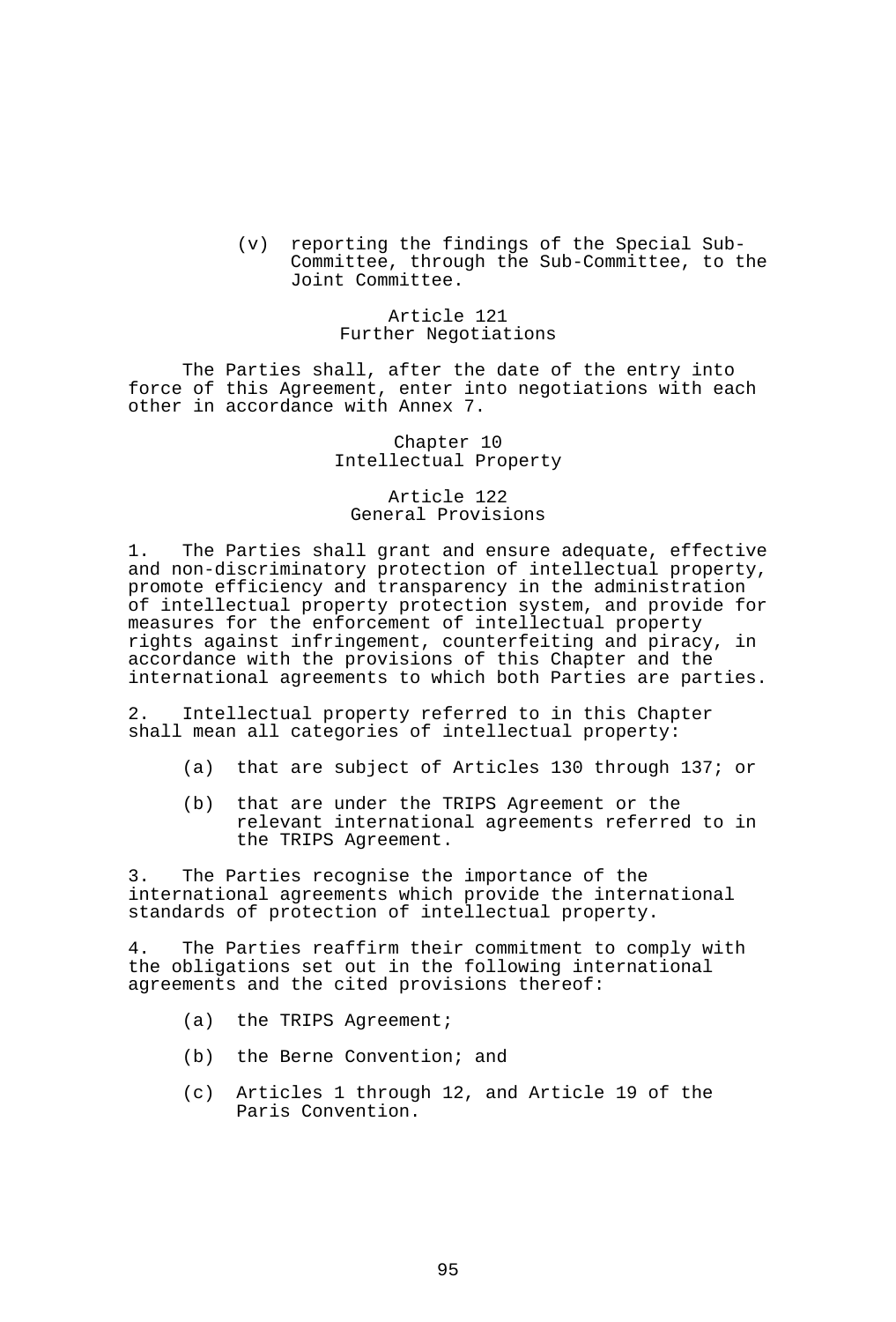(v) reporting the findings of the Special Sub-Committee, through the Sub-Committee, to the Joint Committee.

# Article 121 Further Negotiations

 The Parties shall, after the date of the entry into force of this Agreement, enter into negotiations with each other in accordance with Annex 7.

> Chapter 10 Intellectual Property

Article 122 General Provisions

1. The Parties shall grant and ensure adequate, effective and non-discriminatory protection of intellectual property, promote efficiency and transparency in the administration of intellectual property protection system, and provide for measures for the enforcement of intellectual property rights against infringement, counterfeiting and piracy, in accordance with the provisions of this Chapter and the international agreements to which both Parties are parties.

2. Intellectual property referred to in this Chapter shall mean all categories of intellectual property:

- (a) that are subject of Articles 130 through 137; or
- (b) that are under the TRIPS Agreement or the relevant international agreements referred to in the TRIPS Agreement.

3. The Parties recognise the importance of the international agreements which provide the international standards of protection of intellectual property.

4. The Parties reaffirm their commitment to comply with the obligations set out in the following international agreements and the cited provisions thereof:

- (a) the TRIPS Agreement;
- (b) the Berne Convention; and
- (c) Articles 1 through 12, and Article 19 of the Paris Convention.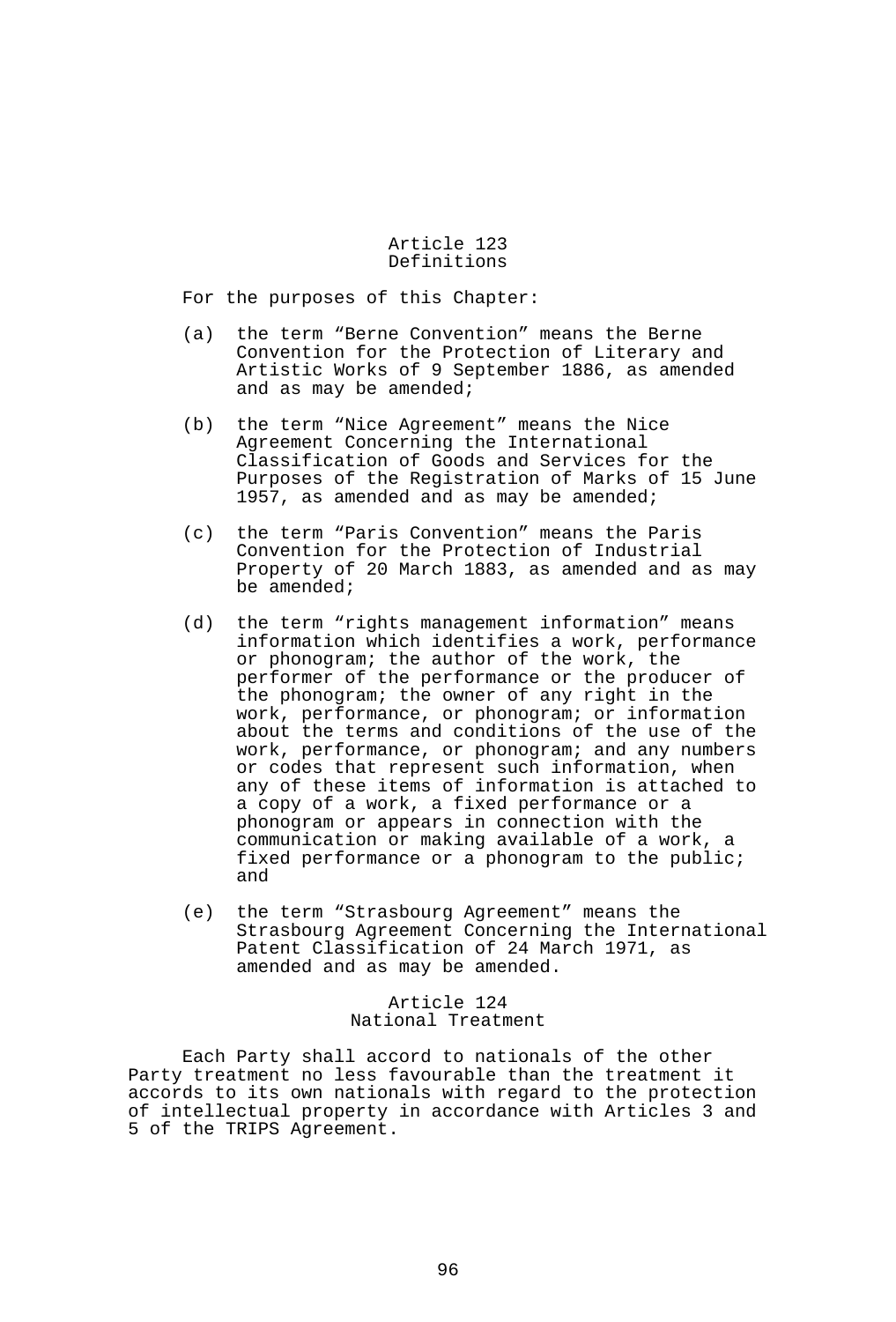### Article 123 Definitions

For the purposes of this Chapter:

- (a) the term "Berne Convention" means the Berne Convention for the Protection of Literary and Artistic Works of 9 September 1886, as amended and as may be amended;
- (b) the term "Nice Agreement" means the Nice Agreement Concerning the International Classification of Goods and Services for the Purposes of the Registration of Marks of 15 June 1957, as amended and as may be amended;
- (c) the term "Paris Convention" means the Paris Convention for the Protection of Industrial Property of 20 March 1883, as amended and as may be amended;
- (d) the term "rights management information" means information which identifies a work, performance or phonogram; the author of the work, the performer of the performance or the producer of the phonogram; the owner of any right in the work, performance, or phonogram; or information about the terms and conditions of the use of the work, performance, or phonogram; and any numbers or codes that represent such information, when any of these items of information is attached to a copy of a work, a fixed performance or a phonogram or appears in connection with the communication or making available of a work, a fixed performance or a phonogram to the public; and
- (e) the term "Strasbourg Agreement" means the Strasbourg Agreement Concerning the International Patent Classification of 24 March 1971, as amended and as may be amended.

### Article 124 National Treatment

 Each Party shall accord to nationals of the other Party treatment no less favourable than the treatment it accords to its own nationals with regard to the protection of intellectual property in accordance with Articles 3 and 5 of the TRIPS Agreement.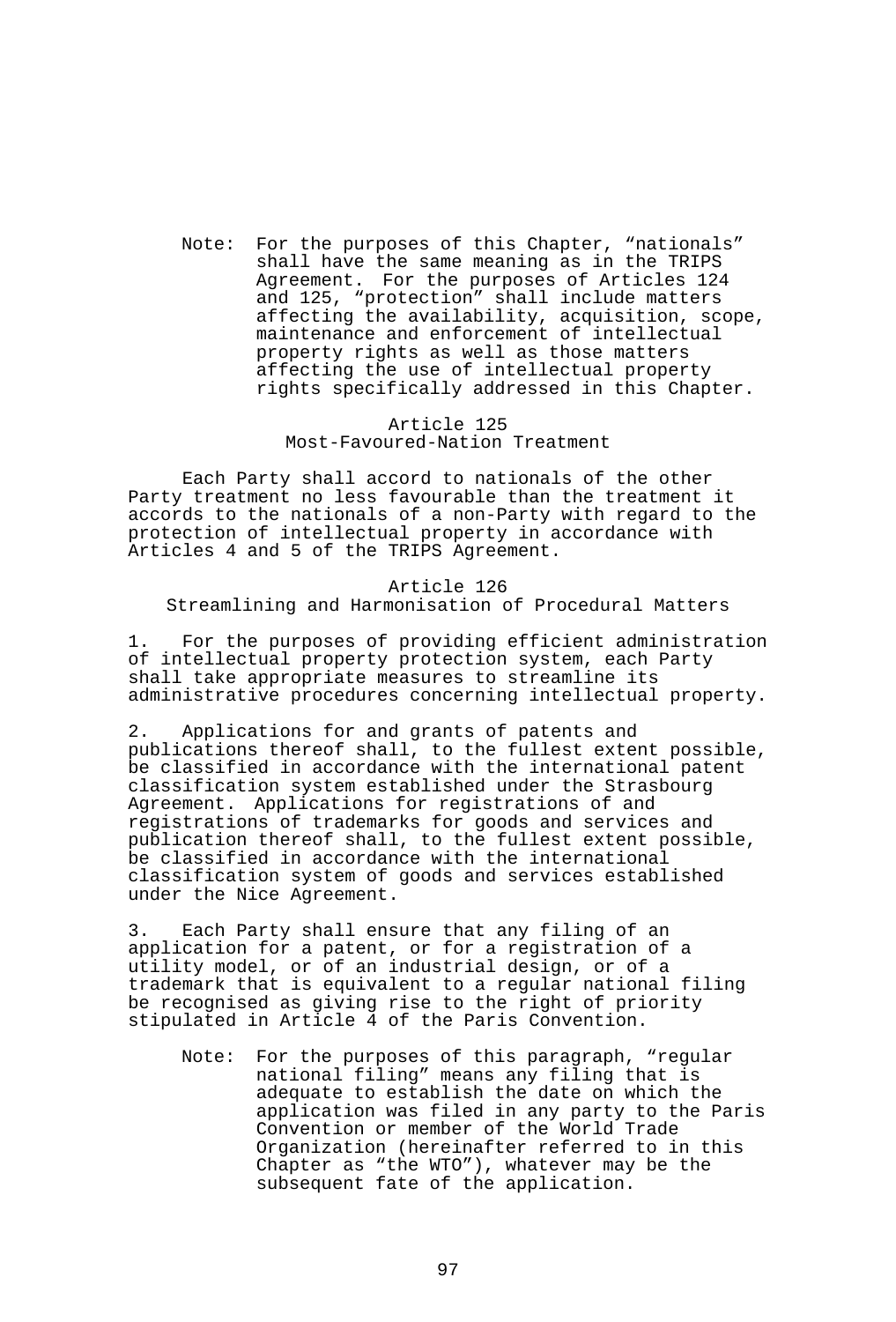Note: For the purposes of this Chapter, "nationals" shall have the same meaning as in the TRIPS Agreement. For the purposes of Articles 124 and 125, "protection" shall include matters affecting the availability, acquisition, scope, maintenance and enforcement of intellectual property rights as well as those matters affecting the use of intellectual property rights specifically addressed in this Chapter.

### Article 125 Most-Favoured-Nation Treatment

 Each Party shall accord to nationals of the other Party treatment no less favourable than the treatment it accords to the nationals of a non-Party with regard to the protection of intellectual property in accordance with Articles 4 and 5 of the TRIPS Agreement.

### Article 126 Streamlining and Harmonisation of Procedural Matters

1. For the purposes of providing efficient administration of intellectual property protection system, each Party shall take appropriate measures to streamline its administrative procedures concerning intellectual property.

2. Applications for and grants of patents and publications thereof shall, to the fullest extent possible, be classified in accordance with the international patent classification system established under the Strasbourg Agreement. Applications for registrations of and registrations of trademarks for goods and services and publication thereof shall, to the fullest extent possible, be classified in accordance with the international classification system of goods and services established under the Nice Agreement.

3. Each Party shall ensure that any filing of an application for a patent, or for a registration of a utility model, or of an industrial design, or of a trademark that is equivalent to a regular national filing be recognised as giving rise to the right of priority stipulated in Article 4 of the Paris Convention.

Note: For the purposes of this paragraph, "regular national filing" means any filing that is adequate to establish the date on which the application was filed in any party to the Paris Convention or member of the World Trade Organization (hereinafter referred to in this Chapter as "the WTO"), whatever may be the subsequent fate of the application.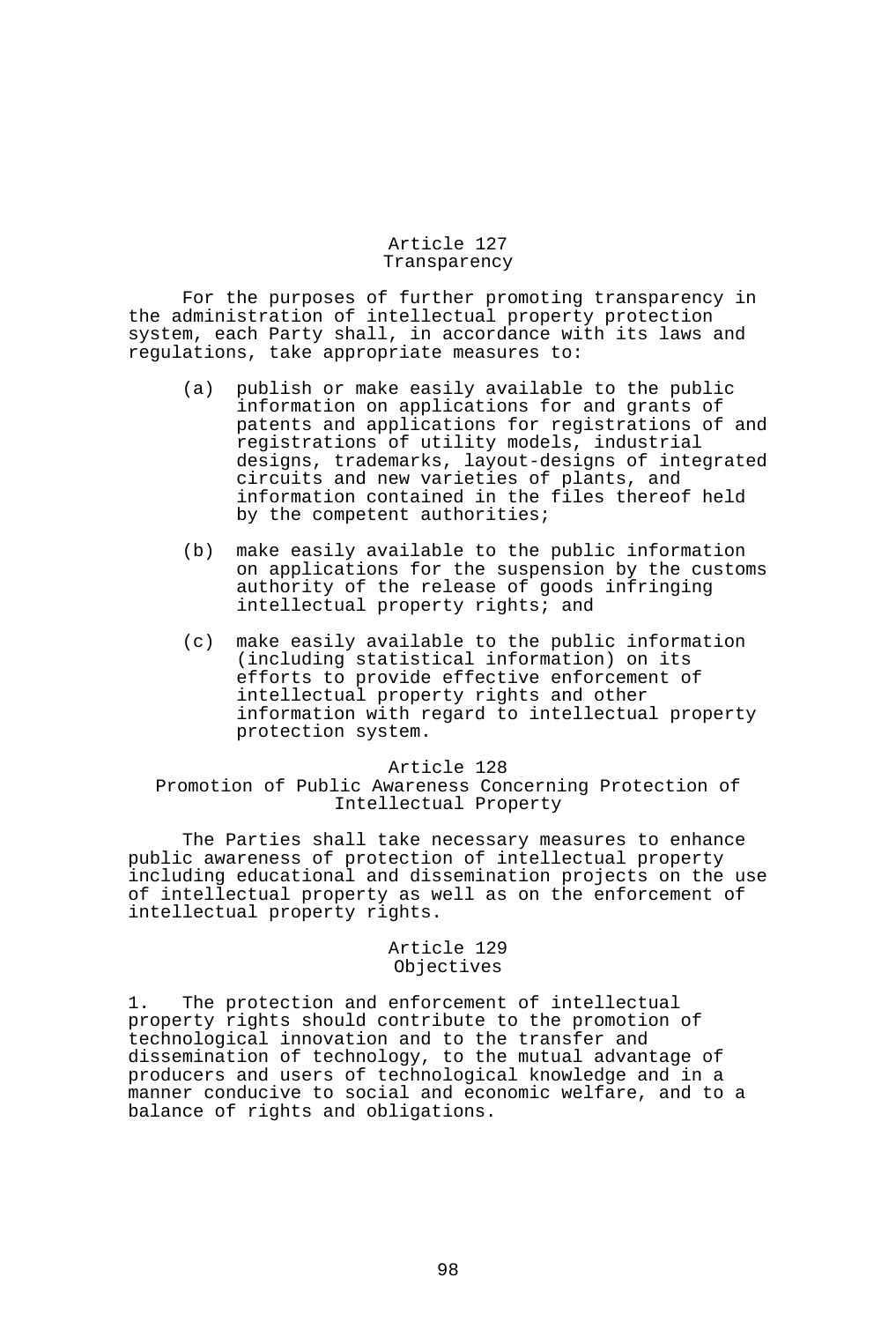### Article 127 Transparency

 For the purposes of further promoting transparency in the administration of intellectual property protection system, each Party shall, in accordance with its laws and regulations, take appropriate measures to:

- (a) publish or make easily available to the public information on applications for and grants of patents and applications for registrations of and registrations of utility models, industrial designs, trademarks, layout-designs of integrated circuits and new varieties of plants, and information contained in the files thereof held by the competent authorities;
- (b) make easily available to the public information on applications for the suspension by the customs authority of the release of goods infringing intellectual property rights; and
- (c) make easily available to the public information (including statistical information) on its efforts to provide effective enforcement of intellectual property rights and other information with regard to intellectual property protection system.

#### Article 128

### Promotion of Public Awareness Concerning Protection of Intellectual Property

 The Parties shall take necessary measures to enhance public awareness of protection of intellectual property including educational and dissemination projects on the use of intellectual property as well as on the enforcement of intellectual property rights.

### Article 129 Objectives

1. The protection and enforcement of intellectual property rights should contribute to the promotion of technological innovation and to the transfer and dissemination of technology, to the mutual advantage of producers and users of technological knowledge and in a manner conducive to social and economic welfare, and to a balance of rights and obligations.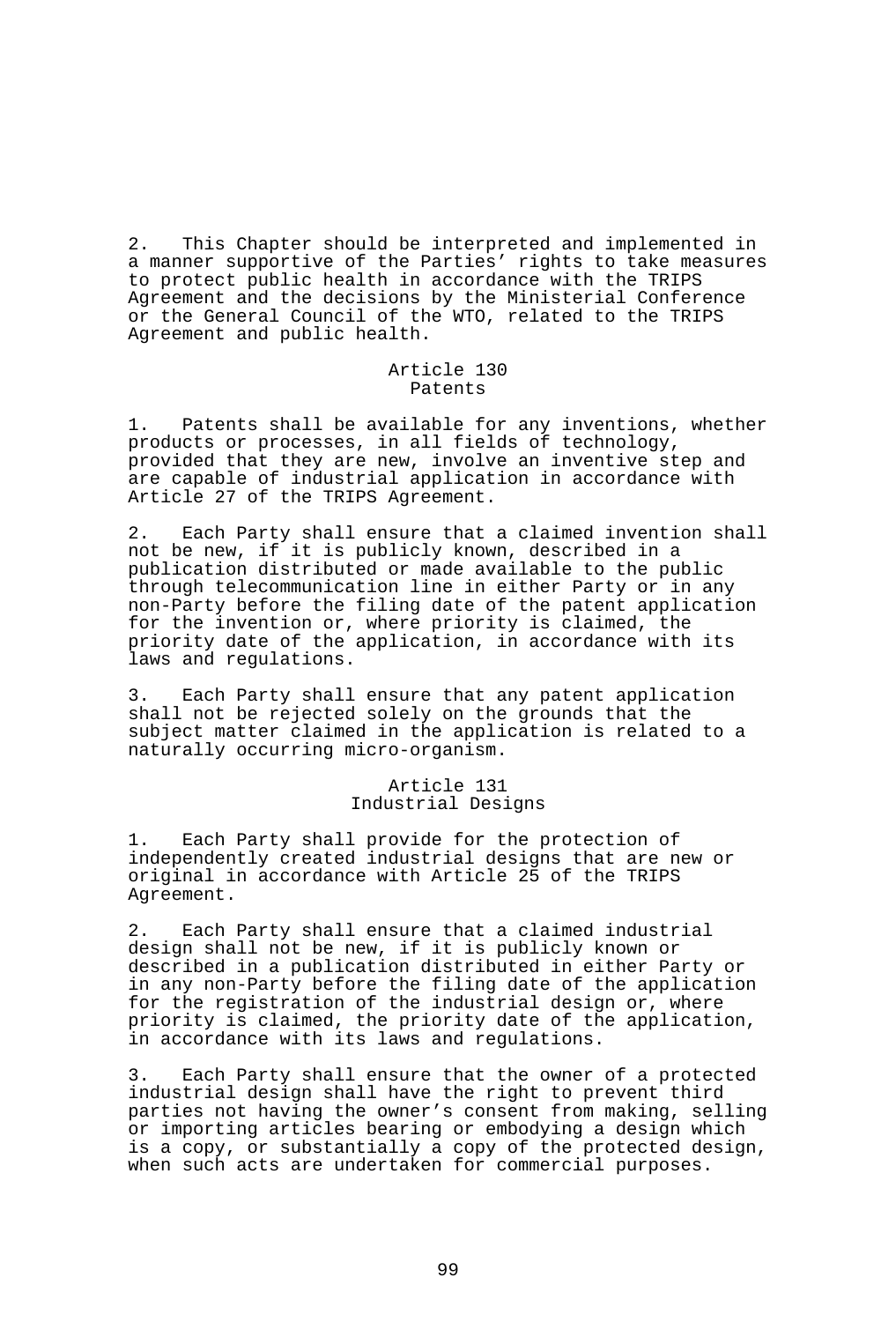2. This Chapter should be interpreted and implemented in a manner supportive of the Parties' rights to take measures to protect public health in accordance with the TRIPS Agreement and the decisions by the Ministerial Conference or the General Council of the WTO, related to the TRIPS Agreement and public health.

#### Article 130 Patents

1. Patents shall be available for any inventions, whether products or processes, in all fields of technology, provided that they are new, involve an inventive step and are capable of industrial application in accordance with Article 27 of the TRIPS Agreement.

2. Each Party shall ensure that a claimed invention shall not be new, if it is publicly known, described in a publication distributed or made available to the public through telecommunication line in either Party or in any non-Party before the filing date of the patent application for the invention or, where priority is claimed, the priority date of the application, in accordance with its laws and regulations.

3. Each Party shall ensure that any patent application shall not be rejected solely on the grounds that the subject matter claimed in the application is related to a naturally occurring micro-organism.

### Article 131 Industrial Designs

1. Each Party shall provide for the protection of independently created industrial designs that are new or original in accordance with Article 25 of the TRIPS Agreement.

2. Each Party shall ensure that a claimed industrial design shall not be new, if it is publicly known or described in a publication distributed in either Party or in any non-Party before the filing date of the application for the registration of the industrial design or, where priority is claimed, the priority date of the application, in accordance with its laws and regulations.

3. Each Party shall ensure that the owner of a protected industrial design shall have the right to prevent third parties not having the owner's consent from making, selling or importing articles bearing or embodying a design which is a copy, or substantially a copy of the protected design, when such acts are undertaken for commercial purposes.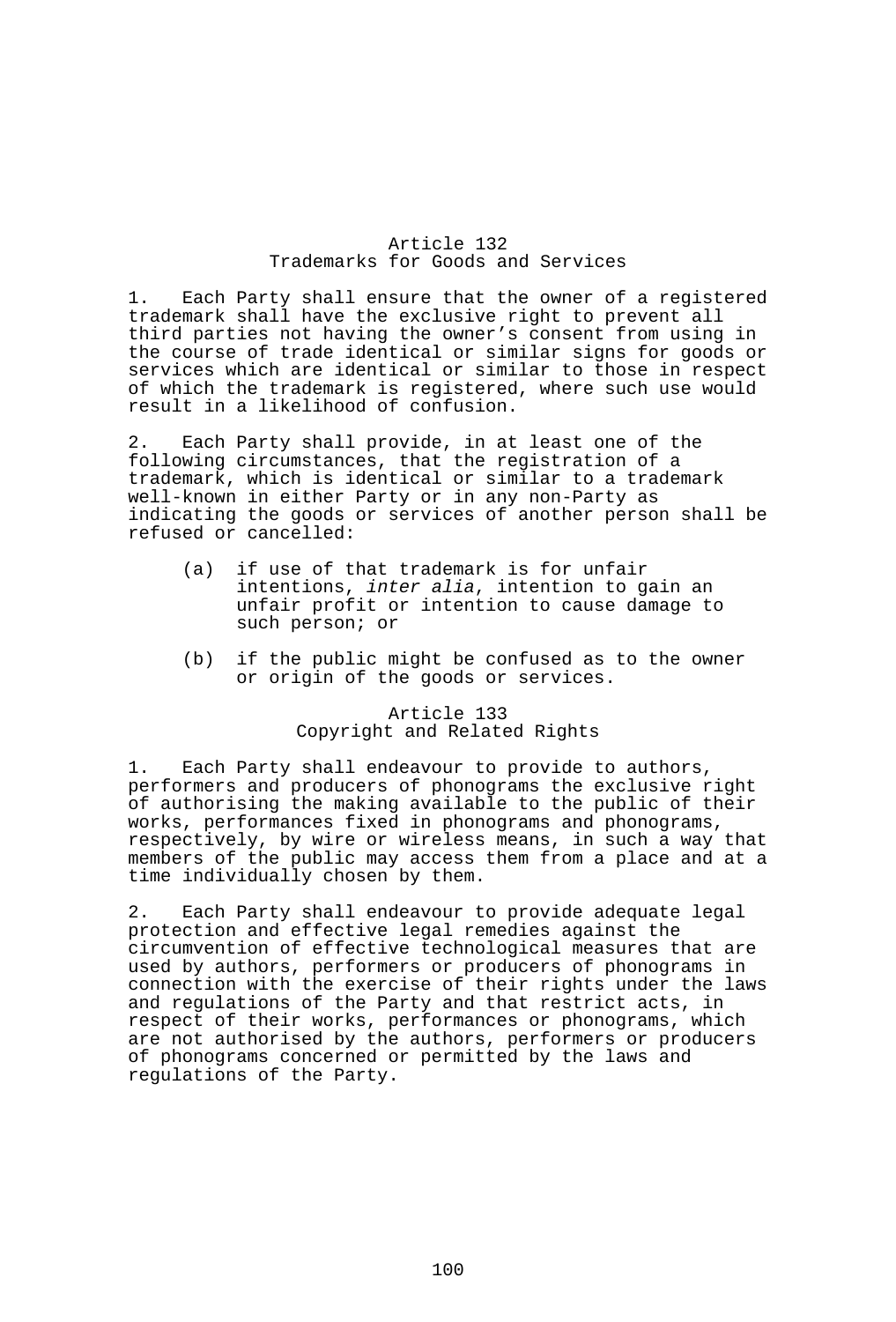## Article 132 Trademarks for Goods and Services

1. Each Party shall ensure that the owner of a registered trademark shall have the exclusive right to prevent all third parties not having the owner's consent from using in the course of trade identical or similar signs for goods or services which are identical or similar to those in respect of which the trademark is registered, where such use would result in a likelihood of confusion.

2. Each Party shall provide, in at least one of the following circumstances, that the registration of a trademark, which is identical or similar to a trademark well-known in either Party or in any non-Party as indicating the goods or services of another person shall be refused or cancelled:

- (a) if use of that trademark is for unfair intentions, *inter alia*, intention to gain an unfair profit or intention to cause damage to such person; or
- (b) if the public might be confused as to the owner or origin of the goods or services.

### Article 133 Copyright and Related Rights

1. Each Party shall endeavour to provide to authors, performers and producers of phonograms the exclusive right of authorising the making available to the public of their works, performances fixed in phonograms and phonograms, respectively, by wire or wireless means, in such a way that members of the public may access them from a place and at a time individually chosen by them.

2. Each Party shall endeavour to provide adequate legal protection and effective legal remedies against the circumvention of effective technological measures that are used by authors, performers or producers of phonograms in connection with the exercise of their rights under the laws and regulations of the Party and that restrict acts, in respect of their works, performances or phonograms, which are not authorised by the authors, performers or producers of phonograms concerned or permitted by the laws and regulations of the Party.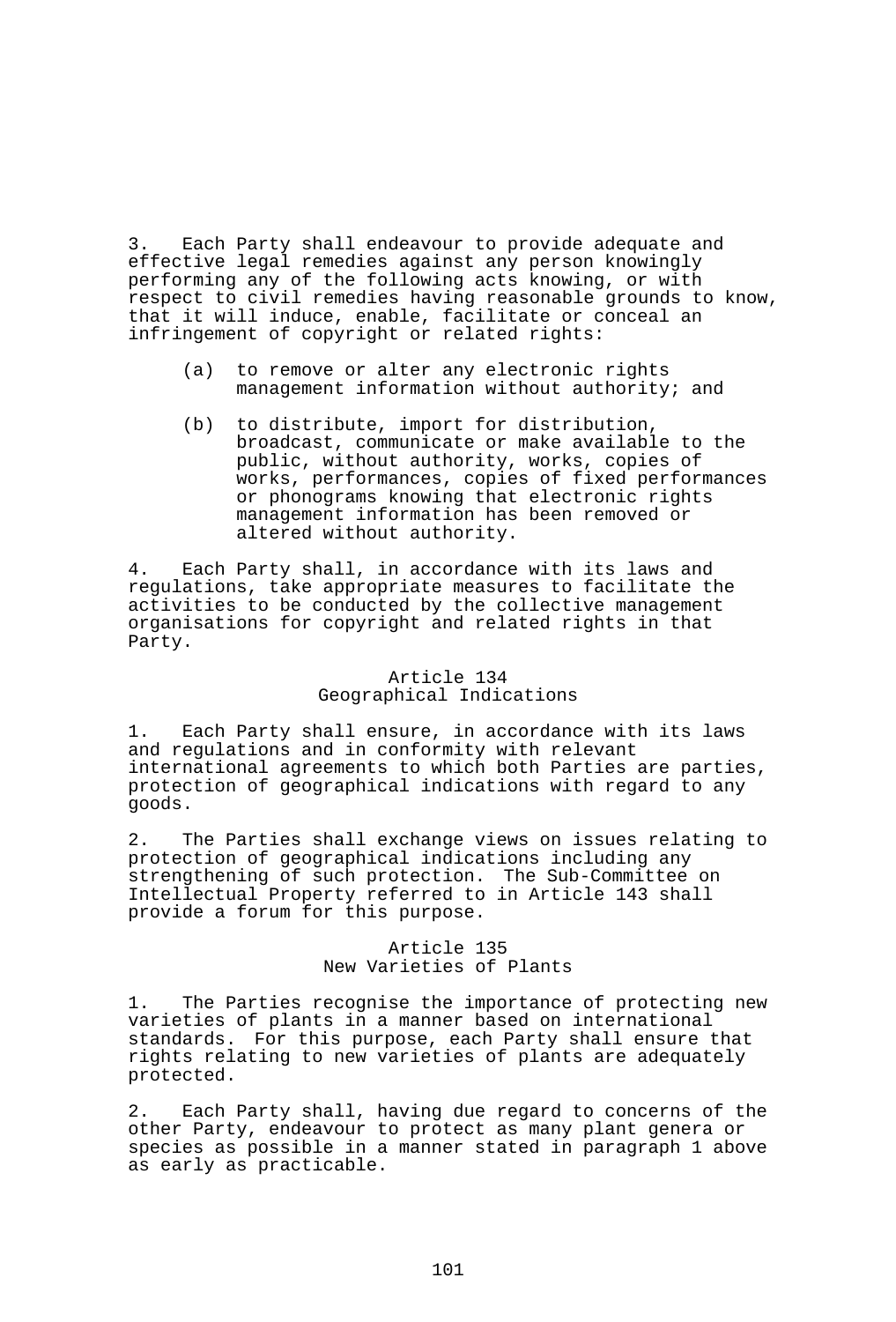3. Each Party shall endeavour to provide adequate and effective legal remedies against any person knowingly performing any of the following acts knowing, or with respect to civil remedies having reasonable grounds to know, that it will induce, enable, facilitate or conceal an infringement of copyright or related rights:

- (a) to remove or alter any electronic rights management information without authority; and
- (b) to distribute, import for distribution, broadcast, communicate or make available to the public, without authority, works, copies of works, performances, copies of fixed performances or phonograms knowing that electronic rights management information has been removed or altered without authority.

4. Each Party shall, in accordance with its laws and regulations, take appropriate measures to facilitate the activities to be conducted by the collective management organisations for copyright and related rights in that Party.

### Article 134 Geographical Indications

1. Each Party shall ensure, in accordance with its laws and regulations and in conformity with relevant international agreements to which both Parties are parties, protection of geographical indications with regard to any goods.

2. The Parties shall exchange views on issues relating to protection of geographical indications including any strengthening of such protection. The Sub-Committee on Intellectual Property referred to in Article 143 shall provide a forum for this purpose.

## Article 135 New Varieties of Plants

1. The Parties recognise the importance of protecting new varieties of plants in a manner based on international standards. For this purpose, each Party shall ensure that rights relating to new varieties of plants are adequately protected.

2. Each Party shall, having due regard to concerns of the other Party, endeavour to protect as many plant genera or species as possible in a manner stated in paragraph 1 above as early as practicable.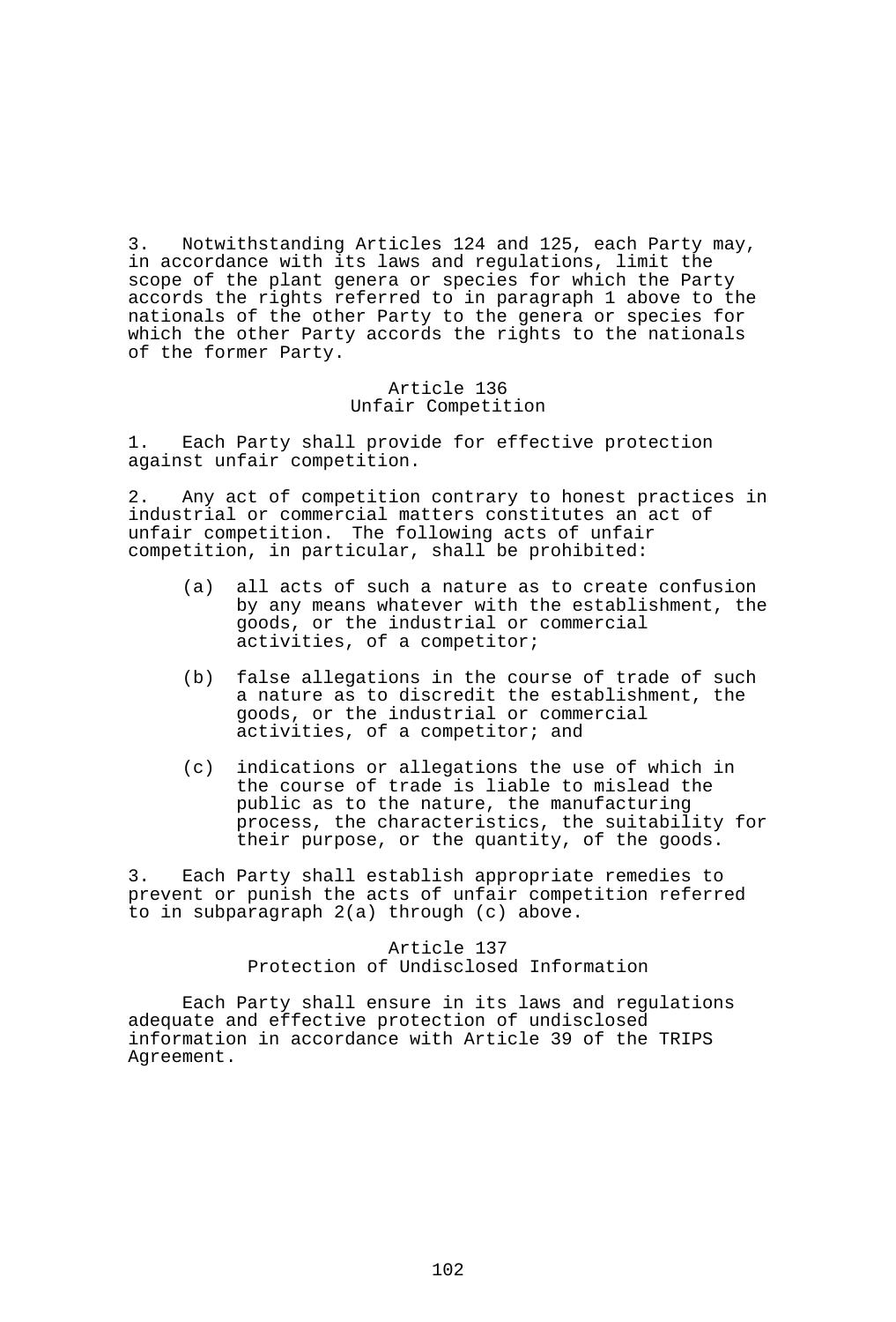3. Notwithstanding Articles 124 and 125, each Party may, in accordance with its laws and regulations, limit the scope of the plant genera or species for which the Party accords the rights referred to in paragraph 1 above to the nationals of the other Party to the genera or species for which the other Party accords the rights to the nationals of the former Party.

### Article 136 Unfair Competition

1. Each Party shall provide for effective protection against unfair competition.

2. Any act of competition contrary to honest practices in industrial or commercial matters constitutes an act of unfair competition. The following acts of unfair competition, in particular, shall be prohibited:

- (a) all acts of such a nature as to create confusion by any means whatever with the establishment, the goods, or the industrial or commercial activities, of a competitor;
- (b) false allegations in the course of trade of such a nature as to discredit the establishment, the goods, or the industrial or commercial activities, of a competitor; and
- (c) indications or allegations the use of which in the course of trade is liable to mislead the public as to the nature, the manufacturing process, the characteristics, the suitability for their purpose, or the quantity, of the goods.

3. Each Party shall establish appropriate remedies to prevent or punish the acts of unfair competition referred to in subparagraph 2(a) through (c) above.

# Article 137 Protection of Undisclosed Information

 Each Party shall ensure in its laws and regulations adequate and effective protection of undisclosed information in accordance with Article 39 of the TRIPS Agreement.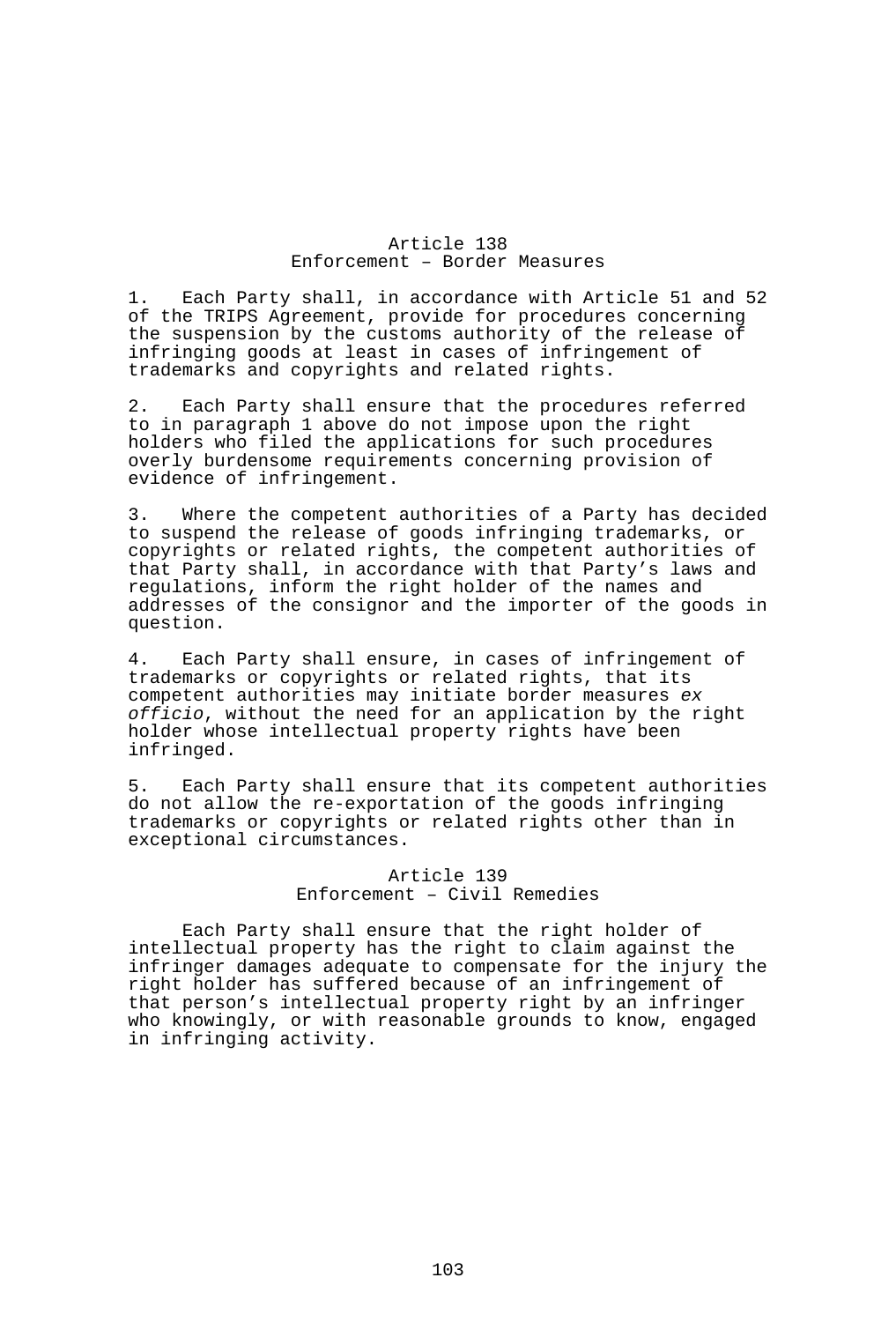### Article 138 Enforcement – Border Measures

1. Each Party shall, in accordance with Article 51 and 52 of the TRIPS Agreement, provide for procedures concerning the suspension by the customs authority of the release of infringing goods at least in cases of infringement of trademarks and copyrights and related rights.

2. Each Party shall ensure that the procedures referred to in paragraph 1 above do not impose upon the right holders who filed the applications for such procedures overly burdensome requirements concerning provision of evidence of infringement.

3. Where the competent authorities of a Party has decided to suspend the release of goods infringing trademarks, or copyrights or related rights, the competent authorities of that Party shall, in accordance with that Party's laws and regulations, inform the right holder of the names and addresses of the consignor and the importer of the goods in question.

4. Each Party shall ensure, in cases of infringement of trademarks or copyrights or related rights, that its competent authorities may initiate border measures *ex officio*, without the need for an application by the right holder whose intellectual property rights have been infringed.

5. Each Party shall ensure that its competent authorities do not allow the re-exportation of the goods infringing trademarks or copyrights or related rights other than in exceptional circumstances.

### Article 139 Enforcement – Civil Remedies

 Each Party shall ensure that the right holder of intellectual property has the right to claim against the infringer damages adequate to compensate for the injury the right holder has suffered because of an infringement of that person's intellectual property right by an infringer who knowingly, or with reasonable grounds to know, engaged in infringing activity.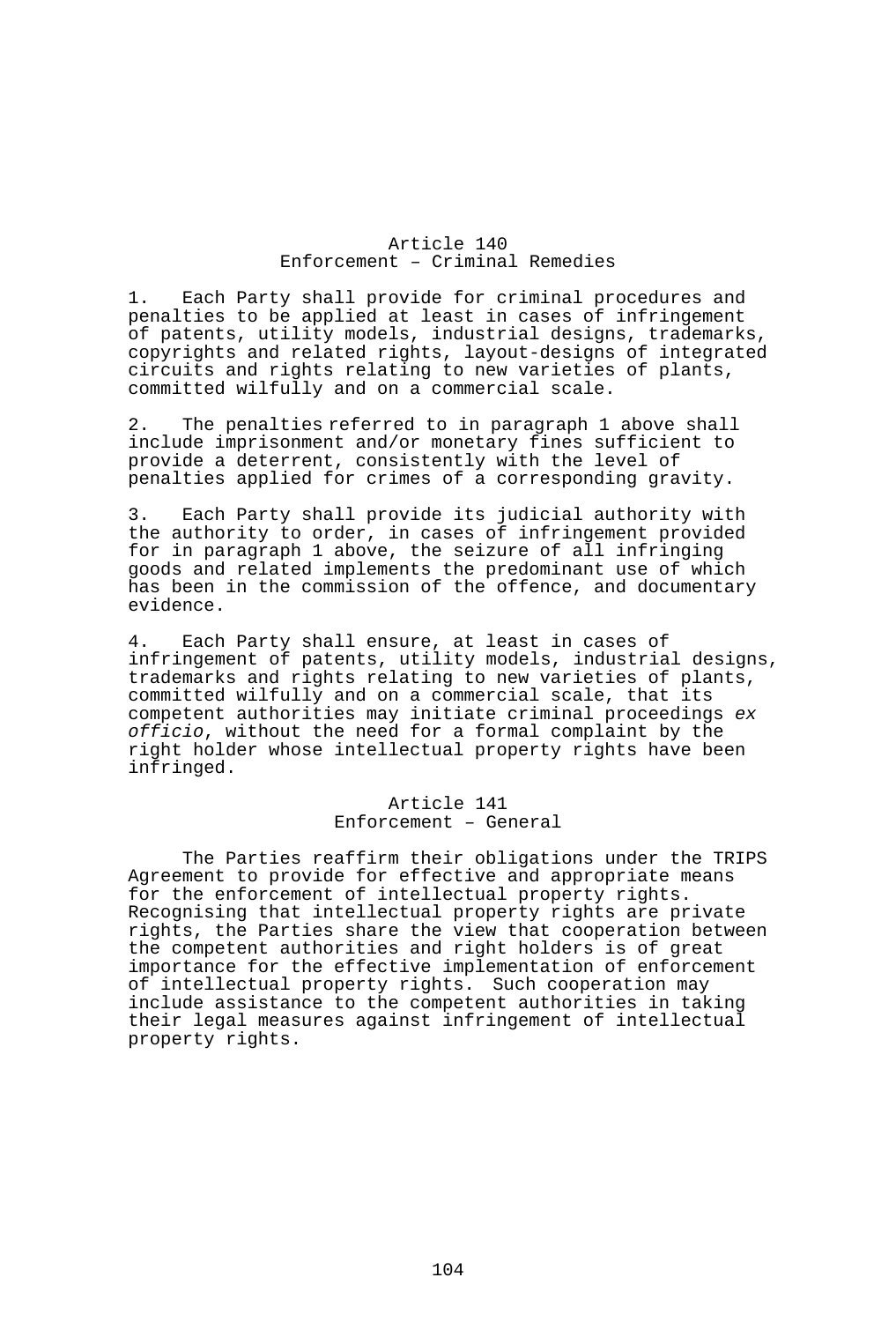### Article 140 Enforcement – Criminal Remedies

1. Each Party shall provide for criminal procedures and penalties to be applied at least in cases of infringement of patents, utility models, industrial designs, trademarks, copyrights and related rights, layout-designs of integrated circuits and rights relating to new varieties of plants, committed wilfully and on a commercial scale.

2. The penalties referred to in paragraph 1 above shall include imprisonment and/or monetary fines sufficient to provide a deterrent, consistently with the level of penalties applied for crimes of a corresponding gravity.

3. Each Party shall provide its judicial authority with the authority to order, in cases of infringement provided for in paragraph 1 above, the seizure of all infringing goods and related implements the predominant use of which has been in the commission of the offence, and documentary evidence.

4. Each Party shall ensure, at least in cases of infringement of patents, utility models, industrial designs, trademarks and rights relating to new varieties of plants, committed wilfully and on a commercial scale, that its competent authorities may initiate criminal proceedings *ex officio*, without the need for a formal complaint by the right holder whose intellectual property rights have been infringed.

> Article 141 Enforcement – General

 The Parties reaffirm their obligations under the TRIPS Agreement to provide for effective and appropriate means for the enforcement of intellectual property rights. Recognising that intellectual property rights are private rights, the Parties share the view that cooperation between the competent authorities and right holders is of great importance for the effective implementation of enforcement of intellectual property rights. Such cooperation may include assistance to the competent authorities in taking their legal measures against infringement of intellectual property rights.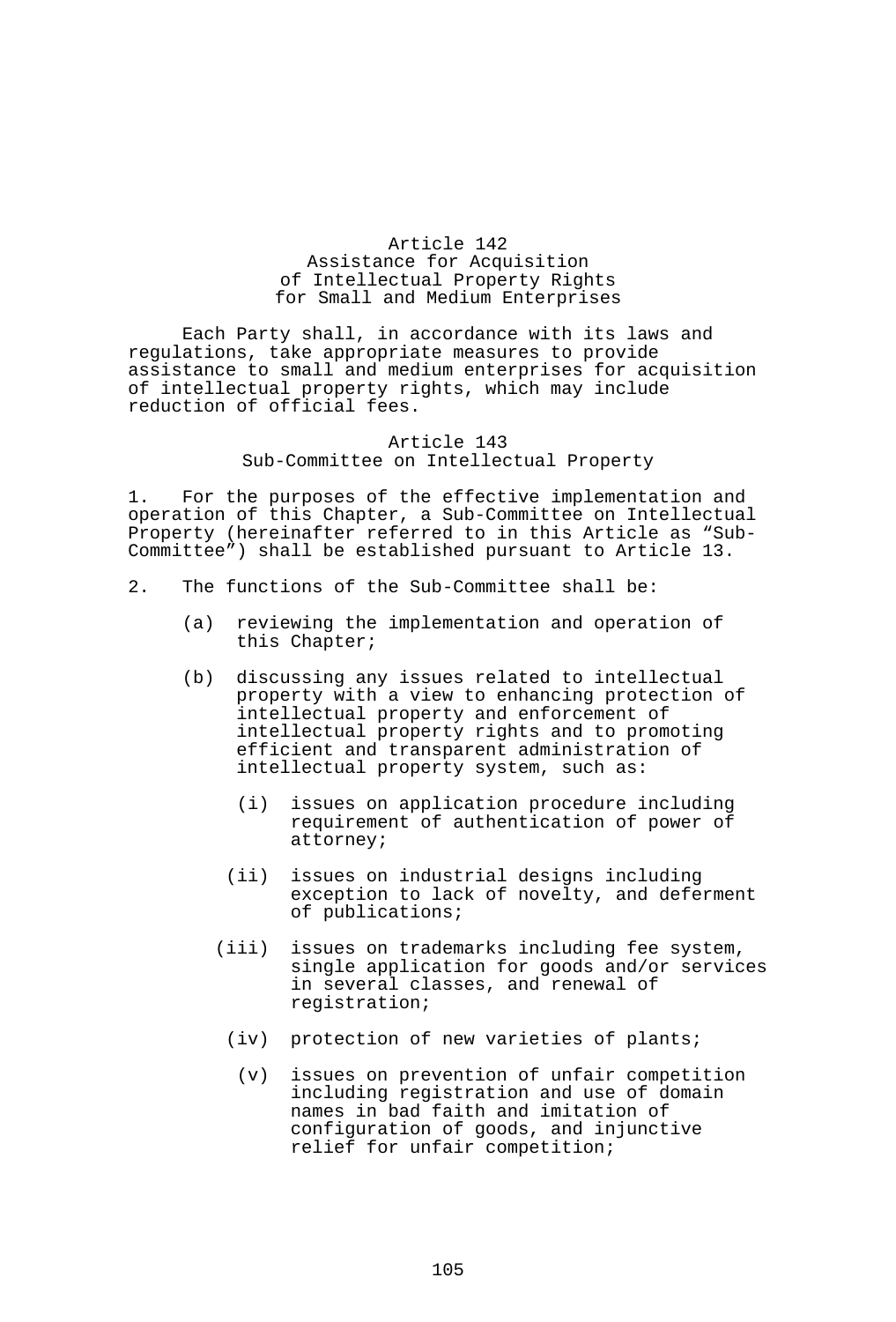## Article 142 Assistance for Acquisition of Intellectual Property Rights for Small and Medium Enterprises

 Each Party shall, in accordance with its laws and regulations, take appropriate measures to provide assistance to small and medium enterprises for acquisition of intellectual property rights, which may include reduction of official fees.

#### Article 143 Sub-Committee on Intellectual Property

1. For the purposes of the effective implementation and operation of this Chapter, a Sub-Committee on Intellectual Property (hereinafter referred to in this Article as "Sub-Committee") shall be established pursuant to Article 13.

- 2. The functions of the Sub-Committee shall be:
	- (a) reviewing the implementation and operation of this Chapter;
	- (b) discussing any issues related to intellectual property with a view to enhancing protection of intellectual property and enforcement of intellectual property rights and to promoting efficient and transparent administration of intellectual property system, such as:
		- (i) issues on application procedure including requirement of authentication of power of attorney;
		- (ii) issues on industrial designs including exception to lack of novelty, and deferment of publications;
		- (iii) issues on trademarks including fee system, single application for goods and/or services in several classes, and renewal of registration;
			- (iv) protection of new varieties of plants;
				- (v) issues on prevention of unfair competition including registration and use of domain names in bad faith and imitation of configuration of goods, and injunctive relief for unfair competition;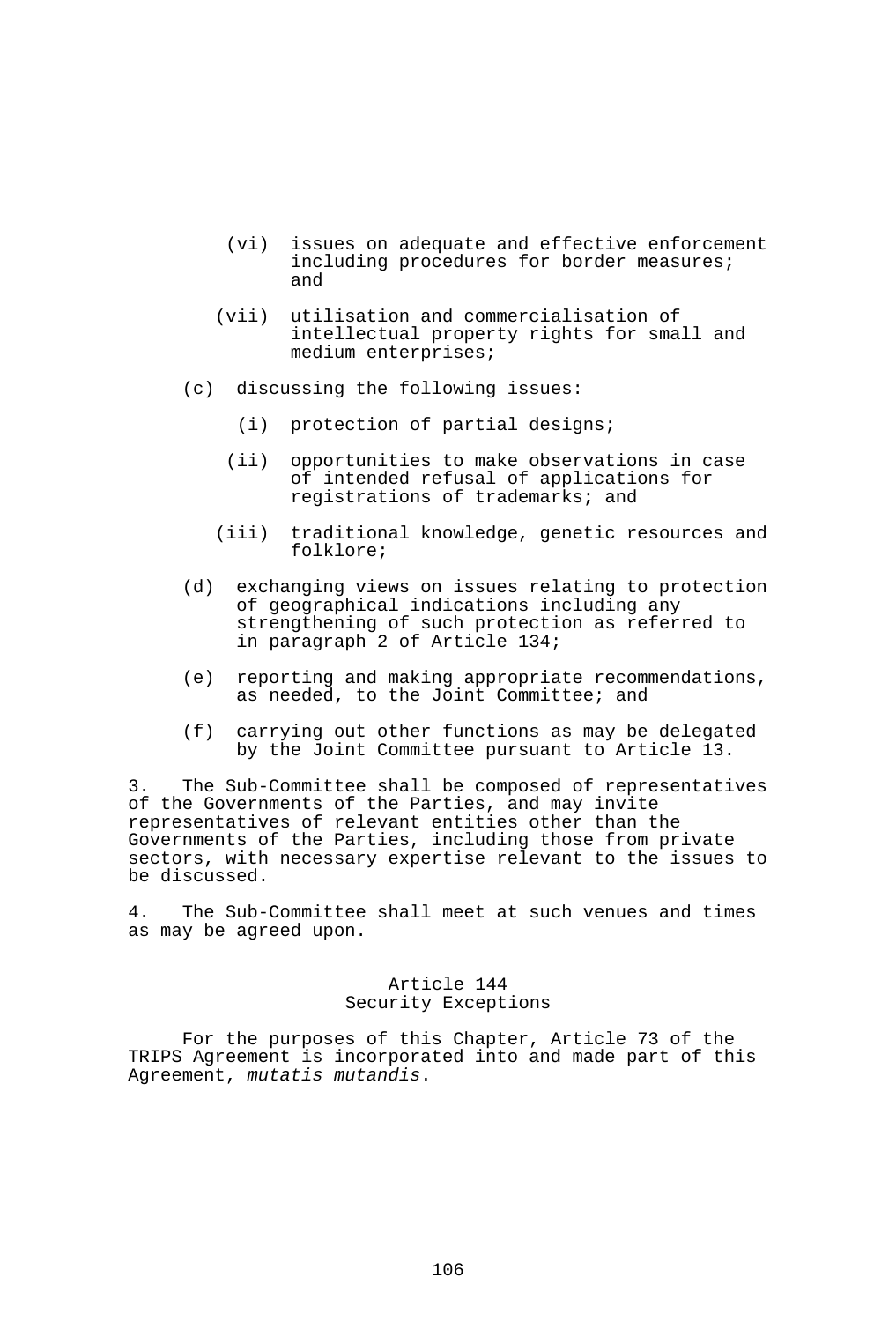- (vi) issues on adequate and effective enforcement including procedures for border measures; and
- (vii) utilisation and commercialisation of intellectual property rights for small and medium enterprises;
- (c) discussing the following issues:
	- (i) protection of partial designs;
	- (ii) opportunities to make observations in case of intended refusal of applications for registrations of trademarks; and
	- (iii) traditional knowledge, genetic resources and folklore;
- (d) exchanging views on issues relating to protection of geographical indications including any strengthening of such protection as referred to in paragraph 2 of Article 134;
- (e) reporting and making appropriate recommendations, as needed, to the Joint Committee; and
- (f) carrying out other functions as may be delegated by the Joint Committee pursuant to Article 13.

3. The Sub-Committee shall be composed of representatives of the Governments of the Parties, and may invite representatives of relevant entities other than the Governments of the Parties, including those from private sectors, with necessary expertise relevant to the issues to be discussed.

4. The Sub-Committee shall meet at such venues and times as may be agreed upon.

## Article 144 Security Exceptions

 For the purposes of this Chapter, Article 73 of the TRIPS Agreement is incorporated into and made part of this Agreement, *mutatis mutandis*.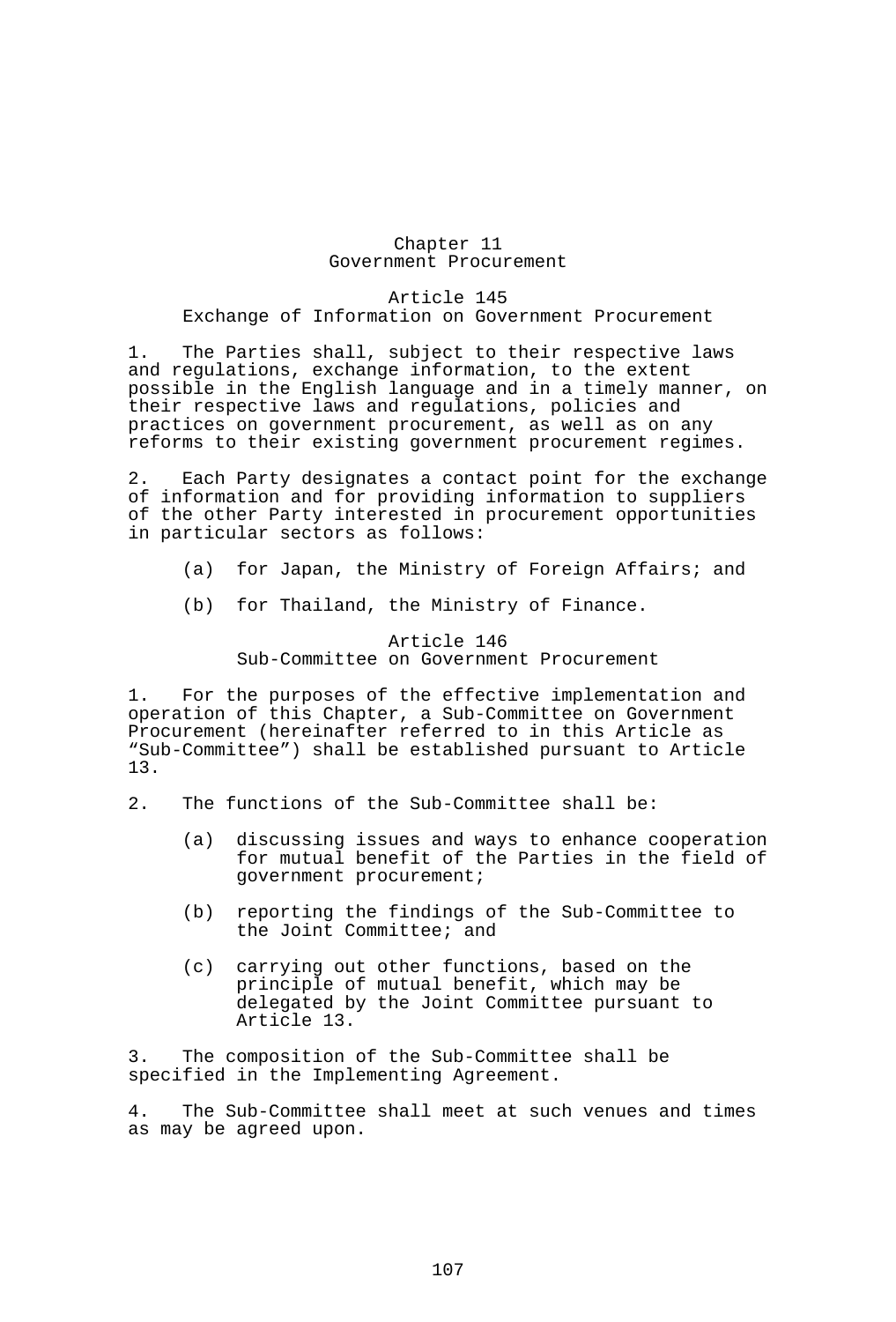### Chapter 11 Government Procurement

Article 145 Exchange of Information on Government Procurement

1. The Parties shall, subject to their respective laws and regulations, exchange information, to the extent possible in the English language and in a timely manner, on their respective laws and regulations, policies and practices on government procurement, as well as on any reforms to their existing government procurement regimes.

2. Each Party designates a contact point for the exchange of information and for providing information to suppliers of the other Party interested in procurement opportunities in particular sectors as follows:

- (a) for Japan, the Ministry of Foreign Affairs; and
- (b) for Thailand, the Ministry of Finance.

Article 146 Sub-Committee on Government Procurement

1. For the purposes of the effective implementation and operation of this Chapter, a Sub-Committee on Government Procurement (hereinafter referred to in this Article as "Sub-Committee") shall be established pursuant to Article 13.

- 2. The functions of the Sub-Committee shall be:
	- (a) discussing issues and ways to enhance cooperation for mutual benefit of the Parties in the field of government procurement;
	- (b) reporting the findings of the Sub-Committee to the Joint Committee; and
	- (c) carrying out other functions, based on the principle of mutual benefit, which may be delegated by the Joint Committee pursuant to Article 13.

3. The composition of the Sub-Committee shall be specified in the Implementing Agreement.

4. The Sub-Committee shall meet at such venues and times as may be agreed upon.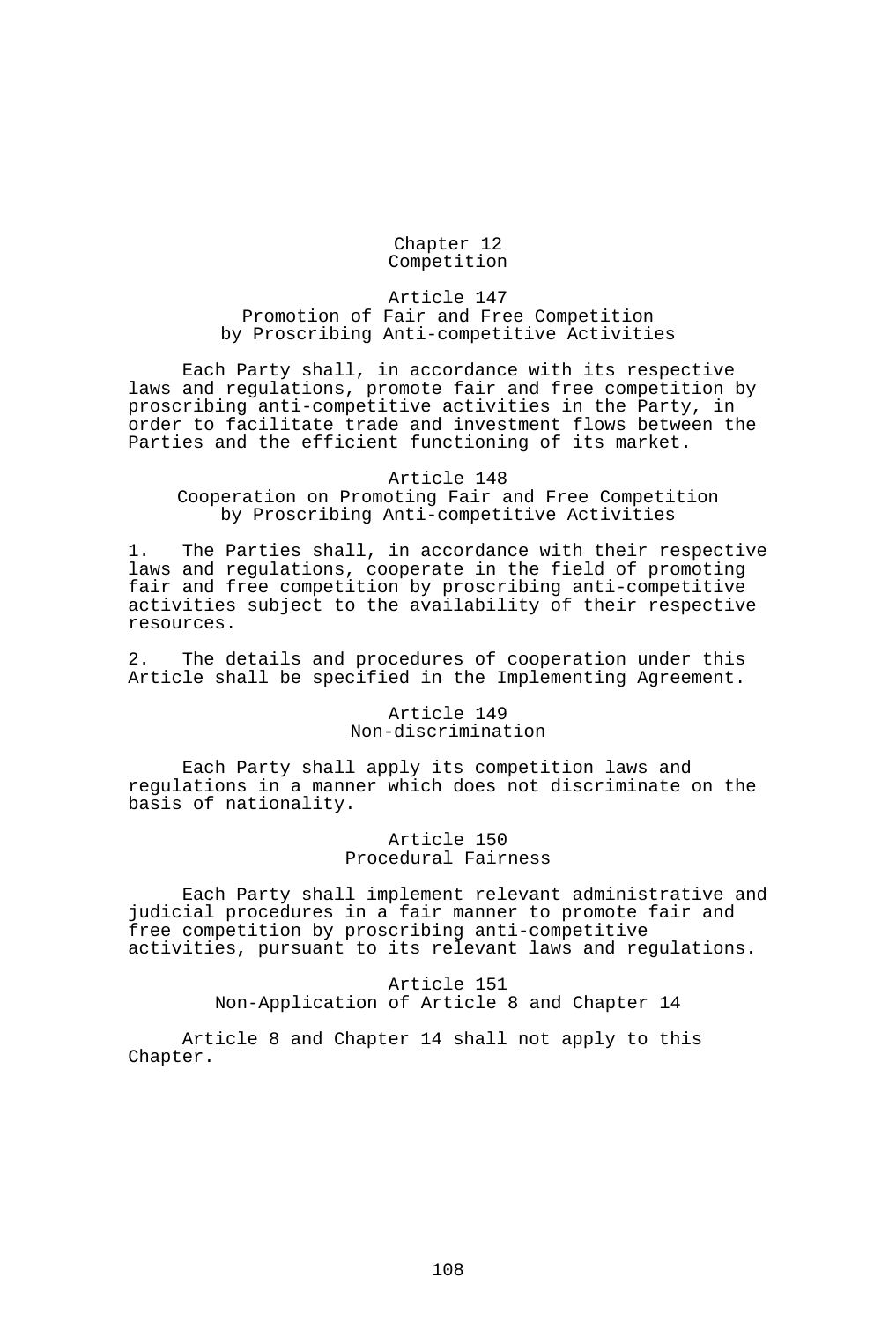Chapter 12 Competition

Article 147 Promotion of Fair and Free Competition by Proscribing Anti-competitive Activities

 Each Party shall, in accordance with its respective laws and regulations, promote fair and free competition by proscribing anti-competitive activities in the Party, in order to facilitate trade and investment flows between the Parties and the efficient functioning of its market.

#### Article 148

Cooperation on Promoting Fair and Free Competition by Proscribing Anti-competitive Activities

1. The Parties shall, in accordance with their respective laws and regulations, cooperate in the field of promoting fair and free competition by proscribing anti-competitive activities subject to the availability of their respective resources.

2. The details and procedures of cooperation under this Article shall be specified in the Implementing Agreement.

#### Article 149 Non-discrimination

 Each Party shall apply its competition laws and regulations in a manner which does not discriminate on the basis of nationality.

# Article 150 Procedural Fairness

 Each Party shall implement relevant administrative and judicial procedures in a fair manner to promote fair and free competition by proscribing anti-competitive activities, pursuant to its relevant laws and regulations.

# Article 151 Non-Application of Article 8 and Chapter 14

 Article 8 and Chapter 14 shall not apply to this Chapter.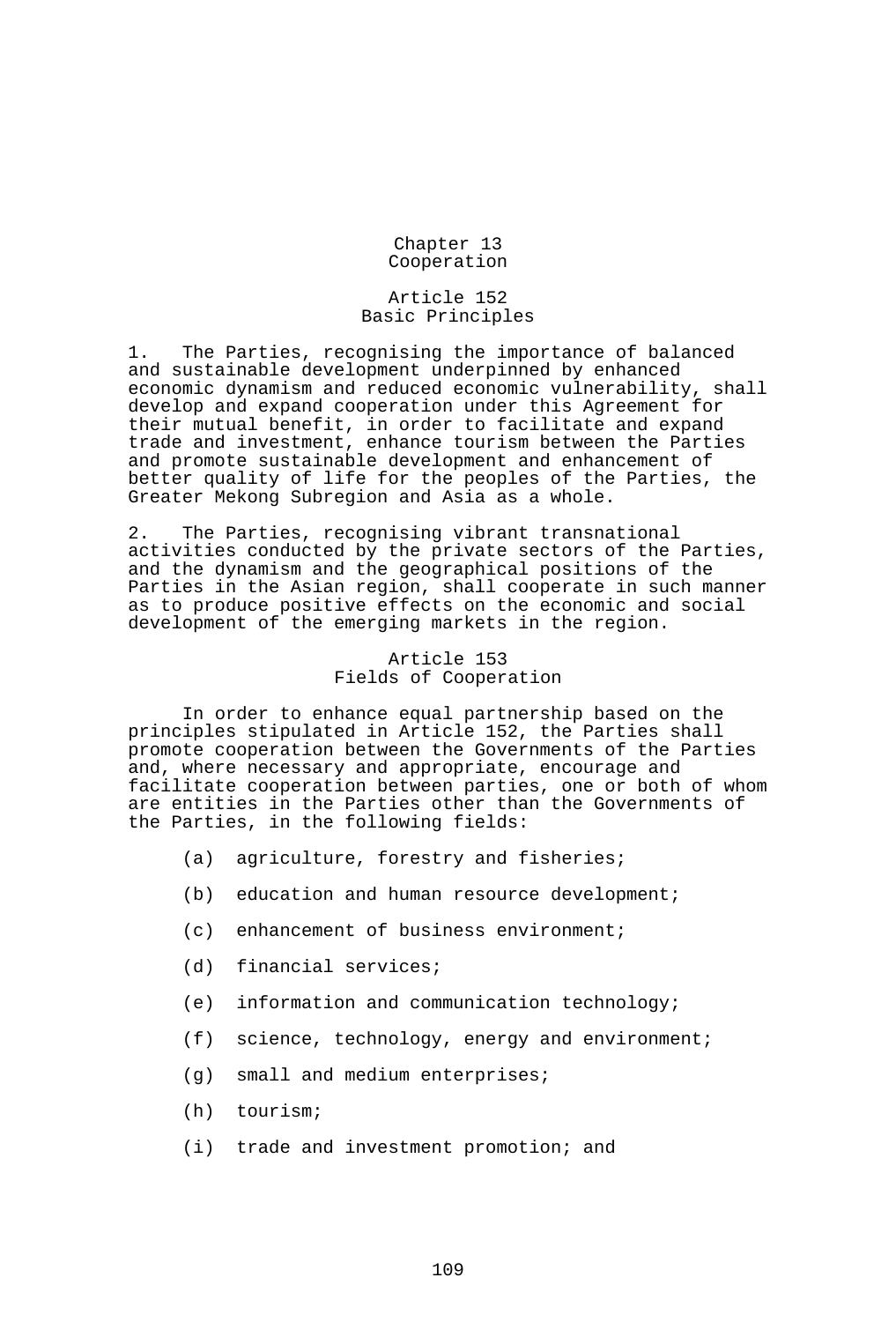Chapter 13 Cooperation

#### Article 152 Basic Principles

1. The Parties, recognising the importance of balanced and sustainable development underpinned by enhanced economic dynamism and reduced economic vulnerability, shall develop and expand cooperation under this Agreement for their mutual benefit, in order to facilitate and expand trade and investment, enhance tourism between the Parties and promote sustainable development and enhancement of better quality of life for the peoples of the Parties, the Greater Mekong Subregion and Asia as a whole.

2. The Parties, recognising vibrant transnational activities conducted by the private sectors of the Parties, and the dynamism and the geographical positions of the Parties in the Asian region, shall cooperate in such manner as to produce positive effects on the economic and social development of the emerging markets in the region.

# Article 153 Fields of Cooperation

 In order to enhance equal partnership based on the principles stipulated in Article 152, the Parties shall promote cooperation between the Governments of the Parties and, where necessary and appropriate, encourage and facilitate cooperation between parties, one or both of whom are entities in the Parties other than the Governments of the Parties, in the following fields:

- (a) agriculture, forestry and fisheries;
- (b) education and human resource development;
- (c) enhancement of business environment;
- (d) financial services;
- (e) information and communication technology;
- (f) science, technology, energy and environment;
- (g) small and medium enterprises;
- (h) tourism;
- (i) trade and investment promotion; and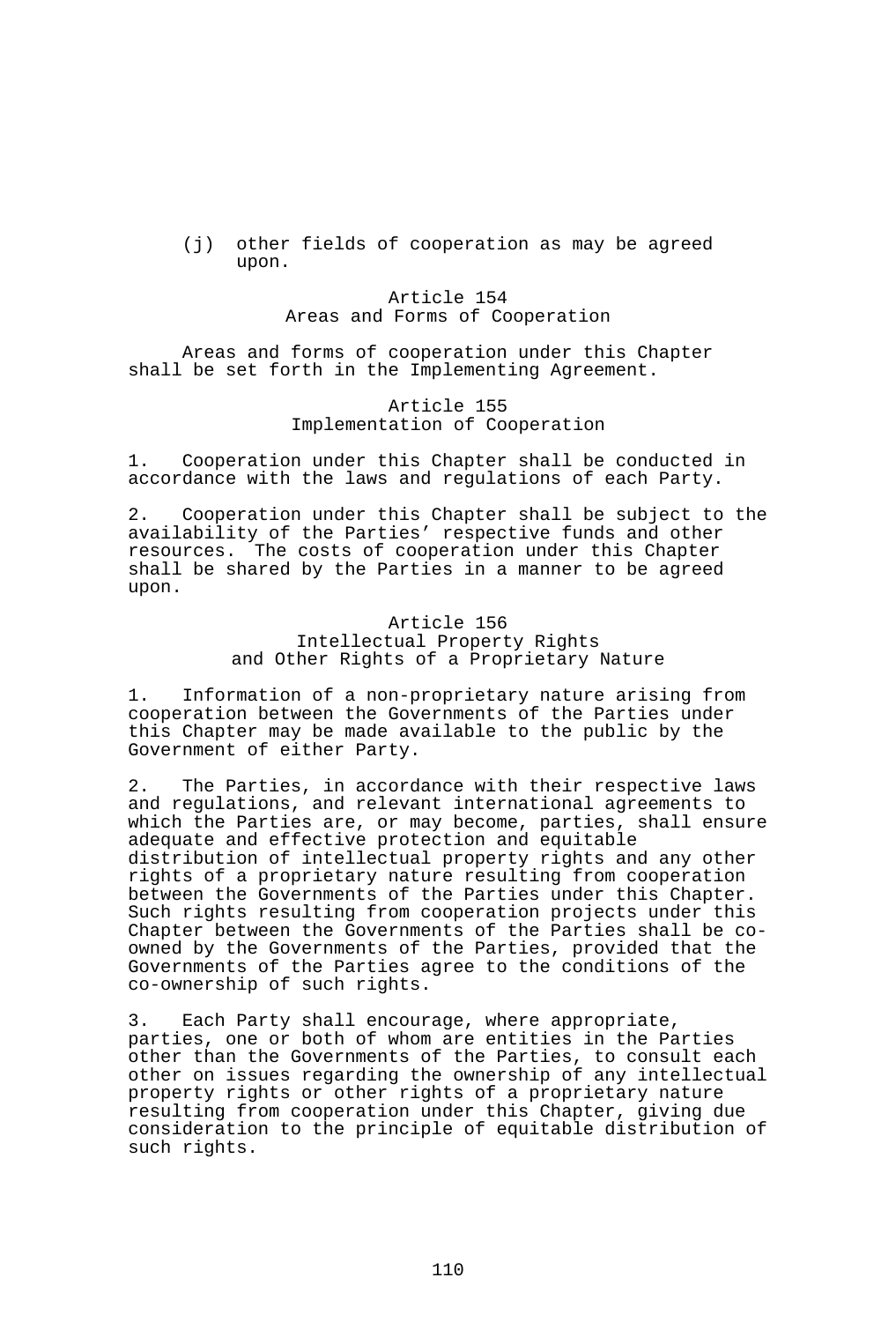(j) other fields of cooperation as may be agreed upon.

## Article 154 Areas and Forms of Cooperation

 Areas and forms of cooperation under this Chapter shall be set forth in the Implementing Agreement.

#### Article 155 Implementation of Cooperation

1. Cooperation under this Chapter shall be conducted in accordance with the laws and regulations of each Party.

2. Cooperation under this Chapter shall be subject to the availability of the Parties' respective funds and other resources. The costs of cooperation under this Chapter shall be shared by the Parties in a manner to be agreed upon.

## Article 156 Intellectual Property Rights and Other Rights of a Proprietary Nature

1. Information of a non-proprietary nature arising from cooperation between the Governments of the Parties under this Chapter may be made available to the public by the Government of either Party.

2. The Parties, in accordance with their respective laws and regulations, and relevant international agreements to which the Parties are, or may become, parties, shall ensure adequate and effective protection and equitable distribution of intellectual property rights and any other rights of a proprietary nature resulting from cooperation between the Governments of the Parties under this Chapter. Such rights resulting from cooperation projects under this Chapter between the Governments of the Parties shall be coowned by the Governments of the Parties, provided that the Governments of the Parties agree to the conditions of the co-ownership of such rights.

3. Each Party shall encourage, where appropriate, parties, one or both of whom are entities in the Parties other than the Governments of the Parties, to consult each other on issues regarding the ownership of any intellectual property rights or other rights of a proprietary nature resulting from cooperation under this Chapter, giving due consideration to the principle of equitable distribution of such rights.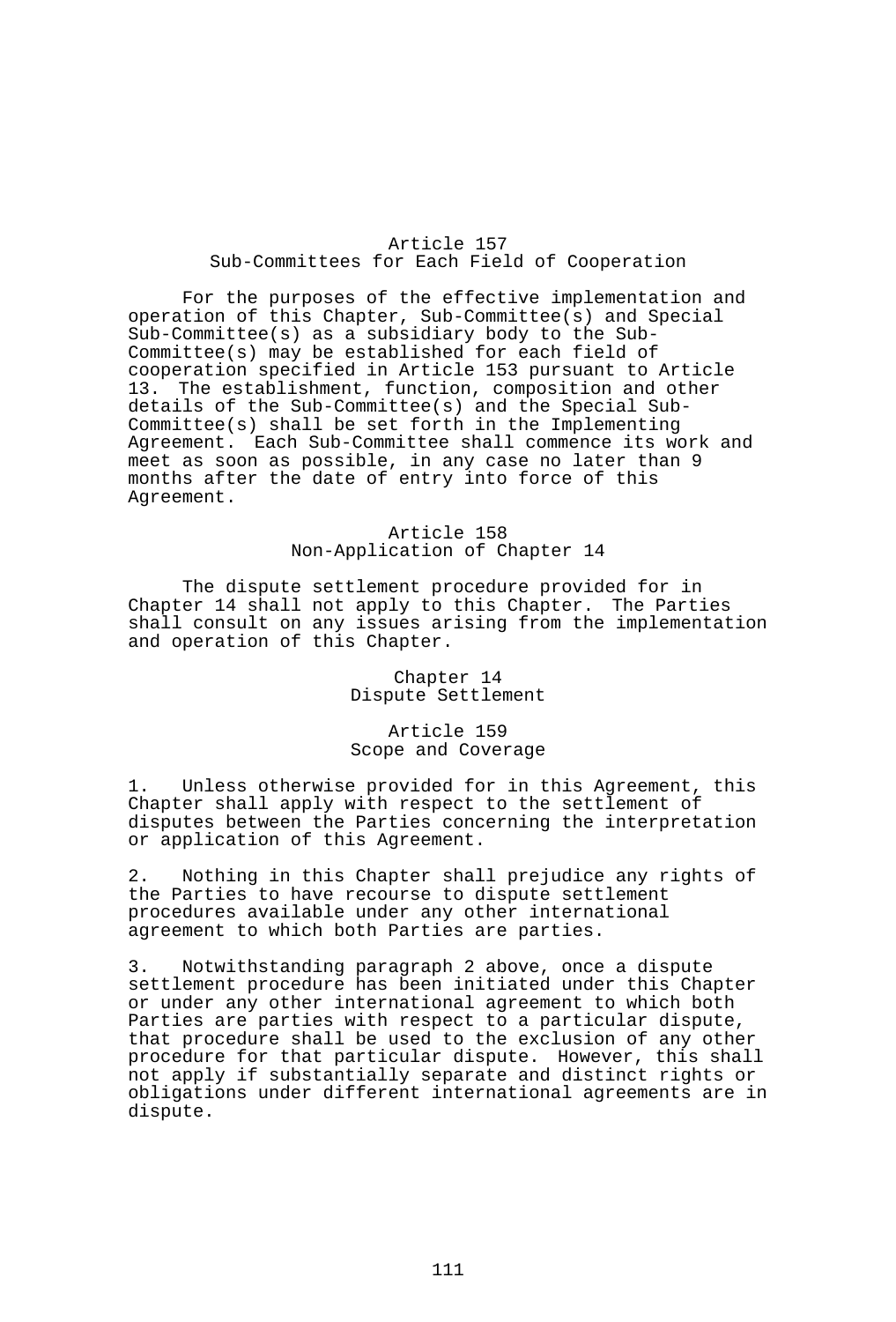### Article 157 Sub-Committees for Each Field of Cooperation

 For the purposes of the effective implementation and operation of this Chapter, Sub-Committee(s) and Special Sub-Committee(s) as a subsidiary body to the Sub-Committee(s) may be established for each field of cooperation specified in Article 153 pursuant to Article The establishment, function, composition and other details of the Sub-Committee(s) and the Special Sub-Committee(s) shall be set forth in the Implementing Agreement. Each Sub-Committee shall commence its work and meet as soon as possible, in any case no later than 9 months after the date of entry into force of this Agreement.

### Article 158 Non-Application of Chapter 14

 The dispute settlement procedure provided for in Chapter 14 shall not apply to this Chapter. The Parties shall consult on any issues arising from the implementation and operation of this Chapter.

> Chapter 14 Dispute Settlement

#### Article 159 Scope and Coverage

1. Unless otherwise provided for in this Agreement, this Chapter shall apply with respect to the settlement of disputes between the Parties concerning the interpretation or application of this Agreement.

2. Nothing in this Chapter shall prejudice any rights of the Parties to have recourse to dispute settlement procedures available under any other international agreement to which both Parties are parties.

3. Notwithstanding paragraph 2 above, once a dispute settlement procedure has been initiated under this Chapter or under any other international agreement to which both Parties are parties with respect to a particular dispute, that procedure shall be used to the exclusion of any other procedure for that particular dispute. However, this shall not apply if substantially separate and distinct rights or obligations under different international agreements are in dispute.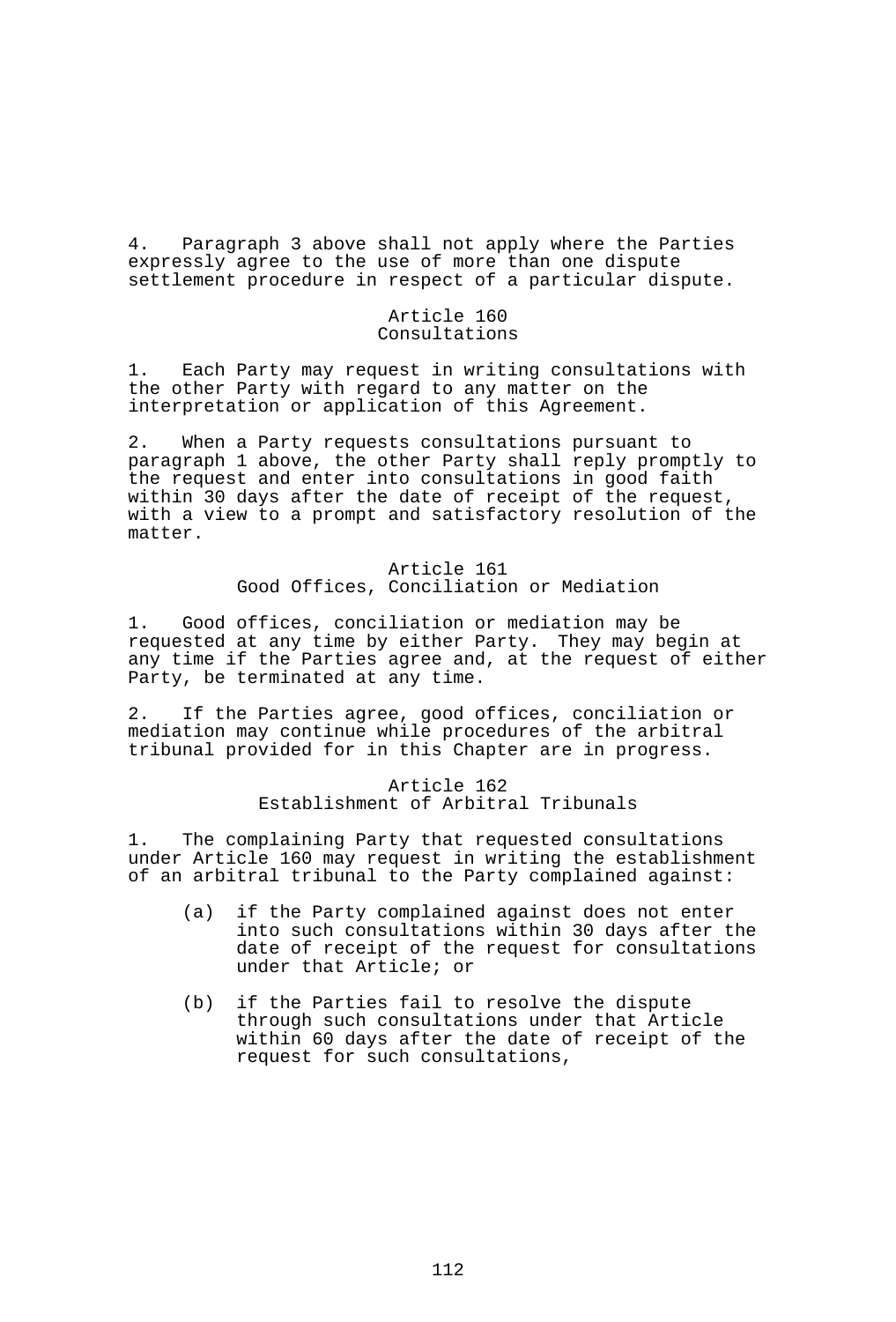4. Paragraph 3 above shall not apply where the Parties expressly agree to the use of more than one dispute settlement procedure in respect of a particular dispute.

## Article 160 Consultations

1. Each Party may request in writing consultations with the other Party with regard to any matter on the interpretation or application of this Agreement.

2. When a Party requests consultations pursuant to paragraph 1 above, the other Party shall reply promptly to the request and enter into consultations in good faith within 30 days after the date of receipt of the request, with a view to a prompt and satisfactory resolution of the matter.

> Article 161 Good Offices, Conciliation or Mediation

1. Good offices, conciliation or mediation may be requested at any time by either Party. They may begin at any time if the Parties agree and, at the request of either Party, be terminated at any time.

2. If the Parties agree, good offices, conciliation or mediation may continue while procedures of the arbitral tribunal provided for in this Chapter are in progress.

### Article 162 Establishment of Arbitral Tribunals

1. The complaining Party that requested consultations under Article 160 may request in writing the establishment of an arbitral tribunal to the Party complained against:

- (a) if the Party complained against does not enter into such consultations within 30 days after the date of receipt of the request for consultations under that Article; or
- (b) if the Parties fail to resolve the dispute through such consultations under that Article within 60 days after the date of receipt of the request for such consultations,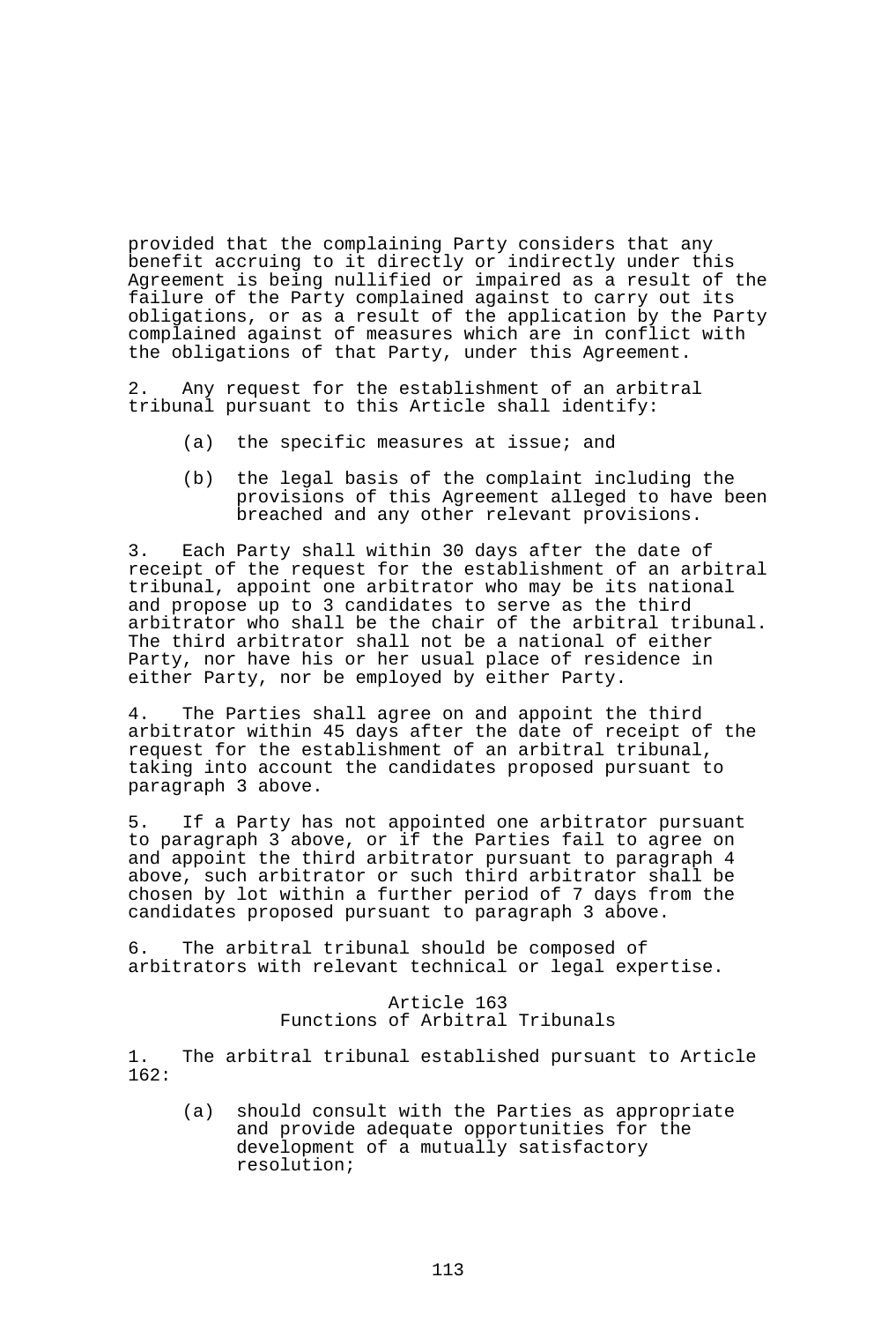provided that the complaining Party considers that any benefit accruing to it directly or indirectly under this Agreement is being nullified or impaired as a result of the failure of the Party complained against to carry out its obligations, or as a result of the application by the Party complained against of measures which are in conflict with the obligations of that Party, under this Agreement.

2. Any request for the establishment of an arbitral tribunal pursuant to this Article shall identify:

- (a) the specific measures at issue; and
- (b) the legal basis of the complaint including the provisions of this Agreement alleged to have been breached and any other relevant provisions.

3. Each Party shall within 30 days after the date of receipt of the request for the establishment of an arbitral tribunal, appoint one arbitrator who may be its national and propose up to 3 candidates to serve as the third arbitrator who shall be the chair of the arbitral tribunal. The third arbitrator shall not be a national of either Party, nor have his or her usual place of residence in either Party, nor be employed by either Party.

4. The Parties shall agree on and appoint the third arbitrator within 45 days after the date of receipt of the request for the establishment of an arbitral tribunal, taking into account the candidates proposed pursuant to paragraph 3 above.

5. If a Party has not appointed one arbitrator pursuant to paragraph 3 above, or if the Parties fail to agree on and appoint the third arbitrator pursuant to paragraph 4 above, such arbitrator or such third arbitrator shall be chosen by lot within a further period of 7 days from the candidates proposed pursuant to paragraph 3 above.

6. The arbitral tribunal should be composed of arbitrators with relevant technical or legal expertise.

### Article 163 Functions of Arbitral Tribunals

1. The arbitral tribunal established pursuant to Article 162:

 (a) should consult with the Parties as appropriate and provide adequate opportunities for the development of a mutually satisfactory resolution;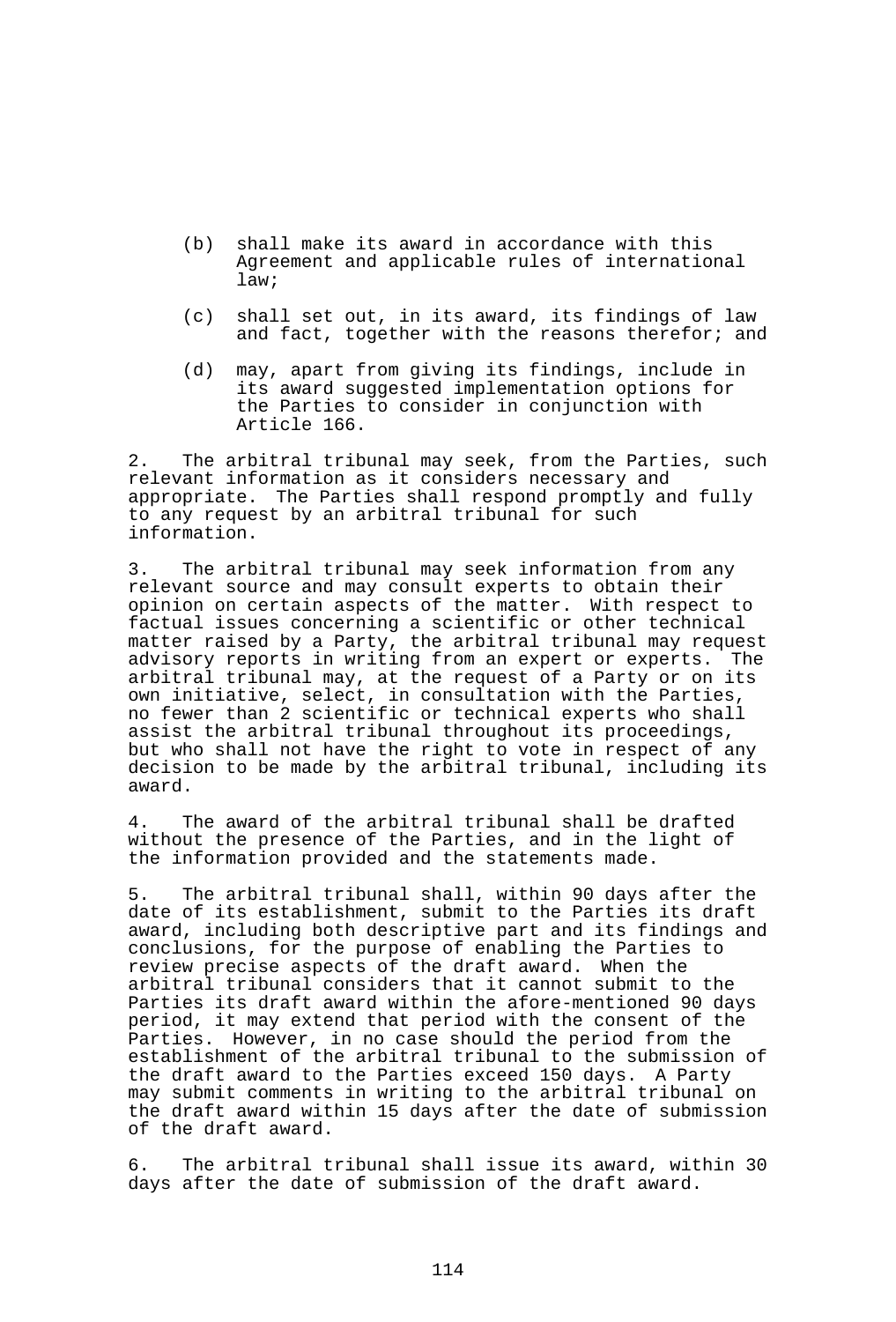- (b) shall make its award in accordance with this Agreement and applicable rules of international law;
- (c) shall set out, in its award, its findings of law and fact, together with the reasons therefor; and
- (d) may, apart from giving its findings, include in its award suggested implementation options for the Parties to consider in conjunction with Article 166.

2. The arbitral tribunal may seek, from the Parties, such relevant information as it considers necessary and appropriate. The Parties shall respond promptly and fully to any request by an arbitral tribunal for such information.

3. The arbitral tribunal may seek information from any relevant source and may consult experts to obtain their opinion on certain aspects of the matter. With respect to factual issues concerning a scientific or other technical matter raised by a Party, the arbitral tribunal may request advisory reports in writing from an expert or experts. The arbitral tribunal may, at the request of a Party or on its own initiative, select, in consultation with the Parties, no fewer than 2 scientific or technical experts who shall assist the arbitral tribunal throughout its proceedings, but who shall not have the right to vote in respect of any decision to be made by the arbitral tribunal, including its award.

4. The award of the arbitral tribunal shall be drafted without the presence of the Parties, and in the light of the information provided and the statements made.

5. The arbitral tribunal shall, within 90 days after the date of its establishment, submit to the Parties its draft award, including both descriptive part and its findings and conclusions, for the purpose of enabling the Parties to review precise aspects of the draft award. When the arbitral tribunal considers that it cannot submit to the Parties its draft award within the afore-mentioned 90 days period, it may extend that period with the consent of the Parties. However, in no case should the period from the establishment of the arbitral tribunal to the submission of the draft award to the Parties exceed 150 days. A Party may submit comments in writing to the arbitral tribunal on the draft award within 15 days after the date of submission of the draft award.

6. The arbitral tribunal shall issue its award, within 30 days after the date of submission of the draft award.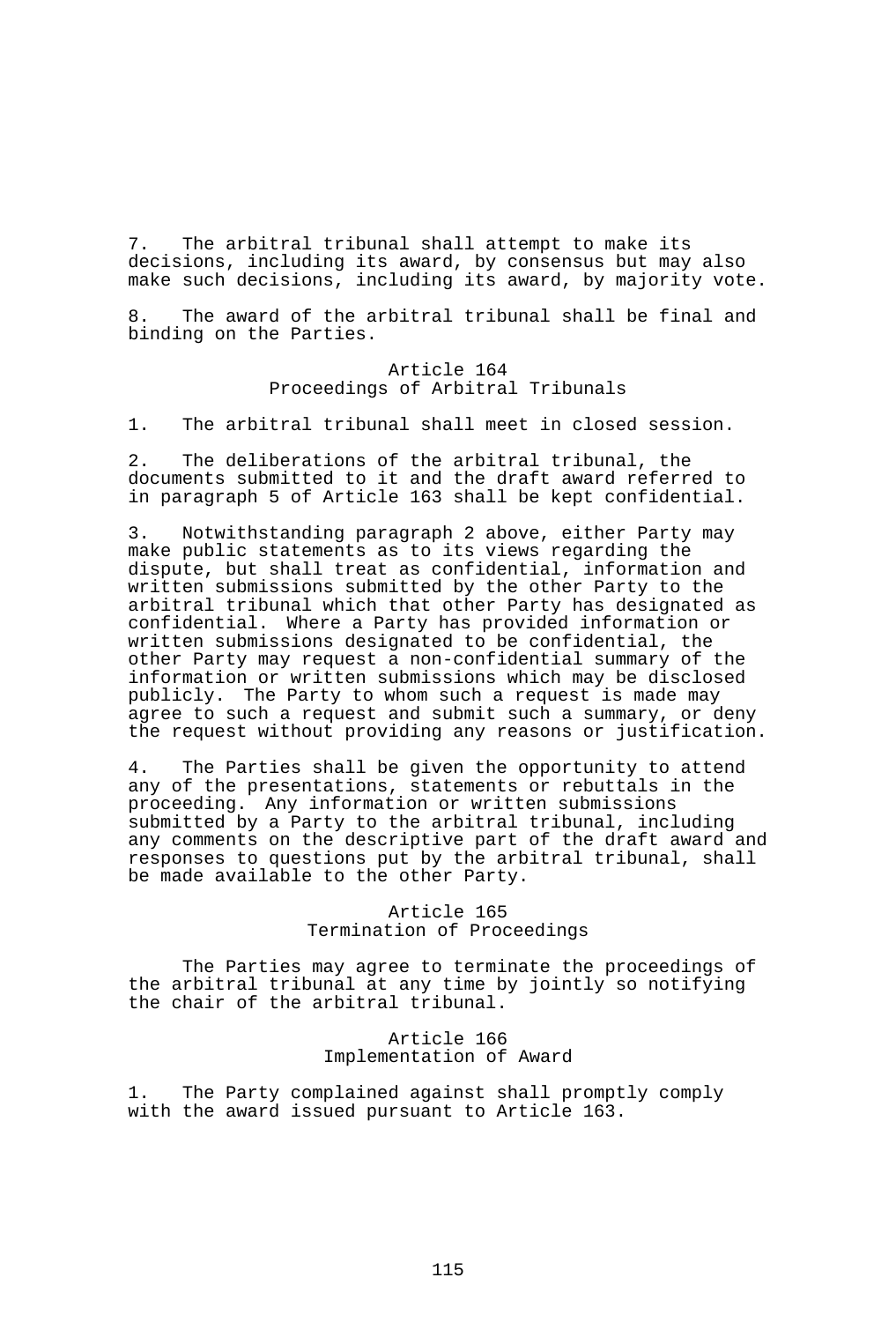7. The arbitral tribunal shall attempt to make its decisions, including its award, by consensus but may also make such decisions, including its award, by majority vote.

8. The award of the arbitral tribunal shall be final and binding on the Parties.

### Article 164 Proceedings of Arbitral Tribunals

1. The arbitral tribunal shall meet in closed session.

2. The deliberations of the arbitral tribunal, the documents submitted to it and the draft award referred to in paragraph 5 of Article 163 shall be kept confidential.

3. Notwithstanding paragraph 2 above, either Party may make public statements as to its views regarding the dispute, but shall treat as confidential, information and written submissions submitted by the other Party to the arbitral tribunal which that other Party has designated as confidential. Where a Party has provided information or written submissions designated to be confidential, the other Party may request a non-confidential summary of the information or written submissions which may be disclosed publicly. The Party to whom such a request is made may agree to such a request and submit such a summary, or deny the request without providing any reasons or justification.

4. The Parties shall be given the opportunity to attend any of the presentations, statements or rebuttals in the proceeding. Any information or written submissions submitted by a Party to the arbitral tribunal, including any comments on the descriptive part of the draft award and responses to questions put by the arbitral tribunal, shall be made available to the other Party.

### Article 165 Termination of Proceedings

 The Parties may agree to terminate the proceedings of the arbitral tribunal at any time by jointly so notifying the chair of the arbitral tribunal.

> Article 166 Implementation of Award

1. The Party complained against shall promptly comply with the award issued pursuant to Article 163.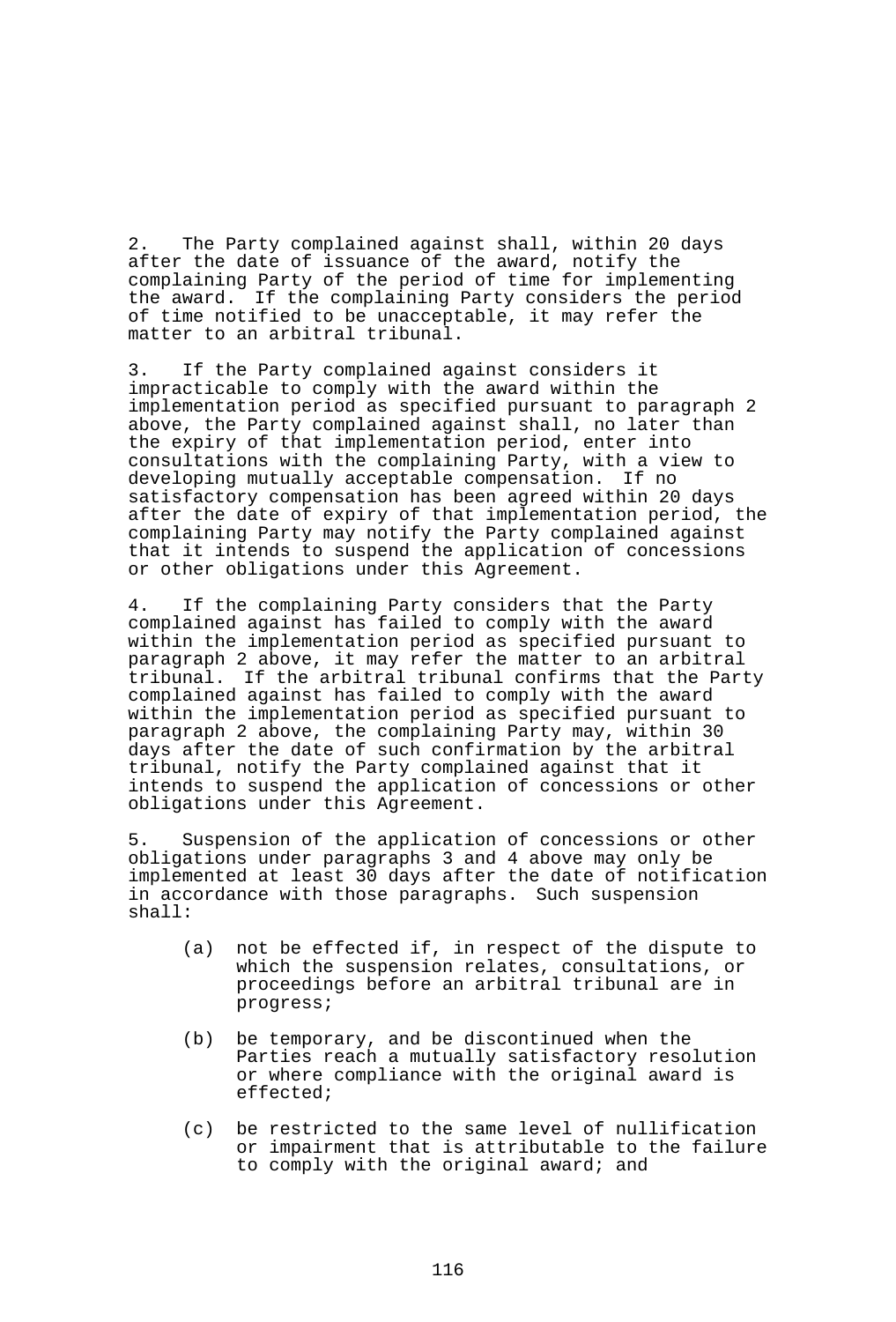2. The Party complained against shall, within 20 days after the date of issuance of the award, notify the complaining Party of the period of time for implementing the award. If the complaining Party considers the period of time notified to be unacceptable, it may refer the matter to an arbitral tribunal.

3. If the Party complained against considers it impracticable to comply with the award within the implementation period as specified pursuant to paragraph 2 above, the Party complained against shall, no later than the expiry of that implementation period, enter into consultations with the complaining Party, with a view to developing mutually acceptable compensation. If no satisfactory compensation has been agreed within 20 days after the date of expiry of that implementation period, the complaining Party may notify the Party complained against that it intends to suspend the application of concessions or other obligations under this Agreement.

4. If the complaining Party considers that the Party complained against has failed to comply with the award within the implementation period as specified pursuant to paragraph 2 above, it may refer the matter to an arbitral tribunal. If the arbitral tribunal confirms that the Party complained against has failed to comply with the award within the implementation period as specified pursuant to paragraph 2 above, the complaining Party may, within 30 days after the date of such confirmation by the arbitral tribunal, notify the Party complained against that it intends to suspend the application of concessions or other obligations under this Agreement.

5. Suspension of the application of concessions or other obligations under paragraphs 3 and 4 above may only be implemented at least 30 days after the date of notification in accordance with those paragraphs. Such suspension shall:

- (a) not be effected if, in respect of the dispute to which the suspension relates, consultations, or proceedings before an arbitral tribunal are in progress;
- (b) be temporary, and be discontinued when the Parties reach a mutually satisfactory resolution or where compliance with the original award is effected;
- (c) be restricted to the same level of nullification or impairment that is attributable to the failure to comply with the original award; and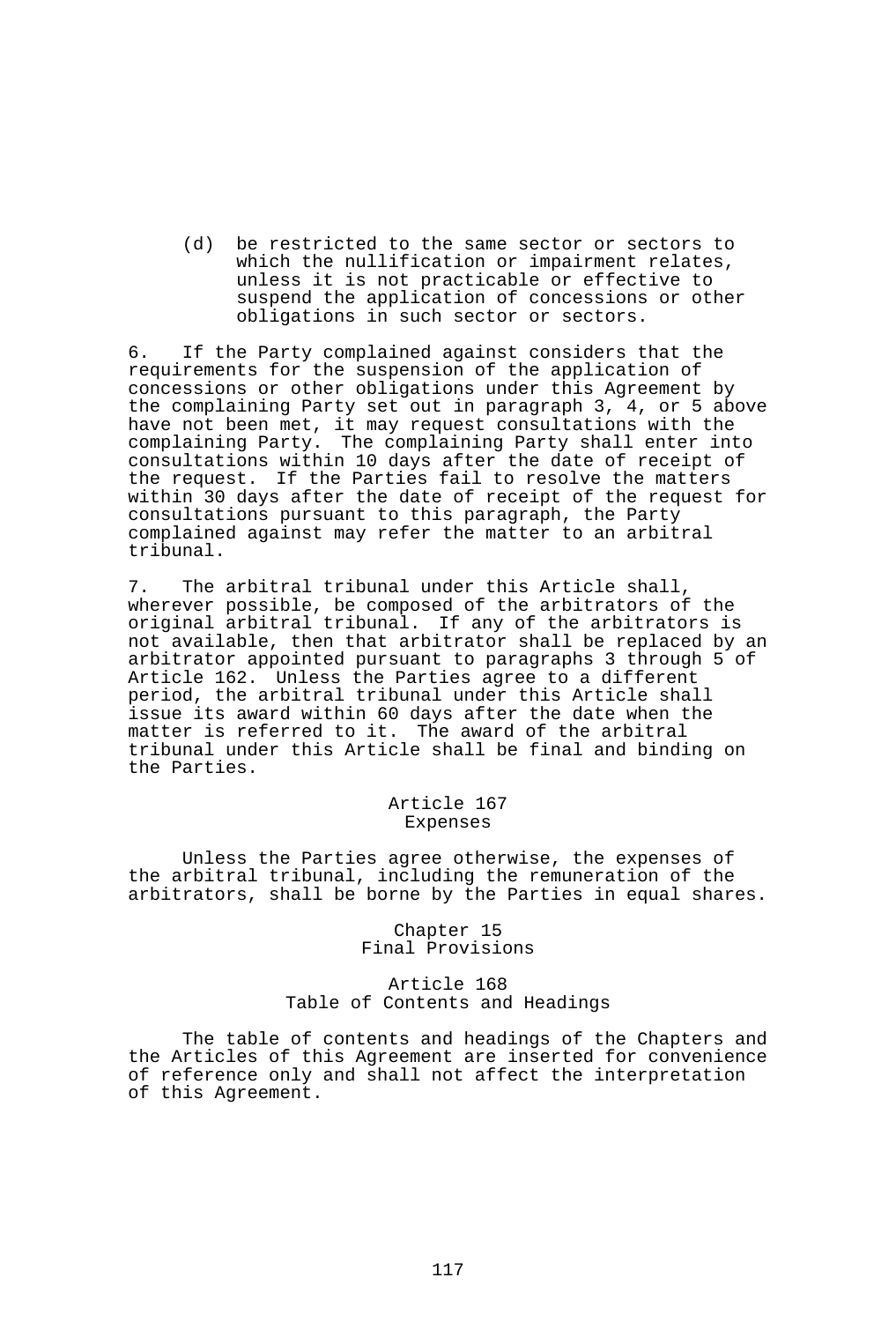(d) be restricted to the same sector or sectors to which the nullification or impairment relates, unless it is not practicable or effective to suspend the application of concessions or other obligations in such sector or sectors.

6. If the Party complained against considers that the requirements for the suspension of the application of concessions or other obligations under this Agreement by the complaining Party set out in paragraph 3, 4, or 5 above have not been met, it may request consultations with the complaining Party. The complaining Party shall enter into consultations within 10 days after the date of receipt of the request. If the Parties fail to resolve the matters within 30 days after the date of receipt of the request for consultations pursuant to this paragraph, the Party complained against may refer the matter to an arbitral tribunal.

7. The arbitral tribunal under this Article shall, wherever possible, be composed of the arbitrators of the original arbitral tribunal. If any of the arbitrators is not available, then that arbitrator shall be replaced by an arbitrator appointed pursuant to paragraphs 3 through 5 of Article 162. Unless the Parties agree to a different period, the arbitral tribunal under this Article shall issue its award within 60 days after the date when the matter is referred to it. The award of the arbitral tribunal under this Article shall be final and binding on the Parties.

> Article 167 Expenses

 Unless the Parties agree otherwise, the expenses of the arbitral tribunal, including the remuneration of the arbitrators, shall be borne by the Parties in equal shares.

> Chapter 15 Final Provisions

# Article 168 Table of Contents and Headings

 The table of contents and headings of the Chapters and the Articles of this Agreement are inserted for convenience of reference only and shall not affect the interpretation of this Agreement.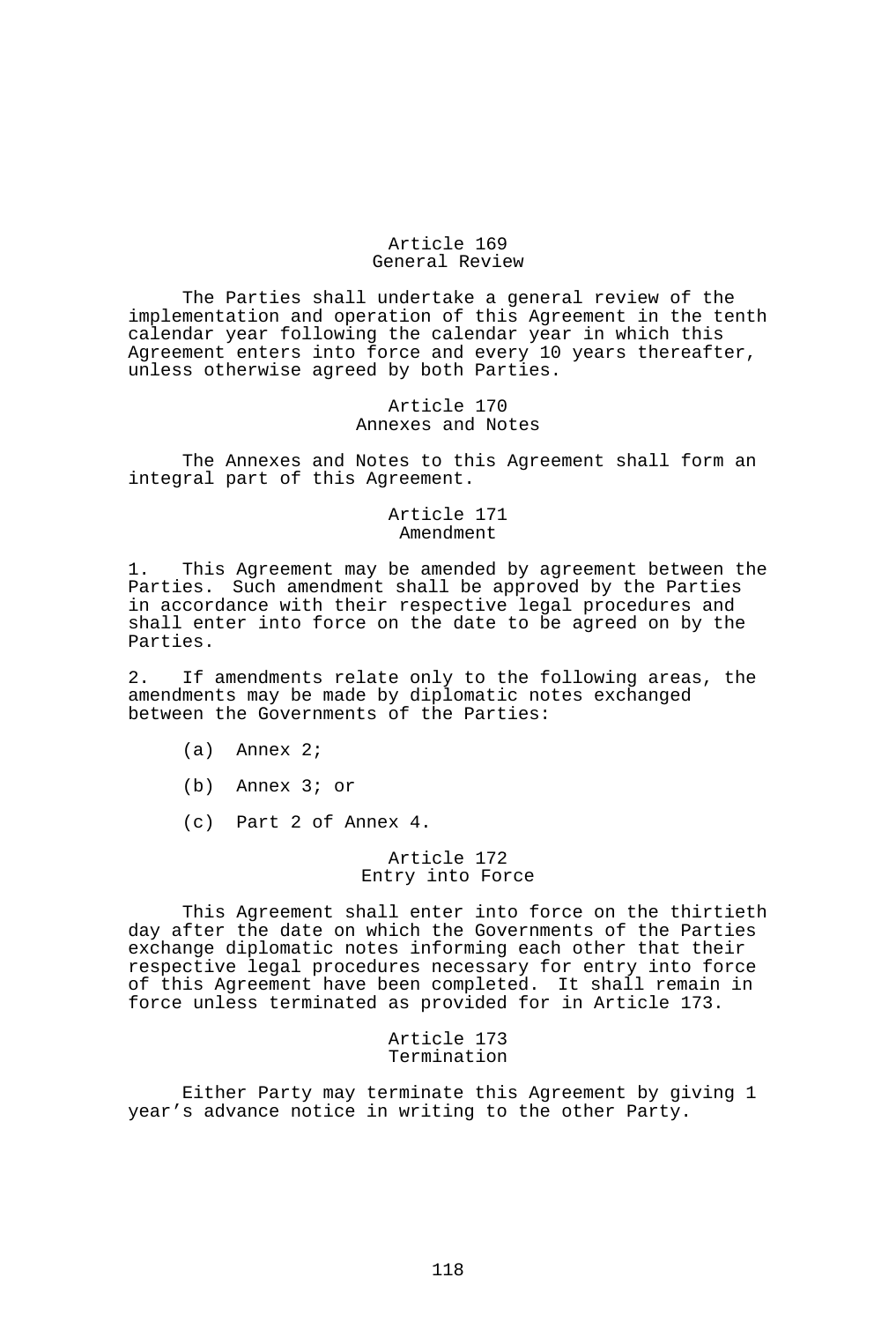### Article 169 General Review

 The Parties shall undertake a general review of the implementation and operation of this Agreement in the tenth calendar year following the calendar year in which this Agreement enters into force and every 10 years thereafter, unless otherwise agreed by both Parties.

#### Article 170 Annexes and Notes

 The Annexes and Notes to this Agreement shall form an integral part of this Agreement.

#### Article 171 Amendment

1. This Agreement may be amended by agreement between the Parties. Such amendment shall be approved by the Parties in accordance with their respective legal procedures and shall enter into force on the date to be agreed on by the Parties.

2. If amendments relate only to the following areas, the amendments may be made by diplomatic notes exchanged between the Governments of the Parties:

- (a) Annex 2;
- (b) Annex 3; or
- (c) Part 2 of Annex 4.

#### Article 172 Entry into Force

 This Agreement shall enter into force on the thirtieth day after the date on which the Governments of the Parties exchange diplomatic notes informing each other that their respective legal procedures necessary for entry into force of this Agreement have been completed. It shall remain in force unless terminated as provided for in Article 173.

> Article 173 Termination

 Either Party may terminate this Agreement by giving 1 year's advance notice in writing to the other Party.